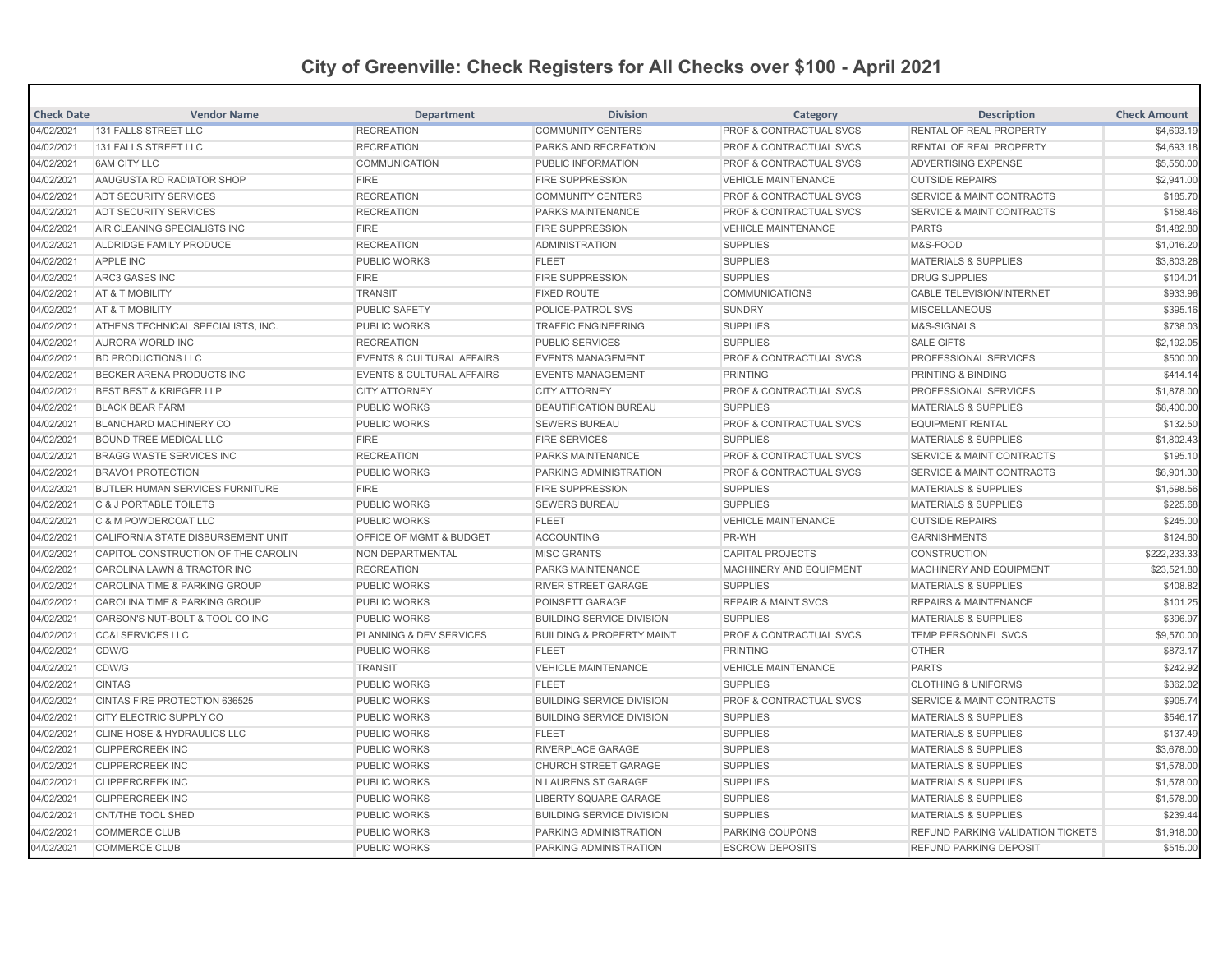## **City of Greenville: Check Registers for All Checks over \$100 - April 2021**

| <b>Check Date</b> | <b>Vendor Name</b>                       | <b>Department</b>                    | <b>Division</b>                      | Category                           | <b>Description</b>                       | <b>Check Amount</b> |
|-------------------|------------------------------------------|--------------------------------------|--------------------------------------|------------------------------------|------------------------------------------|---------------------|
| 04/02/2021        | 131 FALLS STREET LLC                     | <b>RECREATION</b>                    | <b>COMMUNITY CENTERS</b>             | PROF & CONTRACTUAL SVCS            | RENTAL OF REAL PROPERTY                  | \$4,693.19          |
| 04/02/2021        | 131 FALLS STREET LLC                     | <b>RECREATION</b>                    | PARKS AND RECREATION                 | <b>PROF &amp; CONTRACTUAL SVCS</b> | <b>RENTAL OF REAL PROPERTY</b>           | \$4,693.18          |
| 04/02/2021        | <b>6AM CITY LLC</b>                      | <b>COMMUNICATION</b>                 | PUBLIC INFORMATION                   | PROF & CONTRACTUAL SVCS            | ADVERTISING EXPENSE                      | \$5,550.00          |
| 04/02/2021        | AAUGUSTA RD RADIATOR SHOP                | <b>FIRE</b>                          | <b>FIRE SUPPRESSION</b>              | <b>VEHICLE MAINTENANCE</b>         | <b>OUTSIDE REPAIRS</b>                   | \$2,941.00          |
| 04/02/2021        | <b>ADT SECURITY SERVICES</b>             | <b>RECREATION</b>                    | <b>COMMUNITY CENTERS</b>             | <b>PROF &amp; CONTRACTUAL SVCS</b> | <b>SERVICE &amp; MAINT CONTRACTS</b>     | \$185.70            |
| 04/02/2021        | ADT SECURITY SERVICES                    | <b>RECREATION</b>                    | <b>PARKS MAINTENANCE</b>             | <b>PROF &amp; CONTRACTUAL SVCS</b> | <b>SERVICE &amp; MAINT CONTRACTS</b>     | \$158.46            |
| 04/02/2021        | AIR CLEANING SPECIALISTS INC             | <b>FIRE</b>                          | <b>FIRE SUPPRESSION</b>              | <b>VEHICLE MAINTENANCE</b>         | <b>PARTS</b>                             | \$1,482.80          |
| 04/02/2021        | ALDRIDGE FAMILY PRODUCE                  | <b>RECREATION</b>                    | <b>ADMINISTRATION</b>                | <b>SUPPLIES</b>                    | M&S-FOOD                                 | \$1,016.20          |
| 04/02/2021        | <b>APPLE INC</b>                         | <b>PUBLIC WORKS</b>                  | <b>FLEET</b>                         | <b>SUPPLIES</b>                    | <b>MATERIALS &amp; SUPPLIES</b>          | \$3,803.28          |
| 04/02/2021        | ARC3 GASES INC                           | <b>FIRE</b>                          | <b>FIRE SUPPRESSION</b>              | <b>SUPPLIES</b>                    | <b>DRUG SUPPLIES</b>                     | \$104.01            |
| 04/02/2021        | AT & T MOBILITY                          | <b>TRANSIT</b>                       | <b>FIXED ROUTE</b>                   | <b>COMMUNICATIONS</b>              | <b>CABLE TELEVISION/INTERNET</b>         | \$933.96            |
| 04/02/2021        | <b>AT &amp; T MOBILITY</b>               | <b>PUBLIC SAFETY</b>                 | <b>POLICE-PATROL SVS</b>             | <b>SUNDRY</b>                      | <b>MISCELLANEOUS</b>                     | \$395.16            |
| 04/02/2021        | ATHENS TECHNICAL SPECIALISTS, INC.       | <b>PUBLIC WORKS</b>                  | <b>TRAFFIC ENGINEERING</b>           | <b>SUPPLIES</b>                    | M&S-SIGNALS                              | \$738.03            |
| 04/02/2021        | AURORA WORLD INC                         | <b>RECREATION</b>                    | <b>PUBLIC SERVICES</b>               | <b>SUPPLIES</b>                    | <b>SALE GIFTS</b>                        | \$2,192.05          |
| 04/02/2021        | <b>BD PRODUCTIONS LLC</b>                | <b>EVENTS &amp; CULTURAL AFFAIRS</b> | <b>EVENTS MANAGEMENT</b>             | PROF & CONTRACTUAL SVCS            | <b>PROFESSIONAL SERVICES</b>             | \$500.00            |
| 04/02/2021        | BECKER ARENA PRODUCTS INC                | <b>EVENTS &amp; CULTURAL AFFAIRS</b> | <b>EVENTS MANAGEMENT</b>             | <b>PRINTING</b>                    | PRINTING & BINDING                       | \$414.14            |
| 04/02/2021        | <b>BEST BEST &amp; KRIEGER LLP</b>       | <b>CITY ATTORNEY</b>                 | <b>CITY ATTORNEY</b>                 | <b>PROF &amp; CONTRACTUAL SVCS</b> | PROFESSIONAL SERVICES                    | \$1,878.00          |
| 04/02/2021        | <b>BLACK BEAR FARM</b>                   | <b>PUBLIC WORKS</b>                  | <b>BEAUTIFICATION BUREAU</b>         | <b>SUPPLIES</b>                    | <b>MATERIALS &amp; SUPPLIES</b>          | \$8,400.00          |
| 04/02/2021        | <b>BLANCHARD MACHINERY CO</b>            | <b>PUBLIC WORKS</b>                  | <b>SEWERS BUREAU</b>                 | PROF & CONTRACTUAL SVCS            | <b>EQUIPMENT RENTAL</b>                  | \$132.50            |
| 04/02/2021        | <b>BOUND TREE MEDICAL LLC</b>            | <b>FIRE</b>                          | <b>FIRE SERVICES</b>                 | <b>SUPPLIES</b>                    | <b>MATERIALS &amp; SUPPLIES</b>          | \$1,802.43          |
| 04/02/2021        | <b>BRAGG WASTE SERVICES INC</b>          | <b>RECREATION</b>                    | <b>PARKS MAINTENANCE</b>             | PROF & CONTRACTUAL SVCS            | <b>SERVICE &amp; MAINT CONTRACTS</b>     | \$195.10            |
| 04/02/2021        | <b>BRAVO1 PROTECTION</b>                 | <b>PUBLIC WORKS</b>                  | PARKING ADMINISTRATION               | <b>PROF &amp; CONTRACTUAL SVCS</b> | <b>SERVICE &amp; MAINT CONTRACTS</b>     | \$6,901.30          |
| 04/02/2021        | <b>BUTLER HUMAN SERVICES FURNITURE</b>   | <b>FIRE</b>                          | <b>FIRE SUPPRESSION</b>              | <b>SUPPLIES</b>                    | MATERIALS & SUPPLIES                     | \$1,598.56          |
| 04/02/2021        | C & J PORTABLE TOILETS                   | <b>PUBLIC WORKS</b>                  | <b>SEWERS BUREAU</b>                 | <b>SUPPLIES</b>                    | <b>MATERIALS &amp; SUPPLIES</b>          | \$225.68            |
| 04/02/2021        | C & M POWDERCOAT LLC                     | <b>PUBLIC WORKS</b>                  | <b>FLEET</b>                         | <b>VEHICLE MAINTENANCE</b>         | <b>OUTSIDE REPAIRS</b>                   | \$245.00            |
| 04/02/2021        | CALIFORNIA STATE DISBURSEMENT UNIT       | OFFICE OF MGMT & BUDGET              | <b>ACCOUNTING</b>                    | PR-WH                              | <b>GARNISHMENTS</b>                      | \$124.60            |
| 04/02/2021        | CAPITOL CONSTRUCTION OF THE CAROLIN      | NON DEPARTMENTAL                     | <b>MISC GRANTS</b>                   | <b>CAPITAL PROJECTS</b>            | <b>CONSTRUCTION</b>                      | \$222.233.33        |
| 04/02/2021        | CAROLINA LAWN & TRACTOR INC              | <b>RECREATION</b>                    | <b>PARKS MAINTENANCE</b>             | MACHINERY AND EQUIPMENT            | MACHINERY AND EQUIPMENT                  | \$23,521.80         |
| 04/02/2021        | <b>CAROLINA TIME &amp; PARKING GROUP</b> | <b>PUBLIC WORKS</b>                  | <b>RIVER STREET GARAGE</b>           | <b>SUPPLIES</b>                    | <b>MATERIALS &amp; SUPPLIES</b>          | \$408.82            |
| 04/02/2021        | <b>CAROLINA TIME &amp; PARKING GROUP</b> | <b>PUBLIC WORKS</b>                  | <b>POINSETT GARAGE</b>               | <b>REPAIR &amp; MAINT SVCS</b>     | <b>REPAIRS &amp; MAINTENANCE</b>         | \$101.25            |
| 04/02/2021        | CARSON'S NUT-BOLT & TOOL CO INC          | <b>PUBLIC WORKS</b>                  | <b>BUILDING SERVICE DIVISION</b>     | <b>SUPPLIES</b>                    | <b>MATERIALS &amp; SUPPLIES</b>          | \$396.97            |
| 04/02/2021        | <b>CC&amp;I SERVICES LLC</b>             | PLANNING & DEV SERVICES              | <b>BUILDING &amp; PROPERTY MAINT</b> | PROF & CONTRACTUAL SVCS            | <b>TEMP PERSONNEL SVCS</b>               | \$9,570.00          |
| 04/02/2021        | CDW/G                                    | <b>PUBLIC WORKS</b>                  | <b>FLEET</b>                         | <b>PRINTING</b>                    | <b>OTHER</b>                             | \$873.17            |
| 04/02/2021        | CDW/G                                    | <b>TRANSIT</b>                       | <b>VEHICLE MAINTENANCE</b>           | <b>VEHICLE MAINTENANCE</b>         | <b>PARTS</b>                             | \$242.92            |
| 04/02/2021        | <b>CINTAS</b>                            | <b>PUBLIC WORKS</b>                  | <b>FLEET</b>                         | <b>SUPPLIES</b>                    | <b>CLOTHING &amp; UNIFORMS</b>           | \$362.02            |
| 04/02/2021        | CINTAS FIRE PROTECTION 636525            | <b>PUBLIC WORKS</b>                  | <b>BUILDING SERVICE DIVISION</b>     | <b>PROF &amp; CONTRACTUAL SVCS</b> | <b>SERVICE &amp; MAINT CONTRACTS</b>     | \$905.74            |
| 04/02/2021        | CITY ELECTRIC SUPPLY CO                  | <b>PUBLIC WORKS</b>                  | <b>BUILDING SERVICE DIVISION</b>     | <b>SUPPLIES</b>                    | <b>MATERIALS &amp; SUPPLIES</b>          | \$546.17            |
| 04/02/2021        | <b>CLINE HOSE &amp; HYDRAULICS LLC</b>   | <b>PUBLIC WORKS</b>                  | <b>FLEET</b>                         | <b>SUPPLIES</b>                    | <b>MATERIALS &amp; SUPPLIES</b>          | \$137.49            |
| 04/02/2021        | <b>CLIPPERCREEK INC</b>                  | <b>PUBLIC WORKS</b>                  | <b>RIVERPLACE GARAGE</b>             | <b>SUPPLIES</b>                    | <b>MATERIALS &amp; SUPPLIES</b>          | \$3,678.00          |
| 04/02/2021        | <b>CLIPPERCREEK INC</b>                  | <b>PUBLIC WORKS</b>                  | <b>CHURCH STREET GARAGE</b>          | <b>SUPPLIES</b>                    | MATERIALS & SUPPLIES                     | \$1,578.00          |
| 04/02/2021        | <b>CLIPPERCREEK INC</b>                  | <b>PUBLIC WORKS</b>                  | N LAURENS ST GARAGE                  | <b>SUPPLIES</b>                    | <b>MATERIALS &amp; SUPPLIES</b>          | \$1,578.00          |
| 04/02/2021        | <b>CLIPPERCREEK INC</b>                  | <b>PUBLIC WORKS</b>                  | <b>LIBERTY SQUARE GARAGE</b>         | <b>SUPPLIES</b>                    | <b>MATERIALS &amp; SUPPLIES</b>          | \$1,578.00          |
| 04/02/2021        | <b>CNT/THE TOOL SHED</b>                 | <b>PUBLIC WORKS</b>                  | <b>BUILDING SERVICE DIVISION</b>     | <b>SUPPLIES</b>                    | <b>MATERIALS &amp; SUPPLIES</b>          | \$239.44            |
| 04/02/2021        | <b>COMMERCE CLUB</b>                     | <b>PUBLIC WORKS</b>                  | PARKING ADMINISTRATION               | PARKING COUPONS                    | <b>REFUND PARKING VALIDATION TICKETS</b> | \$1,918.00          |
| 04/02/2021        | <b>COMMERCE CLUB</b>                     | <b>PUBLIC WORKS</b>                  | PARKING ADMINISTRATION               | <b>ESCROW DEPOSITS</b>             | <b>REFUND PARKING DEPOSIT</b>            | \$515.00            |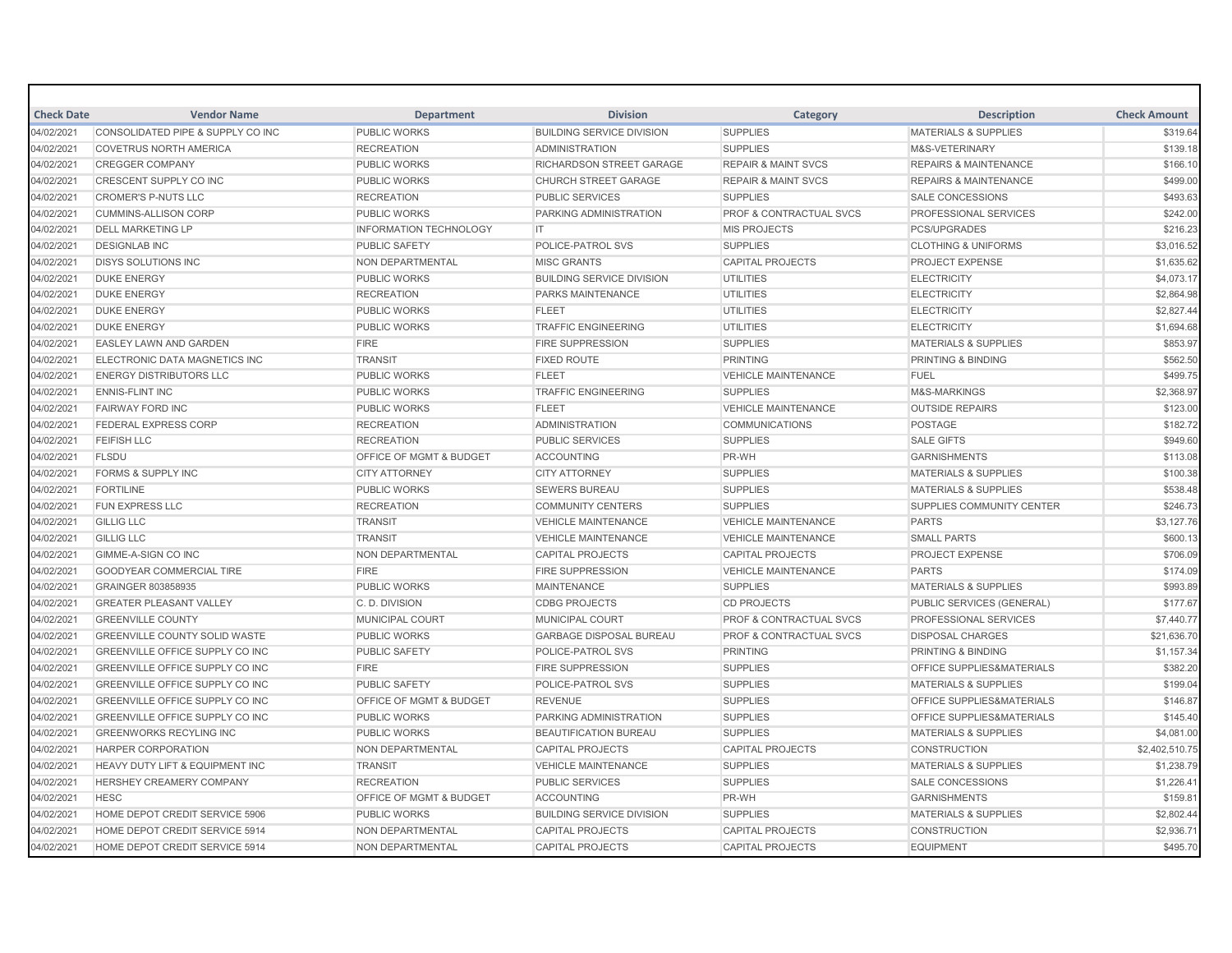| <b>Check Date</b> | <b>Vendor Name</b>                         | <b>Department</b>                  | <b>Division</b>                  | Category                           | <b>Description</b>                   | <b>Check Amount</b> |
|-------------------|--------------------------------------------|------------------------------------|----------------------------------|------------------------------------|--------------------------------------|---------------------|
| 04/02/2021        | CONSOLIDATED PIPE & SUPPLY CO INC          | PUBLIC WORKS                       | <b>BUILDING SERVICE DIVISION</b> | <b>SUPPLIES</b>                    | <b>MATERIALS &amp; SUPPLIES</b>      | \$319.64            |
| 04/02/2021        | <b>COVETRUS NORTH AMERICA</b>              | <b>RECREATION</b>                  | <b>ADMINISTRATION</b>            | <b>SUPPLIES</b>                    | M&S-VETERINARY                       | \$139.18            |
| 04/02/2021        | <b>CREGGER COMPANY</b>                     | <b>PUBLIC WORKS</b>                | RICHARDSON STREET GARAGE         | <b>REPAIR &amp; MAINT SVCS</b>     | <b>REPAIRS &amp; MAINTENANCE</b>     | \$166.10            |
| 04/02/2021        | CRESCENT SUPPLY CO INC                     | <b>PUBLIC WORKS</b>                | <b>CHURCH STREET GARAGE</b>      | <b>REPAIR &amp; MAINT SVCS</b>     | <b>REPAIRS &amp; MAINTENANCE</b>     | \$499.00            |
| 04/02/2021        | <b>CROMER'S P-NUTS LLC</b>                 | <b>RECREATION</b>                  | <b>PUBLIC SERVICES</b>           | <b>SUPPLIES</b>                    | <b>SALE CONCESSIONS</b>              | \$493.63            |
| 04/02/2021        | <b>CUMMINS-ALLISON CORP</b>                | <b>PUBLIC WORKS</b>                | PARKING ADMINISTRATION           | <b>PROF &amp; CONTRACTUAL SVCS</b> | <b>PROFESSIONAL SERVICES</b>         | \$242.00            |
| 04/02/2021        | <b>DELL MARKETING LP</b>                   | <b>INFORMATION TECHNOLOGY</b>      | <b>IT</b>                        | <b>MIS PROJECTS</b>                | <b>PCS/UPGRADES</b>                  | \$216.23            |
| 04/02/2021        | <b>DESIGNLAB INC</b>                       | <b>PUBLIC SAFETY</b>               | POLICE-PATROL SVS                | <b>SUPPLIES</b>                    | <b>CLOTHING &amp; UNIFORMS</b>       | \$3,016.52          |
| 04/02/2021        | <b>DISYS SOLUTIONS INC</b>                 | NON DEPARTMENTAL                   | <b>MISC GRANTS</b>               | <b>CAPITAL PROJECTS</b>            | <b>PROJECT EXPENSE</b>               | \$1,635.62          |
| 04/02/2021        | <b>DUKE ENERGY</b>                         | <b>PUBLIC WORKS</b>                | <b>BUILDING SERVICE DIVISION</b> | <b>UTILITIES</b>                   | <b>ELECTRICITY</b>                   | \$4,073.17          |
| 04/02/2021        | <b>DUKE ENERGY</b>                         | <b>RECREATION</b>                  | PARKS MAINTENANCE                | <b>UTILITIES</b>                   | <b>ELECTRICITY</b>                   | \$2,864.98          |
| 04/02/2021        | <b>DUKE ENERGY</b>                         | <b>PUBLIC WORKS</b>                | <b>FLEET</b>                     | <b>UTILITIES</b>                   | <b>ELECTRICITY</b>                   | \$2,827.44          |
| 04/02/2021        | <b>DUKE ENERGY</b>                         | <b>PUBLIC WORKS</b>                | <b>TRAFFIC ENGINEERING</b>       | <b>UTILITIES</b>                   | <b>ELECTRICITY</b>                   | \$1,694.68          |
| 04/02/2021        | <b>EASLEY LAWN AND GARDEN</b>              | <b>FIRE</b>                        | <b>FIRE SUPPRESSION</b>          | <b>SUPPLIES</b>                    | <b>MATERIALS &amp; SUPPLIES</b>      | \$853.97            |
| 04/02/2021        | <b>ELECTRONIC DATA MAGNETICS INC</b>       | <b>TRANSIT</b>                     | <b>FIXED ROUTE</b>               | <b>PRINTING</b>                    | <b>PRINTING &amp; BINDING</b>        | \$562.50            |
| 04/02/2021        | <b>ENERGY DISTRIBUTORS LLC</b>             | <b>PUBLIC WORKS</b>                | <b>FLEET</b>                     | <b>VEHICLE MAINTENANCE</b>         | <b>FUEL</b>                          | \$499.75            |
| 04/02/2021        | <b>ENNIS-FLINT INC</b>                     | <b>PUBLIC WORKS</b>                | <b>TRAFFIC ENGINEERING</b>       | <b>SUPPLIES</b>                    | M&S-MARKINGS                         | \$2,368.97          |
| 04/02/2021        | <b>FAIRWAY FORD INC</b>                    | <b>PUBLIC WORKS</b>                | <b>FLEET</b>                     | <b>VEHICLE MAINTENANCE</b>         | <b>OUTSIDE REPAIRS</b>               | \$123.00            |
| 04/02/2021        | <b>FEDERAL EXPRESS CORP</b>                | <b>RECREATION</b>                  | <b>ADMINISTRATION</b>            | <b>COMMUNICATIONS</b>              | <b>POSTAGE</b>                       | \$182.72            |
| 04/02/2021        | <b>FEIFISH LLC</b>                         | <b>RECREATION</b>                  | <b>PUBLIC SERVICES</b>           | <b>SUPPLIES</b>                    | <b>SALE GIFTS</b>                    | \$949.60            |
| 04/02/2021        | <b>FLSDU</b>                               | OFFICE OF MGMT & BUDGET            | <b>ACCOUNTING</b>                | PR-WH                              | <b>GARNISHMENTS</b>                  | \$113.08            |
| 04/02/2021        | <b>FORMS &amp; SUPPLY INC</b>              | <b>CITY ATTORNEY</b>               | <b>CITY ATTORNEY</b>             | <b>SUPPLIES</b>                    | <b>MATERIALS &amp; SUPPLIES</b>      | \$100.38            |
| 04/02/2021        | <b>FORTILINE</b>                           | <b>PUBLIC WORKS</b>                | <b>SEWERS BUREAU</b>             | <b>SUPPLIES</b>                    | <b>MATERIALS &amp; SUPPLIES</b>      | \$538.48            |
| 04/02/2021        | <b>FUN EXPRESS LLC</b>                     | <b>RECREATION</b>                  | <b>COMMUNITY CENTERS</b>         | <b>SUPPLIES</b>                    | SUPPLIES COMMUNITY CENTER            | \$246.73            |
| 04/02/2021        | <b>GILLIG LLC</b>                          | <b>TRANSIT</b>                     | <b>VEHICLE MAINTENANCE</b>       | <b>VEHICLE MAINTENANCE</b>         | <b>PARTS</b>                         | \$3,127.76          |
| 04/02/2021        | <b>GILLIG LLC</b>                          | <b>TRANSIT</b>                     | <b>VEHICLE MAINTENANCE</b>       | <b>VEHICLE MAINTENANCE</b>         | <b>SMALL PARTS</b>                   | \$600.13            |
| 04/02/2021        | <b>GIMME-A-SIGN CO INC</b>                 | NON DEPARTMENTAL                   | <b>CAPITAL PROJECTS</b>          | <b>CAPITAL PROJECTS</b>            | <b>PROJECT EXPENSE</b>               | \$706.09            |
| 04/02/2021        | <b>GOODYEAR COMMERCIAL TIRE</b>            | <b>FIRE</b>                        | <b>FIRE SUPPRESSION</b>          | <b>VEHICLE MAINTENANCE</b>         | <b>PARTS</b>                         | \$174.09            |
| 04/02/2021        | GRAINGER 803858935                         | <b>PUBLIC WORKS</b>                | <b>MAINTENANCE</b>               | <b>SUPPLIES</b>                    | <b>MATERIALS &amp; SUPPLIES</b>      | \$993.89            |
| 04/02/2021        | <b>GREATER PLEASANT VALLEY</b>             | C. D. DIVISION                     | <b>CDBG PROJECTS</b>             | <b>CD PROJECTS</b>                 | PUBLIC SERVICES (GENERAL)            | \$177.67            |
| 04/02/2021        | <b>GREENVILLE COUNTY</b>                   | <b>MUNICIPAL COURT</b>             | <b>MUNICIPAL COURT</b>           | <b>PROF &amp; CONTRACTUAL SVCS</b> | <b>PROFESSIONAL SERVICES</b>         | \$7,440.77          |
| 04/02/2021        | <b>GREENVILLE COUNTY SOLID WASTE</b>       | <b>PUBLIC WORKS</b>                | <b>GARBAGE DISPOSAL BUREAU</b>   | PROF & CONTRACTUAL SVCS            | <b>DISPOSAL CHARGES</b>              | \$21,636.70         |
| 04/02/2021        | <b>GREENVILLE OFFICE SUPPLY CO INC</b>     | <b>PUBLIC SAFETY</b>               | POLICE-PATROL SVS                | <b>PRINTING</b>                    | <b>PRINTING &amp; BINDING</b>        | \$1,157.34          |
| 04/02/2021        | GREENVILLE OFFICE SUPPLY CO INC            | <b>FIRE</b>                        | <b>FIRE SUPPRESSION</b>          | <b>SUPPLIES</b>                    | <b>OFFICE SUPPLIES&amp;MATERIALS</b> | \$382.20            |
| 04/02/2021        | GREENVILLE OFFICE SUPPLY CO INC            | <b>PUBLIC SAFETY</b>               | POLICE-PATROL SVS                | <b>SUPPLIES</b>                    | <b>MATERIALS &amp; SUPPLIES</b>      | \$199.04            |
| 04/02/2021        | <b>GREENVILLE OFFICE SUPPLY CO INC</b>     | OFFICE OF MGMT & BUDGET            | <b>REVENUE</b>                   | <b>SUPPLIES</b>                    | <b>OFFICE SUPPLIES&amp;MATERIALS</b> | \$146.87            |
| 04/02/2021        | GREENVILLE OFFICE SUPPLY CO INC            | <b>PUBLIC WORKS</b>                | PARKING ADMINISTRATION           | <b>SUPPLIES</b>                    | OFFICE SUPPLIES&MATERIALS            | \$145.40            |
| 04/02/2021        | <b>GREENWORKS RECYLING INC</b>             | <b>PUBLIC WORKS</b>                | <b>BEAUTIFICATION BUREAU</b>     | <b>SUPPLIES</b>                    | <b>MATERIALS &amp; SUPPLIES</b>      | \$4,081.00          |
| 04/02/2021        | <b>HARPER CORPORATION</b>                  | NON DEPARTMENTAL                   | <b>CAPITAL PROJECTS</b>          | <b>CAPITAL PROJECTS</b>            | <b>CONSTRUCTION</b>                  | \$2,402,510.75      |
| 04/02/2021        | <b>HEAVY DUTY LIFT &amp; EQUIPMENT INC</b> | <b>TRANSIT</b>                     | <b>VEHICLE MAINTENANCE</b>       | <b>SUPPLIES</b>                    | <b>MATERIALS &amp; SUPPLIES</b>      | \$1,238.79          |
| 04/02/2021        | <b>HERSHEY CREAMERY COMPANY</b>            | <b>RECREATION</b>                  | <b>PUBLIC SERVICES</b>           | <b>SUPPLIES</b>                    | <b>SALE CONCESSIONS</b>              | \$1,226.41          |
| 04/02/2021        | <b>HESC</b>                                | <b>OFFICE OF MGMT &amp; BUDGET</b> | <b>ACCOUNTING</b>                | PR-WH                              | <b>GARNISHMENTS</b>                  | \$159.81            |
| 04/02/2021        | HOME DEPOT CREDIT SERVICE 5906             | <b>PUBLIC WORKS</b>                | <b>BUILDING SERVICE DIVISION</b> | <b>SUPPLIES</b>                    | <b>MATERIALS &amp; SUPPLIES</b>      | \$2,802.44          |
| 04/02/2021        | HOME DEPOT CREDIT SERVICE 5914             | NON DEPARTMENTAL                   | <b>CAPITAL PROJECTS</b>          | <b>CAPITAL PROJECTS</b>            | <b>CONSTRUCTION</b>                  | \$2,936.71          |
| 04/02/2021        | HOME DEPOT CREDIT SERVICE 5914             | <b>NON DEPARTMENTAL</b>            | <b>CAPITAL PROJECTS</b>          | <b>CAPITAL PROJECTS</b>            | <b>EQUIPMENT</b>                     | \$495.70            |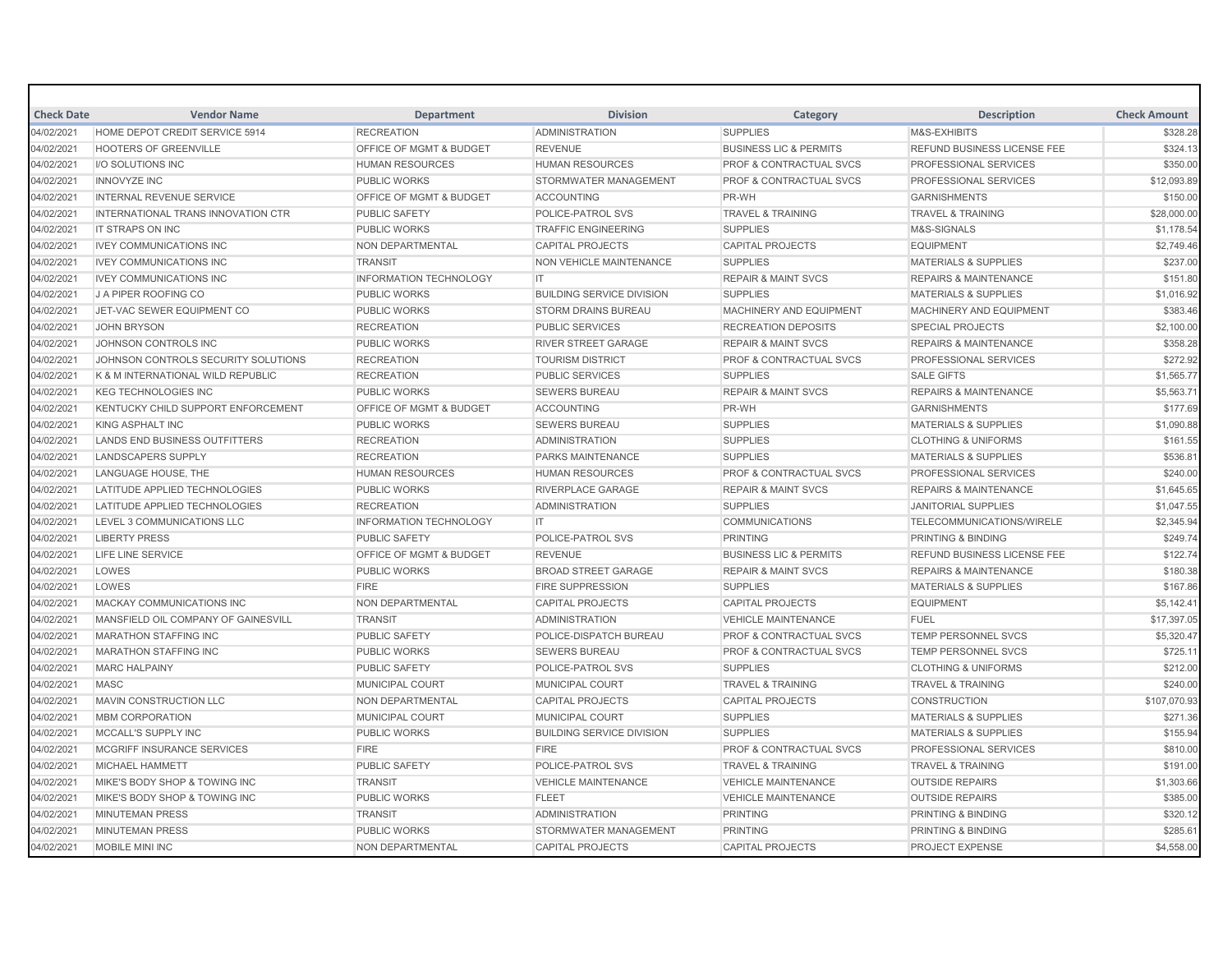| <b>Check Date</b> | <b>Vendor Name</b>                  | <b>Department</b>                  | <b>Division</b>                  | Category                           | <b>Description</b>                 | <b>Check Amount</b> |
|-------------------|-------------------------------------|------------------------------------|----------------------------------|------------------------------------|------------------------------------|---------------------|
| 04/02/2021        | HOME DEPOT CREDIT SERVICE 5914      | <b>RECREATION</b>                  | <b>ADMINISTRATION</b>            | <b>SUPPLIES</b>                    | M&S-EXHIBITS                       | \$328.28            |
| 04/02/2021        | <b>HOOTERS OF GREENVILLE</b>        | <b>OFFICE OF MGMT &amp; BUDGET</b> | <b>REVENUE</b>                   | <b>BUSINESS LIC &amp; PERMITS</b>  | <b>REFUND BUSINESS LICENSE FEE</b> | \$324.13            |
| 04/02/2021        | I/O SOLUTIONS INC                   | <b>HUMAN RESOURCES</b>             | <b>HUMAN RESOURCES</b>           | <b>PROF &amp; CONTRACTUAL SVCS</b> | PROFESSIONAL SERVICES              | \$350.00            |
| 04/02/2021        | <b>INNOVYZE INC</b>                 | <b>PUBLIC WORKS</b>                | STORMWATER MANAGEMENT            | <b>PROF &amp; CONTRACTUAL SVCS</b> | PROFESSIONAL SERVICES              | \$12,093.89         |
| 04/02/2021        | <b>INTERNAL REVENUE SERVICE</b>     | <b>OFFICE OF MGMT &amp; BUDGET</b> | <b>ACCOUNTING</b>                | PR-WH                              | <b>GARNISHMENTS</b>                | \$150.00            |
| 04/02/2021        | INTERNATIONAL TRANS INNOVATION CTR  | <b>PUBLIC SAFETY</b>               | POLICE-PATROL SVS                | <b>TRAVEL &amp; TRAINING</b>       | <b>TRAVEL &amp; TRAINING</b>       | \$28,000.00         |
| 04/02/2021        | IT STRAPS ON INC                    | <b>PUBLIC WORKS</b>                | <b>TRAFFIC ENGINEERING</b>       | <b>SUPPLIES</b>                    | M&S-SIGNALS                        | \$1,178.54          |
| 04/02/2021        | <b>IVEY COMMUNICATIONS INC</b>      | NON DEPARTMENTAL                   | <b>CAPITAL PROJECTS</b>          | <b>CAPITAL PROJECTS</b>            | <b>EQUIPMENT</b>                   | \$2,749.46          |
| 04/02/2021        | <b>IVEY COMMUNICATIONS INC</b>      | <b>TRANSIT</b>                     | NON VEHICLE MAINTENANCE          | <b>SUPPLIES</b>                    | <b>MATERIALS &amp; SUPPLIES</b>    | \$237.00            |
| 04/02/2021        | <b>IVEY COMMUNICATIONS INC</b>      | <b>INFORMATION TECHNOLOGY</b>      | IT                               | <b>REPAIR &amp; MAINT SVCS</b>     | <b>REPAIRS &amp; MAINTENANCE</b>   | \$151.80            |
| 04/02/2021        | <b>J A PIPER ROOFING CO</b>         | <b>PUBLIC WORKS</b>                | <b>BUILDING SERVICE DIVISION</b> | <b>SUPPLIES</b>                    | <b>MATERIALS &amp; SUPPLIES</b>    | \$1,016.92          |
| 04/02/2021        | JET-VAC SEWER EQUIPMENT CO          | <b>PUBLIC WORKS</b>                | <b>STORM DRAINS BUREAU</b>       | MACHINERY AND EQUIPMENT            | MACHINERY AND EQUIPMENT            | \$383.46            |
| 04/02/2021        | <b>JOHN BRYSON</b>                  | <b>RECREATION</b>                  | <b>PUBLIC SERVICES</b>           | <b>RECREATION DEPOSITS</b>         | <b>SPECIAL PROJECTS</b>            | \$2,100.00          |
| 04/02/2021        | JOHNSON CONTROLS INC                | <b>PUBLIC WORKS</b>                | <b>RIVER STREET GARAGE</b>       | <b>REPAIR &amp; MAINT SVCS</b>     | <b>REPAIRS &amp; MAINTENANCE</b>   | \$358.28            |
| 04/02/2021        | JOHNSON CONTROLS SECURITY SOLUTIONS | <b>RECREATION</b>                  | <b>TOURISM DISTRICT</b>          | <b>PROF &amp; CONTRACTUAL SVCS</b> | PROFESSIONAL SERVICES              | \$272.92            |
| 04/02/2021        | K & M INTERNATIONAL WILD REPUBLIC   | <b>RECREATION</b>                  | <b>PUBLIC SERVICES</b>           | <b>SUPPLIES</b>                    | <b>SALE GIFTS</b>                  | \$1,565.77          |
| 04/02/2021        | <b>KEG TECHNOLOGIES INC</b>         | <b>PUBLIC WORKS</b>                | <b>SEWERS BUREAU</b>             | <b>REPAIR &amp; MAINT SVCS</b>     | <b>REPAIRS &amp; MAINTENANCE</b>   | \$5,563.71          |
| 04/02/2021        | KENTUCKY CHILD SUPPORT ENFORCEMENT  | OFFICE OF MGMT & BUDGET            | <b>ACCOUNTING</b>                | PR-WH                              | <b>GARNISHMENTS</b>                | \$177.69            |
| 04/02/2021        | <b>KING ASPHALT INC</b>             | <b>PUBLIC WORKS</b>                | <b>SEWERS BUREAU</b>             | <b>SUPPLIES</b>                    | <b>MATERIALS &amp; SUPPLIES</b>    | \$1,090.88          |
| 04/02/2021        | LANDS END BUSINESS OUTFITTERS       | <b>RECREATION</b>                  | <b>ADMINISTRATION</b>            | <b>SUPPLIES</b>                    | <b>CLOTHING &amp; UNIFORMS</b>     | \$161.55            |
| 04/02/2021        | LANDSCAPERS SUPPLY                  | <b>RECREATION</b>                  | <b>PARKS MAINTENANCE</b>         | <b>SUPPLIES</b>                    | <b>MATERIALS &amp; SUPPLIES</b>    | \$536.81            |
| 04/02/2021        | LANGUAGE HOUSE, THE                 | <b>HUMAN RESOURCES</b>             | <b>HUMAN RESOURCES</b>           | <b>PROF &amp; CONTRACTUAL SVCS</b> | <b>PROFESSIONAL SERVICES</b>       | \$240.00            |
| 04/02/2021        | LATITUDE APPLIED TECHNOLOGIES       | <b>PUBLIC WORKS</b>                | RIVERPLACE GARAGE                | <b>REPAIR &amp; MAINT SVCS</b>     | <b>REPAIRS &amp; MAINTENANCE</b>   | \$1,645.65          |
| 04/02/2021        | LATITUDE APPLIED TECHNOLOGIES       | <b>RECREATION</b>                  | <b>ADMINISTRATION</b>            | <b>SUPPLIES</b>                    | <b>JANITORIAL SUPPLIES</b>         | \$1,047.55          |
| 04/02/2021        | LEVEL 3 COMMUNICATIONS LLC          | <b>INFORMATION TECHNOLOGY</b>      | IT.                              | <b>COMMUNICATIONS</b>              | TELECOMMUNICATIONS/WIRELE          | \$2,345.94          |
| 04/02/2021        | <b>LIBERTY PRESS</b>                | <b>PUBLIC SAFETY</b>               | POLICE-PATROL SVS                | <b>PRINTING</b>                    | <b>PRINTING &amp; BINDING</b>      | \$249.74            |
| 04/02/2021        | LIFE LINE SERVICE                   | OFFICE OF MGMT & BUDGET            | <b>REVENUE</b>                   | <b>BUSINESS LIC &amp; PERMITS</b>  | <b>REFUND BUSINESS LICENSE FEE</b> | \$122.74            |
| 04/02/2021        | LOWES                               | <b>PUBLIC WORKS</b>                | <b>BROAD STREET GARAGE</b>       | <b>REPAIR &amp; MAINT SVCS</b>     | <b>REPAIRS &amp; MAINTENANCE</b>   | \$180.38            |
| 04/02/2021        | LOWES                               | <b>FIRE</b>                        | <b>FIRE SUPPRESSION</b>          | <b>SUPPLIES</b>                    | <b>MATERIALS &amp; SUPPLIES</b>    | \$167.86            |
| 04/02/2021        | <b>MACKAY COMMUNICATIONS INC</b>    | NON DEPARTMENTAL                   | <b>CAPITAL PROJECTS</b>          | <b>CAPITAL PROJECTS</b>            | <b>EQUIPMENT</b>                   | \$5,142.41          |
| 04/02/2021        | MANSFIELD OIL COMPANY OF GAINESVILL | <b>TRANSIT</b>                     | <b>ADMINISTRATION</b>            | <b>VEHICLE MAINTENANCE</b>         | <b>FUEL</b>                        | \$17,397.05         |
| 04/02/2021        | <b>MARATHON STAFFING INC</b>        | <b>PUBLIC SAFETY</b>               | POLICE-DISPATCH BUREAU           | <b>PROF &amp; CONTRACTUAL SVCS</b> | TEMP PERSONNEL SVCS                | \$5,320.47          |
| 04/02/2021        | <b>MARATHON STAFFING INC</b>        | <b>PUBLIC WORKS</b>                | <b>SEWERS BUREAU</b>             | <b>PROF &amp; CONTRACTUAL SVCS</b> | <b>TEMP PERSONNEL SVCS</b>         | \$725.11            |
| 04/02/2021        | <b>MARC HALPAINY</b>                | <b>PUBLIC SAFETY</b>               | POLICE-PATROL SVS                | <b>SUPPLIES</b>                    | <b>CLOTHING &amp; UNIFORMS</b>     | \$212.00            |
| 04/02/2021        | <b>MASC</b>                         | <b>MUNICIPAL COURT</b>             | <b>MUNICIPAL COURT</b>           | <b>TRAVEL &amp; TRAINING</b>       | <b>TRAVEL &amp; TRAINING</b>       | \$240.00            |
| 04/02/2021        | MAVIN CONSTRUCTION LLC              | NON DEPARTMENTAL                   | <b>CAPITAL PROJECTS</b>          | <b>CAPITAL PROJECTS</b>            | <b>CONSTRUCTION</b>                | \$107,070.93        |
| 04/02/2021        | <b>MBM CORPORATION</b>              | <b>MUNICIPAL COURT</b>             | <b>MUNICIPAL COURT</b>           | <b>SUPPLIES</b>                    | <b>MATERIALS &amp; SUPPLIES</b>    | \$271.36            |
| 04/02/2021        | MCCALL'S SUPPLY INC                 | <b>PUBLIC WORKS</b>                | <b>BUILDING SERVICE DIVISION</b> | <b>SUPPLIES</b>                    | <b>MATERIALS &amp; SUPPLIES</b>    | \$155.94            |
| 04/02/2021        | MCGRIFF INSURANCE SERVICES          | <b>FIRE</b>                        | <b>FIRE</b>                      | <b>PROF &amp; CONTRACTUAL SVCS</b> | <b>PROFESSIONAL SERVICES</b>       | \$810.00            |
| 04/02/2021        | MICHAEL HAMMETT                     | PUBLIC SAFETY                      | POLICE-PATROL SVS                | <b>TRAVEL &amp; TRAINING</b>       | <b>TRAVEL &amp; TRAINING</b>       | \$191.00            |
| 04/02/2021        | MIKE'S BODY SHOP & TOWING INC       | <b>TRANSIT</b>                     | <b>VEHICLE MAINTENANCE</b>       | <b>VEHICLE MAINTENANCE</b>         | <b>OUTSIDE REPAIRS</b>             | \$1,303.66          |
| 04/02/2021        | MIKE'S BODY SHOP & TOWING INC       | <b>PUBLIC WORKS</b>                | <b>FLEET</b>                     | <b>VEHICLE MAINTENANCE</b>         | <b>OUTSIDE REPAIRS</b>             | \$385.00            |
| 04/02/2021        | <b>MINUTEMAN PRESS</b>              | <b>TRANSIT</b>                     | <b>ADMINISTRATION</b>            | <b>PRINTING</b>                    | <b>PRINTING &amp; BINDING</b>      | \$320.12            |
| 04/02/2021        | <b>MINUTEMAN PRESS</b>              | <b>PUBLIC WORKS</b>                | STORMWATER MANAGEMENT            | <b>PRINTING</b>                    | <b>PRINTING &amp; BINDING</b>      | \$285.61            |
| 04/02/2021        | MOBILE MINI INC                     | <b>NON DEPARTMENTAL</b>            | <b>CAPITAL PROJECTS</b>          | <b>CAPITAL PROJECTS</b>            | <b>PROJECT EXPENSE</b>             | \$4,558.00          |
|                   |                                     |                                    |                                  |                                    |                                    |                     |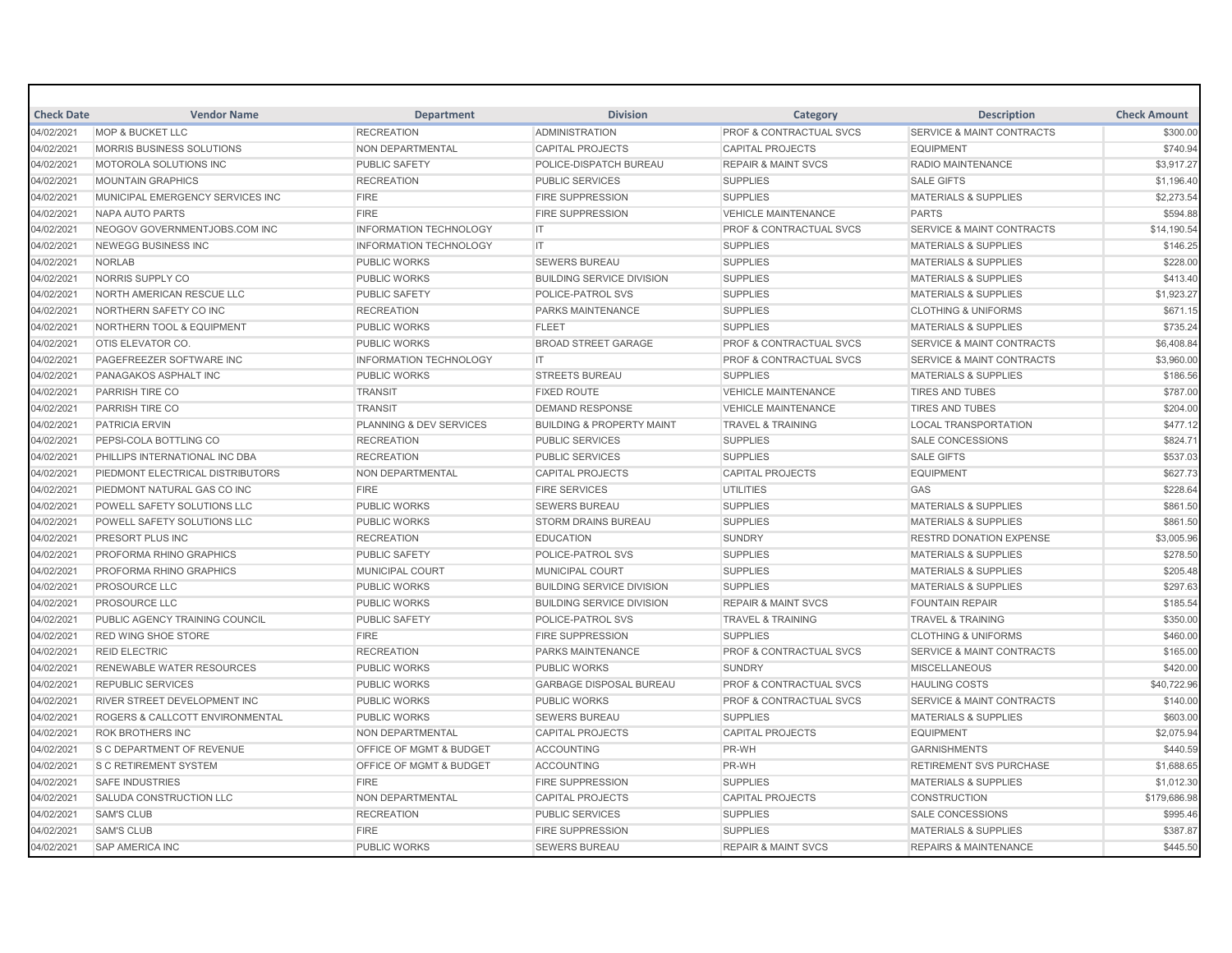| <b>Check Date</b> | <b>Vendor Name</b>                   | <b>Department</b>                  | <b>Division</b>                      | Category                           | <b>Description</b>                   | <b>Check Amount</b> |
|-------------------|--------------------------------------|------------------------------------|--------------------------------------|------------------------------------|--------------------------------------|---------------------|
| 04/02/2021        | <b>MOP &amp; BUCKET LLC</b>          | <b>RECREATION</b>                  | <b>ADMINISTRATION</b>                | PROF & CONTRACTUAL SVCS            | <b>SERVICE &amp; MAINT CONTRACTS</b> | \$300.00            |
| 04/02/2021        | <b>MORRIS BUSINESS SOLUTIONS</b>     | <b>NON DEPARTMENTAL</b>            | <b>CAPITAL PROJECTS</b>              | <b>CAPITAL PROJECTS</b>            | <b>EQUIPMENT</b>                     | \$740.94            |
| 04/02/2021        | MOTOROLA SOLUTIONS INC               | <b>PUBLIC SAFETY</b>               | POLICE-DISPATCH BUREAU               | <b>REPAIR &amp; MAINT SVCS</b>     | RADIO MAINTENANCE                    | \$3,917.27          |
| 04/02/2021        | <b>MOUNTAIN GRAPHICS</b>             | <b>RECREATION</b>                  | <b>PUBLIC SERVICES</b>               | <b>SUPPLIES</b>                    | <b>SALE GIFTS</b>                    | \$1,196.40          |
| 04/02/2021        | MUNICIPAL EMERGENCY SERVICES INC     | <b>FIRE</b>                        | <b>FIRE SUPPRESSION</b>              | <b>SUPPLIES</b>                    | <b>MATERIALS &amp; SUPPLIES</b>      | \$2,273.54          |
| 04/02/2021        | NAPA AUTO PARTS                      | <b>FIRE</b>                        | <b>FIRE SUPPRESSION</b>              | <b>VEHICLE MAINTENANCE</b>         | <b>PARTS</b>                         | \$594.88            |
| 04/02/2021        | NEOGOV GOVERNMENTJOBS.COM INC        | <b>INFORMATION TECHNOLOGY</b>      | IT                                   | <b>PROF &amp; CONTRACTUAL SVCS</b> | <b>SERVICE &amp; MAINT CONTRACTS</b> | \$14,190.54         |
| 04/02/2021        | <b>NEWEGG BUSINESS INC</b>           | <b>INFORMATION TECHNOLOGY</b>      | IT.                                  | <b>SUPPLIES</b>                    | <b>MATERIALS &amp; SUPPLIES</b>      | \$146.25            |
| 04/02/2021        | <b>NORLAB</b>                        | <b>PUBLIC WORKS</b>                | <b>SEWERS BUREAU</b>                 | <b>SUPPLIES</b>                    | <b>MATERIALS &amp; SUPPLIES</b>      | \$228.00            |
| 04/02/2021        | NORRIS SUPPLY CO                     | <b>PUBLIC WORKS</b>                | <b>BUILDING SERVICE DIVISION</b>     | <b>SUPPLIES</b>                    | <b>MATERIALS &amp; SUPPLIES</b>      | \$413.40            |
| 04/02/2021        | NORTH AMERICAN RESCUE LLC            | <b>PUBLIC SAFETY</b>               | POLICE-PATROL SVS                    | <b>SUPPLIES</b>                    | <b>MATERIALS &amp; SUPPLIES</b>      | \$1,923.27          |
| 04/02/2021        | NORTHERN SAFETY CO INC               | <b>RECREATION</b>                  | PARKS MAINTENANCE                    | <b>SUPPLIES</b>                    | <b>CLOTHING &amp; UNIFORMS</b>       | \$671.15            |
| 04/02/2021        | <b>NORTHERN TOOL &amp; EQUIPMENT</b> | <b>PUBLIC WORKS</b>                | <b>FLEET</b>                         | <b>SUPPLIES</b>                    | <b>MATERIALS &amp; SUPPLIES</b>      | \$735.24            |
| 04/02/2021        | OTIS ELEVATOR CO.                    | <b>PUBLIC WORKS</b>                | <b>BROAD STREET GARAGE</b>           | PROF & CONTRACTUAL SVCS            | <b>SERVICE &amp; MAINT CONTRACTS</b> | \$6,408.84          |
| 04/02/2021        | PAGEFREEZER SOFTWARE INC             | <b>INFORMATION TECHNOLOGY</b>      | IT.                                  | PROF & CONTRACTUAL SVCS            | <b>SERVICE &amp; MAINT CONTRACTS</b> | \$3,960.00          |
| 04/02/2021        | PANAGAKOS ASPHALT INC                | <b>PUBLIC WORKS</b>                | <b>STREETS BUREAU</b>                | <b>SUPPLIES</b>                    | <b>MATERIALS &amp; SUPPLIES</b>      | \$186.56            |
| 04/02/2021        | PARRISH TIRE CO                      | <b>TRANSIT</b>                     | <b>FIXED ROUTE</b>                   | <b>VEHICLE MAINTENANCE</b>         | <b>TIRES AND TUBES</b>               | \$787.00            |
| 04/02/2021        | PARRISH TIRE CO                      | <b>TRANSIT</b>                     | <b>DEMAND RESPONSE</b>               | <b>VEHICLE MAINTENANCE</b>         | <b>TIRES AND TUBES</b>               | \$204.00            |
| 04/02/2021        | <b>PATRICIA ERVIN</b>                | <b>PLANNING &amp; DEV SERVICES</b> | <b>BUILDING &amp; PROPERTY MAINT</b> | <b>TRAVEL &amp; TRAINING</b>       | <b>LOCAL TRANSPORTATION</b>          | \$477.12            |
| 04/02/2021        | PEPSI-COLA BOTTLING CO               | <b>RECREATION</b>                  | <b>PUBLIC SERVICES</b>               | <b>SUPPLIES</b>                    | <b>SALE CONCESSIONS</b>              | \$824.71            |
| 04/02/2021        | PHILLIPS INTERNATIONAL INC DBA       | <b>RECREATION</b>                  | <b>PUBLIC SERVICES</b>               | <b>SUPPLIES</b>                    | <b>SALE GIFTS</b>                    | \$537.03            |
| 04/02/2021        | PIEDMONT ELECTRICAL DISTRIBUTORS     | NON DEPARTMENTAL                   | <b>CAPITAL PROJECTS</b>              | <b>CAPITAL PROJECTS</b>            | <b>EQUIPMENT</b>                     | \$627.73            |
| 04/02/2021        | PIEDMONT NATURAL GAS CO INC          | <b>FIRE</b>                        | <b>FIRE SERVICES</b>                 | <b>UTILITIES</b>                   | GAS                                  | \$228.64            |
| 04/02/2021        | POWELL SAFETY SOLUTIONS LLC          | <b>PUBLIC WORKS</b>                | <b>SEWERS BUREAU</b>                 | <b>SUPPLIES</b>                    | <b>MATERIALS &amp; SUPPLIES</b>      | \$861.50            |
| 04/02/2021        | POWELL SAFETY SOLUTIONS LLC          | <b>PUBLIC WORKS</b>                | <b>STORM DRAINS BUREAU</b>           | <b>SUPPLIES</b>                    | <b>MATERIALS &amp; SUPPLIES</b>      | \$861.50            |
| 04/02/2021        | PRESORT PLUS INC                     | <b>RECREATION</b>                  | <b>EDUCATION</b>                     | <b>SUNDRY</b>                      | <b>RESTRD DONATION EXPENSE</b>       | \$3,005.96          |
| 04/02/2021        | PROFORMA RHINO GRAPHICS              | <b>PUBLIC SAFETY</b>               | POLICE-PATROL SVS                    | <b>SUPPLIES</b>                    | <b>MATERIALS &amp; SUPPLIES</b>      | \$278.50            |
| 04/02/2021        | PROFORMA RHINO GRAPHICS              | <b>MUNICIPAL COURT</b>             | <b>MUNICIPAL COURT</b>               | <b>SUPPLIES</b>                    | <b>MATERIALS &amp; SUPPLIES</b>      | \$205.48            |
| 04/02/2021        | <b>PROSOURCE LLC</b>                 | <b>PUBLIC WORKS</b>                | <b>BUILDING SERVICE DIVISION</b>     | <b>SUPPLIES</b>                    | <b>MATERIALS &amp; SUPPLIES</b>      | \$297.63            |
| 04/02/2021        | <b>PROSOURCE LLC</b>                 | <b>PUBLIC WORKS</b>                | <b>BUILDING SERVICE DIVISION</b>     | <b>REPAIR &amp; MAINT SVCS</b>     | <b>FOUNTAIN REPAIR</b>               | \$185.54            |
| 04/02/2021        | PUBLIC AGENCY TRAINING COUNCIL       | <b>PUBLIC SAFETY</b>               | POLICE-PATROL SVS                    | <b>TRAVEL &amp; TRAINING</b>       | <b>TRAVEL &amp; TRAINING</b>         | \$350.00            |
| 04/02/2021        | <b>RED WING SHOE STORE</b>           | <b>FIRE</b>                        | <b>FIRE SUPPRESSION</b>              | <b>SUPPLIES</b>                    | <b>CLOTHING &amp; UNIFORMS</b>       | \$460.00            |
| 04/02/2021        | <b>REID ELECTRIC</b>                 | <b>RECREATION</b>                  | <b>PARKS MAINTENANCE</b>             | PROF & CONTRACTUAL SVCS            | <b>SERVICE &amp; MAINT CONTRACTS</b> | \$165.00            |
| 04/02/2021        | RENEWABLE WATER RESOURCES            | <b>PUBLIC WORKS</b>                | <b>PUBLIC WORKS</b>                  | <b>SUNDRY</b>                      | <b>MISCELLANEOUS</b>                 | \$420.00            |
| 04/02/2021        | <b>REPUBLIC SERVICES</b>             | <b>PUBLIC WORKS</b>                | <b>GARBAGE DISPOSAL BUREAU</b>       | <b>PROF &amp; CONTRACTUAL SVCS</b> | <b>HAULING COSTS</b>                 | \$40,722.96         |
| 04/02/2021        | <b>RIVER STREET DEVELOPMENT INC</b>  | <b>PUBLIC WORKS</b>                | <b>PUBLIC WORKS</b>                  | <b>PROF &amp; CONTRACTUAL SVCS</b> | <b>SERVICE &amp; MAINT CONTRACTS</b> | \$140.00            |
| 04/02/2021        | ROGERS & CALLCOTT ENVIRONMENTAL      | <b>PUBLIC WORKS</b>                | <b>SEWERS BUREAU</b>                 | <b>SUPPLIES</b>                    | <b>MATERIALS &amp; SUPPLIES</b>      | \$603.00            |
| 04/02/2021        | <b>ROK BROTHERS INC</b>              | NON DEPARTMENTAL                   | <b>CAPITAL PROJECTS</b>              | <b>CAPITAL PROJECTS</b>            | <b>EQUIPMENT</b>                     | \$2,075.94          |
| 04/02/2021        | S C DEPARTMENT OF REVENUE            | OFFICE OF MGMT & BUDGET            | <b>ACCOUNTING</b>                    | PR-WH                              | <b>GARNISHMENTS</b>                  | \$440.59            |
| 04/02/2021        | <b>S C RETIREMENT SYSTEM</b>         | <b>OFFICE OF MGMT &amp; BUDGET</b> | <b>ACCOUNTING</b>                    | PR-WH                              | <b>RETIREMENT SVS PURCHASE</b>       | \$1,688.65          |
| 04/02/2021        | <b>SAFE INDUSTRIES</b>               | <b>FIRE</b>                        | <b>FIRE SUPPRESSION</b>              | <b>SUPPLIES</b>                    | <b>MATERIALS &amp; SUPPLIES</b>      | \$1,012.30          |
| 04/02/2021        | SALUDA CONSTRUCTION LLC              | <b>NON DEPARTMENTAL</b>            | <b>CAPITAL PROJECTS</b>              | <b>CAPITAL PROJECTS</b>            | <b>CONSTRUCTION</b>                  | \$179,686.98        |
| 04/02/2021        | <b>SAM'S CLUB</b>                    | <b>RECREATION</b>                  | <b>PUBLIC SERVICES</b>               | <b>SUPPLIES</b>                    | <b>SALE CONCESSIONS</b>              | \$995.46            |
| 04/02/2021        | <b>SAM'S CLUB</b>                    | <b>FIRE</b>                        | <b>FIRE SUPPRESSION</b>              | <b>SUPPLIES</b>                    | <b>MATERIALS &amp; SUPPLIES</b>      | \$387.87            |
| 04/02/2021        | <b>SAP AMERICA INC</b>               | <b>PUBLIC WORKS</b>                | <b>SEWERS BUREAU</b>                 | <b>REPAIR &amp; MAINT SVCS</b>     | <b>REPAIRS &amp; MAINTENANCE</b>     | \$445.50            |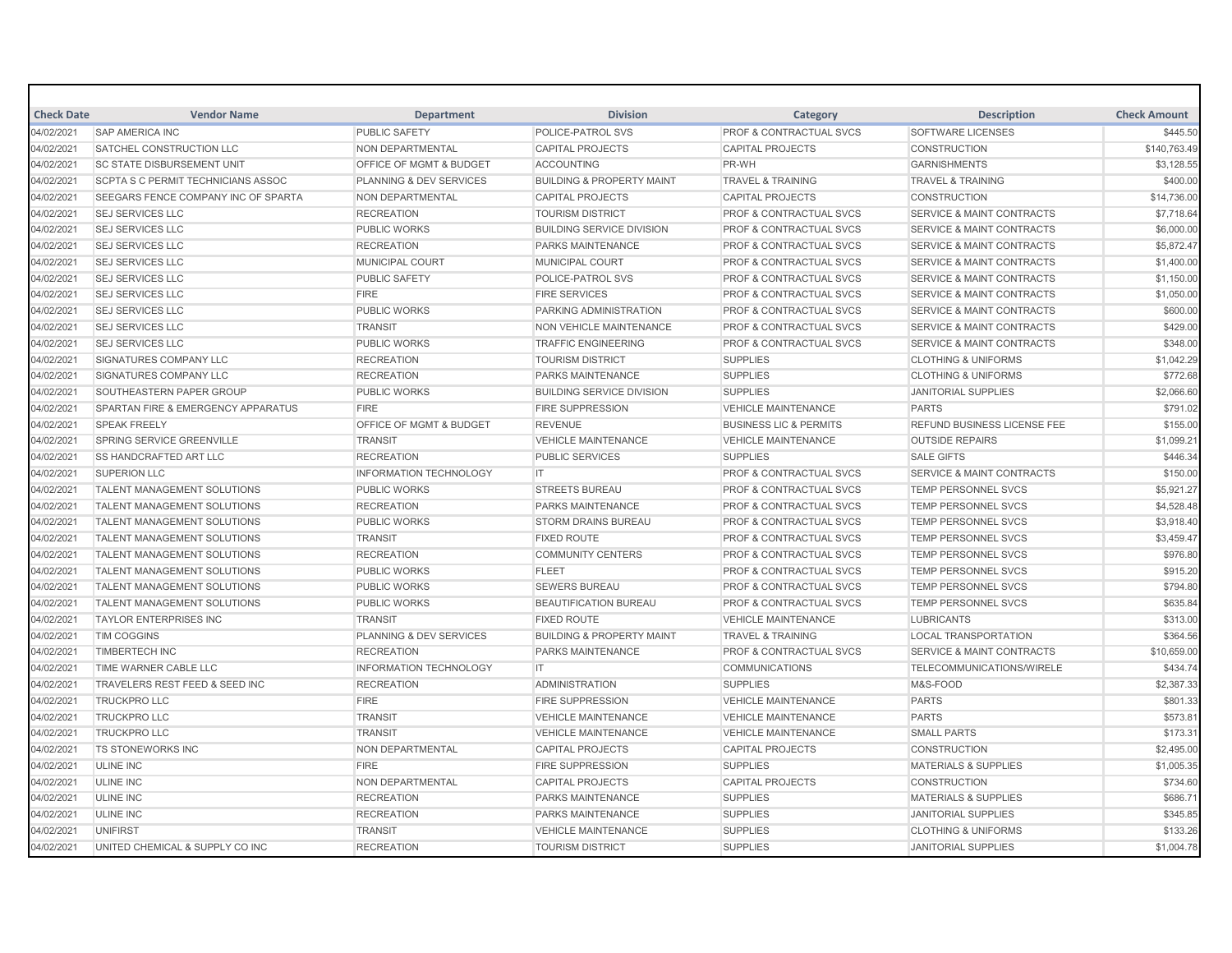| <b>Check Date</b> | <b>Vendor Name</b>                        | <b>Department</b>                  | <b>Division</b>                      | Category                           | <b>Description</b>                   | <b>Check Amount</b> |
|-------------------|-------------------------------------------|------------------------------------|--------------------------------------|------------------------------------|--------------------------------------|---------------------|
| 04/02/2021        | <b>SAP AMERICA INC</b>                    | <b>PUBLIC SAFETY</b>               | POLICE-PATROL SVS                    | <b>PROF &amp; CONTRACTUAL SVCS</b> | <b>SOFTWARE LICENSES</b>             | \$445.50            |
| 04/02/2021        | SATCHEL CONSTRUCTION LLC                  | NON DEPARTMENTAL                   | <b>CAPITAL PROJECTS</b>              | <b>CAPITAL PROJECTS</b>            | <b>CONSTRUCTION</b>                  | \$140,763.49        |
| 04/02/2021        | <b>SC STATE DISBURSEMENT UNIT</b>         | <b>OFFICE OF MGMT &amp; BUDGET</b> | <b>ACCOUNTING</b>                    | PR-WH                              | <b>GARNISHMENTS</b>                  | \$3,128.55          |
| 04/02/2021        | <b>SCPTA S C PERMIT TECHNICIANS ASSOC</b> | <b>PLANNING &amp; DEV SERVICES</b> | <b>BUILDING &amp; PROPERTY MAINT</b> | <b>TRAVEL &amp; TRAINING</b>       | <b>TRAVEL &amp; TRAINING</b>         | \$400.00            |
| 04/02/2021        | SEEGARS FENCE COMPANY INC OF SPARTA       | <b>NON DEPARTMENTAL</b>            | <b>CAPITAL PROJECTS</b>              | <b>CAPITAL PROJECTS</b>            | <b>CONSTRUCTION</b>                  | \$14,736.00         |
| 04/02/2021        | <b>SEJ SERVICES LLC</b>                   | <b>RECREATION</b>                  | <b>TOURISM DISTRICT</b>              | <b>PROF &amp; CONTRACTUAL SVCS</b> | <b>SERVICE &amp; MAINT CONTRACTS</b> | \$7,718.64          |
| 04/02/2021        | <b>SEJ SERVICES LLC</b>                   | <b>PUBLIC WORKS</b>                | <b>BUILDING SERVICE DIVISION</b>     | PROF & CONTRACTUAL SVCS            | <b>SERVICE &amp; MAINT CONTRACTS</b> | \$6,000.00          |
| 04/02/2021        | <b>SEJ SERVICES LLC</b>                   | <b>RECREATION</b>                  | <b>PARKS MAINTENANCE</b>             | <b>PROF &amp; CONTRACTUAL SVCS</b> | <b>SERVICE &amp; MAINT CONTRACTS</b> | \$5,872.47          |
| 04/02/2021        | <b>SEJ SERVICES LLC</b>                   | MUNICIPAL COURT                    | MUNICIPAL COURT                      | PROF & CONTRACTUAL SVCS            | <b>SERVICE &amp; MAINT CONTRACTS</b> | \$1,400.00          |
| 04/02/2021        | <b>SEJ SERVICES LLC</b>                   | <b>PUBLIC SAFETY</b>               | POLICE-PATROL SVS                    | <b>PROF &amp; CONTRACTUAL SVCS</b> | <b>SERVICE &amp; MAINT CONTRACTS</b> | \$1,150.00          |
| 04/02/2021        | <b>SEJ SERVICES LLC</b>                   | <b>FIRE</b>                        | <b>FIRE SERVICES</b>                 | <b>PROF &amp; CONTRACTUAL SVCS</b> | <b>SERVICE &amp; MAINT CONTRACTS</b> | \$1,050.00          |
| 04/02/2021        | <b>SEJ SERVICES LLC</b>                   | <b>PUBLIC WORKS</b>                | PARKING ADMINISTRATION               | <b>PROF &amp; CONTRACTUAL SVCS</b> | <b>SERVICE &amp; MAINT CONTRACTS</b> | \$600.00            |
| 04/02/2021        | <b>SEJ SERVICES LLC</b>                   | <b>TRANSIT</b>                     | <b>NON VEHICLE MAINTENANCE</b>       | <b>PROF &amp; CONTRACTUAL SVCS</b> | <b>SERVICE &amp; MAINT CONTRACTS</b> | \$429.00            |
| 04/02/2021        | <b>SEJ SERVICES LLC</b>                   | <b>PUBLIC WORKS</b>                | <b>TRAFFIC ENGINEERING</b>           | <b>PROF &amp; CONTRACTUAL SVCS</b> | <b>SERVICE &amp; MAINT CONTRACTS</b> | \$348.00            |
| 04/02/2021        | SIGNATURES COMPANY LLC                    | <b>RECREATION</b>                  | <b>TOURISM DISTRICT</b>              | <b>SUPPLIES</b>                    | <b>CLOTHING &amp; UNIFORMS</b>       | \$1,042.29          |
| 04/02/2021        | SIGNATURES COMPANY LLC                    | <b>RECREATION</b>                  | <b>PARKS MAINTENANCE</b>             | <b>SUPPLIES</b>                    | <b>CLOTHING &amp; UNIFORMS</b>       | \$772.68            |
| 04/02/2021        | SOUTHEASTERN PAPER GROUP                  | <b>PUBLIC WORKS</b>                | <b>BUILDING SERVICE DIVISION</b>     | <b>SUPPLIES</b>                    | <b>JANITORIAL SUPPLIES</b>           | \$2,066.60          |
| 04/02/2021        | SPARTAN FIRE & EMERGENCY APPARATUS        | <b>FIRE</b>                        | <b>FIRE SUPPRESSION</b>              | <b>VEHICLE MAINTENANCE</b>         | <b>PARTS</b>                         | \$791.02            |
| 04/02/2021        | <b>SPEAK FREELY</b>                       | OFFICE OF MGMT & BUDGET            | <b>REVENUE</b>                       | <b>BUSINESS LIC &amp; PERMITS</b>  | <b>REFUND BUSINESS LICENSE FEE</b>   | \$155.00            |
| 04/02/2021        | SPRING SERVICE GREENVILLE                 | <b>TRANSIT</b>                     | <b>VEHICLE MAINTENANCE</b>           | <b>VEHICLE MAINTENANCE</b>         | <b>OUTSIDE REPAIRS</b>               | \$1,099.21          |
| 04/02/2021        | <b>SS HANDCRAFTED ART LLC</b>             | <b>RECREATION</b>                  | <b>PUBLIC SERVICES</b>               | <b>SUPPLIES</b>                    | <b>SALE GIFTS</b>                    | \$446.34            |
| 04/02/2021        | <b>SUPERION LLC</b>                       | <b>INFORMATION TECHNOLOGY</b>      | IT                                   | <b>PROF &amp; CONTRACTUAL SVCS</b> | <b>SERVICE &amp; MAINT CONTRACTS</b> | \$150.00            |
| 04/02/2021        | <b>TALENT MANAGEMENT SOLUTIONS</b>        | PUBLIC WORKS                       | <b>STREETS BUREAU</b>                | PROF & CONTRACTUAL SVCS            | TEMP PERSONNEL SVCS                  | \$5,921.27          |
| 04/02/2021        | <b>TALENT MANAGEMENT SOLUTIONS</b>        | <b>RECREATION</b>                  | <b>PARKS MAINTENANCE</b>             | <b>PROF &amp; CONTRACTUAL SVCS</b> | <b>TEMP PERSONNEL SVCS</b>           | \$4,528.48          |
| 04/02/2021        | <b>TALENT MANAGEMENT SOLUTIONS</b>        | <b>PUBLIC WORKS</b>                | <b>STORM DRAINS BUREAU</b>           | <b>PROF &amp; CONTRACTUAL SVCS</b> | <b>TEMP PERSONNEL SVCS</b>           | \$3,918.40          |
| 04/02/2021        | <b>TALENT MANAGEMENT SOLUTIONS</b>        | <b>TRANSIT</b>                     | <b>FIXED ROUTE</b>                   | <b>PROF &amp; CONTRACTUAL SVCS</b> | <b>TEMP PERSONNEL SVCS</b>           | \$3,459.47          |
| 04/02/2021        | <b>TALENT MANAGEMENT SOLUTIONS</b>        | <b>RECREATION</b>                  | <b>COMMUNITY CENTERS</b>             | <b>PROF &amp; CONTRACTUAL SVCS</b> | <b>TEMP PERSONNEL SVCS</b>           | \$976.80            |
| 04/02/2021        | <b>TALENT MANAGEMENT SOLUTIONS</b>        | <b>PUBLIC WORKS</b>                | <b>FLEET</b>                         | <b>PROF &amp; CONTRACTUAL SVCS</b> | <b>TEMP PERSONNEL SVCS</b>           | \$915.20            |
| 04/02/2021        | TALENT MANAGEMENT SOLUTIONS               | <b>PUBLIC WORKS</b>                | <b>SEWERS BUREAU</b>                 | <b>PROF &amp; CONTRACTUAL SVCS</b> | <b>TEMP PERSONNEL SVCS</b>           | \$794.80            |
| 04/02/2021        | <b>TALENT MANAGEMENT SOLUTIONS</b>        | <b>PUBLIC WORKS</b>                | <b>BEAUTIFICATION BUREAU</b>         | <b>PROF &amp; CONTRACTUAL SVCS</b> | <b>TEMP PERSONNEL SVCS</b>           | \$635.84            |
| 04/02/2021        | <b>TAYLOR ENTERPRISES INC</b>             | <b>TRANSIT</b>                     | <b>FIXED ROUTE</b>                   | <b>VEHICLE MAINTENANCE</b>         | <b>LUBRICANTS</b>                    | \$313.00            |
| 04/02/2021        | <b>TIM COGGINS</b>                        | PLANNING & DEV SERVICES            | <b>BUILDING &amp; PROPERTY MAINT</b> | <b>TRAVEL &amp; TRAINING</b>       | <b>LOCAL TRANSPORTATION</b>          | \$364.56            |
| 04/02/2021        | <b>TIMBERTECH INC</b>                     | <b>RECREATION</b>                  | <b>PARKS MAINTENANCE</b>             | <b>PROF &amp; CONTRACTUAL SVCS</b> | <b>SERVICE &amp; MAINT CONTRACTS</b> | \$10,659.00         |
| 04/02/2021        | TIME WARNER CABLE LLC                     | <b>INFORMATION TECHNOLOGY</b>      | IT.                                  | <b>COMMUNICATIONS</b>              | TELECOMMUNICATIONS/WIRELE            | \$434.74            |
| 04/02/2021        | TRAVELERS REST FEED & SEED INC            | <b>RECREATION</b>                  | <b>ADMINISTRATION</b>                | <b>SUPPLIES</b>                    | M&S-FOOD                             | \$2,387.33          |
| 04/02/2021        | <b>TRUCKPRO LLC</b>                       | <b>FIRE</b>                        | <b>FIRE SUPPRESSION</b>              | <b>VEHICLE MAINTENANCE</b>         | <b>PARTS</b>                         | \$801.33            |
| 04/02/2021        | <b>TRUCKPRO LLC</b>                       | <b>TRANSIT</b>                     | <b>VEHICLE MAINTENANCE</b>           | <b>VEHICLE MAINTENANCE</b>         | <b>PARTS</b>                         | \$573.81            |
| 04/02/2021        | <b>TRUCKPRO LLC</b>                       | <b>TRANSIT</b>                     | <b>VEHICLE MAINTENANCE</b>           | <b>VEHICLE MAINTENANCE</b>         | <b>SMALL PARTS</b>                   | \$173.31            |
| 04/02/2021        | <b>TS STONEWORKS INC</b>                  | NON DEPARTMENTAL                   | <b>CAPITAL PROJECTS</b>              | <b>CAPITAL PROJECTS</b>            | <b>CONSTRUCTION</b>                  | \$2,495.00          |
| 04/02/2021        | ULINE INC                                 | <b>FIRE</b>                        | <b>FIRE SUPPRESSION</b>              | <b>SUPPLIES</b>                    | <b>MATERIALS &amp; SUPPLIES</b>      | \$1,005.35          |
| 04/02/2021        | <b>ULINE INC</b>                          | NON DEPARTMENTAL                   | <b>CAPITAL PROJECTS</b>              | <b>CAPITAL PROJECTS</b>            | <b>CONSTRUCTION</b>                  | \$734.60            |
| 04/02/2021        | <b>ULINE INC</b>                          | <b>RECREATION</b>                  | <b>PARKS MAINTENANCE</b>             | <b>SUPPLIES</b>                    | <b>MATERIALS &amp; SUPPLIES</b>      | \$686.71            |
| 04/02/2021        | <b>ULINE INC</b>                          | <b>RECREATION</b>                  | <b>PARKS MAINTENANCE</b>             | <b>SUPPLIES</b>                    | <b>JANITORIAL SUPPLIES</b>           | \$345.85            |
| 04/02/2021        | <b>UNIFIRST</b>                           | <b>TRANSIT</b>                     | <b>VEHICLE MAINTENANCE</b>           | <b>SUPPLIES</b>                    | <b>CLOTHING &amp; UNIFORMS</b>       | \$133.26            |
| 04/02/2021        | UNITED CHEMICAL & SUPPLY CO INC           | <b>RECREATION</b>                  | <b>TOURISM DISTRICT</b>              | <b>SUPPLIES</b>                    | <b>JANITORIAL SUPPLIES</b>           | \$1,004.78          |
|                   |                                           |                                    |                                      |                                    |                                      |                     |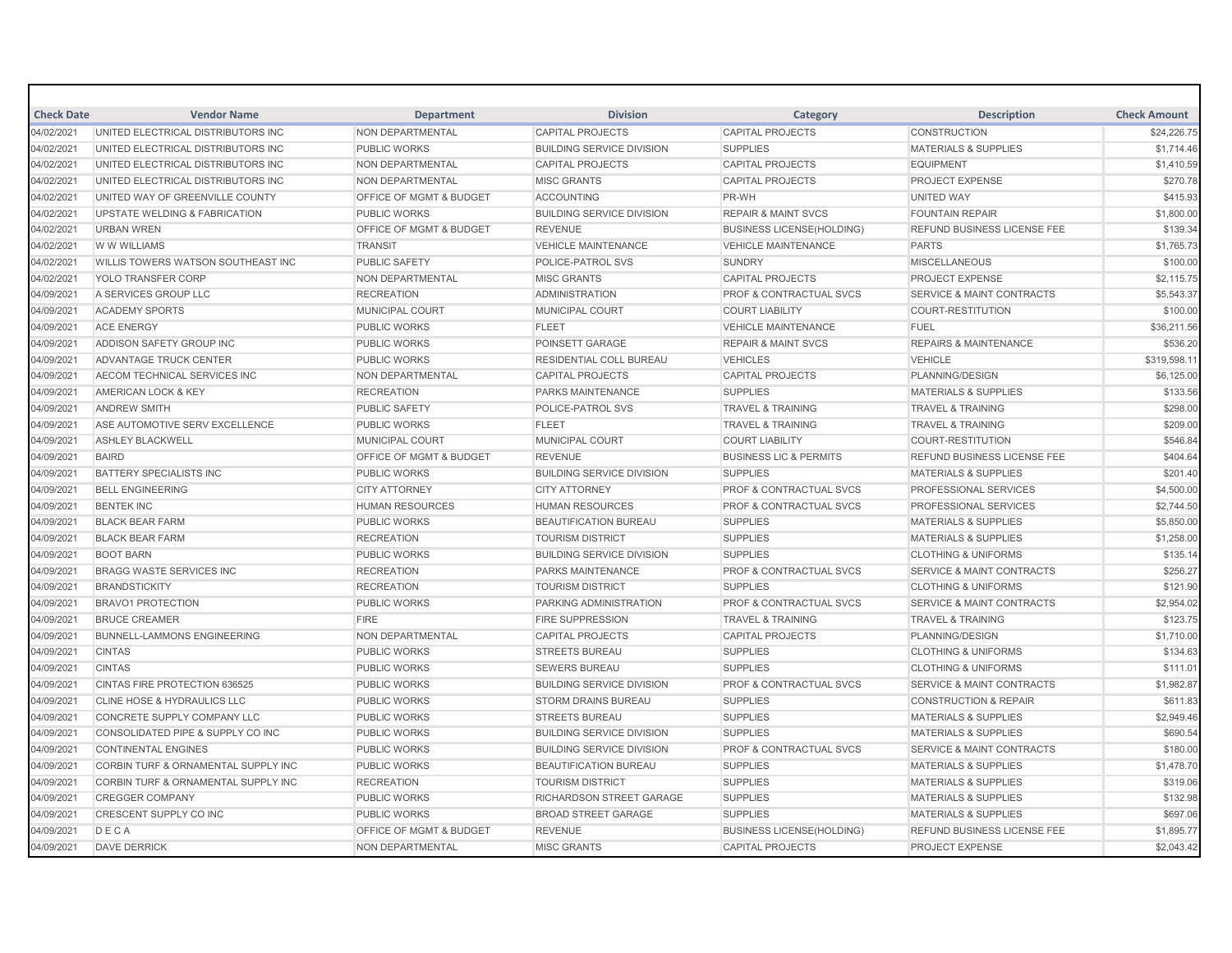| <b>Check Date</b> | <b>Vendor Name</b>                             | <b>Department</b>                  | <b>Division</b>                  | Category                           | <b>Description</b>                   | <b>Check Amount</b> |
|-------------------|------------------------------------------------|------------------------------------|----------------------------------|------------------------------------|--------------------------------------|---------------------|
| 04/02/2021        | UNITED ELECTRICAL DISTRIBUTORS INC             | NON DEPARTMENTAL                   | <b>CAPITAL PROJECTS</b>          | <b>CAPITAL PROJECTS</b>            | <b>CONSTRUCTION</b>                  | \$24,226.75         |
| 04/02/2021        | UNITED ELECTRICAL DISTRIBUTORS INC             | <b>PUBLIC WORKS</b>                | <b>BUILDING SERVICE DIVISION</b> | <b>SUPPLIES</b>                    | <b>MATERIALS &amp; SUPPLIES</b>      | \$1,714.46          |
| 04/02/2021        | UNITED ELECTRICAL DISTRIBUTORS INC             | <b>NON DEPARTMENTAL</b>            | <b>CAPITAL PROJECTS</b>          | <b>CAPITAL PROJECTS</b>            | <b>EQUIPMENT</b>                     | \$1,410.59          |
| 04/02/2021        | UNITED ELECTRICAL DISTRIBUTORS INC             | NON DEPARTMENTAL                   | <b>MISC GRANTS</b>               | <b>CAPITAL PROJECTS</b>            | <b>PROJECT EXPENSE</b>               | \$270.78            |
| 04/02/2021        | UNITED WAY OF GREENVILLE COUNTY                | OFFICE OF MGMT & BUDGET            | <b>ACCOUNTING</b>                | PR-WH                              | UNITED WAY                           | \$415.93            |
| 04/02/2021        | <b>UPSTATE WELDING &amp; FABRICATION</b>       | <b>PUBLIC WORKS</b>                | <b>BUILDING SERVICE DIVISION</b> | <b>REPAIR &amp; MAINT SVCS</b>     | <b>FOUNTAIN REPAIR</b>               | \$1,800.00          |
| 04/02/2021        | <b>URBAN WREN</b>                              | <b>OFFICE OF MGMT &amp; BUDGET</b> | <b>REVENUE</b>                   | <b>BUSINESS LICENSE(HOLDING)</b>   | <b>REFUND BUSINESS LICENSE FEE</b>   | \$139.34            |
| 04/02/2021        | W W WILLIAMS                                   | <b>TRANSIT</b>                     | <b>VEHICLE MAINTENANCE</b>       | <b>VEHICLE MAINTENANCE</b>         | <b>PARTS</b>                         | \$1,765.73          |
| 04/02/2021        | WILLIS TOWERS WATSON SOUTHEAST INC             | <b>PUBLIC SAFETY</b>               | <b>POLICE-PATROL SVS</b>         | <b>SUNDRY</b>                      | <b>MISCELLANEOUS</b>                 | \$100.00            |
| 04/02/2021        | YOLO TRANSFER CORP                             | NON DEPARTMENTAL                   | <b>MISC GRANTS</b>               | <b>CAPITAL PROJECTS</b>            | <b>PROJECT EXPENSE</b>               | \$2,115.75          |
| 04/09/2021        | A SERVICES GROUP LLC                           | <b>RECREATION</b>                  | <b>ADMINISTRATION</b>            | <b>PROF &amp; CONTRACTUAL SVCS</b> | <b>SERVICE &amp; MAINT CONTRACTS</b> | \$5,543.37          |
| 04/09/2021        | <b>ACADEMY SPORTS</b>                          | MUNICIPAL COURT                    | MUNICIPAL COURT                  | <b>COURT LIABILITY</b>             | <b>COURT-RESTITUTION</b>             | \$100.00            |
| 04/09/2021        | <b>ACE ENERGY</b>                              | <b>PUBLIC WORKS</b>                | <b>FLEET</b>                     | <b>VEHICLE MAINTENANCE</b>         | <b>FUEL</b>                          | \$36,211.56         |
| 04/09/2021        | ADDISON SAFETY GROUP INC                       | <b>PUBLIC WORKS</b>                | POINSETT GARAGE                  | <b>REPAIR &amp; MAINT SVCS</b>     | <b>REPAIRS &amp; MAINTENANCE</b>     | \$536.20            |
| 04/09/2021        | ADVANTAGE TRUCK CENTER                         | <b>PUBLIC WORKS</b>                | <b>RESIDENTIAL COLL BUREAU</b>   | <b>VEHICLES</b>                    | <b>VEHICLE</b>                       | \$319,598.1         |
| 04/09/2021        | AECOM TECHNICAL SERVICES INC                   | <b>NON DEPARTMENTAL</b>            | <b>CAPITAL PROJECTS</b>          | <b>CAPITAL PROJECTS</b>            | PLANNING/DESIGN                      | \$6,125.00          |
| 04/09/2021        | AMERICAN LOCK & KEY                            | <b>RECREATION</b>                  | <b>PARKS MAINTENANCE</b>         | <b>SUPPLIES</b>                    | <b>MATERIALS &amp; SUPPLIES</b>      | \$133.56            |
| 04/09/2021        | <b>ANDREW SMITH</b>                            | <b>PUBLIC SAFETY</b>               | <b>POLICE-PATROL SVS</b>         | <b>TRAVEL &amp; TRAINING</b>       | <b>TRAVEL &amp; TRAINING</b>         | \$298.00            |
| 04/09/2021        | ASE AUTOMOTIVE SERV EXCELLENCE                 | <b>PUBLIC WORKS</b>                | <b>FLEET</b>                     | <b>TRAVEL &amp; TRAINING</b>       | <b>TRAVEL &amp; TRAINING</b>         | \$209.00            |
| 04/09/2021        | <b>ASHLEY BLACKWELL</b>                        | MUNICIPAL COURT                    | MUNICIPAL COURT                  | <b>COURT LIABILITY</b>             | <b>COURT-RESTITUTION</b>             | \$546.84            |
| 04/09/2021        | <b>BAIRD</b>                                   | OFFICE OF MGMT & BUDGET            | <b>REVENUE</b>                   | <b>BUSINESS LIC &amp; PERMITS</b>  | REFUND BUSINESS LICENSE FEE          | \$404.64            |
| 04/09/2021        | <b>BATTERY SPECIALISTS INC</b>                 | <b>PUBLIC WORKS</b>                | <b>BUILDING SERVICE DIVISION</b> | <b>SUPPLIES</b>                    | <b>MATERIALS &amp; SUPPLIES</b>      | \$201.40            |
| 04/09/2021        | <b>BELL ENGINEERING</b>                        | <b>CITY ATTORNEY</b>               | <b>CITY ATTORNEY</b>             | <b>PROF &amp; CONTRACTUAL SVCS</b> | PROFESSIONAL SERVICES                | \$4,500.00          |
| 04/09/2021        | <b>BENTEK INC</b>                              | <b>HUMAN RESOURCES</b>             | <b>HUMAN RESOURCES</b>           | <b>PROF &amp; CONTRACTUAL SVCS</b> | PROFESSIONAL SERVICES                | \$2,744.50          |
| 04/09/2021        | <b>BLACK BEAR FARM</b>                         | <b>PUBLIC WORKS</b>                | <b>BEAUTIFICATION BUREAU</b>     | <b>SUPPLIES</b>                    | <b>MATERIALS &amp; SUPPLIES</b>      | \$5,850.00          |
| 04/09/2021        | <b>BLACK BEAR FARM</b>                         | <b>RECREATION</b>                  | <b>TOURISM DISTRICT</b>          | <b>SUPPLIES</b>                    | <b>MATERIALS &amp; SUPPLIES</b>      | \$1,258.00          |
| 04/09/2021        | <b>BOOT BARN</b>                               | <b>PUBLIC WORKS</b>                | <b>BUILDING SERVICE DIVISION</b> | <b>SUPPLIES</b>                    | <b>CLOTHING &amp; UNIFORMS</b>       | \$135.14            |
| 04/09/2021        | <b>BRAGG WASTE SERVICES INC</b>                | <b>RECREATION</b>                  | <b>PARKS MAINTENANCE</b>         | <b>PROF &amp; CONTRACTUAL SVCS</b> | <b>SERVICE &amp; MAINT CONTRACTS</b> | \$256.27            |
| 04/09/2021        | <b>BRANDSTICKITY</b>                           | <b>RECREATION</b>                  | <b>TOURISM DISTRICT</b>          | <b>SUPPLIES</b>                    | <b>CLOTHING &amp; UNIFORMS</b>       | \$121.90            |
| 04/09/2021        | <b>BRAVO1 PROTECTION</b>                       | <b>PUBLIC WORKS</b>                | PARKING ADMINISTRATION           | <b>PROF &amp; CONTRACTUAL SVCS</b> | <b>SERVICE &amp; MAINT CONTRACTS</b> | \$2,954.02          |
| 04/09/2021        | <b>BRUCE CREAMER</b>                           | <b>FIRE</b>                        | <b>FIRE SUPPRESSION</b>          | <b>TRAVEL &amp; TRAINING</b>       | <b>TRAVEL &amp; TRAINING</b>         | \$123.75            |
| 04/09/2021        | <b>BUNNELL-LAMMONS ENGINEERING</b>             | NON DEPARTMENTAL                   | <b>CAPITAL PROJECTS</b>          | <b>CAPITAL PROJECTS</b>            | PLANNING/DESIGN                      | \$1,710.00          |
| 04/09/2021        | <b>CINTAS</b>                                  | <b>PUBLIC WORKS</b>                | <b>STREETS BUREAU</b>            | <b>SUPPLIES</b>                    | <b>CLOTHING &amp; UNIFORMS</b>       | \$134.63            |
| 04/09/2021        | <b>CINTAS</b>                                  | <b>PUBLIC WORKS</b>                | <b>SEWERS BUREAU</b>             | <b>SUPPLIES</b>                    | <b>CLOTHING &amp; UNIFORMS</b>       | \$111.01            |
| 04/09/2021        | CINTAS FIRE PROTECTION 636525                  | <b>PUBLIC WORKS</b>                | <b>BUILDING SERVICE DIVISION</b> | <b>PROF &amp; CONTRACTUAL SVCS</b> | <b>SERVICE &amp; MAINT CONTRACTS</b> | \$1,982.87          |
| 04/09/2021        | <b>CLINE HOSE &amp; HYDRAULICS LLC</b>         | <b>PUBLIC WORKS</b>                | <b>STORM DRAINS BUREAU</b>       | <b>SUPPLIES</b>                    | <b>CONSTRUCTION &amp; REPAIR</b>     | \$611.83            |
| 04/09/2021        | CONCRETE SUPPLY COMPANY LLC                    | <b>PUBLIC WORKS</b>                | <b>STREETS BUREAU</b>            | <b>SUPPLIES</b>                    | <b>MATERIALS &amp; SUPPLIES</b>      | \$2,949.46          |
| 04/09/2021        | CONSOLIDATED PIPE & SUPPLY CO INC              | <b>PUBLIC WORKS</b>                | <b>BUILDING SERVICE DIVISION</b> | <b>SUPPLIES</b>                    | <b>MATERIALS &amp; SUPPLIES</b>      | \$690.54            |
| 04/09/2021        | <b>CONTINENTAL ENGINES</b>                     | <b>PUBLIC WORKS</b>                | <b>BUILDING SERVICE DIVISION</b> | <b>PROF &amp; CONTRACTUAL SVCS</b> | <b>SERVICE &amp; MAINT CONTRACTS</b> | \$180.00            |
| 04/09/2021        | <b>CORBIN TURF &amp; ORNAMENTAL SUPPLY INC</b> | <b>PUBLIC WORKS</b>                | <b>BEAUTIFICATION BUREAU</b>     | <b>SUPPLIES</b>                    | <b>MATERIALS &amp; SUPPLIES</b>      | \$1,478.70          |
| 04/09/2021        | CORBIN TURF & ORNAMENTAL SUPPLY INC            | <b>RECREATION</b>                  | <b>TOURISM DISTRICT</b>          | <b>SUPPLIES</b>                    | <b>MATERIALS &amp; SUPPLIES</b>      | \$319.06            |
| 04/09/2021        | <b>CREGGER COMPANY</b>                         | <b>PUBLIC WORKS</b>                | <b>RICHARDSON STREET GARAGE</b>  | <b>SUPPLIES</b>                    | <b>MATERIALS &amp; SUPPLIES</b>      | \$132.98            |
| 04/09/2021        | <b>CRESCENT SUPPLY CO INC</b>                  | <b>PUBLIC WORKS</b>                | <b>BROAD STREET GARAGE</b>       | <b>SUPPLIES</b>                    | <b>MATERIALS &amp; SUPPLIES</b>      | \$697.06            |
| 04/09/2021        | DECA                                           | OFFICE OF MGMT & BUDGET            | <b>REVENUE</b>                   | <b>BUSINESS LICENSE(HOLDING)</b>   | <b>REFUND BUSINESS LICENSE FEE</b>   | \$1,895.77          |
| 04/09/2021        | <b>DAVE DERRICK</b>                            | <b>NON DEPARTMENTAL</b>            | <b>MISC GRANTS</b>               | <b>CAPITAL PROJECTS</b>            | <b>PROJECT EXPENSE</b>               | \$2.043.42          |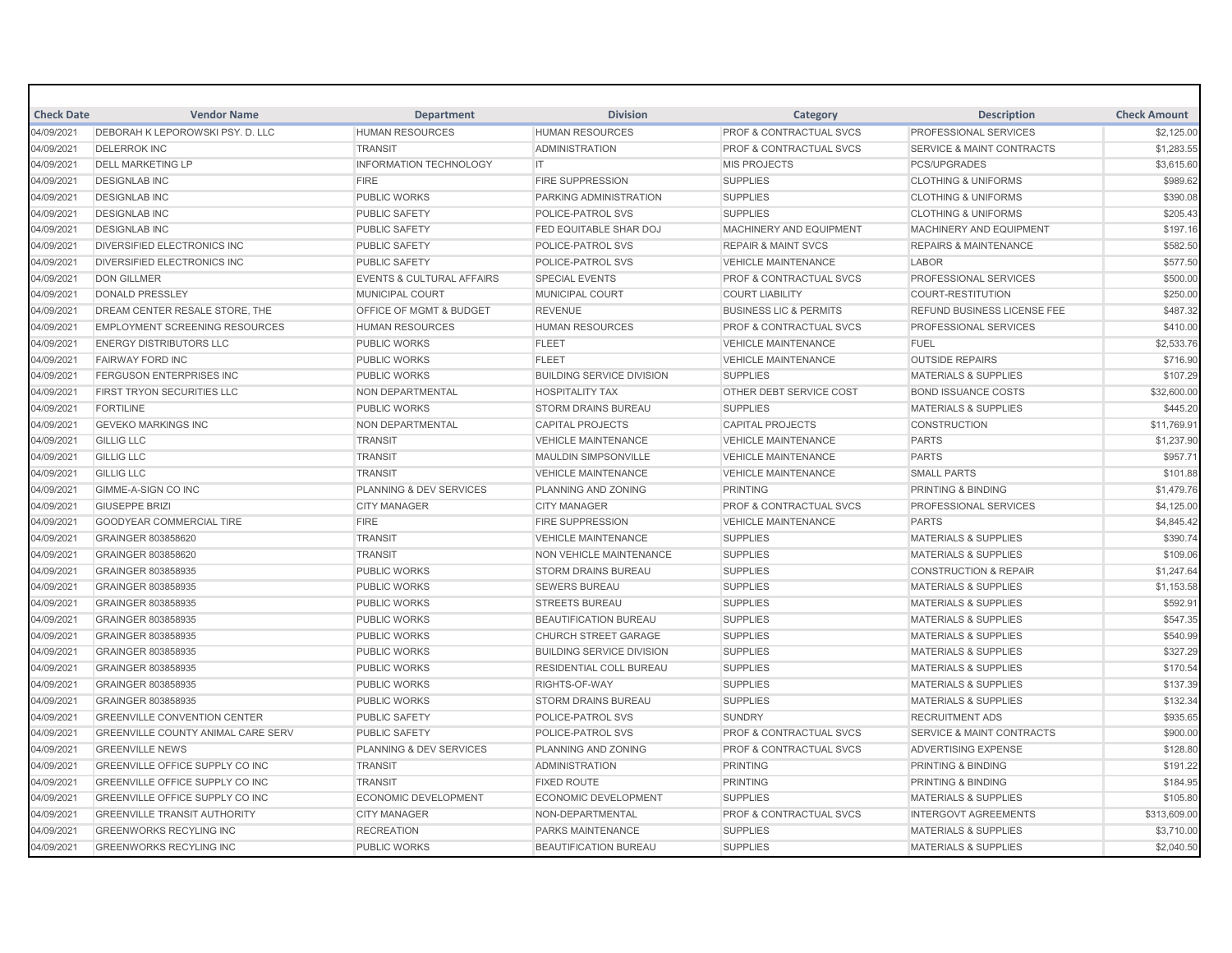| <b>Check Date</b> | <b>Vendor Name</b>                        | <b>Department</b>                    | <b>Division</b>                  | Category                           | <b>Description</b>                   | <b>Check Amount</b> |
|-------------------|-------------------------------------------|--------------------------------------|----------------------------------|------------------------------------|--------------------------------------|---------------------|
| 04/09/2021        | DEBORAH K LEPOROWSKI PSY. D. LLC          | <b>HUMAN RESOURCES</b>               | <b>HUMAN RESOURCES</b>           | PROF & CONTRACTUAL SVCS            | <b>PROFESSIONAL SERVICES</b>         | \$2,125.00          |
| 04/09/2021        | <b>DELERROK INC</b>                       | <b>TRANSIT</b>                       | <b>ADMINISTRATION</b>            | <b>PROF &amp; CONTRACTUAL SVCS</b> | <b>SERVICE &amp; MAINT CONTRACTS</b> | \$1,283.55          |
| 04/09/2021        | <b>DELL MARKETING LP</b>                  | INFORMATION TECHNOLOGY               | IT                               | <b>MIS PROJECTS</b>                | <b>PCS/UPGRADES</b>                  | \$3,615.60          |
| 04/09/2021        | <b>DESIGNLAB INC</b>                      | <b>FIRE</b>                          | <b>FIRE SUPPRESSION</b>          | <b>SUPPLIES</b>                    | <b>CLOTHING &amp; UNIFORMS</b>       | \$989.62            |
| 04/09/2021        | <b>DESIGNLAB INC</b>                      | <b>PUBLIC WORKS</b>                  | PARKING ADMINISTRATION           | <b>SUPPLIES</b>                    | <b>CLOTHING &amp; UNIFORMS</b>       | \$390.08            |
| 04/09/2021        | <b>DESIGNLAB INC</b>                      | <b>PUBLIC SAFETY</b>                 | POLICE-PATROL SVS                | <b>SUPPLIES</b>                    | <b>CLOTHING &amp; UNIFORMS</b>       | \$205.43            |
| 04/09/2021        | <b>DESIGNLAB INC</b>                      | <b>PUBLIC SAFETY</b>                 | FED EQUITABLE SHAR DOJ           | MACHINERY AND EQUIPMENT            | MACHINERY AND EQUIPMENT              | \$197.16            |
| 04/09/2021        | <b>DIVERSIFIED ELECTRONICS INC</b>        | <b>PUBLIC SAFETY</b>                 | POLICE-PATROL SVS                | <b>REPAIR &amp; MAINT SVCS</b>     | <b>REPAIRS &amp; MAINTENANCE</b>     | \$582.50            |
| 04/09/2021        | <b>DIVERSIFIED ELECTRONICS INC</b>        | <b>PUBLIC SAFETY</b>                 | POLICE-PATROL SVS                | <b>VEHICLE MAINTENANCE</b>         | <b>LABOR</b>                         | \$577.50            |
| 04/09/2021        | <b>DON GILLMER</b>                        | <b>EVENTS &amp; CULTURAL AFFAIRS</b> | <b>SPECIAL EVENTS</b>            | <b>PROF &amp; CONTRACTUAL SVCS</b> | <b>PROFESSIONAL SERVICES</b>         | \$500.00            |
| 04/09/2021        | <b>DONALD PRESSLEY</b>                    | <b>MUNICIPAL COURT</b>               | MUNICIPAL COURT                  | <b>COURT LIABILITY</b>             | <b>COURT-RESTITUTION</b>             | \$250.00            |
| 04/09/2021        | DREAM CENTER RESALE STORE, THE            | OFFICE OF MGMT & BUDGET              | <b>REVENUE</b>                   | <b>BUSINESS LIC &amp; PERMITS</b>  | REFUND BUSINESS LICENSE FEE          | \$487.32            |
| 04/09/2021        | <b>EMPLOYMENT SCREENING RESOURCES</b>     | <b>HUMAN RESOURCES</b>               | <b>HUMAN RESOURCES</b>           | <b>PROF &amp; CONTRACTUAL SVCS</b> | <b>PROFESSIONAL SERVICES</b>         | \$410.00            |
| 04/09/2021        | <b>ENERGY DISTRIBUTORS LLC</b>            | <b>PUBLIC WORKS</b>                  | <b>FLEET</b>                     | <b>VEHICLE MAINTENANCE</b>         | FUEL                                 | \$2,533.76          |
| 04/09/2021        | <b>FAIRWAY FORD INC</b>                   | <b>PUBLIC WORKS</b>                  | <b>FLEET</b>                     | <b>VEHICLE MAINTENANCE</b>         | <b>OUTSIDE REPAIRS</b>               | \$716.90            |
| 04/09/2021        | <b>FERGUSON ENTERPRISES INC</b>           | <b>PUBLIC WORKS</b>                  | <b>BUILDING SERVICE DIVISION</b> | <b>SUPPLIES</b>                    | <b>MATERIALS &amp; SUPPLIES</b>      | \$107.29            |
| 04/09/2021        | <b>FIRST TRYON SECURITIES LLC</b>         | NON DEPARTMENTAL                     | <b>HOSPITALITY TAX</b>           | <b>OTHER DEBT SERVICE COST</b>     | <b>BOND ISSUANCE COSTS</b>           | \$32,600.00         |
| 04/09/2021        | <b>FORTILINE</b>                          | <b>PUBLIC WORKS</b>                  | <b>STORM DRAINS BUREAU</b>       | <b>SUPPLIES</b>                    | <b>MATERIALS &amp; SUPPLIES</b>      | \$445.20            |
| 04/09/2021        | <b>GEVEKO MARKINGS INC</b>                | NON DEPARTMENTAL                     | <b>CAPITAL PROJECTS</b>          | <b>CAPITAL PROJECTS</b>            | <b>CONSTRUCTION</b>                  | \$11,769.91         |
| 04/09/2021        | <b>GILLIG LLC</b>                         | <b>TRANSIT</b>                       | <b>VEHICLE MAINTENANCE</b>       | <b>VEHICLE MAINTENANCE</b>         | <b>PARTS</b>                         | \$1,237.90          |
| 04/09/2021        | <b>GILLIG LLC</b>                         | <b>TRANSIT</b>                       | <b>MAULDIN SIMPSONVILLE</b>      | <b>VEHICLE MAINTENANCE</b>         | <b>PARTS</b>                         | \$957.71            |
| 04/09/2021        | <b>GILLIG LLC</b>                         | <b>TRANSIT</b>                       | <b>VEHICLE MAINTENANCE</b>       | <b>VEHICLE MAINTENANCE</b>         | <b>SMALL PARTS</b>                   | \$101.88            |
| 04/09/2021        | <b>GIMME-A-SIGN CO INC</b>                | PLANNING & DEV SERVICES              | PLANNING AND ZONING              | <b>PRINTING</b>                    | <b>PRINTING &amp; BINDING</b>        | \$1,479.76          |
| 04/09/2021        | <b>GIUSEPPE BRIZI</b>                     | <b>CITY MANAGER</b>                  | <b>CITY MANAGER</b>              | <b>PROF &amp; CONTRACTUAL SVCS</b> | <b>PROFESSIONAL SERVICES</b>         | \$4,125.00          |
| 04/09/2021        | <b>GOODYEAR COMMERCIAL TIRE</b>           | <b>FIRE</b>                          | <b>FIRE SUPPRESSION</b>          | <b>VEHICLE MAINTENANCE</b>         | <b>PARTS</b>                         | \$4,845.42          |
| 04/09/2021        | GRAINGER 803858620                        | <b>TRANSIT</b>                       | <b>VEHICLE MAINTENANCE</b>       | <b>SUPPLIES</b>                    | <b>MATERIALS &amp; SUPPLIES</b>      | \$390.74            |
| 04/09/2021        | GRAINGER 803858620                        | <b>TRANSIT</b>                       | <b>NON VEHICLE MAINTENANCE</b>   | <b>SUPPLIES</b>                    | <b>MATERIALS &amp; SUPPLIES</b>      | \$109.06            |
| 04/09/2021        | GRAINGER 803858935                        | <b>PUBLIC WORKS</b>                  | <b>STORM DRAINS BUREAU</b>       | <b>SUPPLIES</b>                    | <b>CONSTRUCTION &amp; REPAIR</b>     | \$1,247.64          |
| 04/09/2021        | GRAINGER 803858935                        | <b>PUBLIC WORKS</b>                  | <b>SEWERS BUREAU</b>             | <b>SUPPLIES</b>                    | <b>MATERIALS &amp; SUPPLIES</b>      | \$1,153.58          |
| 04/09/2021        | GRAINGER 803858935                        | <b>PUBLIC WORKS</b>                  | <b>STREETS BUREAU</b>            | <b>SUPPLIES</b>                    | <b>MATERIALS &amp; SUPPLIES</b>      | \$592.91            |
| 04/09/2021        | GRAINGER 803858935                        | <b>PUBLIC WORKS</b>                  | <b>BEAUTIFICATION BUREAU</b>     | <b>SUPPLIES</b>                    | <b>MATERIALS &amp; SUPPLIES</b>      | \$547.35            |
| 04/09/2021        | GRAINGER 803858935                        | <b>PUBLIC WORKS</b>                  | CHURCH STREET GARAGE             | <b>SUPPLIES</b>                    | <b>MATERIALS &amp; SUPPLIES</b>      | \$540.99            |
| 04/09/2021        | <b>GRAINGER 803858935</b>                 | <b>PUBLIC WORKS</b>                  | <b>BUILDING SERVICE DIVISION</b> | <b>SUPPLIES</b>                    | <b>MATERIALS &amp; SUPPLIES</b>      | \$327.29            |
| 04/09/2021        | GRAINGER 803858935                        | <b>PUBLIC WORKS</b>                  | RESIDENTIAL COLL BUREAU          | <b>SUPPLIES</b>                    | <b>MATERIALS &amp; SUPPLIES</b>      | \$170.54            |
| 04/09/2021        | GRAINGER 803858935                        | <b>PUBLIC WORKS</b>                  | RIGHTS-OF-WAY                    | <b>SUPPLIES</b>                    | <b>MATERIALS &amp; SUPPLIES</b>      | \$137.39            |
| 04/09/2021        | GRAINGER 803858935                        | <b>PUBLIC WORKS</b>                  | <b>STORM DRAINS BUREAU</b>       | <b>SUPPLIES</b>                    | <b>MATERIALS &amp; SUPPLIES</b>      | \$132.34            |
| 04/09/2021        | <b>GREENVILLE CONVENTION CENTER</b>       | <b>PUBLIC SAFETY</b>                 | POLICE-PATROL SVS                | <b>SUNDRY</b>                      | <b>RECRUITMENT ADS</b>               | \$935.65            |
| 04/09/2021        | <b>GREENVILLE COUNTY ANIMAL CARE SERV</b> | <b>PUBLIC SAFETY</b>                 | <b>POLICE-PATROL SVS</b>         | <b>PROF &amp; CONTRACTUAL SVCS</b> | <b>SERVICE &amp; MAINT CONTRACTS</b> | \$900.00            |
| 04/09/2021        | <b>GREENVILLE NEWS</b>                    | <b>PLANNING &amp; DEV SERVICES</b>   | PLANNING AND ZONING              | <b>PROF &amp; CONTRACTUAL SVCS</b> | <b>ADVERTISING EXPENSE</b>           | \$128.80            |
| 04/09/2021        | <b>GREENVILLE OFFICE SUPPLY CO INC</b>    | <b>TRANSIT</b>                       | <b>ADMINISTRATION</b>            | <b>PRINTING</b>                    | <b>PRINTING &amp; BINDING</b>        | \$191.22            |
| 04/09/2021        | GREENVILLE OFFICE SUPPLY CO INC           | <b>TRANSIT</b>                       | <b>FIXED ROUTE</b>               | <b>PRINTING</b>                    | <b>PRINTING &amp; BINDING</b>        | \$184.95            |
| 04/09/2021        | <b>GREENVILLE OFFICE SUPPLY CO INC</b>    | <b>ECONOMIC DEVELOPMENT</b>          | <b>ECONOMIC DEVELOPMENT</b>      | <b>SUPPLIES</b>                    | <b>MATERIALS &amp; SUPPLIES</b>      | \$105.80            |
| 04/09/2021        | <b>GREENVILLE TRANSIT AUTHORITY</b>       | <b>CITY MANAGER</b>                  | NON-DEPARTMENTAL                 | PROF & CONTRACTUAL SVCS            | <b>INTERGOVT AGREEMENTS</b>          | \$313,609.00        |
| 04/09/2021        | <b>GREENWORKS RECYLING INC</b>            | <b>RECREATION</b>                    | PARKS MAINTENANCE                | <b>SUPPLIES</b>                    | <b>MATERIALS &amp; SUPPLIES</b>      | \$3,710.00          |
| 04/09/2021        | <b>GREENWORKS RECYLING INC</b>            | <b>PUBLIC WORKS</b>                  | <b>BEAUTIFICATION BUREAU</b>     | <b>SUPPLIES</b>                    | <b>MATERIALS &amp; SUPPLIES</b>      | \$2,040.50          |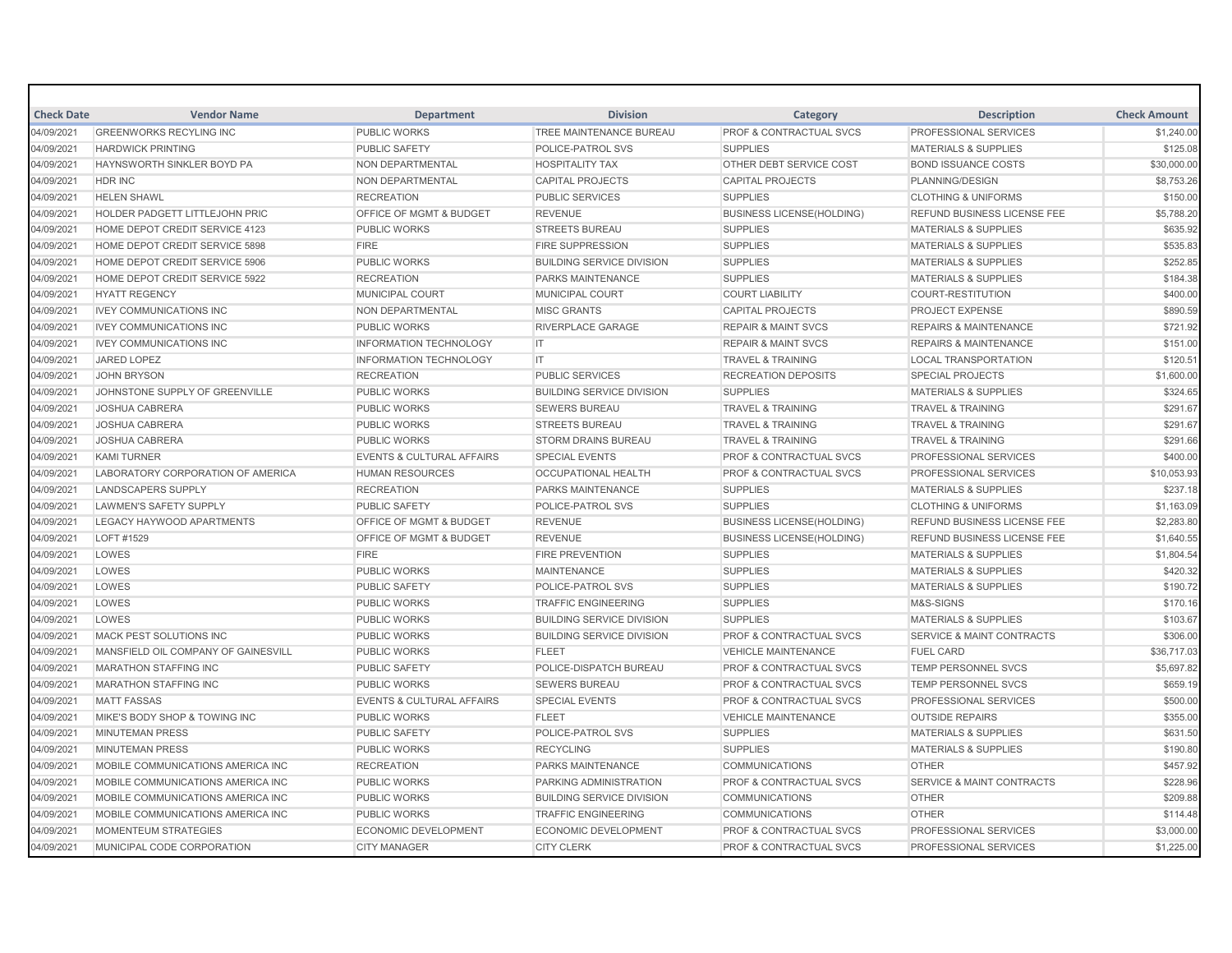| <b>Check Date</b> | <b>Vendor Name</b>                  | <b>Department</b>                    | <b>Division</b>                  | Category                           | <b>Description</b>                   | <b>Check Amount</b> |
|-------------------|-------------------------------------|--------------------------------------|----------------------------------|------------------------------------|--------------------------------------|---------------------|
| 04/09/2021        | <b>GREENWORKS RECYLING INC</b>      | <b>PUBLIC WORKS</b>                  | TREE MAINTENANCE BUREAU          | <b>PROF &amp; CONTRACTUAL SVCS</b> | <b>PROFESSIONAL SERVICES</b>         | \$1,240.00          |
| 04/09/2021        | <b>HARDWICK PRINTING</b>            | <b>PUBLIC SAFETY</b>                 | POLICE-PATROL SVS                | <b>SUPPLIES</b>                    | <b>MATERIALS &amp; SUPPLIES</b>      | \$125.08            |
| 04/09/2021        | <b>HAYNSWORTH SINKLER BOYD PA</b>   | <b>NON DEPARTMENTAL</b>              | <b>HOSPITALITY TAX</b>           | OTHER DEBT SERVICE COST            | <b>BOND ISSUANCE COSTS</b>           | \$30,000.00         |
| 04/09/2021        | <b>HDR INC</b>                      | NON DEPARTMENTAL                     | <b>CAPITAL PROJECTS</b>          | <b>CAPITAL PROJECTS</b>            | PLANNING/DESIGN                      | \$8,753.26          |
| 04/09/2021        | <b>HELEN SHAWL</b>                  | <b>RECREATION</b>                    | <b>PUBLIC SERVICES</b>           | <b>SUPPLIES</b>                    | <b>CLOTHING &amp; UNIFORMS</b>       | \$150.00            |
| 04/09/2021        | HOLDER PADGETT LITTLEJOHN PRIC      | OFFICE OF MGMT & BUDGET              | <b>REVENUE</b>                   | <b>BUSINESS LICENSE(HOLDING)</b>   | REFUND BUSINESS LICENSE FEE          | \$5,788.20          |
| 04/09/2021        | HOME DEPOT CREDIT SERVICE 4123      | <b>PUBLIC WORKS</b>                  | <b>STREETS BUREAU</b>            | <b>SUPPLIES</b>                    | <b>MATERIALS &amp; SUPPLIES</b>      | \$635.92            |
| 04/09/2021        | HOME DEPOT CREDIT SERVICE 5898      | <b>FIRE</b>                          | <b>FIRE SUPPRESSION</b>          | <b>SUPPLIES</b>                    | <b>MATERIALS &amp; SUPPLIES</b>      | \$535.83            |
| 04/09/2021        | HOME DEPOT CREDIT SERVICE 5906      | <b>PUBLIC WORKS</b>                  | <b>BUILDING SERVICE DIVISION</b> | <b>SUPPLIES</b>                    | <b>MATERIALS &amp; SUPPLIES</b>      | \$252.85            |
| 04/09/2021        | HOME DEPOT CREDIT SERVICE 5922      | <b>RECREATION</b>                    | <b>PARKS MAINTENANCE</b>         | <b>SUPPLIES</b>                    | <b>MATERIALS &amp; SUPPLIES</b>      | \$184.38            |
| 04/09/2021        | <b>HYATT REGENCY</b>                | <b>MUNICIPAL COURT</b>               | MUNICIPAL COURT                  | <b>COURT LIABILITY</b>             | <b>COURT-RESTITUTION</b>             | \$400.00            |
| 04/09/2021        | <b>IVEY COMMUNICATIONS INC</b>      | NON DEPARTMENTAL                     | <b>MISC GRANTS</b>               | <b>CAPITAL PROJECTS</b>            | <b>PROJECT EXPENSE</b>               | \$890.59            |
| 04/09/2021        | <b>IVEY COMMUNICATIONS INC</b>      | <b>PUBLIC WORKS</b>                  | <b>RIVERPLACE GARAGE</b>         | <b>REPAIR &amp; MAINT SVCS</b>     | <b>REPAIRS &amp; MAINTENANCE</b>     | \$721.92            |
| 04/09/2021        | <b>IVEY COMMUNICATIONS INC</b>      | <b>INFORMATION TECHNOLOGY</b>        | IT.                              | <b>REPAIR &amp; MAINT SVCS</b>     | <b>REPAIRS &amp; MAINTENANCE</b>     | \$151.00            |
| 04/09/2021        | <b>JARED LOPEZ</b>                  | <b>INFORMATION TECHNOLOGY</b>        | IT                               | <b>TRAVEL &amp; TRAINING</b>       | <b>LOCAL TRANSPORTATION</b>          | \$120.51            |
| 04/09/2021        | <b>JOHN BRYSON</b>                  | <b>RECREATION</b>                    | <b>PUBLIC SERVICES</b>           | <b>RECREATION DEPOSITS</b>         | <b>SPECIAL PROJECTS</b>              | \$1,600.00          |
| 04/09/2021        | JOHNSTONE SUPPLY OF GREENVILLE      | <b>PUBLIC WORKS</b>                  | <b>BUILDING SERVICE DIVISION</b> | <b>SUPPLIES</b>                    | <b>MATERIALS &amp; SUPPLIES</b>      | \$324.65            |
| 04/09/2021        | <b>JOSHUA CABRERA</b>               | <b>PUBLIC WORKS</b>                  | <b>SEWERS BUREAU</b>             | <b>TRAVEL &amp; TRAINING</b>       | <b>TRAVEL &amp; TRAINING</b>         | \$291.67            |
| 04/09/2021        | <b>JOSHUA CABRERA</b>               | <b>PUBLIC WORKS</b>                  | <b>STREETS BUREAU</b>            | <b>TRAVEL &amp; TRAINING</b>       | <b>TRAVEL &amp; TRAINING</b>         | \$291.67            |
| 04/09/2021        | <b>JOSHUA CABRERA</b>               | <b>PUBLIC WORKS</b>                  | <b>STORM DRAINS BUREAU</b>       | <b>TRAVEL &amp; TRAINING</b>       | <b>TRAVEL &amp; TRAINING</b>         | \$291.66            |
| 04/09/2021        | <b>KAMI TURNER</b>                  | <b>EVENTS &amp; CULTURAL AFFAIRS</b> | <b>SPECIAL EVENTS</b>            | PROF & CONTRACTUAL SVCS            | <b>PROFESSIONAL SERVICES</b>         | \$400.00            |
| 04/09/2021        | LABORATORY CORPORATION OF AMERICA   | <b>HUMAN RESOURCES</b>               | <b>OCCUPATIONAL HEALTH</b>       | <b>PROF &amp; CONTRACTUAL SVCS</b> | <b>PROFESSIONAL SERVICES</b>         | \$10,053.93         |
| 04/09/2021        | <b>LANDSCAPERS SUPPLY</b>           | <b>RECREATION</b>                    | PARKS MAINTENANCE                | <b>SUPPLIES</b>                    | <b>MATERIALS &amp; SUPPLIES</b>      | \$237.18            |
| 04/09/2021        | LAWMEN'S SAFETY SUPPLY              | <b>PUBLIC SAFETY</b>                 | POLICE-PATROL SVS                | <b>SUPPLIES</b>                    | <b>CLOTHING &amp; UNIFORMS</b>       | \$1,163.09          |
| 04/09/2021        | LEGACY HAYWOOD APARTMENTS           | OFFICE OF MGMT & BUDGET              | <b>REVENUE</b>                   | <b>BUSINESS LICENSE(HOLDING)</b>   | <b>REFUND BUSINESS LICENSE FEE</b>   | \$2,283.80          |
| 04/09/2021        | LOFT #1529                          | <b>OFFICE OF MGMT &amp; BUDGET</b>   | <b>REVENUE</b>                   | <b>BUSINESS LICENSE(HOLDING)</b>   | <b>REFUND BUSINESS LICENSE FEE</b>   | \$1,640.55          |
| 04/09/2021        | LOWES                               | <b>FIRE</b>                          | <b>FIRE PREVENTION</b>           | <b>SUPPLIES</b>                    | <b>MATERIALS &amp; SUPPLIES</b>      | \$1,804.54          |
| 04/09/2021        | LOWES                               | <b>PUBLIC WORKS</b>                  | <b>MAINTENANCE</b>               | <b>SUPPLIES</b>                    | <b>MATERIALS &amp; SUPPLIES</b>      | \$420.32            |
| 04/09/2021        | LOWES                               | <b>PUBLIC SAFETY</b>                 | POLICE-PATROL SVS                | <b>SUPPLIES</b>                    | <b>MATERIALS &amp; SUPPLIES</b>      | \$190.72            |
| 04/09/2021        | LOWES                               | <b>PUBLIC WORKS</b>                  | <b>TRAFFIC ENGINEERING</b>       | <b>SUPPLIES</b>                    | M&S-SIGNS                            | \$170.16            |
| 04/09/2021        | LOWES                               | <b>PUBLIC WORKS</b>                  | <b>BUILDING SERVICE DIVISION</b> | <b>SUPPLIES</b>                    | <b>MATERIALS &amp; SUPPLIES</b>      | \$103.67            |
| 04/09/2021        | MACK PEST SOLUTIONS INC             | PUBLIC WORKS                         | <b>BUILDING SERVICE DIVISION</b> | <b>PROF &amp; CONTRACTUAL SVCS</b> | <b>SERVICE &amp; MAINT CONTRACTS</b> | \$306.00            |
| 04/09/2021        | MANSFIELD OIL COMPANY OF GAINESVILL | <b>PUBLIC WORKS</b>                  | <b>FLEET</b>                     | <b>VEHICLE MAINTENANCE</b>         | <b>FUEL CARD</b>                     | \$36,717.03         |
| 04/09/2021        | <b>MARATHON STAFFING INC</b>        | <b>PUBLIC SAFETY</b>                 | POLICE-DISPATCH BUREAU           | <b>PROF &amp; CONTRACTUAL SVCS</b> | TEMP PERSONNEL SVCS                  | \$5,697.82          |
| 04/09/2021        | <b>MARATHON STAFFING INC</b>        | <b>PUBLIC WORKS</b>                  | <b>SEWERS BUREAU</b>             | <b>PROF &amp; CONTRACTUAL SVCS</b> | <b>TEMP PERSONNEL SVCS</b>           | \$659.19            |
| 04/09/2021        | <b>MATT FASSAS</b>                  | <b>EVENTS &amp; CULTURAL AFFAIRS</b> | <b>SPECIAL EVENTS</b>            | <b>PROF &amp; CONTRACTUAL SVCS</b> | <b>PROFESSIONAL SERVICES</b>         | \$500.00            |
| 04/09/2021        | MIKE'S BODY SHOP & TOWING INC       | <b>PUBLIC WORKS</b>                  | <b>FLEET</b>                     | <b>VEHICLE MAINTENANCE</b>         | <b>OUTSIDE REPAIRS</b>               | \$355.00            |
| 04/09/2021        | <b>MINUTEMAN PRESS</b>              | <b>PUBLIC SAFETY</b>                 | POLICE-PATROL SVS                | <b>SUPPLIES</b>                    | <b>MATERIALS &amp; SUPPLIES</b>      | \$631.50            |
| 04/09/2021        | <b>MINUTEMAN PRESS</b>              | <b>PUBLIC WORKS</b>                  | <b>RECYCLING</b>                 | <b>SUPPLIES</b>                    | <b>MATERIALS &amp; SUPPLIES</b>      | \$190.80            |
| 04/09/2021        | MOBILE COMMUNICATIONS AMERICA INC   | <b>RECREATION</b>                    | <b>PARKS MAINTENANCE</b>         | <b>COMMUNICATIONS</b>              | <b>OTHER</b>                         | \$457.92            |
| 04/09/2021        | MOBILE COMMUNICATIONS AMERICA INC   | <b>PUBLIC WORKS</b>                  | PARKING ADMINISTRATION           | PROF & CONTRACTUAL SVCS            | <b>SERVICE &amp; MAINT CONTRACTS</b> | \$228.96            |
| 04/09/2021        | MOBILE COMMUNICATIONS AMERICA INC   | <b>PUBLIC WORKS</b>                  | <b>BUILDING SERVICE DIVISION</b> | <b>COMMUNICATIONS</b>              | <b>OTHER</b>                         | \$209.88            |
| 04/09/2021        | MOBILE COMMUNICATIONS AMERICA INC   | <b>PUBLIC WORKS</b>                  | <b>TRAFFIC ENGINEERING</b>       | <b>COMMUNICATIONS</b>              | <b>OTHER</b>                         | \$114.48            |
| 04/09/2021        | <b>MOMENTEUM STRATEGIES</b>         | <b>ECONOMIC DEVELOPMENT</b>          | <b>ECONOMIC DEVELOPMENT</b>      | PROF & CONTRACTUAL SVCS            | PROFESSIONAL SERVICES                | \$3,000.00          |
| 04/09/2021        | MUNICIPAL CODE CORPORATION          | <b>CITY MANAGER</b>                  | <b>CITY CLERK</b>                | <b>PROF &amp; CONTRACTUAL SVCS</b> | PROFESSIONAL SERVICES                | \$1,225.00          |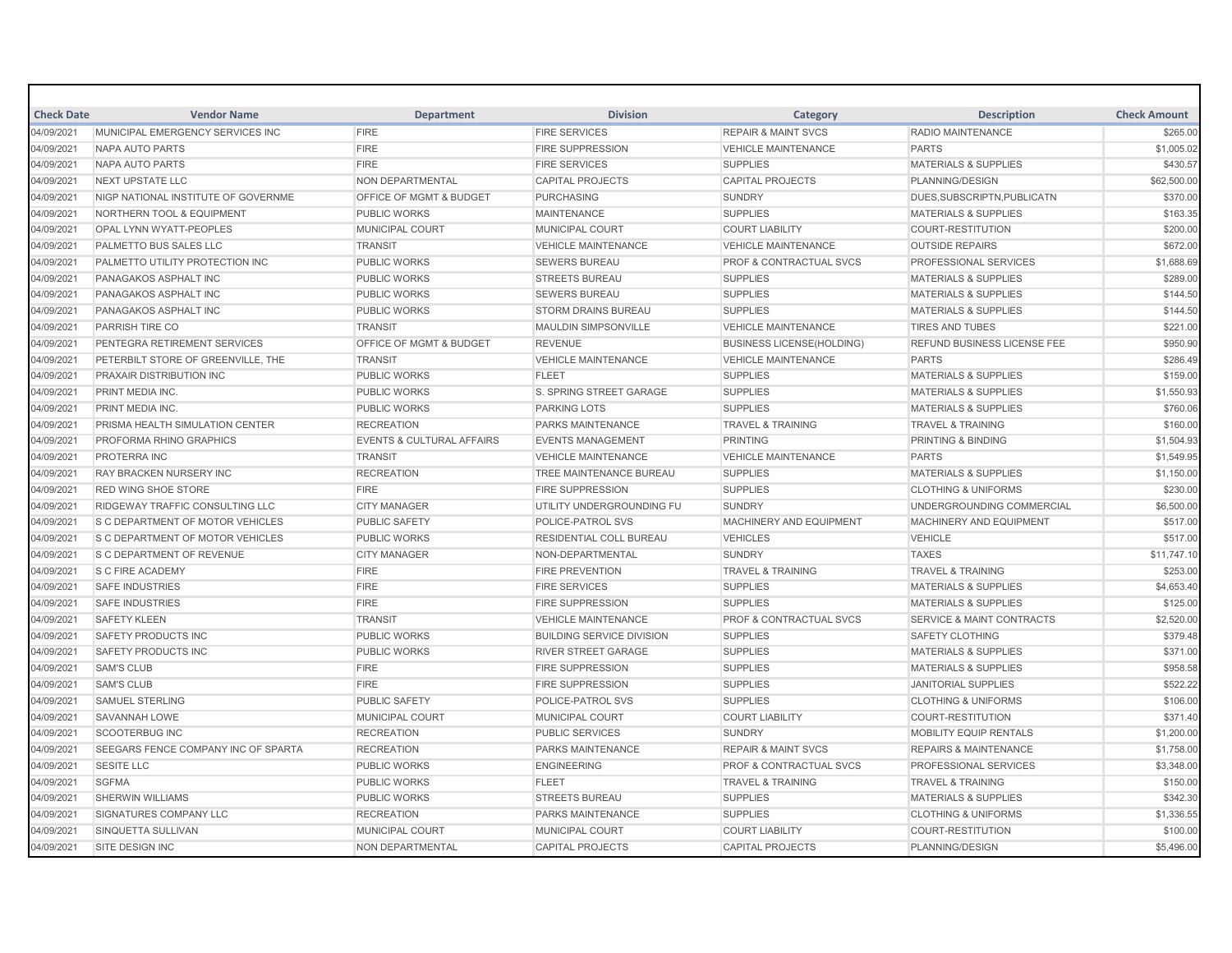| <b>Check Date</b> | <b>Vendor Name</b>                   | <b>Department</b>                    | <b>Division</b>                  | Category                           | <b>Description</b>                   | <b>Check Amount</b> |
|-------------------|--------------------------------------|--------------------------------------|----------------------------------|------------------------------------|--------------------------------------|---------------------|
| 04/09/2021        | MUNICIPAL EMERGENCY SERVICES INC     | <b>FIRE</b>                          | <b>FIRE SERVICES</b>             | <b>REPAIR &amp; MAINT SVCS</b>     | <b>RADIO MAINTENANCE</b>             | \$265.00            |
| 04/09/2021        | <b>NAPA AUTO PARTS</b>               | <b>FIRE</b>                          | <b>FIRE SUPPRESSION</b>          | <b>VEHICLE MAINTENANCE</b>         | <b>PARTS</b>                         | \$1,005.02          |
| 04/09/2021        | <b>NAPA AUTO PARTS</b>               | <b>FIRE</b>                          | <b>FIRE SERVICES</b>             | <b>SUPPLIES</b>                    | <b>MATERIALS &amp; SUPPLIES</b>      | \$430.57            |
| 04/09/2021        | <b>NEXT UPSTATE LLC</b>              | <b>NON DEPARTMENTAL</b>              | <b>CAPITAL PROJECTS</b>          | <b>CAPITAL PROJECTS</b>            | PLANNING/DESIGN                      | \$62,500.00         |
| 04/09/2021        | NIGP NATIONAL INSTITUTE OF GOVERNME  | <b>OFFICE OF MGMT &amp; BUDGET</b>   | <b>PURCHASING</b>                | <b>SUNDRY</b>                      | DUES, SUBSCRIPTN, PUBLICATN          | \$370.00            |
| 04/09/2021        | <b>NORTHERN TOOL &amp; EQUIPMENT</b> | <b>PUBLIC WORKS</b>                  | <b>MAINTENANCE</b>               | <b>SUPPLIES</b>                    | <b>MATERIALS &amp; SUPPLIES</b>      | \$163.35            |
| 04/09/2021        | OPAL LYNN WYATT-PEOPLES              | <b>MUNICIPAL COURT</b>               | <b>MUNICIPAL COURT</b>           | <b>COURT LIABILITY</b>             | <b>COURT-RESTITUTION</b>             | \$200.00            |
| 04/09/2021        | PALMETTO BUS SALES LLC               | <b>TRANSIT</b>                       | <b>VEHICLE MAINTENANCE</b>       | <b>VEHICLE MAINTENANCE</b>         | <b>OUTSIDE REPAIRS</b>               | \$672.00            |
| 04/09/2021        | PALMETTO UTILITY PROTECTION INC      | <b>PUBLIC WORKS</b>                  | <b>SEWERS BUREAU</b>             | PROF & CONTRACTUAL SVCS            | PROFESSIONAL SERVICES                | \$1,688.69          |
| 04/09/2021        | PANAGAKOS ASPHALT INC                | <b>PUBLIC WORKS</b>                  | <b>STREETS BUREAU</b>            | <b>SUPPLIES</b>                    | <b>MATERIALS &amp; SUPPLIES</b>      | \$289.00            |
| 04/09/2021        | PANAGAKOS ASPHALT INC                | <b>PUBLIC WORKS</b>                  | <b>SEWERS BUREAU</b>             | <b>SUPPLIES</b>                    | <b>MATERIALS &amp; SUPPLIES</b>      | \$144.50            |
| 04/09/2021        | PANAGAKOS ASPHALT INC                | <b>PUBLIC WORKS</b>                  | <b>STORM DRAINS BUREAU</b>       | <b>SUPPLIES</b>                    | <b>MATERIALS &amp; SUPPLIES</b>      | \$144.50            |
| 04/09/2021        | PARRISH TIRE CO                      | <b>TRANSIT</b>                       | <b>MAULDIN SIMPSONVILLE</b>      | <b>VEHICLE MAINTENANCE</b>         | <b>TIRES AND TUBES</b>               | \$221.00            |
| 04/09/2021        | PENTEGRA RETIREMENT SERVICES         | <b>OFFICE OF MGMT &amp; BUDGET</b>   | <b>REVENUE</b>                   | <b>BUSINESS LICENSE(HOLDING)</b>   | REFUND BUSINESS LICENSE FEE          | \$950.90            |
| 04/09/2021        | PETERBILT STORE OF GREENVILLE, THE   | <b>TRANSIT</b>                       | <b>VEHICLE MAINTENANCE</b>       | <b>VEHICLE MAINTENANCE</b>         | <b>PARTS</b>                         | \$286.49            |
| 04/09/2021        | <b>PRAXAIR DISTRIBUTION INC</b>      | <b>PUBLIC WORKS</b>                  | <b>FLEET</b>                     | <b>SUPPLIES</b>                    | <b>MATERIALS &amp; SUPPLIES</b>      | \$159.00            |
| 04/09/2021        | PRINT MEDIA INC.                     | <b>PUBLIC WORKS</b>                  | S. SPRING STREET GARAGE          | <b>SUPPLIES</b>                    | <b>MATERIALS &amp; SUPPLIES</b>      | \$1,550.93          |
| 04/09/2021        | PRINT MEDIA INC.                     | <b>PUBLIC WORKS</b>                  | <b>PARKING LOTS</b>              | <b>SUPPLIES</b>                    | <b>MATERIALS &amp; SUPPLIES</b>      | \$760.06            |
| 04/09/2021        | PRISMA HEALTH SIMULATION CENTER      | <b>RECREATION</b>                    | PARKS MAINTENANCE                | <b>TRAVEL &amp; TRAINING</b>       | <b>TRAVEL &amp; TRAINING</b>         | \$160.00            |
| 04/09/2021        | PROFORMA RHINO GRAPHICS              | <b>EVENTS &amp; CULTURAL AFFAIRS</b> | <b>EVENTS MANAGEMENT</b>         | <b>PRINTING</b>                    | PRINTING & BINDING                   | \$1,504.93          |
| 04/09/2021        | <b>PROTERRA INC</b>                  | <b>TRANSIT</b>                       | <b>VEHICLE MAINTENANCE</b>       | <b>VEHICLE MAINTENANCE</b>         | <b>PARTS</b>                         | \$1.549.95          |
| 04/09/2021        | <b>RAY BRACKEN NURSERY INC</b>       | <b>RECREATION</b>                    | TREE MAINTENANCE BUREAU          | <b>SUPPLIES</b>                    | <b>MATERIALS &amp; SUPPLIES</b>      | \$1,150.00          |
| 04/09/2021        | <b>RED WING SHOE STORE</b>           | <b>FIRE</b>                          | <b>FIRE SUPPRESSION</b>          | <b>SUPPLIES</b>                    | <b>CLOTHING &amp; UNIFORMS</b>       | \$230.00            |
| 04/09/2021        | RIDGEWAY TRAFFIC CONSULTING LLC      | <b>CITY MANAGER</b>                  | UTILITY UNDERGROUNDING FU        | <b>SUNDRY</b>                      | UNDERGROUNDING COMMERCIAL            | \$6,500.00          |
| 04/09/2021        | S C DEPARTMENT OF MOTOR VEHICLES     | <b>PUBLIC SAFETY</b>                 | POLICE-PATROL SVS                | MACHINERY AND EQUIPMENT            | MACHINERY AND EQUIPMENT              | \$517.00            |
| 04/09/2021        | S C DEPARTMENT OF MOTOR VEHICLES     | <b>PUBLIC WORKS</b>                  | <b>RESIDENTIAL COLL BUREAU</b>   | <b>VEHICLES</b>                    | <b>VEHICLE</b>                       | \$517.00            |
| 04/09/2021        | S C DEPARTMENT OF REVENUE            | <b>CITY MANAGER</b>                  | NON-DEPARTMENTAL                 | <b>SUNDRY</b>                      | <b>TAXES</b>                         | \$11,747.10         |
| 04/09/2021        | <b>S C FIRE ACADEMY</b>              | <b>FIRE</b>                          | <b>FIRE PREVENTION</b>           | <b>TRAVEL &amp; TRAINING</b>       | <b>TRAVEL &amp; TRAINING</b>         | \$253.00            |
| 04/09/2021        | <b>SAFE INDUSTRIES</b>               | <b>FIRE</b>                          | <b>FIRE SERVICES</b>             | <b>SUPPLIES</b>                    | <b>MATERIALS &amp; SUPPLIES</b>      | \$4,653.40          |
| 04/09/2021        | <b>SAFE INDUSTRIES</b>               | <b>FIRE</b>                          | <b>FIRE SUPPRESSION</b>          | <b>SUPPLIES</b>                    | <b>MATERIALS &amp; SUPPLIES</b>      | \$125.00            |
| 04/09/2021        | <b>SAFETY KLEEN</b>                  | <b>TRANSIT</b>                       | <b>VEHICLE MAINTENANCE</b>       | <b>PROF &amp; CONTRACTUAL SVCS</b> | <b>SERVICE &amp; MAINT CONTRACTS</b> | \$2,520.00          |
| 04/09/2021        | <b>SAFETY PRODUCTS INC</b>           | <b>PUBLIC WORKS</b>                  | <b>BUILDING SERVICE DIVISION</b> | <b>SUPPLIES</b>                    | <b>SAFETY CLOTHING</b>               | \$379.48            |
| 04/09/2021        | <b>SAFETY PRODUCTS INC</b>           | <b>PUBLIC WORKS</b>                  | <b>RIVER STREET GARAGE</b>       | <b>SUPPLIES</b>                    | <b>MATERIALS &amp; SUPPLIES</b>      | \$371.00            |
| 04/09/2021        | <b>SAM'S CLUB</b>                    | <b>FIRE</b>                          | <b>FIRE SUPPRESSION</b>          | <b>SUPPLIES</b>                    | <b>MATERIALS &amp; SUPPLIES</b>      | \$958.58            |
| 04/09/2021        | <b>SAM'S CLUB</b>                    | <b>FIRE</b>                          | <b>FIRE SUPPRESSION</b>          | <b>SUPPLIES</b>                    | <b>JANITORIAL SUPPLIES</b>           | \$522.22            |
| 04/09/2021        | <b>SAMUEL STERLING</b>               | <b>PUBLIC SAFETY</b>                 | POLICE-PATROL SVS                | <b>SUPPLIES</b>                    | <b>CLOTHING &amp; UNIFORMS</b>       | \$106.00            |
| 04/09/2021        | <b>SAVANNAH LOWE</b>                 | <b>MUNICIPAL COURT</b>               | <b>MUNICIPAL COURT</b>           | <b>COURT LIABILITY</b>             | <b>COURT-RESTITUTION</b>             | \$371.40            |
| 04/09/2021        | <b>SCOOTERBUG INC</b>                | <b>RECREATION</b>                    | <b>PUBLIC SERVICES</b>           | <b>SUNDRY</b>                      | <b>MOBILITY EQUIP RENTALS</b>        | \$1,200.00          |
| 04/09/2021        | SEEGARS FENCE COMPANY INC OF SPARTA  | <b>RECREATION</b>                    | PARKS MAINTENANCE                | <b>REPAIR &amp; MAINT SVCS</b>     | <b>REPAIRS &amp; MAINTENANCE</b>     | \$1,758.00          |
| 04/09/2021        | <b>SESITE LLC</b>                    | <b>PUBLIC WORKS</b>                  | <b>ENGINEERING</b>               | PROF & CONTRACTUAL SVCS            | PROFESSIONAL SERVICES                | \$3,348.00          |
| 04/09/2021        | <b>SGFMA</b>                         | <b>PUBLIC WORKS</b>                  | <b>FLEET</b>                     | <b>TRAVEL &amp; TRAINING</b>       | <b>TRAVEL &amp; TRAINING</b>         | \$150.00            |
| 04/09/2021        | <b>SHERWIN WILLIAMS</b>              | <b>PUBLIC WORKS</b>                  | <b>STREETS BUREAU</b>            | <b>SUPPLIES</b>                    | <b>MATERIALS &amp; SUPPLIES</b>      | \$342.30            |
| 04/09/2021        | <b>SIGNATURES COMPANY LLC</b>        | <b>RECREATION</b>                    | <b>PARKS MAINTENANCE</b>         | <b>SUPPLIES</b>                    | <b>CLOTHING &amp; UNIFORMS</b>       | \$1,336.55          |
| 04/09/2021        | SINQUETTA SULLIVAN                   | <b>MUNICIPAL COURT</b>               | <b>MUNICIPAL COURT</b>           | <b>COURT LIABILITY</b>             | <b>COURT-RESTITUTION</b>             | \$100.00            |
| 04/09/2021        | <b>SITE DESIGN INC</b>               | <b>NON DEPARTMENTAL</b>              | <b>CAPITAL PROJECTS</b>          | <b>CAPITAL PROJECTS</b>            | PLANNING/DESIGN                      | \$5,496.00          |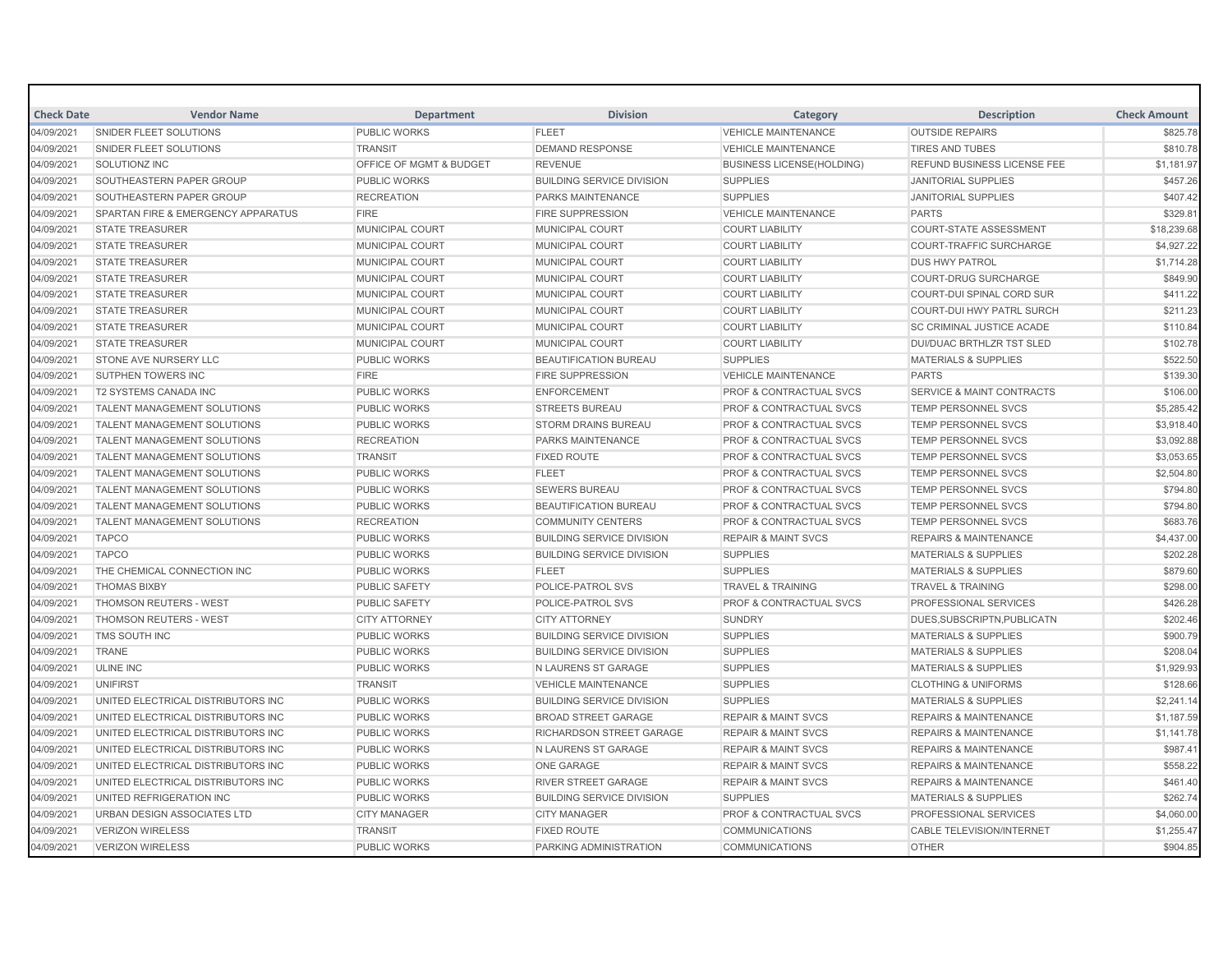| <b>Check Date</b> | <b>Vendor Name</b>                 | <b>Department</b>                  | <b>Division</b>                  | Category                           | <b>Description</b>                   | <b>Check Amount</b> |
|-------------------|------------------------------------|------------------------------------|----------------------------------|------------------------------------|--------------------------------------|---------------------|
| 04/09/2021        | SNIDER FLEET SOLUTIONS             | <b>PUBLIC WORKS</b>                | <b>FLEET</b>                     | <b>VEHICLE MAINTENANCE</b>         | <b>OUTSIDE REPAIRS</b>               | \$825.78            |
| 04/09/2021        | SNIDER FLEET SOLUTIONS             | <b>TRANSIT</b>                     | <b>DEMAND RESPONSE</b>           | <b>VEHICLE MAINTENANCE</b>         | <b>TIRES AND TUBES</b>               | \$810.78            |
| 04/09/2021        | SOLUTIONZ INC                      | <b>OFFICE OF MGMT &amp; BUDGET</b> | <b>REVENUE</b>                   | <b>BUSINESS LICENSE(HOLDING)</b>   | <b>REFUND BUSINESS LICENSE FEE</b>   | \$1,181.97          |
| 04/09/2021        | SOUTHEASTERN PAPER GROUP           | <b>PUBLIC WORKS</b>                | <b>BUILDING SERVICE DIVISION</b> | <b>SUPPLIES</b>                    | JANITORIAL SUPPLIES                  | \$457.26            |
| 04/09/2021        | SOUTHEASTERN PAPER GROUP           | <b>RECREATION</b>                  | <b>PARKS MAINTENANCE</b>         | <b>SUPPLIES</b>                    | <b>JANITORIAL SUPPLIES</b>           | \$407.42            |
| 04/09/2021        | SPARTAN FIRE & EMERGENCY APPARATUS | <b>FIRE</b>                        | <b>FIRE SUPPRESSION</b>          | <b>VEHICLE MAINTENANCE</b>         | <b>PARTS</b>                         | \$329.81            |
| 04/09/2021        | <b>STATE TREASURER</b>             | MUNICIPAL COURT                    | <b>MUNICIPAL COURT</b>           | <b>COURT LIABILITY</b>             | <b>COURT-STATE ASSESSMENT</b>        | \$18,239.68         |
| 04/09/2021        | <b>STATE TREASURER</b>             | <b>MUNICIPAL COURT</b>             | <b>MUNICIPAL COURT</b>           | <b>COURT LIABILITY</b>             | <b>COURT-TRAFFIC SURCHARGE</b>       | \$4.927.22          |
| 04/09/2021        | <b>STATE TREASURER</b>             | MUNICIPAL COURT                    | MUNICIPAL COURT                  | <b>COURT LIABILITY</b>             | <b>DUS HWY PATROL</b>                | \$1,714.28          |
| 04/09/2021        | <b>STATE TREASURER</b>             | <b>MUNICIPAL COURT</b>             | <b>MUNICIPAL COURT</b>           | <b>COURT LIABILITY</b>             | <b>COURT-DRUG SURCHARGE</b>          | \$849.90            |
| 04/09/2021        | <b>STATE TREASURER</b>             | MUNICIPAL COURT                    | MUNICIPAL COURT                  | <b>COURT LIABILITY</b>             | COURT-DUI SPINAL CORD SUR            | \$411.22            |
| 04/09/2021        | <b>STATE TREASURER</b>             | MUNICIPAL COURT                    | MUNICIPAL COURT                  | <b>COURT LIABILITY</b>             | COURT-DUI HWY PATRL SURCH            | \$211.23            |
| 04/09/2021        | <b>STATE TREASURER</b>             | <b>MUNICIPAL COURT</b>             | <b>MUNICIPAL COURT</b>           | <b>COURT LIABILITY</b>             | <b>SC CRIMINAL JUSTICE ACADE</b>     | \$110.84            |
| 04/09/2021        | <b>STATE TREASURER</b>             | MUNICIPAL COURT                    | MUNICIPAL COURT                  | <b>COURT LIABILITY</b>             | <b>DUI/DUAC BRTHLZR TST SLED</b>     | \$102.78            |
| 04/09/2021        | STONE AVE NURSERY LLC              | <b>PUBLIC WORKS</b>                | <b>BEAUTIFICATION BUREAU</b>     | <b>SUPPLIES</b>                    | <b>MATERIALS &amp; SUPPLIES</b>      | \$522.50            |
| 04/09/2021        | <b>SUTPHEN TOWERS INC</b>          | <b>FIRE</b>                        | <b>FIRE SUPPRESSION</b>          | <b>VEHICLE MAINTENANCE</b>         | <b>PARTS</b>                         | \$139.30            |
| 04/09/2021        | <b>T2 SYSTEMS CANADA INC</b>       | <b>PUBLIC WORKS</b>                | <b>ENFORCEMENT</b>               | <b>PROF &amp; CONTRACTUAL SVCS</b> | <b>SERVICE &amp; MAINT CONTRACTS</b> | \$106.00            |
| 04/09/2021        | <b>TALENT MANAGEMENT SOLUTIONS</b> | <b>PUBLIC WORKS</b>                | <b>STREETS BUREAU</b>            | <b>PROF &amp; CONTRACTUAL SVCS</b> | <b>TEMP PERSONNEL SVCS</b>           | \$5,285.42          |
| 04/09/2021        | <b>TALENT MANAGEMENT SOLUTIONS</b> | <b>PUBLIC WORKS</b>                | <b>STORM DRAINS BUREAU</b>       | <b>PROF &amp; CONTRACTUAL SVCS</b> | <b>TEMP PERSONNEL SVCS</b>           | \$3,918.40          |
| 04/09/2021        | TALENT MANAGEMENT SOLUTIONS        | <b>RECREATION</b>                  | PARKS MAINTENANCE                | <b>PROF &amp; CONTRACTUAL SVCS</b> | <b>TEMP PERSONNEL SVCS</b>           | \$3,092.88          |
| 04/09/2021        | <b>TALENT MANAGEMENT SOLUTIONS</b> | <b>TRANSIT</b>                     | <b>FIXED ROUTE</b>               | PROF & CONTRACTUAL SVCS            | <b>TEMP PERSONNEL SVCS</b>           | \$3,053.65          |
| 04/09/2021        | <b>TALENT MANAGEMENT SOLUTIONS</b> | <b>PUBLIC WORKS</b>                | <b>FLEET</b>                     | <b>PROF &amp; CONTRACTUAL SVCS</b> | <b>TEMP PERSONNEL SVCS</b>           | \$2,504.80          |
| 04/09/2021        | TALENT MANAGEMENT SOLUTIONS        | <b>PUBLIC WORKS</b>                | <b>SEWERS BUREAU</b>             | PROF & CONTRACTUAL SVCS            | TEMP PERSONNEL SVCS                  | \$794.80            |
| 04/09/2021        | TALENT MANAGEMENT SOLUTIONS        | <b>PUBLIC WORKS</b>                | <b>BEAUTIFICATION BUREAU</b>     | <b>PROF &amp; CONTRACTUAL SVCS</b> | <b>TEMP PERSONNEL SVCS</b>           | \$794.80            |
| 04/09/2021        | <b>TALENT MANAGEMENT SOLUTIONS</b> | <b>RECREATION</b>                  | <b>COMMUNITY CENTERS</b>         | <b>PROF &amp; CONTRACTUAL SVCS</b> | <b>TEMP PERSONNEL SVCS</b>           | \$683.76            |
| 04/09/2021        | <b>TAPCO</b>                       | <b>PUBLIC WORKS</b>                | <b>BUILDING SERVICE DIVISION</b> | <b>REPAIR &amp; MAINT SVCS</b>     | <b>REPAIRS &amp; MAINTENANCE</b>     | \$4,437.00          |
| 04/09/2021        | <b>TAPCO</b>                       | <b>PUBLIC WORKS</b>                | <b>BUILDING SERVICE DIVISION</b> | <b>SUPPLIES</b>                    | <b>MATERIALS &amp; SUPPLIES</b>      | \$202.28            |
| 04/09/2021        | THE CHEMICAL CONNECTION INC        | <b>PUBLIC WORKS</b>                | <b>FLEET</b>                     | <b>SUPPLIES</b>                    | <b>MATERIALS &amp; SUPPLIES</b>      | \$879.60            |
| 04/09/2021        | <b>THOMAS BIXBY</b>                | <b>PUBLIC SAFETY</b>               | POLICE-PATROL SVS                | <b>TRAVEL &amp; TRAINING</b>       | <b>TRAVEL &amp; TRAINING</b>         | \$298.00            |
| 04/09/2021        | <b>THOMSON REUTERS - WEST</b>      | <b>PUBLIC SAFETY</b>               | POLICE-PATROL SVS                | <b>PROF &amp; CONTRACTUAL SVCS</b> | <b>PROFESSIONAL SERVICES</b>         | \$426.28            |
| 04/09/2021        | <b>THOMSON REUTERS - WEST</b>      | <b>CITY ATTORNEY</b>               | <b>CITY ATTORNEY</b>             | <b>SUNDRY</b>                      | DUES, SUBSCRIPTN, PUBLICATN          | \$202.46            |
| 04/09/2021        | TMS SOUTH INC                      | <b>PUBLIC WORKS</b>                | <b>BUILDING SERVICE DIVISION</b> | <b>SUPPLIES</b>                    | <b>MATERIALS &amp; SUPPLIES</b>      | \$900.79            |
| 04/09/2021        | <b>TRANE</b>                       | <b>PUBLIC WORKS</b>                | <b>BUILDING SERVICE DIVISION</b> | <b>SUPPLIES</b>                    | <b>MATERIALS &amp; SUPPLIES</b>      | \$208.04            |
| 04/09/2021        | ULINE INC                          | <b>PUBLIC WORKS</b>                | N LAURENS ST GARAGE              | <b>SUPPLIES</b>                    | <b>MATERIALS &amp; SUPPLIES</b>      | \$1,929.93          |
| 04/09/2021        | <b>UNIFIRST</b>                    | <b>TRANSIT</b>                     | <b>VEHICLE MAINTENANCE</b>       | <b>SUPPLIES</b>                    | <b>CLOTHING &amp; UNIFORMS</b>       | \$128.66            |
| 04/09/2021        | UNITED ELECTRICAL DISTRIBUTORS INC | <b>PUBLIC WORKS</b>                | <b>BUILDING SERVICE DIVISION</b> | <b>SUPPLIES</b>                    | <b>MATERIALS &amp; SUPPLIES</b>      | \$2,241.14          |
| 04/09/2021        | UNITED ELECTRICAL DISTRIBUTORS INC | <b>PUBLIC WORKS</b>                | <b>BROAD STREET GARAGE</b>       | <b>REPAIR &amp; MAINT SVCS</b>     | <b>REPAIRS &amp; MAINTENANCE</b>     | \$1,187.59          |
| 04/09/2021        | UNITED ELECTRICAL DISTRIBUTORS INC | <b>PUBLIC WORKS</b>                | RICHARDSON STREET GARAGE         | <b>REPAIR &amp; MAINT SVCS</b>     | <b>REPAIRS &amp; MAINTENANCE</b>     | \$1,141.78          |
| 04/09/2021        | UNITED ELECTRICAL DISTRIBUTORS INC | <b>PUBLIC WORKS</b>                | N LAURENS ST GARAGE              | <b>REPAIR &amp; MAINT SVCS</b>     | <b>REPAIRS &amp; MAINTENANCE</b>     | \$987.41            |
| 04/09/2021        | UNITED ELECTRICAL DISTRIBUTORS INC | <b>PUBLIC WORKS</b>                | ONE GARAGE                       | <b>REPAIR &amp; MAINT SVCS</b>     | <b>REPAIRS &amp; MAINTENANCE</b>     | \$558.22            |
| 04/09/2021        | UNITED ELECTRICAL DISTRIBUTORS INC | <b>PUBLIC WORKS</b>                | <b>RIVER STREET GARAGE</b>       | <b>REPAIR &amp; MAINT SVCS</b>     | <b>REPAIRS &amp; MAINTENANCE</b>     | \$461.40            |
| 04/09/2021        | UNITED REFRIGERATION INC           | <b>PUBLIC WORKS</b>                | <b>BUILDING SERVICE DIVISION</b> | <b>SUPPLIES</b>                    | <b>MATERIALS &amp; SUPPLIES</b>      | \$262.74            |
| 04/09/2021        | <b>URBAN DESIGN ASSOCIATES LTD</b> | <b>CITY MANAGER</b>                | <b>CITY MANAGER</b>              | <b>PROF &amp; CONTRACTUAL SVCS</b> | <b>PROFESSIONAL SERVICES</b>         | \$4,060.00          |
| 04/09/2021        | <b>VERIZON WIRELESS</b>            | <b>TRANSIT</b>                     | <b>FIXED ROUTE</b>               | <b>COMMUNICATIONS</b>              | <b>CABLE TELEVISION/INTERNET</b>     | \$1,255.47          |
| 04/09/2021        | <b>VERIZON WIRELESS</b>            | <b>PUBLIC WORKS</b>                | PARKING ADMINISTRATION           | <b>COMMUNICATIONS</b>              | <b>OTHER</b>                         | \$904.85            |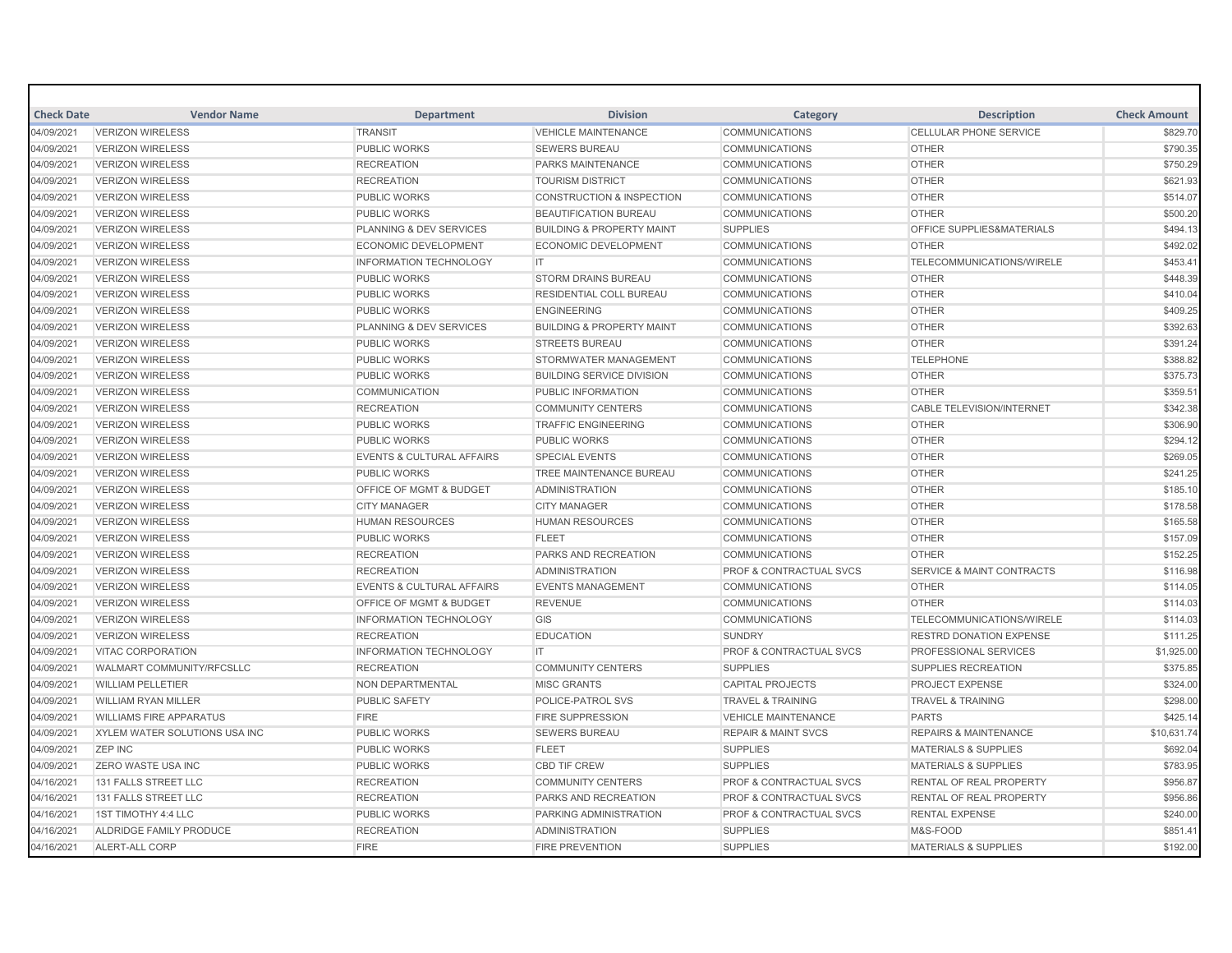| <b>Check Date</b> | <b>Vendor Name</b>                                 | <b>Department</b>                     | <b>Division</b>                      | Category                           | <b>Description</b>                   | <b>Check Amount</b> |
|-------------------|----------------------------------------------------|---------------------------------------|--------------------------------------|------------------------------------|--------------------------------------|---------------------|
| 04/09/2021        | <b>VERIZON WIRELESS</b><br><b>VERIZON WIRELESS</b> | <b>TRANSIT</b><br><b>PUBLIC WORKS</b> | <b>VEHICLE MAINTENANCE</b>           | <b>COMMUNICATIONS</b>              | <b>CELLULAR PHONE SERVICE</b>        | \$829.70            |
| 04/09/2021        |                                                    |                                       | <b>SEWERS BUREAU</b>                 | <b>COMMUNICATIONS</b>              | <b>OTHER</b>                         | \$790.35            |
| 04/09/2021        | <b>VERIZON WIRELESS</b>                            | <b>RECREATION</b>                     | PARKS MAINTENANCE                    | <b>COMMUNICATIONS</b>              | <b>OTHER</b>                         | \$750.29            |
| 04/09/2021        | <b>VERIZON WIRELESS</b>                            | <b>RECREATION</b>                     | <b>TOURISM DISTRICT</b>              | <b>COMMUNICATIONS</b>              | <b>OTHER</b>                         | \$621.93            |
| 04/09/2021        | <b>VERIZON WIRELESS</b>                            | <b>PUBLIC WORKS</b>                   | <b>CONSTRUCTION &amp; INSPECTION</b> | <b>COMMUNICATIONS</b>              | <b>OTHER</b>                         | \$514.07            |
| 04/09/2021        | <b>VERIZON WIRELESS</b>                            | <b>PUBLIC WORKS</b>                   | <b>BEAUTIFICATION BUREAU</b>         | <b>COMMUNICATIONS</b>              | <b>OTHER</b>                         | \$500.20            |
| 04/09/2021        | <b>VERIZON WIRELESS</b>                            | PLANNING & DEV SERVICES               | <b>BUILDING &amp; PROPERTY MAINT</b> | <b>SUPPLIES</b>                    | OFFICE SUPPLIES&MATERIALS            | \$494.13            |
| 04/09/2021        | <b>VERIZON WIRELESS</b>                            | <b>ECONOMIC DEVELOPMENT</b>           | <b>ECONOMIC DEVELOPMENT</b>          | <b>COMMUNICATIONS</b>              | <b>OTHER</b>                         | \$492.02            |
| 04/09/2021        | <b>VERIZON WIRELESS</b>                            | <b>INFORMATION TECHNOLOGY</b>         | IT.                                  | <b>COMMUNICATIONS</b>              | <b>TELECOMMUNICATIONS/WIRELE</b>     | \$453.41            |
| 04/09/2021        | <b>VERIZON WIRELESS</b>                            | <b>PUBLIC WORKS</b>                   | <b>STORM DRAINS BUREAU</b>           | <b>COMMUNICATIONS</b>              | <b>OTHER</b>                         | \$448.39            |
| 04/09/2021        | <b>VERIZON WIRELESS</b>                            | <b>PUBLIC WORKS</b>                   | RESIDENTIAL COLL BUREAU              | <b>COMMUNICATIONS</b>              | <b>OTHER</b>                         | \$410.04            |
| 04/09/2021        | <b>VERIZON WIRELESS</b>                            | <b>PUBLIC WORKS</b>                   | <b>ENGINEERING</b>                   | <b>COMMUNICATIONS</b>              | <b>OTHER</b>                         | \$409.25            |
| 04/09/2021        | <b>VERIZON WIRELESS</b>                            | PLANNING & DEV SERVICES               | <b>BUILDING &amp; PROPERTY MAINT</b> | <b>COMMUNICATIONS</b>              | <b>OTHER</b>                         | \$392.63            |
| 04/09/2021        | <b>VERIZON WIRELESS</b>                            | <b>PUBLIC WORKS</b>                   | <b>STREETS BUREAU</b>                | <b>COMMUNICATIONS</b>              | <b>OTHER</b>                         | \$391.24            |
| 04/09/2021        | <b>VERIZON WIRELESS</b>                            | <b>PUBLIC WORKS</b>                   | STORMWATER MANAGEMENT                | <b>COMMUNICATIONS</b>              | <b>TELEPHONE</b>                     | \$388.82            |
| 04/09/2021        | <b>VERIZON WIRELESS</b>                            | <b>PUBLIC WORKS</b>                   | <b>BUILDING SERVICE DIVISION</b>     | <b>COMMUNICATIONS</b>              | <b>OTHER</b>                         | \$375.73            |
| 04/09/2021        | <b>VERIZON WIRELESS</b>                            | <b>COMMUNICATION</b>                  | PUBLIC INFORMATION                   | <b>COMMUNICATIONS</b>              | <b>OTHER</b>                         | \$359.51            |
| 04/09/2021        | <b>VERIZON WIRELESS</b>                            | <b>RECREATION</b>                     | <b>COMMUNITY CENTERS</b>             | <b>COMMUNICATIONS</b>              | <b>CABLE TELEVISION/INTERNET</b>     | \$342.38            |
| 04/09/2021        | <b>VERIZON WIRELESS</b>                            | <b>PUBLIC WORKS</b>                   | <b>TRAFFIC ENGINEERING</b>           | <b>COMMUNICATIONS</b>              | <b>OTHER</b>                         | \$306.90            |
| 04/09/2021        | <b>VERIZON WIRELESS</b>                            | <b>PUBLIC WORKS</b>                   | <b>PUBLIC WORKS</b>                  | <b>COMMUNICATIONS</b>              | <b>OTHER</b>                         | \$294.12            |
| 04/09/2021        | <b>VERIZON WIRELESS</b>                            | <b>EVENTS &amp; CULTURAL AFFAIRS</b>  | <b>SPECIAL EVENTS</b>                | <b>COMMUNICATIONS</b>              | <b>OTHER</b>                         | \$269.05            |
| 04/09/2021        | <b>VERIZON WIRELESS</b>                            | <b>PUBLIC WORKS</b>                   | TREE MAINTENANCE BUREAU              | <b>COMMUNICATIONS</b>              | <b>OTHER</b>                         | \$241.25            |
| 04/09/2021        | <b>VERIZON WIRELESS</b>                            | OFFICE OF MGMT & BUDGET               | <b>ADMINISTRATION</b>                | <b>COMMUNICATIONS</b>              | <b>OTHER</b>                         | \$185.10            |
| 04/09/2021        | <b>VERIZON WIRELESS</b>                            | <b>CITY MANAGER</b>                   | <b>CITY MANAGER</b>                  | <b>COMMUNICATIONS</b>              | <b>OTHER</b>                         | \$178.58            |
| 04/09/2021        | <b>VERIZON WIRELESS</b>                            | <b>HUMAN RESOURCES</b>                | <b>HUMAN RESOURCES</b>               | <b>COMMUNICATIONS</b>              | <b>OTHER</b>                         | \$165.58            |
| 04/09/2021        | <b>VERIZON WIRELESS</b>                            | <b>PUBLIC WORKS</b>                   | <b>FLEET</b>                         | <b>COMMUNICATIONS</b>              | <b>OTHER</b>                         | \$157.09            |
| 04/09/2021        | <b>VERIZON WIRELESS</b>                            | <b>RECREATION</b>                     | <b>PARKS AND RECREATION</b>          | <b>COMMUNICATIONS</b>              | <b>OTHER</b>                         | \$152.25            |
| 04/09/2021        | <b>VERIZON WIRELESS</b>                            | <b>RECREATION</b>                     | <b>ADMINISTRATION</b>                | PROF & CONTRACTUAL SVCS            | <b>SERVICE &amp; MAINT CONTRACTS</b> | \$116.98            |
| 04/09/2021        | <b>VERIZON WIRELESS</b>                            | <b>EVENTS &amp; CULTURAL AFFAIRS</b>  | <b>EVENTS MANAGEMENT</b>             | <b>COMMUNICATIONS</b>              | <b>OTHER</b>                         | \$114.05            |
| 04/09/2021        | <b>VERIZON WIRELESS</b>                            | <b>OFFICE OF MGMT &amp; BUDGET</b>    | <b>REVENUE</b>                       | <b>COMMUNICATIONS</b>              | <b>OTHER</b>                         | \$114.03            |
| 04/09/2021        | <b>VERIZON WIRELESS</b>                            | <b>INFORMATION TECHNOLOGY</b>         | GIS                                  | <b>COMMUNICATIONS</b>              | TELECOMMUNICATIONS/WIRELE            | \$114.03            |
| 04/09/2021        | <b>VERIZON WIRELESS</b>                            | <b>RECREATION</b>                     | <b>EDUCATION</b>                     | <b>SUNDRY</b>                      | <b>RESTRD DONATION EXPENSE</b>       | \$111.25            |
| 04/09/2021        | <b>VITAC CORPORATION</b>                           | <b>INFORMATION TECHNOLOGY</b>         | IT.                                  | <b>PROF &amp; CONTRACTUAL SVCS</b> | <b>PROFESSIONAL SERVICES</b>         | \$1,925.00          |
| 04/09/2021        | WALMART COMMUNITY/RFCSLLC                          | <b>RECREATION</b>                     | <b>COMMUNITY CENTERS</b>             | <b>SUPPLIES</b>                    | <b>SUPPLIES RECREATION</b>           | \$375.85            |
| 04/09/2021        | <b>WILLIAM PELLETIER</b>                           | NON DEPARTMENTAL                      | <b>MISC GRANTS</b>                   | <b>CAPITAL PROJECTS</b>            | <b>PROJECT EXPENSE</b>               | \$324.00            |
| 04/09/2021        | <b>WILLIAM RYAN MILLER</b>                         | <b>PUBLIC SAFETY</b>                  | POLICE-PATROL SVS                    | <b>TRAVEL &amp; TRAINING</b>       | <b>TRAVEL &amp; TRAINING</b>         | \$298.00            |
| 04/09/2021        | <b>WILLIAMS FIRE APPARATUS</b>                     | <b>FIRE</b>                           | <b>FIRE SUPPRESSION</b>              | <b>VEHICLE MAINTENANCE</b>         | <b>PARTS</b>                         | \$425.14            |
| 04/09/2021        | XYLEM WATER SOLUTIONS USA INC                      | <b>PUBLIC WORKS</b>                   | <b>SEWERS BUREAU</b>                 | <b>REPAIR &amp; MAINT SVCS</b>     | <b>REPAIRS &amp; MAINTENANCE</b>     | \$10,631.74         |
| 04/09/2021        | <b>ZEP INC</b>                                     | <b>PUBLIC WORKS</b>                   | <b>FLEET</b>                         | <b>SUPPLIES</b>                    | <b>MATERIALS &amp; SUPPLIES</b>      | \$692.04            |
| 04/09/2021        | <b>ZERO WASTE USA INC</b>                          | <b>PUBLIC WORKS</b>                   | <b>CBD TIF CREW</b>                  | <b>SUPPLIES</b>                    | <b>MATERIALS &amp; SUPPLIES</b>      | \$783.95            |
| 04/16/2021        | 131 FALLS STREET LLC                               | <b>RECREATION</b>                     | <b>COMMUNITY CENTERS</b>             | PROF & CONTRACTUAL SVCS            | RENTAL OF REAL PROPERTY              | \$956.87            |
|                   | 131 FALLS STREET LLC                               | <b>RECREATION</b>                     | <b>PARKS AND RECREATION</b>          | <b>PROF &amp; CONTRACTUAL SVCS</b> | RENTAL OF REAL PROPERTY              | \$956.86            |
| 04/16/2021        |                                                    |                                       |                                      |                                    |                                      |                     |
| 04/16/2021        | 1ST TIMOTHY 4:4 LLC                                | <b>PUBLIC WORKS</b>                   | PARKING ADMINISTRATION               | PROF & CONTRACTUAL SVCS            | <b>RENTAL EXPENSE</b>                | \$240.00            |
| 04/16/2021        | ALDRIDGE FAMILY PRODUCE                            | <b>RECREATION</b>                     | <b>ADMINISTRATION</b>                | <b>SUPPLIES</b>                    | M&S-FOOD                             | \$851.41            |
| 04/16/2021        | <b>ALERT-ALL CORP</b>                              | <b>FIRE</b>                           | <b>FIRE PREVENTION</b>               | <b>SUPPLIES</b>                    | <b>MATERIALS &amp; SUPPLIES</b>      | \$192.00            |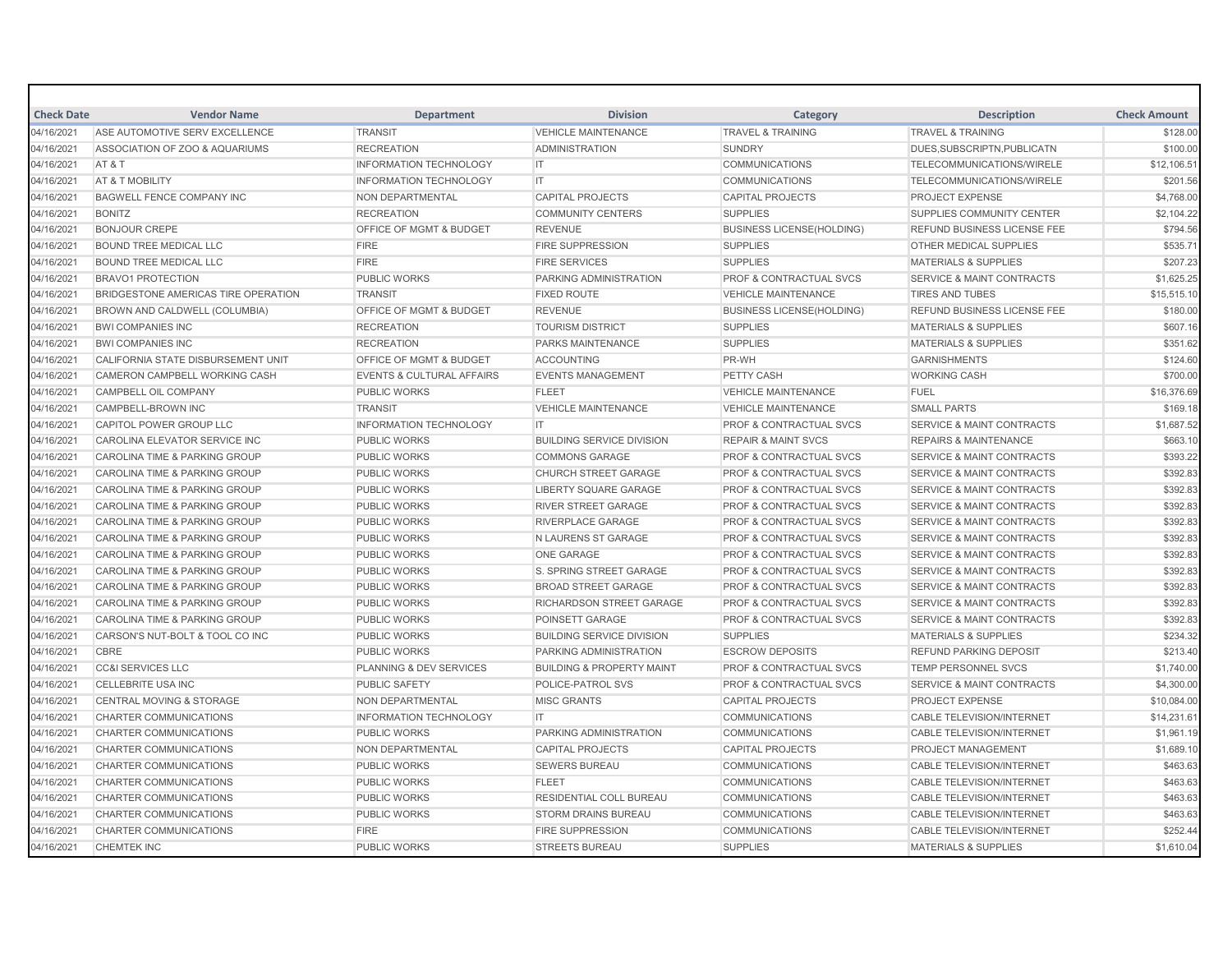| <b>Check Date</b>        | <b>Vendor Name</b>                                             | <b>Department</b>                                       | <b>Division</b>                                                | Category                                                     | <b>Description</b>                                          | <b>Check Amount</b>  |
|--------------------------|----------------------------------------------------------------|---------------------------------------------------------|----------------------------------------------------------------|--------------------------------------------------------------|-------------------------------------------------------------|----------------------|
| 04/16/2021               | ASE AUTOMOTIVE SERV EXCELLENCE                                 | <b>TRANSIT</b>                                          | <b>VEHICLE MAINTENANCE</b>                                     | <b>TRAVEL &amp; TRAINING</b>                                 | <b>TRAVEL &amp; TRAINING</b>                                | \$128.00             |
| 04/16/2021               | ASSOCIATION OF ZOO & AQUARIUMS                                 | <b>RECREATION</b>                                       | <b>ADMINISTRATION</b>                                          | <b>SUNDRY</b>                                                | DUES, SUBSCRIPTN, PUBLICATN                                 | \$100.00             |
| 04/16/2021               | AT&T                                                           | <b>INFORMATION TECHNOLOGY</b>                           | IT                                                             | <b>COMMUNICATIONS</b>                                        | <b>TELECOMMUNICATIONS/WIRELE</b>                            | \$12,106.51          |
| 04/16/2021               | AT & T MOBILITY                                                | <b>INFORMATION TECHNOLOGY</b>                           | IT.                                                            | <b>COMMUNICATIONS</b>                                        | TELECOMMUNICATIONS/WIRELE                                   | \$201.56             |
| 04/16/2021               | <b>BAGWELL FENCE COMPANY INC</b>                               | NON DEPARTMENTAL                                        | <b>CAPITAL PROJECTS</b>                                        | <b>CAPITAL PROJECTS</b>                                      | PROJECT EXPENSE                                             | \$4,768.00           |
| 04/16/2021               | <b>BONITZ</b>                                                  | <b>RECREATION</b>                                       | <b>COMMUNITY CENTERS</b>                                       | <b>SUPPLIES</b>                                              | <b>SUPPLIES COMMUNITY CENTER</b>                            | \$2,104.22           |
| 04/16/2021               | <b>BONJOUR CREPE</b>                                           | OFFICE OF MGMT & BUDGET                                 | <b>REVENUE</b>                                                 | <b>BUSINESS LICENSE(HOLDING)</b>                             | <b>REFUND BUSINESS LICENSE FEE</b>                          | \$794.56             |
| 04/16/2021               | <b>BOUND TREE MEDICAL LLC</b>                                  | <b>FIRE</b>                                             | <b>FIRE SUPPRESSION</b>                                        | <b>SUPPLIES</b>                                              | OTHER MEDICAL SUPPLIES                                      | \$535.71             |
| 04/16/2021               | <b>BOUND TREE MEDICAL LLC</b>                                  | <b>FIRE</b>                                             | <b>FIRE SERVICES</b>                                           | <b>SUPPLIES</b>                                              | <b>MATERIALS &amp; SUPPLIES</b>                             | \$207.23             |
| 04/16/2021               | <b>BRAVO1 PROTECTION</b>                                       | <b>PUBLIC WORKS</b>                                     | PARKING ADMINISTRATION                                         | <b>PROF &amp; CONTRACTUAL SVCS</b>                           | <b>SERVICE &amp; MAINT CONTRACTS</b>                        | \$1,625.25           |
| 04/16/2021               | BRIDGESTONE AMERICAS TIRE OPERATION                            | <b>TRANSIT</b>                                          | <b>FIXED ROUTE</b>                                             | <b>VEHICLE MAINTENANCE</b>                                   | <b>TIRES AND TUBES</b>                                      | \$15,515.10          |
| 04/16/2021               | BROWN AND CALDWELL (COLUMBIA)                                  | <b>OFFICE OF MGMT &amp; BUDGET</b>                      | <b>REVENUE</b>                                                 | <b>BUSINESS LICENSE(HOLDING)</b>                             | <b>REFUND BUSINESS LICENSE FEE</b>                          | \$180.00             |
| 04/16/2021               | <b>BWI COMPANIES INC</b>                                       | <b>RECREATION</b>                                       | <b>TOURISM DISTRICT</b>                                        | <b>SUPPLIES</b>                                              | <b>MATERIALS &amp; SUPPLIES</b>                             | \$607.16             |
|                          |                                                                |                                                         |                                                                | <b>SUPPLIES</b>                                              |                                                             |                      |
| 04/16/2021<br>04/16/2021 | <b>BWI COMPANIES INC</b><br>CALIFORNIA STATE DISBURSEMENT UNIT | <b>RECREATION</b><br><b>OFFICE OF MGMT &amp; BUDGET</b> | PARKS MAINTENANCE<br><b>ACCOUNTING</b>                         | PR-WH                                                        | <b>MATERIALS &amp; SUPPLIES</b><br><b>GARNISHMENTS</b>      | \$351.62<br>\$124.60 |
|                          |                                                                |                                                         |                                                                | <b>PETTY CASH</b>                                            |                                                             | \$700.00             |
| 04/16/2021               | CAMERON CAMPBELL WORKING CASH<br>CAMPBELL OIL COMPANY          | <b>EVENTS &amp; CULTURAL AFFAIRS</b>                    | <b>EVENTS MANAGEMENT</b><br><b>FLEET</b>                       | <b>VEHICLE MAINTENANCE</b>                                   | <b>WORKING CASH</b>                                         |                      |
| 04/16/2021               |                                                                | <b>PUBLIC WORKS</b>                                     |                                                                |                                                              | <b>FUEL</b>                                                 | \$16,376.69          |
| 04/16/2021               | CAMPBELL-BROWN INC                                             | <b>TRANSIT</b>                                          | <b>VEHICLE MAINTENANCE</b>                                     | <b>VEHICLE MAINTENANCE</b>                                   | <b>SMALL PARTS</b>                                          | \$169.18             |
| 04/16/2021               | <b>CAPITOL POWER GROUP LLC</b>                                 | <b>INFORMATION TECHNOLOGY</b>                           | IT                                                             | <b>PROF &amp; CONTRACTUAL SVCS</b>                           | <b>SERVICE &amp; MAINT CONTRACTS</b>                        | \$1,687.52           |
| 04/16/2021               | CAROLINA ELEVATOR SERVICE INC                                  | <b>PUBLIC WORKS</b>                                     | <b>BUILDING SERVICE DIVISION</b>                               | <b>REPAIR &amp; MAINT SVCS</b>                               | <b>REPAIRS &amp; MAINTENANCE</b>                            | \$663.10             |
| 04/16/2021               | <b>CAROLINA TIME &amp; PARKING GROUP</b>                       | <b>PUBLIC WORKS</b>                                     | <b>COMMONS GARAGE</b>                                          | <b>PROF &amp; CONTRACTUAL SVCS</b>                           | <b>SERVICE &amp; MAINT CONTRACTS</b>                        | \$393.22             |
| 04/16/2021               | CAROLINA TIME & PARKING GROUP                                  | <b>PUBLIC WORKS</b>                                     | <b>CHURCH STREET GARAGE</b>                                    | <b>PROF &amp; CONTRACTUAL SVCS</b>                           | <b>SERVICE &amp; MAINT CONTRACTS</b>                        | \$392.83             |
| 04/16/2021               | <b>CAROLINA TIME &amp; PARKING GROUP</b>                       | <b>PUBLIC WORKS</b>                                     | <b>LIBERTY SQUARE GARAGE</b>                                   | <b>PROF &amp; CONTRACTUAL SVCS</b>                           | <b>SERVICE &amp; MAINT CONTRACTS</b>                        | \$392.83             |
| 04/16/2021               | <b>CAROLINA TIME &amp; PARKING GROUP</b>                       | <b>PUBLIC WORKS</b>                                     | <b>RIVER STREET GARAGE</b>                                     | <b>PROF &amp; CONTRACTUAL SVCS</b>                           | <b>SERVICE &amp; MAINT CONTRACTS</b>                        | \$392.83             |
| 04/16/2021               | CAROLINA TIME & PARKING GROUP                                  | <b>PUBLIC WORKS</b>                                     | RIVERPLACE GARAGE                                              | <b>PROF &amp; CONTRACTUAL SVCS</b>                           | <b>SERVICE &amp; MAINT CONTRACTS</b>                        | \$392.83             |
| 04/16/2021               | CAROLINA TIME & PARKING GROUP                                  | <b>PUBLIC WORKS</b>                                     | N LAURENS ST GARAGE                                            | <b>PROF &amp; CONTRACTUAL SVCS</b>                           | <b>SERVICE &amp; MAINT CONTRACTS</b>                        | \$392.83             |
| 04/16/2021               | <b>CAROLINA TIME &amp; PARKING GROUP</b>                       | <b>PUBLIC WORKS</b>                                     | <b>ONE GARAGE</b>                                              | <b>PROF &amp; CONTRACTUAL SVCS</b>                           | <b>SERVICE &amp; MAINT CONTRACTS</b>                        | \$392.83             |
| 04/16/2021               | <b>CAROLINA TIME &amp; PARKING GROUP</b>                       | <b>PUBLIC WORKS</b>                                     | S. SPRING STREET GARAGE                                        | <b>PROF &amp; CONTRACTUAL SVCS</b>                           | <b>SERVICE &amp; MAINT CONTRACTS</b>                        | \$392.83             |
| 04/16/2021               | CAROLINA TIME & PARKING GROUP                                  | <b>PUBLIC WORKS</b>                                     | <b>BROAD STREET GARAGE</b>                                     | <b>PROF &amp; CONTRACTUAL SVCS</b>                           | <b>SERVICE &amp; MAINT CONTRACTS</b>                        | \$392.83             |
| 04/16/2021               | <b>CAROLINA TIME &amp; PARKING GROUP</b>                       | <b>PUBLIC WORKS</b>                                     | RICHARDSON STREET GARAGE                                       | <b>PROF &amp; CONTRACTUAL SVCS</b>                           | <b>SERVICE &amp; MAINT CONTRACTS</b>                        | \$392.83             |
| 04/16/2021               | CAROLINA TIME & PARKING GROUP                                  | <b>PUBLIC WORKS</b>                                     | POINSETT GARAGE                                                | <b>PROF &amp; CONTRACTUAL SVCS</b>                           | <b>SERVICE &amp; MAINT CONTRACTS</b>                        | \$392.83             |
| 04/16/2021               | CARSON'S NUT-BOLT & TOOL CO INC                                | <b>PUBLIC WORKS</b>                                     | <b>BUILDING SERVICE DIVISION</b>                               | <b>SUPPLIES</b>                                              | <b>MATERIALS &amp; SUPPLIES</b>                             | \$234.32             |
| 04/16/2021               | CBRE                                                           | <b>PUBLIC WORKS</b>                                     | PARKING ADMINISTRATION<br><b>BUILDING &amp; PROPERTY MAINT</b> | <b>ESCROW DEPOSITS</b><br><b>PROF &amp; CONTRACTUAL SVCS</b> | <b>REFUND PARKING DEPOSIT</b><br><b>TEMP PERSONNEL SVCS</b> | \$213.40             |
| 04/16/2021               | <b>CC&amp;I SERVICES LLC</b>                                   | PLANNING & DEV SERVICES                                 |                                                                |                                                              |                                                             | \$1,740.00           |
| 04/16/2021               | <b>CELLEBRITE USA INC</b>                                      | <b>PUBLIC SAFETY</b>                                    | POLICE-PATROL SVS                                              | <b>PROF &amp; CONTRACTUAL SVCS</b>                           | <b>SERVICE &amp; MAINT CONTRACTS</b>                        | \$4,300.00           |
| 04/16/2021               | <b>CENTRAL MOVING &amp; STORAGE</b>                            | NON DEPARTMENTAL                                        | <b>MISC GRANTS</b>                                             | <b>CAPITAL PROJECTS</b>                                      | <b>PROJECT EXPENSE</b>                                      | \$10,084.00          |
| 04/16/2021               | CHARTER COMMUNICATIONS                                         | <b>INFORMATION TECHNOLOGY</b>                           | IT.                                                            | <b>COMMUNICATIONS</b>                                        | <b>CABLE TELEVISION/INTERNET</b>                            | \$14,231.61          |
| 04/16/2021               | <b>CHARTER COMMUNICATIONS</b>                                  | <b>PUBLIC WORKS</b>                                     | PARKING ADMINISTRATION                                         | <b>COMMUNICATIONS</b>                                        | <b>CABLE TELEVISION/INTERNET</b>                            | \$1,961.19           |
| 04/16/2021               | <b>CHARTER COMMUNICATIONS</b>                                  | NON DEPARTMENTAL                                        | <b>CAPITAL PROJECTS</b>                                        | <b>CAPITAL PROJECTS</b>                                      | <b>PROJECT MANAGEMENT</b>                                   | \$1,689.10           |
| 04/16/2021               | <b>CHARTER COMMUNICATIONS</b>                                  | <b>PUBLIC WORKS</b>                                     | <b>SEWERS BUREAU</b>                                           | COMMUNICATIONS                                               | <b>CABLE TELEVISION/INTERNET</b>                            | \$463.63             |
| 04/16/2021               | CHARTER COMMUNICATIONS                                         | <b>PUBLIC WORKS</b>                                     | <b>FLEET</b>                                                   | <b>COMMUNICATIONS</b>                                        | <b>CABLE TELEVISION/INTERNET</b>                            | \$463.63             |
| 04/16/2021               | <b>CHARTER COMMUNICATIONS</b>                                  | <b>PUBLIC WORKS</b>                                     | <b>RESIDENTIAL COLL BUREAU</b>                                 | <b>COMMUNICATIONS</b>                                        | <b>CABLE TELEVISION/INTERNET</b>                            | \$463.63             |
| 04/16/2021               | <b>CHARTER COMMUNICATIONS</b>                                  | PUBLIC WORKS                                            | <b>STORM DRAINS BUREAU</b>                                     | <b>COMMUNICATIONS</b>                                        | <b>CABLE TELEVISION/INTERNET</b>                            | \$463.63             |
| 04/16/2021               | <b>CHARTER COMMUNICATIONS</b>                                  | <b>FIRE</b>                                             | <b>FIRE SUPPRESSION</b>                                        | <b>COMMUNICATIONS</b>                                        | <b>CABLE TELEVISION/INTERNET</b>                            | \$252.44             |
| 04/16/2021               | <b>CHEMTEK INC</b>                                             | <b>PUBLIC WORKS</b>                                     | <b>STREETS BUREAU</b>                                          | <b>SUPPLIES</b>                                              | <b>MATERIALS &amp; SUPPLIES</b>                             | \$1,610.04           |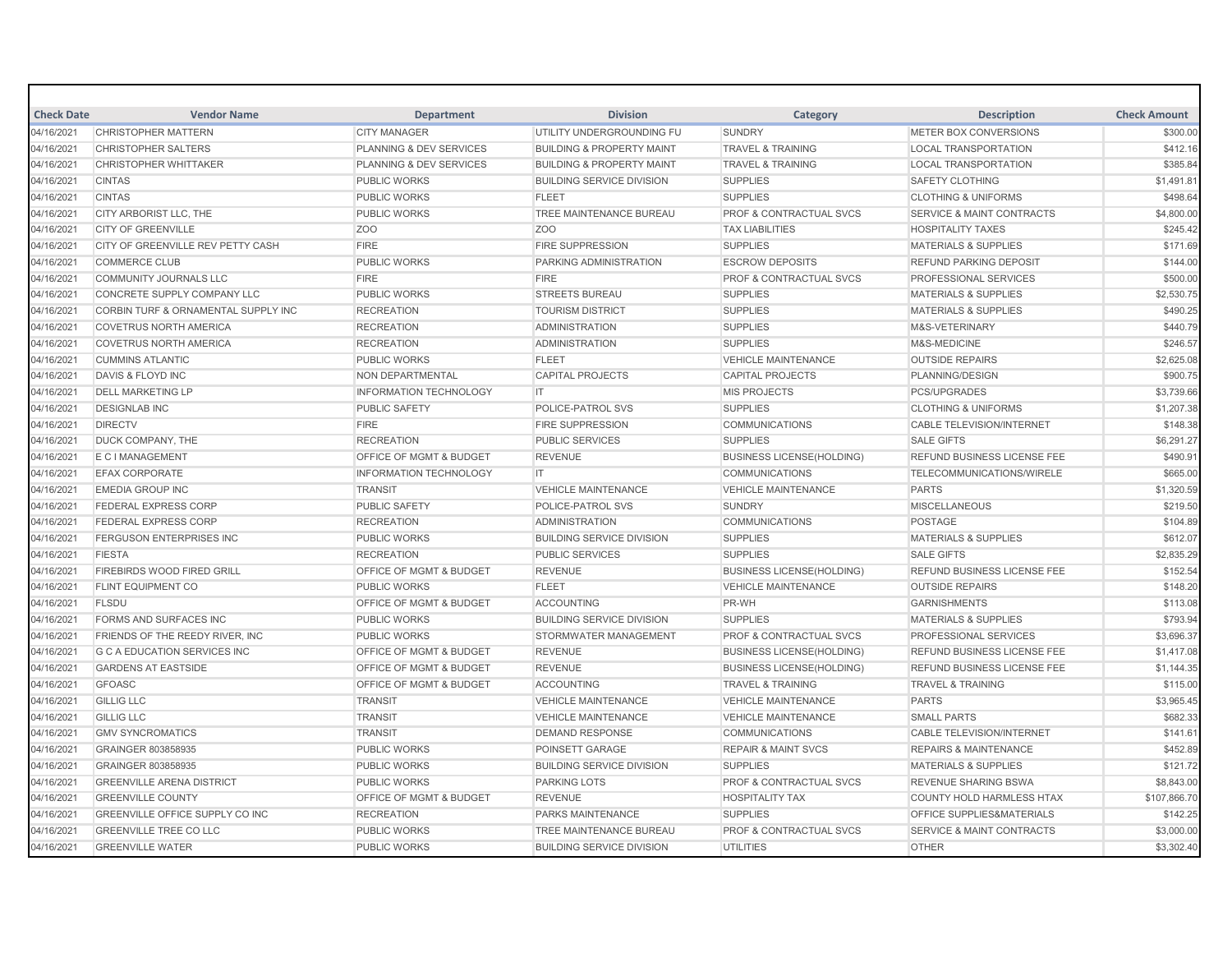| <b>Check Date</b> | <b>Vendor Name</b>                  | <b>Department</b>                  | <b>Division</b>                      | Category                           | <b>Description</b>                   | <b>Check Amount</b> |
|-------------------|-------------------------------------|------------------------------------|--------------------------------------|------------------------------------|--------------------------------------|---------------------|
| 04/16/2021        | <b>CHRISTOPHER MATTERN</b>          | <b>CITY MANAGER</b>                | UTILITY UNDERGROUNDING FU            | <b>SUNDRY</b>                      | METER BOX CONVERSIONS                | \$300.00            |
| 04/16/2021        | <b>CHRISTOPHER SALTERS</b>          | PLANNING & DEV SERVICES            | <b>BUILDING &amp; PROPERTY MAINT</b> | <b>TRAVEL &amp; TRAINING</b>       | <b>LOCAL TRANSPORTATION</b>          | \$412.16            |
| 04/16/2021        | <b>CHRISTOPHER WHITTAKER</b>        | PLANNING & DEV SERVICES            | <b>BUILDING &amp; PROPERTY MAINT</b> | <b>TRAVEL &amp; TRAINING</b>       | <b>LOCAL TRANSPORTATION</b>          | \$385.84            |
| 04/16/2021        | <b>CINTAS</b>                       | <b>PUBLIC WORKS</b>                | <b>BUILDING SERVICE DIVISION</b>     | <b>SUPPLIES</b>                    | <b>SAFETY CLOTHING</b>               | \$1,491.81          |
| 04/16/2021        | <b>CINTAS</b>                       | <b>PUBLIC WORKS</b>                | <b>FLEET</b>                         | <b>SUPPLIES</b>                    | <b>CLOTHING &amp; UNIFORMS</b>       | \$498.64            |
| 04/16/2021        | CITY ARBORIST LLC, THE              | <b>PUBLIC WORKS</b>                | TREE MAINTENANCE BUREAU              | <b>PROF &amp; CONTRACTUAL SVCS</b> | <b>SERVICE &amp; MAINT CONTRACTS</b> | \$4,800.00          |
| 04/16/2021        | <b>CITY OF GREENVILLE</b>           | Z <sub>O</sub> O                   | Z <sub>O</sub> O                     | <b>TAX LIABILITIES</b>             | <b>HOSPITALITY TAXES</b>             | \$245.42            |
| 04/16/2021        | CITY OF GREENVILLE REV PETTY CASH   | <b>FIRE</b>                        | <b>FIRE SUPPRESSION</b>              | <b>SUPPLIES</b>                    | <b>MATERIALS &amp; SUPPLIES</b>      | \$171.69            |
| 04/16/2021        | <b>COMMERCE CLUB</b>                | <b>PUBLIC WORKS</b>                | PARKING ADMINISTRATION               | <b>ESCROW DEPOSITS</b>             | <b>REFUND PARKING DEPOSIT</b>        | \$144.00            |
| 04/16/2021        | <b>COMMUNITY JOURNALS LLC</b>       | <b>FIRE</b>                        | <b>FIRE</b>                          | <b>PROF &amp; CONTRACTUAL SVCS</b> | PROFESSIONAL SERVICES                | \$500.00            |
| 04/16/2021        | CONCRETE SUPPLY COMPANY LLC         | <b>PUBLIC WORKS</b>                | <b>STREETS BUREAU</b>                | <b>SUPPLIES</b>                    | <b>MATERIALS &amp; SUPPLIES</b>      | \$2,530.75          |
| 04/16/2021        | CORBIN TURF & ORNAMENTAL SUPPLY INC | <b>RECREATION</b>                  | <b>TOURISM DISTRICT</b>              | <b>SUPPLIES</b>                    | <b>MATERIALS &amp; SUPPLIES</b>      | \$490.25            |
| 04/16/2021        | <b>COVETRUS NORTH AMERICA</b>       | <b>RECREATION</b>                  | <b>ADMINISTRATION</b>                | <b>SUPPLIES</b>                    | M&S-VETERINARY                       | \$440.79            |
| 04/16/2021        | <b>COVETRUS NORTH AMERICA</b>       | <b>RECREATION</b>                  | <b>ADMINISTRATION</b>                | <b>SUPPLIES</b>                    | M&S-MEDICINE                         | \$246.57            |
| 04/16/2021        | <b>CUMMINS ATLANTIC</b>             | PUBLIC WORKS                       | <b>FLEET</b>                         | <b>VEHICLE MAINTENANCE</b>         | <b>OUTSIDE REPAIRS</b>               | \$2,625.08          |
| 04/16/2021        | DAVIS & FLOYD INC                   | NON DEPARTMENTAL                   | <b>CAPITAL PROJECTS</b>              | <b>CAPITAL PROJECTS</b>            | PLANNING/DESIGN                      | \$900.75            |
| 04/16/2021        | <b>DELL MARKETING LP</b>            | <b>INFORMATION TECHNOLOGY</b>      | <b>IT</b>                            | <b>MIS PROJECTS</b>                | <b>PCS/UPGRADES</b>                  | \$3,739.66          |
| 04/16/2021        | <b>DESIGNLAB INC</b>                | <b>PUBLIC SAFETY</b>               | POLICE-PATROL SVS                    | <b>SUPPLIES</b>                    | <b>CLOTHING &amp; UNIFORMS</b>       | \$1,207.38          |
| 04/16/2021        | <b>DIRECTV</b>                      | <b>FIRE</b>                        | <b>FIRE SUPPRESSION</b>              | <b>COMMUNICATIONS</b>              | <b>CABLE TELEVISION/INTERNET</b>     | \$148.38            |
| 04/16/2021        | DUCK COMPANY, THE                   | <b>RECREATION</b>                  | <b>PUBLIC SERVICES</b>               | <b>SUPPLIES</b>                    | <b>SALE GIFTS</b>                    | \$6,291.27          |
| 04/16/2021        | <b>E C I MANAGEMENT</b>             | OFFICE OF MGMT & BUDGET            | <b>REVENUE</b>                       | <b>BUSINESS LICENSE(HOLDING)</b>   | <b>REFUND BUSINESS LICENSE FEE</b>   | \$490.91            |
| 04/16/2021        | <b>EFAX CORPORATE</b>               | <b>INFORMATION TECHNOLOGY</b>      | IT.                                  | <b>COMMUNICATIONS</b>              | <b>TELECOMMUNICATIONS/WIRELE</b>     | \$665.00            |
| 04/16/2021        | <b>EMEDIA GROUP INC</b>             | <b>TRANSIT</b>                     | <b>VEHICLE MAINTENANCE</b>           | <b>VEHICLE MAINTENANCE</b>         | <b>PARTS</b>                         | \$1,320.59          |
| 04/16/2021        | <b>FEDERAL EXPRESS CORP</b>         | PUBLIC SAFETY                      | POLICE-PATROL SVS                    | <b>SUNDRY</b>                      | <b>MISCELLANEOUS</b>                 | \$219.50            |
| 04/16/2021        | <b>FEDERAL EXPRESS CORP</b>         | <b>RECREATION</b>                  | <b>ADMINISTRATION</b>                | <b>COMMUNICATIONS</b>              | <b>POSTAGE</b>                       | \$104.89            |
| 04/16/2021        | <b>FERGUSON ENTERPRISES INC</b>     | <b>PUBLIC WORKS</b>                | <b>BUILDING SERVICE DIVISION</b>     | <b>SUPPLIES</b>                    | <b>MATERIALS &amp; SUPPLIES</b>      | \$612.07            |
| 04/16/2021        | <b>FIESTA</b>                       | <b>RECREATION</b>                  | <b>PUBLIC SERVICES</b>               | <b>SUPPLIES</b>                    | <b>SALE GIFTS</b>                    | \$2,835.29          |
| 04/16/2021        | <b>FIREBIRDS WOOD FIRED GRILL</b>   | <b>OFFICE OF MGMT &amp; BUDGET</b> | <b>REVENUE</b>                       | <b>BUSINESS LICENSE(HOLDING)</b>   | <b>REFUND BUSINESS LICENSE FEE</b>   | \$152.54            |
| 04/16/2021        | <b>FLINT EQUIPMENT CO</b>           | <b>PUBLIC WORKS</b>                | <b>FLEET</b>                         | <b>VEHICLE MAINTENANCE</b>         | <b>OUTSIDE REPAIRS</b>               | \$148.20            |
| 04/16/2021        | <b>FLSDU</b>                        | OFFICE OF MGMT & BUDGET            | <b>ACCOUNTING</b>                    | PR-WH                              | <b>GARNISHMENTS</b>                  | \$113.08            |
| 04/16/2021        | FORMS AND SURFACES INC              | <b>PUBLIC WORKS</b>                | <b>BUILDING SERVICE DIVISION</b>     | <b>SUPPLIES</b>                    | <b>MATERIALS &amp; SUPPLIES</b>      | \$793.94            |
| 04/16/2021        | FRIENDS OF THE REEDY RIVER, INC.    | <b>PUBLIC WORKS</b>                | STORMWATER MANAGEMENT                | <b>PROF &amp; CONTRACTUAL SVCS</b> | PROFESSIONAL SERVICES                | \$3,696.37          |
| 04/16/2021        | <b>G C A EDUCATION SERVICES INC</b> | <b>OFFICE OF MGMT &amp; BUDGET</b> | <b>REVENUE</b>                       | <b>BUSINESS LICENSE(HOLDING)</b>   | <b>REFUND BUSINESS LICENSE FEE</b>   | \$1,417.08          |
| 04/16/2021        | <b>GARDENS AT EASTSIDE</b>          | OFFICE OF MGMT & BUDGET            | <b>REVENUE</b>                       | <b>BUSINESS LICENSE(HOLDING)</b>   | <b>REFUND BUSINESS LICENSE FEE</b>   | \$1,144.35          |
| 04/16/2021        | <b>GFOASC</b>                       | OFFICE OF MGMT & BUDGET            | <b>ACCOUNTING</b>                    | <b>TRAVEL &amp; TRAINING</b>       | <b>TRAVEL &amp; TRAINING</b>         | \$115.00            |
| 04/16/2021        | <b>GILLIG LLC</b>                   | <b>TRANSIT</b>                     | <b>VEHICLE MAINTENANCE</b>           | <b>VEHICLE MAINTENANCE</b>         | <b>PARTS</b>                         | \$3,965.45          |
| 04/16/2021        | <b>GILLIG LLC</b>                   | <b>TRANSIT</b>                     | <b>VEHICLE MAINTENANCE</b>           | <b>VEHICLE MAINTENANCE</b>         | <b>SMALL PARTS</b>                   | \$682.33            |
| 04/16/2021        | <b>GMV SYNCROMATICS</b>             | <b>TRANSIT</b>                     | <b>DEMAND RESPONSE</b>               | <b>COMMUNICATIONS</b>              | <b>CABLE TELEVISION/INTERNET</b>     | \$141.61            |
| 04/16/2021        | GRAINGER 803858935                  | <b>PUBLIC WORKS</b>                | POINSETT GARAGE                      | <b>REPAIR &amp; MAINT SVCS</b>     | <b>REPAIRS &amp; MAINTENANCE</b>     | \$452.89            |
| 04/16/2021        | <b>GRAINGER 803858935</b>           | <b>PUBLIC WORKS</b>                | <b>BUILDING SERVICE DIVISION</b>     | <b>SUPPLIES</b>                    | <b>MATERIALS &amp; SUPPLIES</b>      | \$121.72            |
| 04/16/2021        | <b>GREENVILLE ARENA DISTRICT</b>    | <b>PUBLIC WORKS</b>                | <b>PARKING LOTS</b>                  | <b>PROF &amp; CONTRACTUAL SVCS</b> | <b>REVENUE SHARING BSWA</b>          | \$8,843.00          |
| 04/16/2021        | <b>GREENVILLE COUNTY</b>            | <b>OFFICE OF MGMT &amp; BUDGET</b> | <b>REVENUE</b>                       | <b>HOSPITALITY TAX</b>             | <b>COUNTY HOLD HARMLESS HTAX</b>     | \$107,866.70        |
| 04/16/2021        | GREENVILLE OFFICE SUPPLY CO INC     | <b>RECREATION</b>                  | PARKS MAINTENANCE                    | <b>SUPPLIES</b>                    | <b>OFFICE SUPPLIES&amp;MATERIALS</b> | \$142.25            |
| 04/16/2021        | <b>GREENVILLE TREE CO LLC</b>       | <b>PUBLIC WORKS</b>                | TREE MAINTENANCE BUREAU              | <b>PROF &amp; CONTRACTUAL SVCS</b> | <b>SERVICE &amp; MAINT CONTRACTS</b> | \$3,000.00          |
| 04/16/2021        | <b>GREENVILLE WATER</b>             | <b>PUBLIC WORKS</b>                | <b>BUILDING SERVICE DIVISION</b>     | <b>UTILITIES</b>                   | <b>OTHER</b>                         | \$3,302.40          |
|                   |                                     |                                    |                                      |                                    |                                      |                     |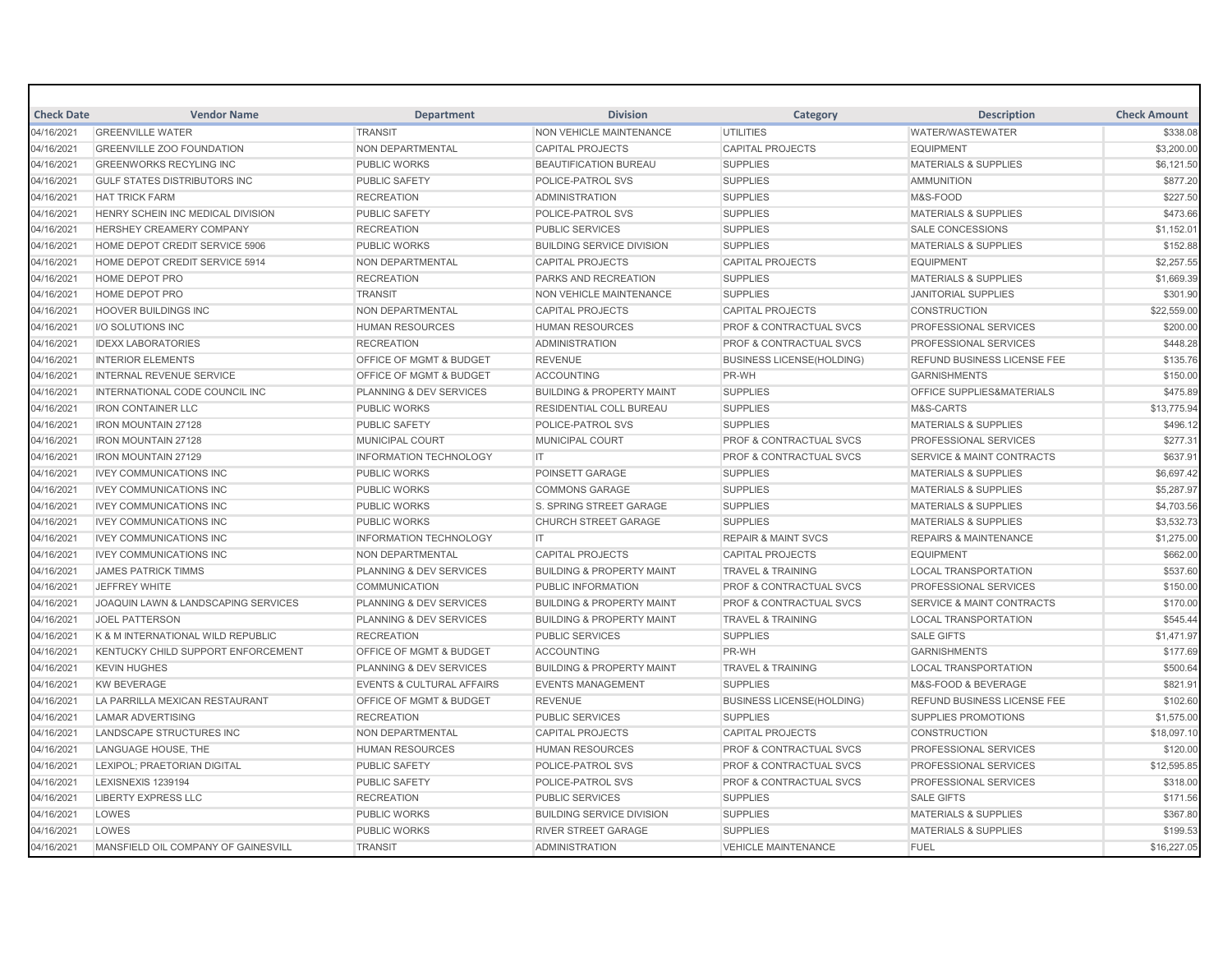| <b>Check Date</b> | <b>Vendor Name</b>                    | <b>Department</b>                    | <b>Division</b>                      | Category                           | <b>Description</b>                   | <b>Check Amount</b> |
|-------------------|---------------------------------------|--------------------------------------|--------------------------------------|------------------------------------|--------------------------------------|---------------------|
| 04/16/2021        | <b>GREENVILLE WATER</b>               | <b>TRANSIT</b>                       | <b>NON VEHICLE MAINTENANCE</b>       | <b>UTILITIES</b>                   | <b>WATER/WASTEWATER</b>              | \$338.08            |
| 04/16/2021        | <b>GREENVILLE ZOO FOUNDATION</b>      | <b>NON DEPARTMENTAL</b>              | <b>CAPITAL PROJECTS</b>              | <b>CAPITAL PROJECTS</b>            | <b>EQUIPMENT</b>                     | \$3,200.00          |
| 04/16/2021        | <b>GREENWORKS RECYLING INC</b>        | <b>PUBLIC WORKS</b>                  | <b>BEAUTIFICATION BUREAU</b>         | <b>SUPPLIES</b>                    | <b>MATERIALS &amp; SUPPLIES</b>      | \$6,121.50          |
| 04/16/2021        | <b>GULF STATES DISTRIBUTORS INC</b>   | <b>PUBLIC SAFETY</b>                 | POLICE-PATROL SVS                    | <b>SUPPLIES</b>                    | <b>AMMUNITION</b>                    | \$877.20            |
| 04/16/2021        | <b>HAT TRICK FARM</b>                 | <b>RECREATION</b>                    | <b>ADMINISTRATION</b>                | <b>SUPPLIES</b>                    | M&S-FOOD                             | \$227.50            |
| 04/16/2021        | HENRY SCHEIN INC MEDICAL DIVISION     | <b>PUBLIC SAFETY</b>                 | POLICE-PATROL SVS                    | <b>SUPPLIES</b>                    | <b>MATERIALS &amp; SUPPLIES</b>      | \$473.66            |
| 04/16/2021        | <b>HERSHEY CREAMERY COMPANY</b>       | <b>RECREATION</b>                    | <b>PUBLIC SERVICES</b>               | <b>SUPPLIES</b>                    | <b>SALE CONCESSIONS</b>              | \$1,152.01          |
| 04/16/2021        | HOME DEPOT CREDIT SERVICE 5906        | <b>PUBLIC WORKS</b>                  | <b>BUILDING SERVICE DIVISION</b>     | <b>SUPPLIES</b>                    | <b>MATERIALS &amp; SUPPLIES</b>      | \$152.88            |
| 04/16/2021        | HOME DEPOT CREDIT SERVICE 5914        | NON DEPARTMENTAL                     | <b>CAPITAL PROJECTS</b>              | <b>CAPITAL PROJECTS</b>            | <b>EQUIPMENT</b>                     | \$2,257.55          |
| 04/16/2021        | <b>HOME DEPOT PRO</b>                 | <b>RECREATION</b>                    | PARKS AND RECREATION                 | <b>SUPPLIES</b>                    | <b>MATERIALS &amp; SUPPLIES</b>      | \$1,669.39          |
| 04/16/2021        | HOME DEPOT PRO                        | <b>TRANSIT</b>                       | <b>NON VEHICLE MAINTENANCE</b>       | <b>SUPPLIES</b>                    | <b>JANITORIAL SUPPLIES</b>           | \$301.90            |
| 04/16/2021        | <b>HOOVER BUILDINGS INC</b>           | NON DEPARTMENTAL                     | <b>CAPITAL PROJECTS</b>              | <b>CAPITAL PROJECTS</b>            | <b>CONSTRUCTION</b>                  | \$22,559.00         |
| 04/16/2021        | <b>I/O SOLUTIONS INC</b>              | <b>HUMAN RESOURCES</b>               | <b>HUMAN RESOURCES</b>               | <b>PROF &amp; CONTRACTUAL SVCS</b> | <b>PROFESSIONAL SERVICES</b>         | \$200.00            |
| 04/16/2021        | <b>IDEXX LABORATORIES</b>             | <b>RECREATION</b>                    | <b>ADMINISTRATION</b>                | PROF & CONTRACTUAL SVCS            | <b>PROFESSIONAL SERVICES</b>         | \$448.28            |
| 04/16/2021        | <b>INTERIOR ELEMENTS</b>              | OFFICE OF MGMT & BUDGET              | <b>REVENUE</b>                       | <b>BUSINESS LICENSE(HOLDING)</b>   | REFUND BUSINESS LICENSE FEE          | \$135.76            |
| 04/16/2021        | <b>INTERNAL REVENUE SERVICE</b>       | OFFICE OF MGMT & BUDGET              | <b>ACCOUNTING</b>                    | PR-WH                              | <b>GARNISHMENTS</b>                  | \$150.00            |
| 04/16/2021        | <b>INTERNATIONAL CODE COUNCIL INC</b> | PLANNING & DEV SERVICES              | <b>BUILDING &amp; PROPERTY MAINT</b> | <b>SUPPLIES</b>                    | OFFICE SUPPLIES&MATERIALS            | \$475.89            |
| 04/16/2021        | <b>IRON CONTAINER LLC</b>             | <b>PUBLIC WORKS</b>                  | <b>RESIDENTIAL COLL BUREAU</b>       | <b>SUPPLIES</b>                    | M&S-CARTS                            | \$13,775.94         |
| 04/16/2021        | <b>IRON MOUNTAIN 27128</b>            | <b>PUBLIC SAFETY</b>                 | POLICE-PATROL SVS                    | <b>SUPPLIES</b>                    | <b>MATERIALS &amp; SUPPLIES</b>      | \$496.12            |
| 04/16/2021        | <b>IRON MOUNTAIN 27128</b>            | <b>MUNICIPAL COURT</b>               | <b>MUNICIPAL COURT</b>               | <b>PROF &amp; CONTRACTUAL SVCS</b> | <b>PROFESSIONAL SERVICES</b>         | \$277.31            |
| 04/16/2021        | <b>IRON MOUNTAIN 27129</b>            | <b>INFORMATION TECHNOLOGY</b>        | IT.                                  | <b>PROF &amp; CONTRACTUAL SVCS</b> | <b>SERVICE &amp; MAINT CONTRACTS</b> | \$637.91            |
| 04/16/2021        | <b>IVEY COMMUNICATIONS INC</b>        | <b>PUBLIC WORKS</b>                  | POINSETT GARAGE                      | <b>SUPPLIES</b>                    | <b>MATERIALS &amp; SUPPLIES</b>      | \$6,697.42          |
| 04/16/2021        | <b>IVEY COMMUNICATIONS INC</b>        | <b>PUBLIC WORKS</b>                  | <b>COMMONS GARAGE</b>                | <b>SUPPLIES</b>                    | <b>MATERIALS &amp; SUPPLIES</b>      | \$5,287.97          |
| 04/16/2021        | <b>IVEY COMMUNICATIONS INC</b>        | <b>PUBLIC WORKS</b>                  | S. SPRING STREET GARAGE              | <b>SUPPLIES</b>                    | <b>MATERIALS &amp; SUPPLIES</b>      | \$4,703.56          |
| 04/16/2021        | <b>IVEY COMMUNICATIONS INC</b>        | <b>PUBLIC WORKS</b>                  | <b>CHURCH STREET GARAGE</b>          | <b>SUPPLIES</b>                    | <b>MATERIALS &amp; SUPPLIES</b>      | \$3,532.73          |
| 04/16/2021        | <b>IVEY COMMUNICATIONS INC</b>        | <b>INFORMATION TECHNOLOGY</b>        | IT.                                  | <b>REPAIR &amp; MAINT SVCS</b>     | <b>REPAIRS &amp; MAINTENANCE</b>     | \$1,275.00          |
| 04/16/2021        | <b>IVEY COMMUNICATIONS INC</b>        | <b>NON DEPARTMENTAL</b>              | <b>CAPITAL PROJECTS</b>              | <b>CAPITAL PROJECTS</b>            | <b>EQUIPMENT</b>                     | \$662.00            |
| 04/16/2021        | <b>JAMES PATRICK TIMMS</b>            | PLANNING & DEV SERVICES              | <b>BUILDING &amp; PROPERTY MAINT</b> | <b>TRAVEL &amp; TRAINING</b>       | <b>LOCAL TRANSPORTATION</b>          | \$537.60            |
| 04/16/2021        | JEFFREY WHITE                         | <b>COMMUNICATION</b>                 | PUBLIC INFORMATION                   | <b>PROF &amp; CONTRACTUAL SVCS</b> | <b>PROFESSIONAL SERVICES</b>         | \$150.00            |
| 04/16/2021        | JOAQUIN LAWN & LANDSCAPING SERVICES   | PLANNING & DEV SERVICES              | <b>BUILDING &amp; PROPERTY MAINT</b> | <b>PROF &amp; CONTRACTUAL SVCS</b> | <b>SERVICE &amp; MAINT CONTRACTS</b> | \$170.00            |
| 04/16/2021        | <b>JOEL PATTERSON</b>                 | PLANNING & DEV SERVICES              | <b>BUILDING &amp; PROPERTY MAINT</b> | <b>TRAVEL &amp; TRAINING</b>       | <b>LOCAL TRANSPORTATION</b>          | \$545.44            |
| 04/16/2021        | K & M INTERNATIONAL WILD REPUBLIC     | <b>RECREATION</b>                    | <b>PUBLIC SERVICES</b>               | <b>SUPPLIES</b>                    | <b>SALE GIFTS</b>                    | \$1,471.97          |
| 04/16/2021        | KENTUCKY CHILD SUPPORT ENFORCEMENT    | OFFICE OF MGMT & BUDGET              | <b>ACCOUNTING</b>                    | PR-WH                              | <b>GARNISHMENTS</b>                  | \$177.69            |
| 04/16/2021        | <b>KEVIN HUGHES</b>                   | PLANNING & DEV SERVICES              | <b>BUILDING &amp; PROPERTY MAINT</b> | <b>TRAVEL &amp; TRAINING</b>       | <b>LOCAL TRANSPORTATION</b>          | \$500.64            |
| 04/16/2021        | <b>KW BEVERAGE</b>                    | <b>EVENTS &amp; CULTURAL AFFAIRS</b> | <b>EVENTS MANAGEMENT</b>             | <b>SUPPLIES</b>                    | <b>M&amp;S-FOOD &amp; BEVERAGE</b>   | \$821.91            |
| 04/16/2021        | LA PARRILLA MEXICAN RESTAURANT        | OFFICE OF MGMT & BUDGET              | <b>REVENUE</b>                       | <b>BUSINESS LICENSE(HOLDING)</b>   | REFUND BUSINESS LICENSE FEE          | \$102.60            |
| 04/16/2021        | <b>LAMAR ADVERTISING</b>              | <b>RECREATION</b>                    | <b>PUBLIC SERVICES</b>               | <b>SUPPLIES</b>                    | <b>SUPPLIES PROMOTIONS</b>           | \$1,575.00          |
| 04/16/2021        | LANDSCAPE STRUCTURES INC              | NON DEPARTMENTAL                     | <b>CAPITAL PROJECTS</b>              | <b>CAPITAL PROJECTS</b>            | <b>CONSTRUCTION</b>                  | \$18,097.10         |
| 04/16/2021        | LANGUAGE HOUSE, THE                   | <b>HUMAN RESOURCES</b>               | <b>HUMAN RESOURCES</b>               | PROF & CONTRACTUAL SVCS            | <b>PROFESSIONAL SERVICES</b>         | \$120.00            |
| 04/16/2021        | LEXIPOL; PRAETORIAN DIGITAL           | <b>PUBLIC SAFETY</b>                 | POLICE-PATROL SVS                    | <b>PROF &amp; CONTRACTUAL SVCS</b> | <b>PROFESSIONAL SERVICES</b>         | \$12,595.85         |
| 04/16/2021        | LEXISNEXIS 1239194                    | <b>PUBLIC SAFETY</b>                 | POLICE-PATROL SVS                    | <b>PROF &amp; CONTRACTUAL SVCS</b> | <b>PROFESSIONAL SERVICES</b>         | \$318.00            |
| 04/16/2021        | <b>LIBERTY EXPRESS LLC</b>            | <b>RECREATION</b>                    | <b>PUBLIC SERVICES</b>               | <b>SUPPLIES</b>                    | <b>SALE GIFTS</b>                    | \$171.56            |
| 04/16/2021        | LOWES                                 | <b>PUBLIC WORKS</b>                  | <b>BUILDING SERVICE DIVISION</b>     | <b>SUPPLIES</b>                    | <b>MATERIALS &amp; SUPPLIES</b>      | \$367.80            |
| 04/16/2021        | LOWES                                 | <b>PUBLIC WORKS</b>                  | <b>RIVER STREET GARAGE</b>           | <b>SUPPLIES</b>                    | <b>MATERIALS &amp; SUPPLIES</b>      | \$199.53            |
| 04/16/2021        | MANSFIELD OIL COMPANY OF GAINESVILL   | <b>TRANSIT</b>                       | <b>ADMINISTRATION</b>                | <b>VEHICLE MAINTENANCE</b>         | FUEL                                 | \$16,227.05         |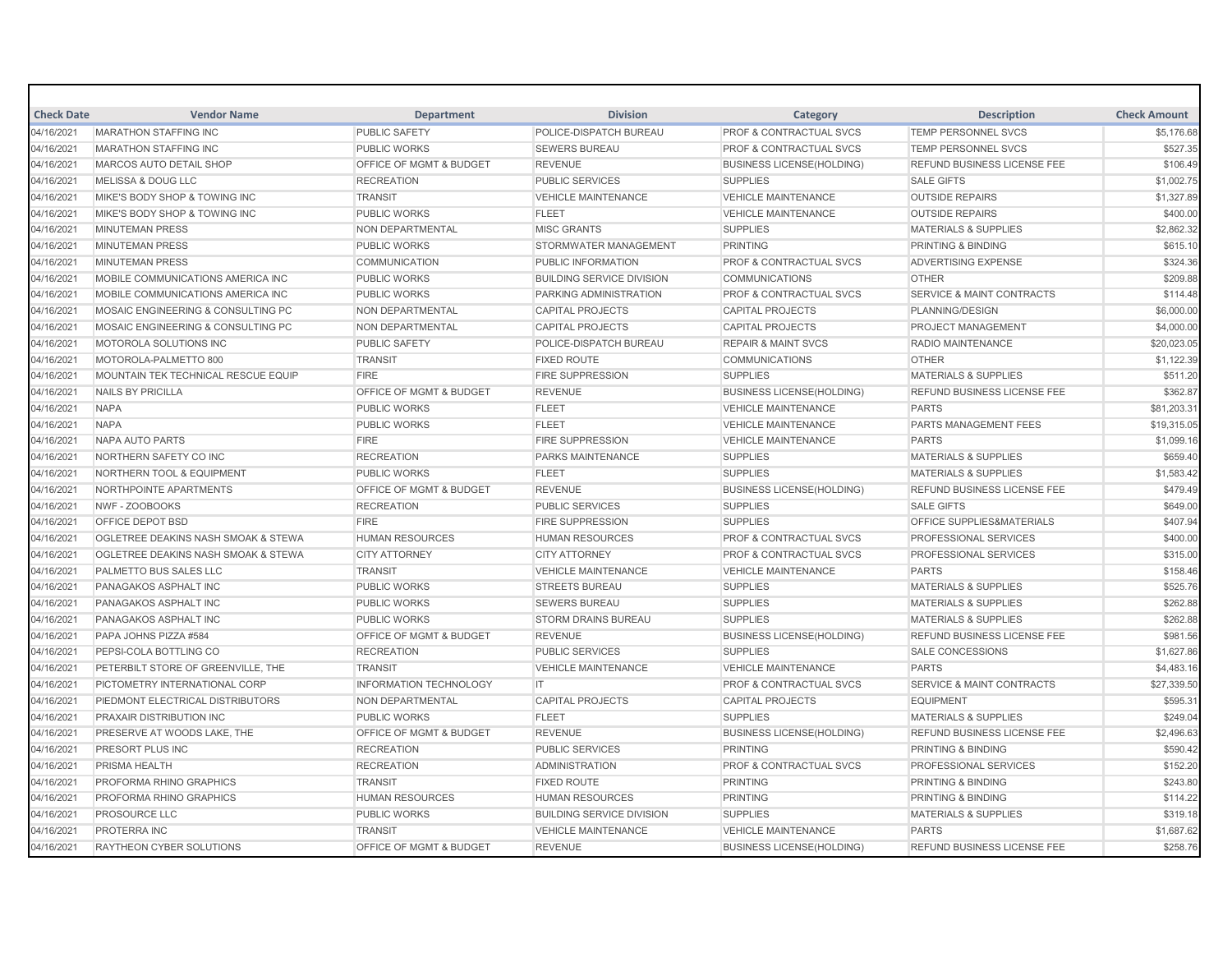| <b>Check Date</b> | <b>Vendor Name</b>                             | <b>Department</b>                  | <b>Division</b>                  | Category                           | <b>Description</b>                   | <b>Check Amount</b> |
|-------------------|------------------------------------------------|------------------------------------|----------------------------------|------------------------------------|--------------------------------------|---------------------|
| 04/16/2021        | <b>MARATHON STAFFING INC</b>                   | <b>PUBLIC SAFETY</b>               | POLICE-DISPATCH BUREAU           | <b>PROF &amp; CONTRACTUAL SVCS</b> | TEMP PERSONNEL SVCS                  | \$5,176.68          |
| 04/16/2021        | <b>MARATHON STAFFING INC</b>                   | <b>PUBLIC WORKS</b>                | <b>SEWERS BUREAU</b>             | <b>PROF &amp; CONTRACTUAL SVCS</b> | <b>TEMP PERSONNEL SVCS</b>           | \$527.35            |
| 04/16/2021        | MARCOS AUTO DETAIL SHOP                        | OFFICE OF MGMT & BUDGET            | <b>REVENUE</b>                   | <b>BUSINESS LICENSE(HOLDING)</b>   | REFUND BUSINESS LICENSE FEE          | \$106.49            |
| 04/16/2021        | MELISSA & DOUG LLC                             | <b>RECREATION</b>                  | <b>PUBLIC SERVICES</b>           | <b>SUPPLIES</b>                    | <b>SALE GIFTS</b>                    | \$1,002.75          |
| 04/16/2021        | MIKE'S BODY SHOP & TOWING INC                  | <b>TRANSIT</b>                     | <b>VEHICLE MAINTENANCE</b>       | <b>VEHICLE MAINTENANCE</b>         | <b>OUTSIDE REPAIRS</b>               | \$1,327.89          |
| 04/16/2021        | MIKE'S BODY SHOP & TOWING INC                  | <b>PUBLIC WORKS</b>                | <b>FLEET</b>                     | <b>VEHICLE MAINTENANCE</b>         | <b>OUTSIDE REPAIRS</b>               | \$400.00            |
| 04/16/2021        | <b>MINUTEMAN PRESS</b>                         | <b>NON DEPARTMENTAL</b>            | <b>MISC GRANTS</b>               | <b>SUPPLIES</b>                    | <b>MATERIALS &amp; SUPPLIES</b>      | \$2,862.32          |
| 04/16/2021        | <b>MINUTEMAN PRESS</b>                         | <b>PUBLIC WORKS</b>                | STORMWATER MANAGEMENT            | PRINTING                           | PRINTING & BINDING                   | \$615.10            |
| 04/16/2021        | <b>MINUTEMAN PRESS</b>                         | <b>COMMUNICATION</b>               | <b>PUBLIC INFORMATION</b>        | <b>PROF &amp; CONTRACTUAL SVCS</b> | ADVERTISING EXPENSE                  | \$324.36            |
| 04/16/2021        | MOBILE COMMUNICATIONS AMERICA INC              | <b>PUBLIC WORKS</b>                | <b>BUILDING SERVICE DIVISION</b> | <b>COMMUNICATIONS</b>              | <b>OTHER</b>                         | \$209.88            |
| 04/16/2021        | MOBILE COMMUNICATIONS AMERICA INC              | <b>PUBLIC WORKS</b>                | PARKING ADMINISTRATION           | <b>PROF &amp; CONTRACTUAL SVCS</b> | SERVICE & MAINT CONTRACTS            | \$114.48            |
| 04/16/2021        | MOSAIC ENGINEERING & CONSULTING PC             | NON DEPARTMENTAL                   | <b>CAPITAL PROJECTS</b>          | <b>CAPITAL PROJECTS</b>            | <b>PLANNING/DESIGN</b>               | \$6,000.00          |
| 04/16/2021        | MOSAIC ENGINEERING & CONSULTING PC             | NON DEPARTMENTAL                   | <b>CAPITAL PROJECTS</b>          | <b>CAPITAL PROJECTS</b>            | PROJECT MANAGEMENT                   | \$4,000.00          |
| 04/16/2021        | MOTOROLA SOLUTIONS INC                         | <b>PUBLIC SAFETY</b>               | POLICE-DISPATCH BUREAU           | <b>REPAIR &amp; MAINT SVCS</b>     | RADIO MAINTENANCE                    | \$20,023.05         |
| 04/16/2021        | MOTOROLA-PALMETTO 800                          | <b>TRANSIT</b>                     | <b>FIXED ROUTE</b>               | <b>COMMUNICATIONS</b>              | <b>OTHER</b>                         | \$1,122.39          |
| 04/16/2021        | MOUNTAIN TEK TECHNICAL RESCUE EQUIP            | <b>FIRE</b>                        | <b>FIRE SUPPRESSION</b>          | <b>SUPPLIES</b>                    | <b>MATERIALS &amp; SUPPLIES</b>      | \$511.20            |
| 04/16/2021        | <b>NAILS BY PRICILLA</b>                       | <b>OFFICE OF MGMT &amp; BUDGET</b> | <b>REVENUE</b>                   | <b>BUSINESS LICENSE(HOLDING)</b>   | REFUND BUSINESS LICENSE FEE          | \$362.87            |
| 04/16/2021        | <b>NAPA</b>                                    | <b>PUBLIC WORKS</b>                | <b>FLEET</b>                     | <b>VEHICLE MAINTENANCE</b>         | <b>PARTS</b>                         | \$81,203.31         |
| 04/16/2021        | <b>NAPA</b>                                    | <b>PUBLIC WORKS</b>                | <b>FLEET</b>                     | <b>VEHICLE MAINTENANCE</b>         | PARTS MANAGEMENT FEES                | \$19,315.05         |
| 04/16/2021        | NAPA AUTO PARTS                                | <b>FIRE</b>                        | <b>FIRE SUPPRESSION</b>          | <b>VEHICLE MAINTENANCE</b>         | <b>PARTS</b>                         | \$1,099.16          |
| 04/16/2021        | NORTHERN SAFETY CO INC                         | <b>RECREATION</b>                  | <b>PARKS MAINTENANCE</b>         | <b>SUPPLIES</b>                    | <b>MATERIALS &amp; SUPPLIES</b>      | \$659.40            |
| 04/16/2021        | NORTHERN TOOL & EQUIPMENT                      | <b>PUBLIC WORKS</b>                | <b>FLEET</b>                     | <b>SUPPLIES</b>                    | <b>MATERIALS &amp; SUPPLIES</b>      | \$1,583.42          |
| 04/16/2021        | NORTHPOINTE APARTMENTS                         | OFFICE OF MGMT & BUDGET            | <b>REVENUE</b>                   | <b>BUSINESS LICENSE(HOLDING)</b>   | REFUND BUSINESS LICENSE FEE          | \$479.49            |
| 04/16/2021        | NWF - ZOOBOOKS                                 | <b>RECREATION</b>                  | <b>PUBLIC SERVICES</b>           | <b>SUPPLIES</b>                    | <b>SALE GIFTS</b>                    | \$649.00            |
| 04/16/2021        | OFFICE DEPOT BSD                               | <b>FIRE</b>                        | <b>FIRE SUPPRESSION</b>          | <b>SUPPLIES</b>                    | <b>OFFICE SUPPLIES&amp;MATERIALS</b> | \$407.94            |
| 04/16/2021        | <b>OGLETREE DEAKINS NASH SMOAK &amp; STEWA</b> | <b>HUMAN RESOURCES</b>             | <b>HUMAN RESOURCES</b>           | <b>PROF &amp; CONTRACTUAL SVCS</b> | PROFESSIONAL SERVICES                | \$400.00            |
| 04/16/2021        | OGLETREE DEAKINS NASH SMOAK & STEWA            | <b>CITY ATTORNEY</b>               | <b>CITY ATTORNEY</b>             | <b>PROF &amp; CONTRACTUAL SVCS</b> | PROFESSIONAL SERVICES                | \$315.00            |
| 04/16/2021        | PALMETTO BUS SALES LLC                         | <b>TRANSIT</b>                     | <b>VEHICLE MAINTENANCE</b>       | <b>VEHICLE MAINTENANCE</b>         | <b>PARTS</b>                         | \$158.46            |
| 04/16/2021        | PANAGAKOS ASPHALT INC                          | <b>PUBLIC WORKS</b>                | <b>STREETS BUREAU</b>            | <b>SUPPLIES</b>                    | <b>MATERIALS &amp; SUPPLIES</b>      | \$525.76            |
| 04/16/2021        | PANAGAKOS ASPHALT INC                          | <b>PUBLIC WORKS</b>                | <b>SEWERS BUREAU</b>             | <b>SUPPLIES</b>                    | <b>MATERIALS &amp; SUPPLIES</b>      | \$262.88            |
| 04/16/2021        | PANAGAKOS ASPHALT INC                          | <b>PUBLIC WORKS</b>                | <b>STORM DRAINS BUREAU</b>       | <b>SUPPLIES</b>                    | <b>MATERIALS &amp; SUPPLIES</b>      | \$262.88            |
| 04/16/2021        | PAPA JOHNS PIZZA #584                          | <b>OFFICE OF MGMT &amp; BUDGET</b> | <b>REVENUE</b>                   | <b>BUSINESS LICENSE(HOLDING)</b>   | <b>REFUND BUSINESS LICENSE FEE</b>   | \$981.56            |
| 04/16/2021        | PEPSI-COLA BOTTLING CO                         | <b>RECREATION</b>                  | <b>PUBLIC SERVICES</b>           | <b>SUPPLIES</b>                    | <b>SALE CONCESSIONS</b>              | \$1,627.86          |
| 04/16/2021        | PETERBILT STORE OF GREENVILLE, THE             | <b>TRANSIT</b>                     | <b>VEHICLE MAINTENANCE</b>       | <b>VEHICLE MAINTENANCE</b>         | <b>PARTS</b>                         | \$4,483.16          |
| 04/16/2021        | PICTOMETRY INTERNATIONAL CORP                  | <b>INFORMATION TECHNOLOGY</b>      | IT                               | <b>PROF &amp; CONTRACTUAL SVCS</b> | <b>SERVICE &amp; MAINT CONTRACTS</b> | \$27,339.50         |
| 04/16/2021        | <b>PIEDMONT ELECTRICAL DISTRIBUTORS</b>        | NON DEPARTMENTAL                   | <b>CAPITAL PROJECTS</b>          | <b>CAPITAL PROJECTS</b>            | <b>EQUIPMENT</b>                     | \$595.31            |
| 04/16/2021        | <b>PRAXAIR DISTRIBUTION INC</b>                | <b>PUBLIC WORKS</b>                | <b>FLEET</b>                     | <b>SUPPLIES</b>                    | <b>MATERIALS &amp; SUPPLIES</b>      | \$249.04            |
| 04/16/2021        | PRESERVE AT WOODS LAKE. THE                    | OFFICE OF MGMT & BUDGET            | <b>REVENUE</b>                   | <b>BUSINESS LICENSE(HOLDING)</b>   | <b>REFUND BUSINESS LICENSE FEE</b>   | \$2,496.63          |
| 04/16/2021        | <b>PRESORT PLUS INC</b>                        | <b>RECREATION</b>                  | <b>PUBLIC SERVICES</b>           | <b>PRINTING</b>                    | <b>PRINTING &amp; BINDING</b>        | \$590.42            |
| 04/16/2021        | PRISMA HEALTH                                  | <b>RECREATION</b>                  | <b>ADMINISTRATION</b>            | <b>PROF &amp; CONTRACTUAL SVCS</b> | PROFESSIONAL SERVICES                | \$152.20            |
| 04/16/2021        | PROFORMA RHINO GRAPHICS                        | <b>TRANSIT</b>                     | <b>FIXED ROUTE</b>               | <b>PRINTING</b>                    | <b>PRINTING &amp; BINDING</b>        | \$243.80            |
| 04/16/2021        | PROFORMA RHINO GRAPHICS                        | <b>HUMAN RESOURCES</b>             | <b>HUMAN RESOURCES</b>           | <b>PRINTING</b>                    | PRINTING & BINDING                   | \$114.22            |
| 04/16/2021        | <b>PROSOURCE LLC</b>                           | <b>PUBLIC WORKS</b>                | <b>BUILDING SERVICE DIVISION</b> | <b>SUPPLIES</b>                    | <b>MATERIALS &amp; SUPPLIES</b>      | \$319.18            |
| 04/16/2021        | <b>PROTERRA INC</b>                            | <b>TRANSIT</b>                     | <b>VEHICLE MAINTENANCE</b>       | <b>VEHICLE MAINTENANCE</b>         | <b>PARTS</b>                         | \$1,687.62          |
| 04/16/2021        | <b>RAYTHEON CYBER SOLUTIONS</b>                | OFFICE OF MGMT & BUDGET            | <b>REVENUE</b>                   | <b>BUSINESS LICENSE(HOLDING)</b>   | REFUND BUSINESS LICENSE FEE          | \$258.76            |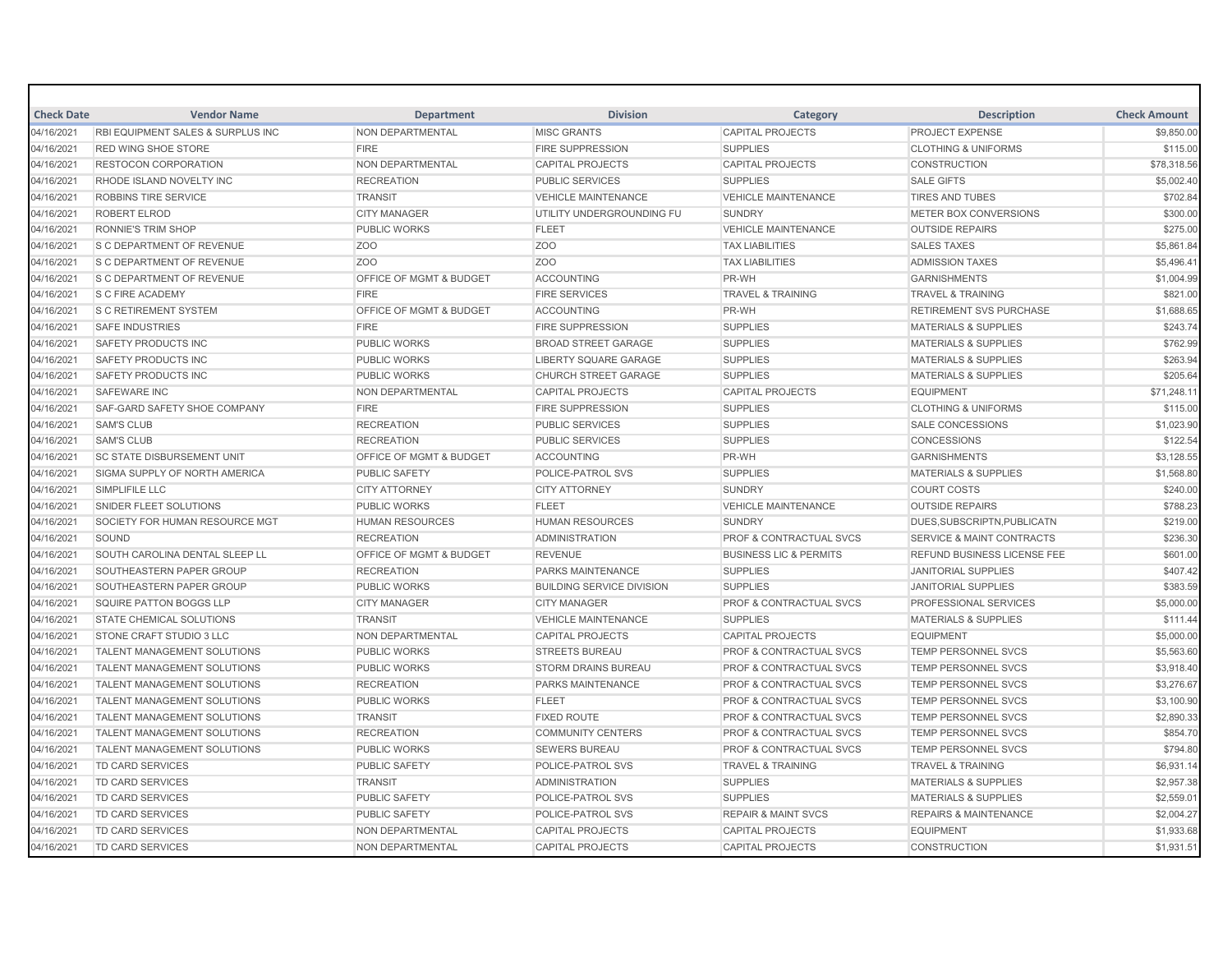| <b>Check Date</b> | <b>Vendor Name</b>                           | <b>Department</b>                  | <b>Division</b>                  | Category                           | <b>Description</b>                   | <b>Check Amount</b> |
|-------------------|----------------------------------------------|------------------------------------|----------------------------------|------------------------------------|--------------------------------------|---------------------|
| 04/16/2021        | <b>RBI EQUIPMENT SALES &amp; SURPLUS INC</b> | NON DEPARTMENTAL                   | <b>MISC GRANTS</b>               | <b>CAPITAL PROJECTS</b>            | <b>PROJECT EXPENSE</b>               | \$9,850.00          |
| 04/16/2021        | <b>RED WING SHOE STORE</b>                   | <b>FIRE</b>                        | <b>FIRE SUPPRESSION</b>          | <b>SUPPLIES</b>                    | <b>CLOTHING &amp; UNIFORMS</b>       | \$115.00            |
| 04/16/2021        | <b>RESTOCON CORPORATION</b>                  | <b>NON DEPARTMENTAL</b>            | <b>CAPITAL PROJECTS</b>          | <b>CAPITAL PROJECTS</b>            | <b>CONSTRUCTION</b>                  | \$78,318.56         |
| 04/16/2021        | RHODE ISLAND NOVELTY INC                     | <b>RECREATION</b>                  | <b>PUBLIC SERVICES</b>           | <b>SUPPLIES</b>                    | <b>SALE GIFTS</b>                    | \$5,002.40          |
| 04/16/2021        | <b>ROBBINS TIRE SERVICE</b>                  | <b>TRANSIT</b>                     | <b>VEHICLE MAINTENANCE</b>       | <b>VEHICLE MAINTENANCE</b>         | <b>TIRES AND TUBES</b>               | \$702.84            |
| 04/16/2021        | <b>ROBERT ELROD</b>                          | <b>CITY MANAGER</b>                | UTILITY UNDERGROUNDING FU        | <b>SUNDRY</b>                      | METER BOX CONVERSIONS                | \$300.00            |
| 04/16/2021        | <b>RONNIE'S TRIM SHOP</b>                    | <b>PUBLIC WORKS</b>                | <b>FLEET</b>                     | <b>VEHICLE MAINTENANCE</b>         | <b>OUTSIDE REPAIRS</b>               | \$275.00            |
| 04/16/2021        | S C DEPARTMENT OF REVENUE                    | Z <sub>O</sub> O                   | ZO <sub>O</sub>                  | <b>TAX LIABILITIES</b>             | <b>SALES TAXES</b>                   | \$5,861.84          |
| 04/16/2021        | <b>S C DEPARTMENT OF REVENUE</b>             | Z <sub>O</sub> O                   | ZO <sub>O</sub>                  | <b>TAX LIABILITIES</b>             | <b>ADMISSION TAXES</b>               | \$5,496.41          |
| 04/16/2021        | S C DEPARTMENT OF REVENUE                    | OFFICE OF MGMT & BUDGET            | <b>ACCOUNTING</b>                | PR-WH                              | <b>GARNISHMENTS</b>                  | \$1,004.99          |
| 04/16/2021        | <b>S C FIRE ACADEMY</b>                      | <b>FIRE</b>                        | <b>FIRE SERVICES</b>             | <b>TRAVEL &amp; TRAINING</b>       | <b>TRAVEL &amp; TRAINING</b>         | \$821.00            |
| 04/16/2021        | <b>S C RETIREMENT SYSTEM</b>                 | <b>OFFICE OF MGMT &amp; BUDGET</b> | <b>ACCOUNTING</b>                | PR-WH                              | <b>RETIREMENT SVS PURCHASE</b>       | \$1,688.65          |
| 04/16/2021        | <b>SAFE INDUSTRIES</b>                       | <b>FIRE</b>                        | <b>FIRE SUPPRESSION</b>          | <b>SUPPLIES</b>                    | <b>MATERIALS &amp; SUPPLIES</b>      | \$243.74            |
| 04/16/2021        | <b>SAFETY PRODUCTS INC</b>                   | <b>PUBLIC WORKS</b>                | <b>BROAD STREET GARAGE</b>       | <b>SUPPLIES</b>                    | <b>MATERIALS &amp; SUPPLIES</b>      | \$762.99            |
| 04/16/2021        | <b>SAFETY PRODUCTS INC</b>                   | <b>PUBLIC WORKS</b>                | <b>LIBERTY SQUARE GARAGE</b>     | <b>SUPPLIES</b>                    | <b>MATERIALS &amp; SUPPLIES</b>      | \$263.94            |
| 04/16/2021        | <b>SAFETY PRODUCTS INC</b>                   | <b>PUBLIC WORKS</b>                | <b>CHURCH STREET GARAGE</b>      | <b>SUPPLIES</b>                    | <b>MATERIALS &amp; SUPPLIES</b>      | \$205.64            |
| 04/16/2021        | SAFEWARE INC                                 | NON DEPARTMENTAL                   | <b>CAPITAL PROJECTS</b>          | <b>CAPITAL PROJECTS</b>            | <b>EQUIPMENT</b>                     | \$71,248.11         |
| 04/16/2021        | SAF-GARD SAFETY SHOE COMPANY                 | <b>FIRE</b>                        | <b>FIRE SUPPRESSION</b>          | <b>SUPPLIES</b>                    | <b>CLOTHING &amp; UNIFORMS</b>       | \$115.00            |
| 04/16/2021        | <b>SAM'S CLUB</b>                            | <b>RECREATION</b>                  | <b>PUBLIC SERVICES</b>           | <b>SUPPLIES</b>                    | SALE CONCESSIONS                     | \$1,023.90          |
| 04/16/2021        | <b>SAM'S CLUB</b>                            | <b>RECREATION</b>                  | <b>PUBLIC SERVICES</b>           | <b>SUPPLIES</b>                    | CONCESSIONS                          | \$122.54            |
| 04/16/2021        | <b>SC STATE DISBURSEMENT UNIT</b>            | <b>OFFICE OF MGMT &amp; BUDGET</b> | <b>ACCOUNTING</b>                | PR-WH                              | <b>GARNISHMENTS</b>                  | \$3,128.55          |
| 04/16/2021        | SIGMA SUPPLY OF NORTH AMERICA                | <b>PUBLIC SAFETY</b>               | POLICE-PATROL SVS                | <b>SUPPLIES</b>                    | <b>MATERIALS &amp; SUPPLIES</b>      | \$1,568.80          |
| 04/16/2021        | SIMPLIFILE LLC                               | <b>CITY ATTORNEY</b>               | <b>CITY ATTORNEY</b>             | <b>SUNDRY</b>                      | <b>COURT COSTS</b>                   | \$240.00            |
| 04/16/2021        | <b>SNIDER FLEET SOLUTIONS</b>                | <b>PUBLIC WORKS</b>                | <b>FLEET</b>                     | <b>VEHICLE MAINTENANCE</b>         | <b>OUTSIDE REPAIRS</b>               | \$788.23            |
| 04/16/2021        | SOCIETY FOR HUMAN RESOURCE MGT               | <b>HUMAN RESOURCES</b>             | <b>HUMAN RESOURCES</b>           | <b>SUNDRY</b>                      | DUES, SUBSCRIPTN, PUBLICATN          | \$219.00            |
| 04/16/2021        | SOUND                                        | <b>RECREATION</b>                  | <b>ADMINISTRATION</b>            | PROF & CONTRACTUAL SVCS            | <b>SERVICE &amp; MAINT CONTRACTS</b> | \$236.30            |
| 04/16/2021        | SOUTH CAROLINA DENTAL SLEEP LL               | <b>OFFICE OF MGMT &amp; BUDGET</b> | <b>REVENUE</b>                   | <b>BUSINESS LIC &amp; PERMITS</b>  | <b>REFUND BUSINESS LICENSE FEE</b>   | \$601.00            |
| 04/16/2021        | SOUTHEASTERN PAPER GROUP                     | <b>RECREATION</b>                  | <b>PARKS MAINTENANCE</b>         | <b>SUPPLIES</b>                    | <b>JANITORIAL SUPPLIES</b>           | \$407.42            |
| 04/16/2021        | SOUTHEASTERN PAPER GROUP                     | <b>PUBLIC WORKS</b>                | <b>BUILDING SERVICE DIVISION</b> | <b>SUPPLIES</b>                    | <b>JANITORIAL SUPPLIES</b>           | \$383.59            |
| 04/16/2021        | SQUIRE PATTON BOGGS LLP                      | <b>CITY MANAGER</b>                | <b>CITY MANAGER</b>              | PROF & CONTRACTUAL SVCS            | PROFESSIONAL SERVICES                | \$5,000.00          |
| 04/16/2021        | <b>STATE CHEMICAL SOLUTIONS</b>              | <b>TRANSIT</b>                     | <b>VEHICLE MAINTENANCE</b>       | <b>SUPPLIES</b>                    | <b>MATERIALS &amp; SUPPLIES</b>      | \$111.44            |
| 04/16/2021        | STONE CRAFT STUDIO 3 LLC                     | NON DEPARTMENTAL                   | <b>CAPITAL PROJECTS</b>          | <b>CAPITAL PROJECTS</b>            | <b>EQUIPMENT</b>                     | \$5,000.00          |
| 04/16/2021        | TALENT MANAGEMENT SOLUTIONS                  | <b>PUBLIC WORKS</b>                | <b>STREETS BUREAU</b>            | PROF & CONTRACTUAL SVCS            | TEMP PERSONNEL SVCS                  | \$5,563.60          |
| 04/16/2021        | TALENT MANAGEMENT SOLUTIONS                  | <b>PUBLIC WORKS</b>                | <b>STORM DRAINS BUREAU</b>       | PROF & CONTRACTUAL SVCS            | TEMP PERSONNEL SVCS                  | \$3,918.40          |
| 04/16/2021        | <b>TALENT MANAGEMENT SOLUTIONS</b>           | <b>RECREATION</b>                  | <b>PARKS MAINTENANCE</b>         | <b>PROF &amp; CONTRACTUAL SVCS</b> | <b>TEMP PERSONNEL SVCS</b>           | \$3,276.67          |
| 04/16/2021        | TALENT MANAGEMENT SOLUTIONS                  | <b>PUBLIC WORKS</b>                | <b>FLEET</b>                     | <b>PROF &amp; CONTRACTUAL SVCS</b> | <b>TEMP PERSONNEL SVCS</b>           | \$3,100.90          |
| 04/16/2021        | <b>TALENT MANAGEMENT SOLUTIONS</b>           | <b>TRANSIT</b>                     | <b>FIXED ROUTE</b>               | <b>PROF &amp; CONTRACTUAL SVCS</b> | <b>TEMP PERSONNEL SVCS</b>           | \$2,890.33          |
| 04/16/2021        | <b>TALENT MANAGEMENT SOLUTIONS</b>           | <b>RECREATION</b>                  | <b>COMMUNITY CENTERS</b>         | <b>PROF &amp; CONTRACTUAL SVCS</b> | <b>TEMP PERSONNEL SVCS</b>           | \$854.70            |
| 04/16/2021        | <b>TALENT MANAGEMENT SOLUTIONS</b>           | <b>PUBLIC WORKS</b>                | <b>SEWERS BUREAU</b>             | <b>PROF &amp; CONTRACTUAL SVCS</b> | <b>TEMP PERSONNEL SVCS</b>           | \$794.80            |
| 04/16/2021        | TD CARD SERVICES                             | <b>PUBLIC SAFETY</b>               | POLICE-PATROL SVS                | <b>TRAVEL &amp; TRAINING</b>       | <b>TRAVEL &amp; TRAINING</b>         | \$6,931.14          |
| 04/16/2021        | <b>TD CARD SERVICES</b>                      | <b>TRANSIT</b>                     | <b>ADMINISTRATION</b>            | <b>SUPPLIES</b>                    | <b>MATERIALS &amp; SUPPLIES</b>      | \$2,957.38          |
| 04/16/2021        | TD CARD SERVICES                             | PUBLIC SAFETY                      | POLICE-PATROL SVS                | <b>SUPPLIES</b>                    | <b>MATERIALS &amp; SUPPLIES</b>      | \$2,559.01          |
| 04/16/2021        | TD CARD SERVICES                             | <b>PUBLIC SAFETY</b>               | POLICE-PATROL SVS                | <b>REPAIR &amp; MAINT SVCS</b>     | <b>REPAIRS &amp; MAINTENANCE</b>     | \$2,004.27          |
| 04/16/2021        | TD CARD SERVICES                             | NON DEPARTMENTAL                   | <b>CAPITAL PROJECTS</b>          | <b>CAPITAL PROJECTS</b>            | <b>EQUIPMENT</b>                     | \$1,933.68          |
| 04/16/2021        | <b>TD CARD SERVICES</b>                      | NON DEPARTMENTAL                   | <b>CAPITAL PROJECTS</b>          | <b>CAPITAL PROJECTS</b>            | <b>CONSTRUCTION</b>                  | \$1,931.51          |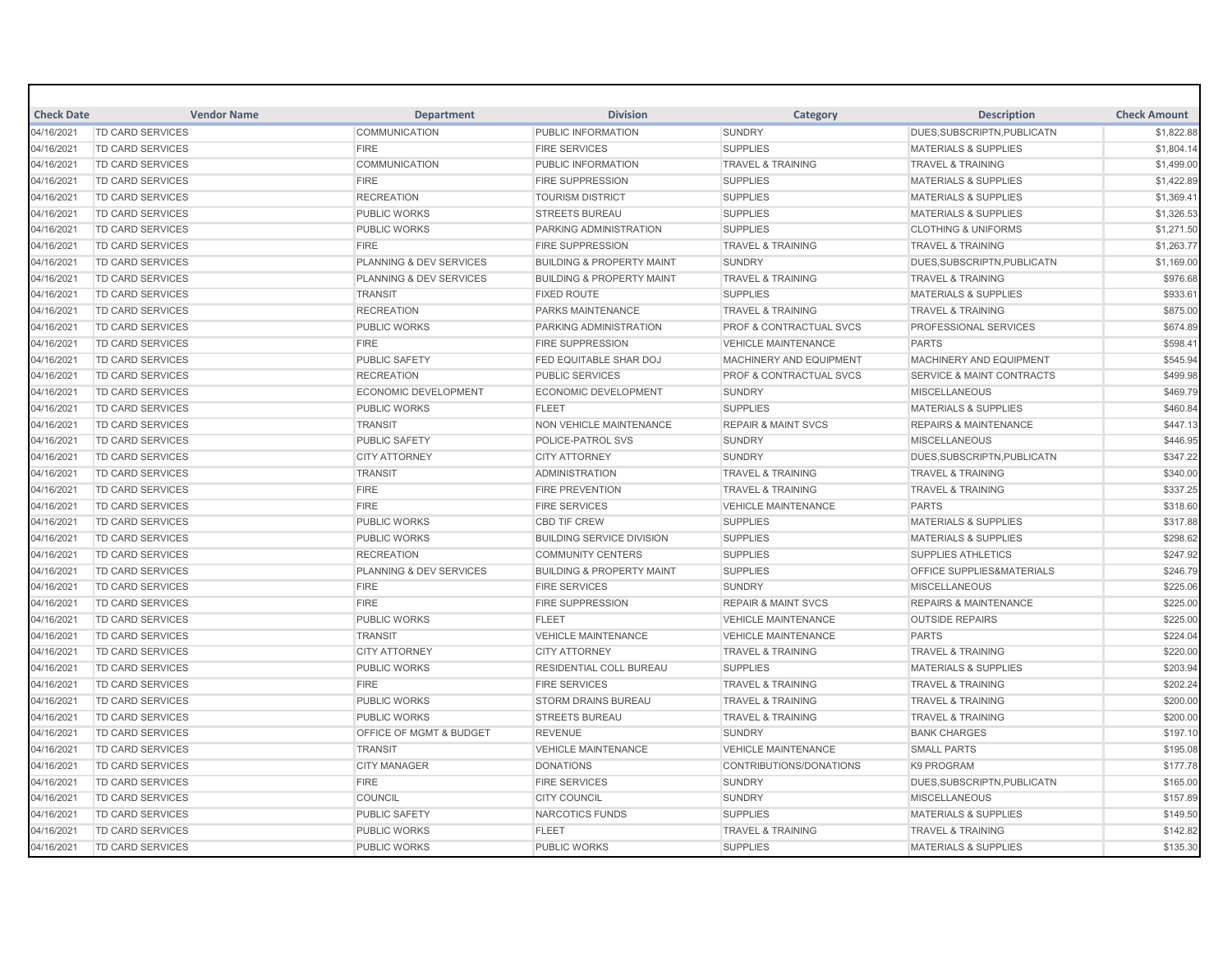| <b>Check Date</b> | <b>Vendor Name</b>      | <b>Department</b>                  | <b>Division</b>                      | Category                           | <b>Description</b>                   | <b>Check Amount</b> |
|-------------------|-------------------------|------------------------------------|--------------------------------------|------------------------------------|--------------------------------------|---------------------|
| 04/16/2021        | <b>TD CARD SERVICES</b> | <b>COMMUNICATION</b>               | PUBLIC INFORMATION                   | <b>SUNDRY</b>                      | DUES.SUBSCRIPTN.PUBLICATN            | \$1,822.88          |
| 04/16/2021        | <b>TD CARD SERVICES</b> | <b>FIRE</b>                        | <b>FIRE SERVICES</b>                 | <b>SUPPLIES</b>                    | <b>MATERIALS &amp; SUPPLIES</b>      | \$1,804.14          |
| 04/16/2021        | <b>TD CARD SERVICES</b> | <b>COMMUNICATION</b>               | PUBLIC INFORMATION                   | <b>TRAVEL &amp; TRAINING</b>       | <b>TRAVEL &amp; TRAINING</b>         | \$1,499.00          |
| 04/16/2021        | <b>TD CARD SERVICES</b> | <b>FIRE</b>                        | <b>FIRE SUPPRESSION</b>              | <b>SUPPLIES</b>                    | <b>MATERIALS &amp; SUPPLIES</b>      | \$1,422.89          |
| 04/16/2021        | TD CARD SERVICES        | <b>RECREATION</b>                  | <b>TOURISM DISTRICT</b>              | <b>SUPPLIES</b>                    | <b>MATERIALS &amp; SUPPLIES</b>      | \$1,369.41          |
| 04/16/2021        | <b>TD CARD SERVICES</b> | <b>PUBLIC WORKS</b>                | <b>STREETS BUREAU</b>                | <b>SUPPLIES</b>                    | <b>MATERIALS &amp; SUPPLIES</b>      | \$1,326.53          |
| 04/16/2021        | TD CARD SERVICES        | <b>PUBLIC WORKS</b>                | PARKING ADMINISTRATION               | <b>SUPPLIES</b>                    | <b>CLOTHING &amp; UNIFORMS</b>       | \$1,271.50          |
| 04/16/2021        | TD CARD SERVICES        | <b>FIRE</b>                        | <b>FIRE SUPPRESSION</b>              | <b>TRAVEL &amp; TRAINING</b>       | <b>TRAVEL &amp; TRAINING</b>         | \$1,263.77          |
| 04/16/2021        | TD CARD SERVICES        | PLANNING & DEV SERVICES            | <b>BUILDING &amp; PROPERTY MAINT</b> | <b>SUNDRY</b>                      | DUES, SUBSCRIPTN, PUBLICATN          | \$1,169.00          |
| 04/16/2021        | <b>TD CARD SERVICES</b> | PLANNING & DEV SERVICES            | <b>BUILDING &amp; PROPERTY MAINT</b> | <b>TRAVEL &amp; TRAINING</b>       | <b>TRAVEL &amp; TRAINING</b>         | \$976.68            |
| 04/16/2021        | TD CARD SERVICES        | <b>TRANSIT</b>                     | <b>FIXED ROUTE</b>                   | <b>SUPPLIES</b>                    | <b>MATERIALS &amp; SUPPLIES</b>      | \$933.61            |
| 04/16/2021        | <b>TD CARD SERVICES</b> | <b>RECREATION</b>                  | <b>PARKS MAINTENANCE</b>             | <b>TRAVEL &amp; TRAINING</b>       | <b>TRAVEL &amp; TRAINING</b>         | \$875.00            |
| 04/16/2021        | TD CARD SERVICES        | <b>PUBLIC WORKS</b>                | PARKING ADMINISTRATION               | PROF & CONTRACTUAL SVCS            | <b>PROFESSIONAL SERVICES</b>         | \$674.89            |
| 04/16/2021        | TD CARD SERVICES        | <b>FIRE</b>                        | <b>FIRE SUPPRESSION</b>              | <b>VEHICLE MAINTENANCE</b>         | <b>PARTS</b>                         | \$598.41            |
| 04/16/2021        | <b>TD CARD SERVICES</b> | <b>PUBLIC SAFETY</b>               | <b>FED EQUITABLE SHAR DOJ</b>        | MACHINERY AND EQUIPMENT            | MACHINERY AND EQUIPMENT              | \$545.94            |
| 04/16/2021        | TD CARD SERVICES        | <b>RECREATION</b>                  | <b>PUBLIC SERVICES</b>               | <b>PROF &amp; CONTRACTUAL SVCS</b> | <b>SERVICE &amp; MAINT CONTRACTS</b> | \$499.98            |
| 04/16/2021        | <b>TD CARD SERVICES</b> | <b>ECONOMIC DEVELOPMENT</b>        | <b>ECONOMIC DEVELOPMENT</b>          | <b>SUNDRY</b>                      | <b>MISCELLANEOUS</b>                 | \$469.79            |
| 04/16/2021        | <b>TD CARD SERVICES</b> | <b>PUBLIC WORKS</b>                | <b>FLEET</b>                         | <b>SUPPLIES</b>                    | <b>MATERIALS &amp; SUPPLIES</b>      | \$460.84            |
| 04/16/2021        | TD CARD SERVICES        | <b>TRANSIT</b>                     | <b>NON VEHICLE MAINTENANCE</b>       | <b>REPAIR &amp; MAINT SVCS</b>     | <b>REPAIRS &amp; MAINTENANCE</b>     | \$447.13            |
| 04/16/2021        | TD CARD SERVICES        | <b>PUBLIC SAFETY</b>               | POLICE-PATROL SVS                    | <b>SUNDRY</b>                      | <b>MISCELLANEOUS</b>                 | \$446.95            |
| 04/16/2021        | <b>TD CARD SERVICES</b> | <b>CITY ATTORNEY</b>               | <b>CITY ATTORNEY</b>                 | <b>SUNDRY</b>                      | DUES.SUBSCRIPTN.PUBLICATN            | \$347.22            |
| 04/16/2021        | TD CARD SERVICES        | <b>TRANSIT</b>                     | <b>ADMINISTRATION</b>                | <b>TRAVEL &amp; TRAINING</b>       | <b>TRAVEL &amp; TRAINING</b>         | \$340.00            |
| 04/16/2021        | <b>TD CARD SERVICES</b> | <b>FIRE</b>                        | <b>FIRE PREVENTION</b>               | <b>TRAVEL &amp; TRAINING</b>       | <b>TRAVEL &amp; TRAINING</b>         | \$337.25            |
| 04/16/2021        | <b>TD CARD SERVICES</b> | <b>FIRE</b>                        | <b>FIRE SERVICES</b>                 | <b>VEHICLE MAINTENANCE</b>         | <b>PARTS</b>                         | \$318.60            |
| 04/16/2021        | TD CARD SERVICES        | <b>PUBLIC WORKS</b>                | <b>CBD TIF CREW</b>                  | <b>SUPPLIES</b>                    | <b>MATERIALS &amp; SUPPLIES</b>      | \$317.88            |
| 04/16/2021        | TD CARD SERVICES        | <b>PUBLIC WORKS</b>                | <b>BUILDING SERVICE DIVISION</b>     | <b>SUPPLIES</b>                    | <b>MATERIALS &amp; SUPPLIES</b>      | \$298.62            |
| 04/16/2021        | <b>TD CARD SERVICES</b> | <b>RECREATION</b>                  | <b>COMMUNITY CENTERS</b>             | <b>SUPPLIES</b>                    | <b>SUPPLIES ATHLETICS</b>            | \$247.92            |
| 04/16/2021        | TD CARD SERVICES        | PLANNING & DEV SERVICES            | <b>BUILDING &amp; PROPERTY MAINT</b> | <b>SUPPLIES</b>                    | OFFICE SUPPLIES&MATERIALS            | \$246.79            |
| 04/16/2021        | TD CARD SERVICES        | <b>FIRE</b>                        | <b>FIRE SERVICES</b>                 | <b>SUNDRY</b>                      | <b>MISCELLANEOUS</b>                 | \$225.06            |
| 04/16/2021        | TD CARD SERVICES        | <b>FIRE</b>                        | <b>FIRE SUPPRESSION</b>              | <b>REPAIR &amp; MAINT SVCS</b>     | <b>REPAIRS &amp; MAINTENANCE</b>     | \$225.00            |
| 04/16/2021        | TD CARD SERVICES        | <b>PUBLIC WORKS</b>                | <b>FLEET</b>                         | <b>VEHICLE MAINTENANCE</b>         | <b>OUTSIDE REPAIRS</b>               | \$225.00            |
| 04/16/2021        | TD CARD SERVICES        | <b>TRANSIT</b>                     | <b>VEHICLE MAINTENANCE</b>           | <b>VEHICLE MAINTENANCE</b>         | <b>PARTS</b>                         | \$224.04            |
| 04/16/2021        | <b>TD CARD SERVICES</b> | <b>CITY ATTORNEY</b>               | <b>CITY ATTORNEY</b>                 | <b>TRAVEL &amp; TRAINING</b>       | <b>TRAVEL &amp; TRAINING</b>         | \$220.00            |
| 04/16/2021        | TD CARD SERVICES        | <b>PUBLIC WORKS</b>                | <b>RESIDENTIAL COLL BUREAU</b>       | <b>SUPPLIES</b>                    | <b>MATERIALS &amp; SUPPLIES</b>      | \$203.94            |
| 04/16/2021        | TD CARD SERVICES        | <b>FIRE</b>                        | <b>FIRE SERVICES</b>                 | <b>TRAVEL &amp; TRAINING</b>       | <b>TRAVEL &amp; TRAINING</b>         | \$202.24            |
| 04/16/2021        | <b>TD CARD SERVICES</b> | <b>PUBLIC WORKS</b>                | <b>STORM DRAINS BUREAU</b>           | <b>TRAVEL &amp; TRAINING</b>       | <b>TRAVEL &amp; TRAINING</b>         | \$200.00            |
| 04/16/2021        | TD CARD SERVICES        | <b>PUBLIC WORKS</b>                | <b>STREETS BUREAU</b>                | <b>TRAVEL &amp; TRAINING</b>       | <b>TRAVEL &amp; TRAINING</b>         | \$200.00            |
| 04/16/2021        | <b>TD CARD SERVICES</b> | <b>OFFICE OF MGMT &amp; BUDGET</b> | <b>REVENUE</b>                       | <b>SUNDRY</b>                      | <b>BANK CHARGES</b>                  | \$197.10            |
| 04/16/2021        | TD CARD SERVICES        | <b>TRANSIT</b>                     | <b>VEHICLE MAINTENANCE</b>           | <b>VEHICLE MAINTENANCE</b>         | <b>SMALL PARTS</b>                   | \$195.08            |
| 04/16/2021        | TD CARD SERVICES        | <b>CITY MANAGER</b>                | <b>DONATIONS</b>                     | CONTRIBUTIONS/DONATIONS            | <b>K9 PROGRAM</b>                    | \$177.78            |
| 04/16/2021        | TD CARD SERVICES        | <b>FIRE</b>                        | <b>FIRE SERVICES</b>                 | <b>SUNDRY</b>                      | DUES, SUBSCRIPTN, PUBLICATN          | \$165.00            |
| 04/16/2021        | TD CARD SERVICES        | COUNCIL                            | <b>CITY COUNCIL</b>                  | <b>SUNDRY</b>                      | <b>MISCELLANEOUS</b>                 | \$157.89            |
| 04/16/2021        | TD CARD SERVICES        | <b>PUBLIC SAFETY</b>               | <b>NARCOTICS FUNDS</b>               | <b>SUPPLIES</b>                    | <b>MATERIALS &amp; SUPPLIES</b>      | \$149.50            |
| 04/16/2021        | <b>TD CARD SERVICES</b> | <b>PUBLIC WORKS</b>                | <b>FLEET</b>                         | <b>TRAVEL &amp; TRAINING</b>       | <b>TRAVEL &amp; TRAINING</b>         | \$142.82            |
| 04/16/2021        | <b>TD CARD SERVICES</b> | <b>PUBLIC WORKS</b>                | <b>PUBLIC WORKS</b>                  | <b>SUPPLIES</b>                    | <b>MATERIALS &amp; SUPPLIES</b>      | \$135.30            |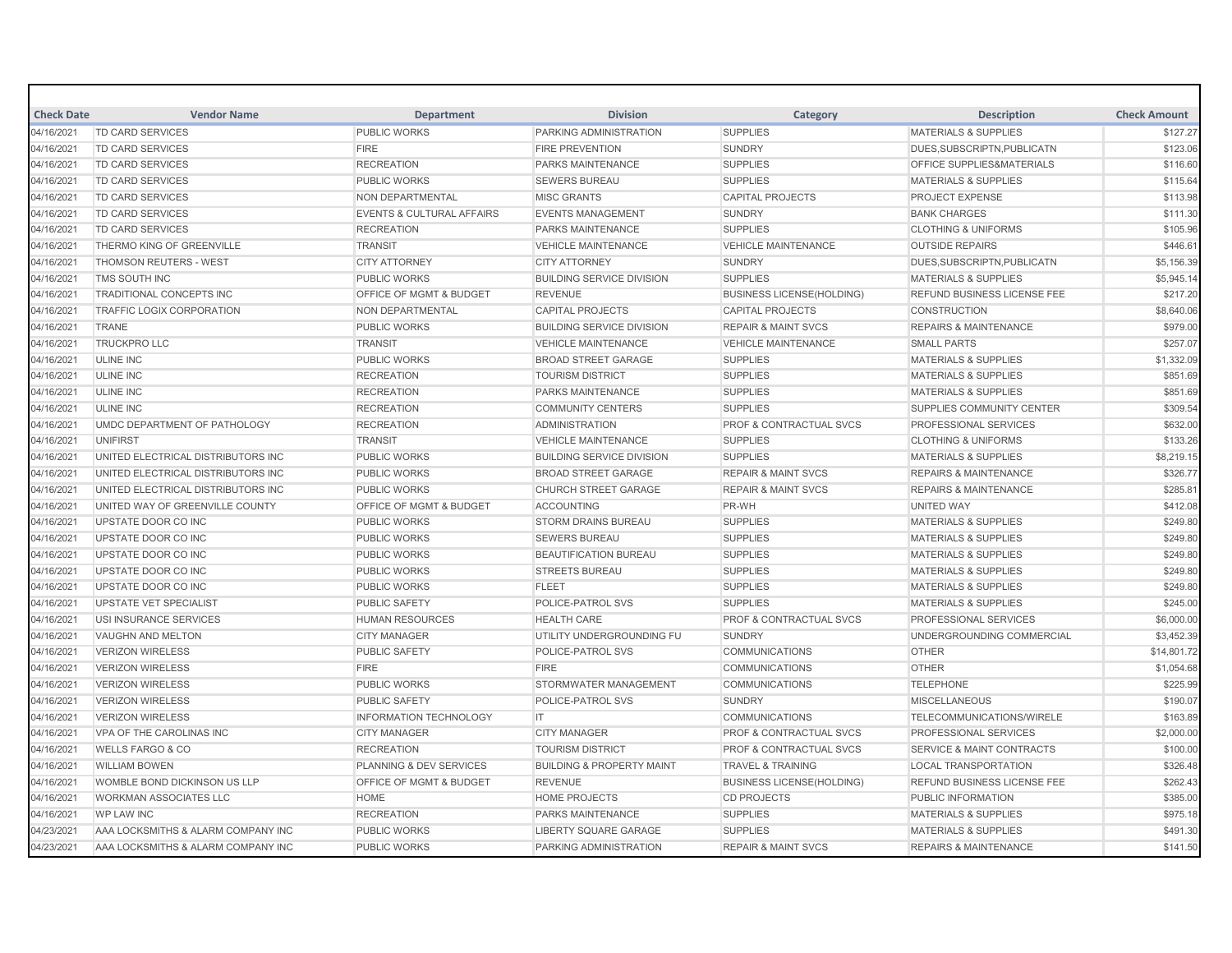| <b>Check Date</b> | <b>Vendor Name</b>                 | <b>Department</b>                    | <b>Division</b>                      | Category                           | <b>Description</b>                   | <b>Check Amount</b> |
|-------------------|------------------------------------|--------------------------------------|--------------------------------------|------------------------------------|--------------------------------------|---------------------|
| 04/16/2021        | <b>TD CARD SERVICES</b>            | <b>PUBLIC WORKS</b>                  | PARKING ADMINISTRATION               | <b>SUPPLIES</b>                    | <b>MATERIALS &amp; SUPPLIES</b>      | \$127.27            |
| 04/16/2021        | <b>TD CARD SERVICES</b>            | <b>FIRE</b>                          | <b>FIRE PREVENTION</b>               | <b>SUNDRY</b>                      | DUES.SUBSCRIPTN.PUBLICATN            | \$123.06            |
| 04/16/2021        | TD CARD SERVICES                   | <b>RECREATION</b>                    | PARKS MAINTENANCE                    | <b>SUPPLIES</b>                    | <b>OFFICE SUPPLIES&amp;MATERIALS</b> | \$116.60            |
| 04/16/2021        | TD CARD SERVICES                   | <b>PUBLIC WORKS</b>                  | <b>SEWERS BUREAU</b>                 | <b>SUPPLIES</b>                    | <b>MATERIALS &amp; SUPPLIES</b>      | \$115.64            |
| 04/16/2021        | <b>TD CARD SERVICES</b>            | <b>NON DEPARTMENTAL</b>              | <b>MISC GRANTS</b>                   | <b>CAPITAL PROJECTS</b>            | <b>PROJECT EXPENSE</b>               | \$113.98            |
| 04/16/2021        | TD CARD SERVICES                   | <b>EVENTS &amp; CULTURAL AFFAIRS</b> | <b>EVENTS MANAGEMENT</b>             | <b>SUNDRY</b>                      | <b>BANK CHARGES</b>                  | \$111.30            |
| 04/16/2021        | <b>TD CARD SERVICES</b>            | <b>RECREATION</b>                    | <b>PARKS MAINTENANCE</b>             | <b>SUPPLIES</b>                    | <b>CLOTHING &amp; UNIFORMS</b>       | \$105.96            |
| 04/16/2021        | THERMO KING OF GREENVILLE          | <b>TRANSIT</b>                       | <b>VEHICLE MAINTENANCE</b>           | <b>VEHICLE MAINTENANCE</b>         | <b>OUTSIDE REPAIRS</b>               | \$446.61            |
| 04/16/2021        | THOMSON REUTERS - WEST             | <b>CITY ATTORNEY</b>                 | <b>CITY ATTORNEY</b>                 | <b>SUNDRY</b>                      | DUES, SUBSCRIPTN, PUBLICATN          | \$5,156.39          |
| 04/16/2021        | TMS SOUTH INC                      | <b>PUBLIC WORKS</b>                  | <b>BUILDING SERVICE DIVISION</b>     | <b>SUPPLIES</b>                    | <b>MATERIALS &amp; SUPPLIES</b>      | \$5,945.14          |
| 04/16/2021        | TRADITIONAL CONCEPTS INC           | OFFICE OF MGMT & BUDGET              | <b>REVENUE</b>                       | <b>BUSINESS LICENSE(HOLDING)</b>   | <b>REFUND BUSINESS LICENSE FEE</b>   | \$217.20            |
| 04/16/2021        | TRAFFIC LOGIX CORPORATION          | NON DEPARTMENTAL                     | <b>CAPITAL PROJECTS</b>              | <b>CAPITAL PROJECTS</b>            | <b>CONSTRUCTION</b>                  | \$8,640.06          |
| 04/16/2021        | <b>TRANE</b>                       | <b>PUBLIC WORKS</b>                  | <b>BUILDING SERVICE DIVISION</b>     | <b>REPAIR &amp; MAINT SVCS</b>     | <b>REPAIRS &amp; MAINTENANCE</b>     | \$979.00            |
| 04/16/2021        | <b>TRUCKPRO LLC</b>                | <b>TRANSIT</b>                       | <b>VEHICLE MAINTENANCE</b>           | <b>VEHICLE MAINTENANCE</b>         | <b>SMALL PARTS</b>                   | \$257.07            |
| 04/16/2021        | <b>ULINE INC</b>                   | <b>PUBLIC WORKS</b>                  | <b>BROAD STREET GARAGE</b>           | <b>SUPPLIES</b>                    | <b>MATERIALS &amp; SUPPLIES</b>      | \$1,332.09          |
| 04/16/2021        | <b>ULINE INC</b>                   | <b>RECREATION</b>                    | <b>TOURISM DISTRICT</b>              | <b>SUPPLIES</b>                    | <b>MATERIALS &amp; SUPPLIES</b>      | \$851.69            |
| 04/16/2021        | <b>ULINE INC</b>                   | <b>RECREATION</b>                    | PARKS MAINTENANCE                    | <b>SUPPLIES</b>                    | <b>MATERIALS &amp; SUPPLIES</b>      | \$851.69            |
| 04/16/2021        | <b>ULINE INC</b>                   | <b>RECREATION</b>                    | <b>COMMUNITY CENTERS</b>             | <b>SUPPLIES</b>                    | SUPPLIES COMMUNITY CENTER            | \$309.54            |
| 04/16/2021        | UMDC DEPARTMENT OF PATHOLOGY       | <b>RECREATION</b>                    | <b>ADMINISTRATION</b>                | <b>PROF &amp; CONTRACTUAL SVCS</b> | <b>PROFESSIONAL SERVICES</b>         | \$632.00            |
| 04/16/2021        | <b>UNIFIRST</b>                    | <b>TRANSIT</b>                       | <b>VEHICLE MAINTENANCE</b>           | <b>SUPPLIES</b>                    | <b>CLOTHING &amp; UNIFORMS</b>       | \$133.26            |
| 04/16/2021        | UNITED ELECTRICAL DISTRIBUTORS INC | <b>PUBLIC WORKS</b>                  | <b>BUILDING SERVICE DIVISION</b>     | <b>SUPPLIES</b>                    | <b>MATERIALS &amp; SUPPLIES</b>      | \$8,219.15          |
| 04/16/2021        | UNITED ELECTRICAL DISTRIBUTORS INC | <b>PUBLIC WORKS</b>                  | <b>BROAD STREET GARAGE</b>           | <b>REPAIR &amp; MAINT SVCS</b>     | <b>REPAIRS &amp; MAINTENANCE</b>     | \$326.77            |
| 04/16/2021        | UNITED ELECTRICAL DISTRIBUTORS INC | <b>PUBLIC WORKS</b>                  | <b>CHURCH STREET GARAGE</b>          | <b>REPAIR &amp; MAINT SVCS</b>     | <b>REPAIRS &amp; MAINTENANCE</b>     | \$285.81            |
| 04/16/2021        | UNITED WAY OF GREENVILLE COUNTY    | OFFICE OF MGMT & BUDGET              | <b>ACCOUNTING</b>                    | PR-WH                              | <b>UNITED WAY</b>                    | \$412.08            |
| 04/16/2021        | UPSTATE DOOR CO INC                | <b>PUBLIC WORKS</b>                  | <b>STORM DRAINS BUREAU</b>           | <b>SUPPLIES</b>                    | <b>MATERIALS &amp; SUPPLIES</b>      | \$249.80            |
| 04/16/2021        | UPSTATE DOOR CO INC                | <b>PUBLIC WORKS</b>                  | <b>SEWERS BUREAU</b>                 | <b>SUPPLIES</b>                    | <b>MATERIALS &amp; SUPPLIES</b>      | \$249.80            |
| 04/16/2021        | UPSTATE DOOR CO INC                | <b>PUBLIC WORKS</b>                  | <b>BEAUTIFICATION BUREAU</b>         | <b>SUPPLIES</b>                    | <b>MATERIALS &amp; SUPPLIES</b>      | \$249.80            |
| 04/16/2021        | UPSTATE DOOR CO INC                | <b>PUBLIC WORKS</b>                  | <b>STREETS BUREAU</b>                | <b>SUPPLIES</b>                    | <b>MATERIALS &amp; SUPPLIES</b>      | \$249.80            |
| 04/16/2021        | UPSTATE DOOR CO INC                | <b>PUBLIC WORKS</b>                  | <b>FLEET</b>                         | <b>SUPPLIES</b>                    | <b>MATERIALS &amp; SUPPLIES</b>      | \$249.80            |
| 04/16/2021        | <b>UPSTATE VET SPECIALIST</b>      | <b>PUBLIC SAFETY</b>                 | <b>POLICE-PATROL SVS</b>             | <b>SUPPLIES</b>                    | <b>MATERIALS &amp; SUPPLIES</b>      | \$245.00            |
| 04/16/2021        | USI INSURANCE SERVICES             | <b>HUMAN RESOURCES</b>               | <b>HEALTH CARE</b>                   | <b>PROF &amp; CONTRACTUAL SVCS</b> | <b>PROFESSIONAL SERVICES</b>         | \$6,000.00          |
| 04/16/2021        | <b>VAUGHN AND MELTON</b>           | <b>CITY MANAGER</b>                  | UTILITY UNDERGROUNDING FU            | <b>SUNDRY</b>                      | UNDERGROUNDING COMMERCIAL            | \$3,452.39          |
| 04/16/2021        | <b>VERIZON WIRELESS</b>            | PUBLIC SAFETY                        | POLICE-PATROL SVS                    | <b>COMMUNICATIONS</b>              | <b>OTHER</b>                         | \$14,801.72         |
| 04/16/2021        | <b>VERIZON WIRELESS</b>            | <b>FIRE</b>                          | <b>FIRE</b>                          | <b>COMMUNICATIONS</b>              | <b>OTHER</b>                         | \$1,054.68          |
| 04/16/2021        | <b>VERIZON WIRELESS</b>            | <b>PUBLIC WORKS</b>                  | <b>STORMWATER MANAGEMENT</b>         | <b>COMMUNICATIONS</b>              | <b>TELEPHONE</b>                     | \$225.99            |
| 04/16/2021        | <b>VERIZON WIRELESS</b>            | <b>PUBLIC SAFETY</b>                 | POLICE-PATROL SVS                    | <b>SUNDRY</b>                      | <b>MISCELLANEOUS</b>                 | \$190.07            |
| 04/16/2021        | <b>VERIZON WIRELESS</b>            | <b>INFORMATION TECHNOLOGY</b>        | IT.                                  | <b>COMMUNICATIONS</b>              | TELECOMMUNICATIONS/WIRELE            | \$163.89            |
| 04/16/2021        | VPA OF THE CAROLINAS INC           | <b>CITY MANAGER</b>                  | <b>CITY MANAGER</b>                  | <b>PROF &amp; CONTRACTUAL SVCS</b> | <b>PROFESSIONAL SERVICES</b>         | \$2,000.00          |
| 04/16/2021        | <b>WELLS FARGO &amp; CO</b>        | <b>RECREATION</b>                    | <b>TOURISM DISTRICT</b>              | PROF & CONTRACTUAL SVCS            | <b>SERVICE &amp; MAINT CONTRACTS</b> | \$100.00            |
| 04/16/2021        | <b>WILLIAM BOWEN</b>               | PLANNING & DEV SERVICES              | <b>BUILDING &amp; PROPERTY MAINT</b> | <b>TRAVEL &amp; TRAINING</b>       | <b>LOCAL TRANSPORTATION</b>          | \$326.48            |
| 04/16/2021        | WOMBLE BOND DICKINSON US LLP       | <b>OFFICE OF MGMT &amp; BUDGET</b>   | <b>REVENUE</b>                       | <b>BUSINESS LICENSE(HOLDING)</b>   | <b>REFUND BUSINESS LICENSE FEE</b>   | \$262.43            |
| 04/16/2021        | <b>WORKMAN ASSOCIATES LLC</b>      | <b>HOME</b>                          | <b>HOME PROJECTS</b>                 | <b>CD PROJECTS</b>                 | <b>PUBLIC INFORMATION</b>            | \$385.00            |
| 04/16/2021        | <b>WP LAW INC</b>                  | <b>RECREATION</b>                    | <b>PARKS MAINTENANCE</b>             | <b>SUPPLIES</b>                    | <b>MATERIALS &amp; SUPPLIES</b>      | \$975.18            |
| 04/23/2021        | AAA LOCKSMITHS & ALARM COMPANY INC | <b>PUBLIC WORKS</b>                  | <b>LIBERTY SQUARE GARAGE</b>         | <b>SUPPLIES</b>                    | <b>MATERIALS &amp; SUPPLIES</b>      | \$491.30            |
| 04/23/2021        | AAA LOCKSMITHS & ALARM COMPANY INC | <b>PUBLIC WORKS</b>                  | PARKING ADMINISTRATION               | <b>REPAIR &amp; MAINT SVCS</b>     | <b>REPAIRS &amp; MAINTENANCE</b>     | \$141.50            |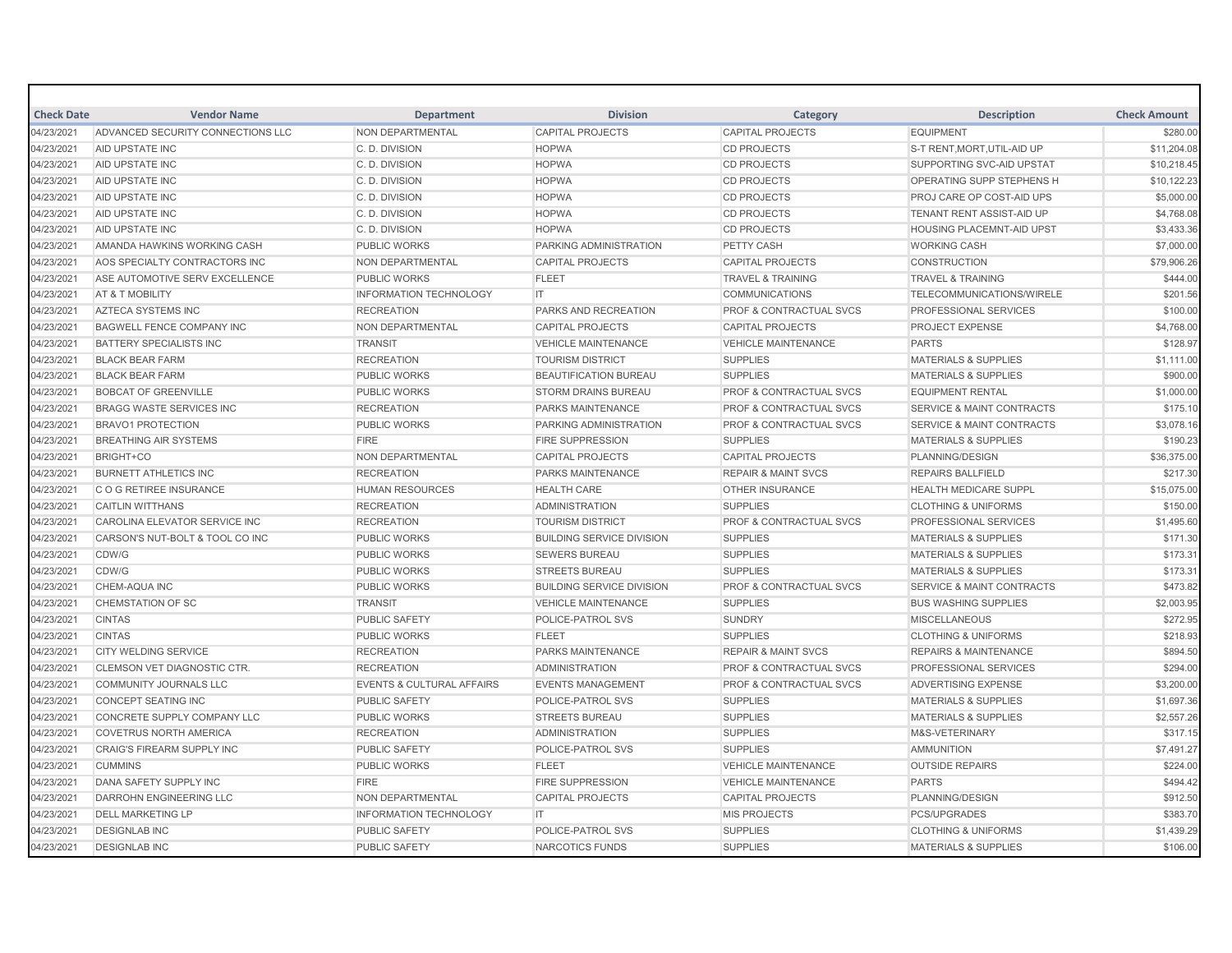| <b>Check Date</b> | <b>Vendor Name</b>                | <b>Department</b>                    | <b>Division</b>                  | Category                           | <b>Description</b>                   | <b>Check Amount</b> |
|-------------------|-----------------------------------|--------------------------------------|----------------------------------|------------------------------------|--------------------------------------|---------------------|
| 04/23/2021        | ADVANCED SECURITY CONNECTIONS LLC | NON DEPARTMENTAL                     | <b>CAPITAL PROJECTS</b>          | <b>CAPITAL PROJECTS</b>            | <b>EQUIPMENT</b>                     | \$280.00            |
| 04/23/2021        | <b>AID UPSTATE INC</b>            | C.D. DIVISION                        | <b>HOPWA</b>                     | <b>CD PROJECTS</b>                 | S-T RENT.MORT.UTIL-AID UP            | \$11,204.08         |
| 04/23/2021        | AID UPSTATE INC                   | C. D. DIVISION                       | <b>HOPWA</b>                     | <b>CD PROJECTS</b>                 | SUPPORTING SVC-AID UPSTAT            | \$10,218.45         |
| 04/23/2021        | AID UPSTATE INC                   | C. D. DIVISION                       | <b>HOPWA</b>                     | <b>CD PROJECTS</b>                 | <b>OPERATING SUPP STEPHENS H</b>     | \$10,122.23         |
| 04/23/2021        | <b>AID UPSTATE INC</b>            | C.D. DIVISION                        | <b>HOPWA</b>                     | <b>CD PROJECTS</b>                 | PROJ CARE OP COST-AID UPS            | \$5,000.00          |
| 04/23/2021        | AID UPSTATE INC                   | C. D. DIVISION                       | <b>HOPWA</b>                     | <b>CD PROJECTS</b>                 | TENANT RENT ASSIST-AID UP            | \$4,768.08          |
| 04/23/2021        | <b>AID UPSTATE INC</b>            | C.D. DIVISION                        | <b>HOPWA</b>                     | <b>CD PROJECTS</b>                 | <b>HOUSING PLACEMNT-AID UPST</b>     | \$3,433.36          |
| 04/23/2021        | AMANDA HAWKINS WORKING CASH       | <b>PUBLIC WORKS</b>                  | <b>PARKING ADMINISTRATION</b>    | PETTY CASH                         | <b>WORKING CASH</b>                  | \$7,000.00          |
| 04/23/2021        | AOS SPECIALTY CONTRACTORS INC     | <b>NON DEPARTMENTAL</b>              | <b>CAPITAL PROJECTS</b>          | <b>CAPITAL PROJECTS</b>            | <b>CONSTRUCTION</b>                  | \$79,906.26         |
| 04/23/2021        | ASE AUTOMOTIVE SERV EXCELLENCE    | <b>PUBLIC WORKS</b>                  | <b>FLEET</b>                     | <b>TRAVEL &amp; TRAINING</b>       | <b>TRAVEL &amp; TRAINING</b>         | \$444.00            |
| 04/23/2021        | <b>AT &amp; T MOBILITY</b>        | <b>INFORMATION TECHNOLOGY</b>        | IT                               | <b>COMMUNICATIONS</b>              | <b>TELECOMMUNICATIONS/WIRELE</b>     | \$201.56            |
| 04/23/2021        | AZTECA SYSTEMS INC                | <b>RECREATION</b>                    | PARKS AND RECREATION             | <b>PROF &amp; CONTRACTUAL SVCS</b> | PROFESSIONAL SERVICES                | \$100.00            |
| 04/23/2021        | <b>BAGWELL FENCE COMPANY INC</b>  | <b>NON DEPARTMENTAL</b>              | <b>CAPITAL PROJECTS</b>          | <b>CAPITAL PROJECTS</b>            | <b>PROJECT EXPENSE</b>               | \$4,768.00          |
| 04/23/2021        | <b>BATTERY SPECIALISTS INC</b>    | <b>TRANSIT</b>                       | <b>VEHICLE MAINTENANCE</b>       | <b>VEHICLE MAINTENANCE</b>         | <b>PARTS</b>                         | \$128.97            |
| 04/23/2021        | <b>BLACK BEAR FARM</b>            | <b>RECREATION</b>                    | <b>TOURISM DISTRICT</b>          | <b>SUPPLIES</b>                    | <b>MATERIALS &amp; SUPPLIES</b>      | \$1,111.00          |
| 04/23/2021        | <b>BLACK BEAR FARM</b>            | <b>PUBLIC WORKS</b>                  | <b>BEAUTIFICATION BUREAU</b>     | <b>SUPPLIES</b>                    | <b>MATERIALS &amp; SUPPLIES</b>      | \$900.00            |
| 04/23/2021        | <b>BOBCAT OF GREENVILLE</b>       | <b>PUBLIC WORKS</b>                  | <b>STORM DRAINS BUREAU</b>       | <b>PROF &amp; CONTRACTUAL SVCS</b> | <b>EQUIPMENT RENTAL</b>              | \$1,000.00          |
| 04/23/2021        | <b>BRAGG WASTE SERVICES INC</b>   | <b>RECREATION</b>                    | <b>PARKS MAINTENANCE</b>         | <b>PROF &amp; CONTRACTUAL SVCS</b> | <b>SERVICE &amp; MAINT CONTRACTS</b> | \$175.10            |
| 04/23/2021        | <b>BRAVO1 PROTECTION</b>          | <b>PUBLIC WORKS</b>                  | PARKING ADMINISTRATION           | <b>PROF &amp; CONTRACTUAL SVCS</b> | <b>SERVICE &amp; MAINT CONTRACTS</b> | \$3,078.16          |
| 04/23/2021        | <b>BREATHING AIR SYSTEMS</b>      | <b>FIRE</b>                          | <b>FIRE SUPPRESSION</b>          | <b>SUPPLIES</b>                    | <b>MATERIALS &amp; SUPPLIES</b>      | \$190.23            |
| 04/23/2021        | BRIGHT+CO                         | NON DEPARTMENTAL                     | <b>CAPITAL PROJECTS</b>          | <b>CAPITAL PROJECTS</b>            | PLANNING/DESIGN                      | \$36,375.00         |
| 04/23/2021        | <b>BURNETT ATHLETICS INC</b>      | <b>RECREATION</b>                    | <b>PARKS MAINTENANCE</b>         | <b>REPAIR &amp; MAINT SVCS</b>     | <b>REPAIRS BALLFIELD</b>             | \$217.30            |
| 04/23/2021        | C O G RETIREE INSURANCE           | <b>HUMAN RESOURCES</b>               | <b>HEALTH CARE</b>               | <b>OTHER INSURANCE</b>             | <b>HEALTH MEDICARE SUPPL</b>         | \$15,075.00         |
| 04/23/2021        | <b>CAITLIN WITTHANS</b>           | <b>RECREATION</b>                    | <b>ADMINISTRATION</b>            | <b>SUPPLIES</b>                    | <b>CLOTHING &amp; UNIFORMS</b>       | \$150.00            |
| 04/23/2021        | CAROLINA ELEVATOR SERVICE INC.    | <b>RECREATION</b>                    | <b>TOURISM DISTRICT</b>          | <b>PROF &amp; CONTRACTUAL SVCS</b> | PROFESSIONAL SERVICES                | \$1,495.60          |
| 04/23/2021        | CARSON'S NUT-BOLT & TOOL CO INC   | <b>PUBLIC WORKS</b>                  | <b>BUILDING SERVICE DIVISION</b> | <b>SUPPLIES</b>                    | <b>MATERIALS &amp; SUPPLIES</b>      | \$171.30            |
| 04/23/2021        | CDW/G                             | <b>PUBLIC WORKS</b>                  | <b>SEWERS BUREAU</b>             | <b>SUPPLIES</b>                    | <b>MATERIALS &amp; SUPPLIES</b>      | \$173.31            |
| 04/23/2021        | CDW/G                             | <b>PUBLIC WORKS</b>                  | <b>STREETS BUREAU</b>            | <b>SUPPLIES</b>                    | <b>MATERIALS &amp; SUPPLIES</b>      | \$173.31            |
| 04/23/2021        | <b>CHEM-AQUA INC</b>              | <b>PUBLIC WORKS</b>                  | <b>BUILDING SERVICE DIVISION</b> | <b>PROF &amp; CONTRACTUAL SVCS</b> | <b>SERVICE &amp; MAINT CONTRACTS</b> | \$473.82            |
| 04/23/2021        | <b>CHEMSTATION OF SC</b>          | <b>TRANSIT</b>                       | <b>VEHICLE MAINTENANCE</b>       | <b>SUPPLIES</b>                    | <b>BUS WASHING SUPPLIES</b>          | \$2,003.95          |
| 04/23/2021        | <b>CINTAS</b>                     | <b>PUBLIC SAFETY</b>                 | <b>POLICE-PATROL SVS</b>         | SUNDRY                             | <b>MISCELLANEOUS</b>                 | \$272.95            |
| 04/23/2021        | <b>CINTAS</b>                     | PUBLIC WORKS                         | <b>FLEET</b>                     | <b>SUPPLIES</b>                    | <b>CLOTHING &amp; UNIFORMS</b>       | \$218.93            |
| 04/23/2021        | <b>CITY WELDING SERVICE</b>       | <b>RECREATION</b>                    | <b>PARKS MAINTENANCE</b>         | <b>REPAIR &amp; MAINT SVCS</b>     | <b>REPAIRS &amp; MAINTENANCE</b>     | \$894.50            |
| 04/23/2021        | CLEMSON VET DIAGNOSTIC CTR.       | <b>RECREATION</b>                    | <b>ADMINISTRATION</b>            | <b>PROF &amp; CONTRACTUAL SVCS</b> | PROFESSIONAL SERVICES                | \$294.00            |
| 04/23/2021        | COMMUNITY JOURNALS LLC            | <b>EVENTS &amp; CULTURAL AFFAIRS</b> | <b>EVENTS MANAGEMENT</b>         | <b>PROF &amp; CONTRACTUAL SVCS</b> | ADVERTISING EXPENSE                  | \$3,200.00          |
| 04/23/2021        | <b>CONCEPT SEATING INC</b>        | <b>PUBLIC SAFETY</b>                 | <b>POLICE-PATROL SVS</b>         | <b>SUPPLIES</b>                    | <b>MATERIALS &amp; SUPPLIES</b>      | \$1,697.36          |
| 04/23/2021        | CONCRETE SUPPLY COMPANY LLC       | <b>PUBLIC WORKS</b>                  | <b>STREETS BUREAU</b>            | <b>SUPPLIES</b>                    | <b>MATERIALS &amp; SUPPLIES</b>      | \$2,557.26          |
| 04/23/2021        | <b>COVETRUS NORTH AMERICA</b>     | <b>RECREATION</b>                    | <b>ADMINISTRATION</b>            | <b>SUPPLIES</b>                    | M&S-VETERINARY                       | \$317.15            |
| 04/23/2021        | <b>CRAIG'S FIREARM SUPPLY INC</b> | <b>PUBLIC SAFETY</b>                 | <b>POLICE-PATROL SVS</b>         | <b>SUPPLIES</b>                    | <b>AMMUNITION</b>                    | \$7,491.27          |
| 04/23/2021        | <b>CUMMINS</b>                    | <b>PUBLIC WORKS</b>                  | <b>FLEET</b>                     | <b>VEHICLE MAINTENANCE</b>         | <b>OUTSIDE REPAIRS</b>               | \$224.00            |
| 04/23/2021        | DANA SAFETY SUPPLY INC            | <b>FIRE</b>                          | <b>FIRE SUPPRESSION</b>          | <b>VEHICLE MAINTENANCE</b>         | <b>PARTS</b>                         | \$494.42            |
| 04/23/2021        | <b>DARROHN ENGINEERING LLC</b>    | <b>NON DEPARTMENTAL</b>              | <b>CAPITAL PROJECTS</b>          | <b>CAPITAL PROJECTS</b>            | PLANNING/DESIGN                      | \$912.50            |
| 04/23/2021        | <b>DELL MARKETING LP</b>          | <b>INFORMATION TECHNOLOGY</b>        | IT.                              | <b>MIS PROJECTS</b>                | PCS/UPGRADES                         | \$383.70            |
| 04/23/2021        | <b>DESIGNLAB INC</b>              | <b>PUBLIC SAFETY</b>                 | POLICE-PATROL SVS                | <b>SUPPLIES</b>                    | <b>CLOTHING &amp; UNIFORMS</b>       | \$1,439.29          |
| 04/23/2021        | <b>DESIGNLAB INC</b>              | <b>PUBLIC SAFETY</b>                 | <b>NARCOTICS FUNDS</b>           | <b>SUPPLIES</b>                    | <b>MATERIALS &amp; SUPPLIES</b>      | \$106.00            |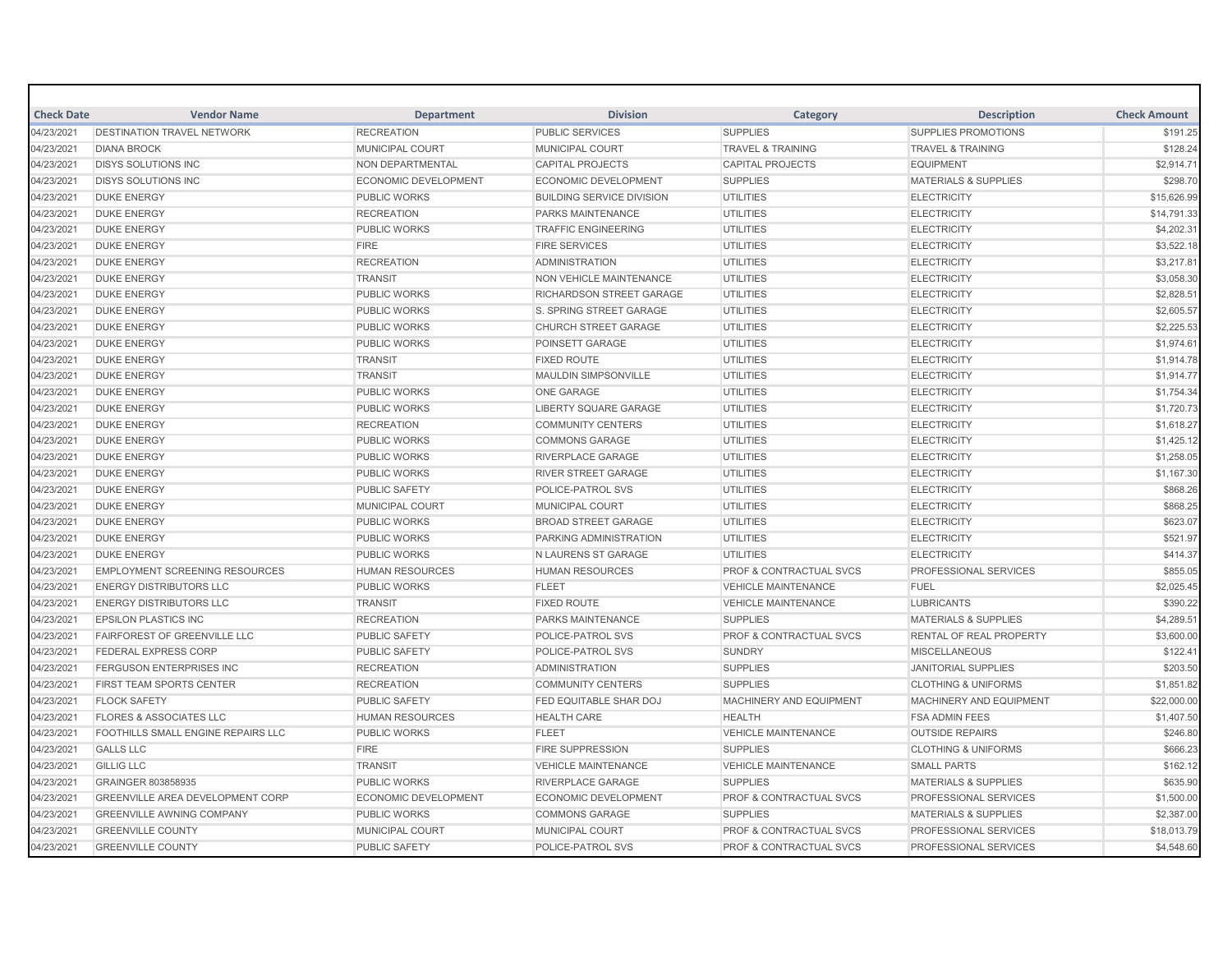| <b>Check Date</b> | <b>Vendor Name</b>                        | <b>Department</b>           | <b>Division</b>                  | Category                           | <b>Description</b>              | <b>Check Amount</b> |
|-------------------|-------------------------------------------|-----------------------------|----------------------------------|------------------------------------|---------------------------------|---------------------|
| 04/23/2021        | <b>DESTINATION TRAVEL NETWORK</b>         | <b>RECREATION</b>           | <b>PUBLIC SERVICES</b>           | <b>SUPPLIES</b>                    | SUPPLIES PROMOTIONS             | \$191.25            |
| 04/23/2021        | <b>DIANA BROCK</b>                        | <b>MUNICIPAL COURT</b>      | <b>MUNICIPAL COURT</b>           | <b>TRAVEL &amp; TRAINING</b>       | <b>TRAVEL &amp; TRAINING</b>    | \$128.24            |
| 04/23/2021        | <b>DISYS SOLUTIONS INC</b>                | <b>NON DEPARTMENTAL</b>     | <b>CAPITAL PROJECTS</b>          | <b>CAPITAL PROJECTS</b>            | <b>EQUIPMENT</b>                | \$2,914.71          |
| 04/23/2021        | <b>DISYS SOLUTIONS INC</b>                | <b>ECONOMIC DEVELOPMENT</b> | <b>ECONOMIC DEVELOPMENT</b>      | <b>SUPPLIES</b>                    | <b>MATERIALS &amp; SUPPLIES</b> | \$298.70            |
| 04/23/2021        | <b>DUKE ENERGY</b>                        | <b>PUBLIC WORKS</b>         | <b>BUILDING SERVICE DIVISION</b> | <b>UTILITIES</b>                   | <b>ELECTRICITY</b>              | \$15,626.99         |
| 04/23/2021        | <b>DUKE ENERGY</b>                        | <b>RECREATION</b>           | PARKS MAINTENANCE                | <b>UTILITIES</b>                   | <b>ELECTRICITY</b>              | \$14,791.33         |
| 04/23/2021        | <b>DUKE ENERGY</b>                        | <b>PUBLIC WORKS</b>         | <b>TRAFFIC ENGINEERING</b>       | <b>UTILITIES</b>                   | <b>ELECTRICITY</b>              | \$4,202.31          |
| 04/23/2021        | <b>DUKE ENERGY</b>                        | <b>FIRE</b>                 | <b>FIRE SERVICES</b>             | <b>UTILITIES</b>                   | <b>ELECTRICITY</b>              | \$3,522.18          |
| 04/23/2021        | <b>DUKE ENERGY</b>                        | <b>RECREATION</b>           | <b>ADMINISTRATION</b>            | <b>UTILITIES</b>                   | <b>ELECTRICITY</b>              | \$3,217.81          |
| 04/23/2021        | <b>DUKE ENERGY</b>                        | <b>TRANSIT</b>              | <b>NON VEHICLE MAINTENANCE</b>   | <b>UTILITIES</b>                   | <b>ELECTRICITY</b>              | \$3,058.30          |
| 04/23/2021        | <b>DUKE ENERGY</b>                        | <b>PUBLIC WORKS</b>         | RICHARDSON STREET GARAGE         | <b>UTILITIES</b>                   | <b>ELECTRICITY</b>              | \$2,828.51          |
| 04/23/2021        | <b>DUKE ENERGY</b>                        | <b>PUBLIC WORKS</b>         | <b>S. SPRING STREET GARAGE</b>   | <b>UTILITIES</b>                   | <b>ELECTRICITY</b>              | \$2,605.57          |
| 04/23/2021        | <b>DUKE ENERGY</b>                        | <b>PUBLIC WORKS</b>         | CHURCH STREET GARAGE             | <b>UTILITIES</b>                   | <b>ELECTRICITY</b>              | \$2,225.53          |
| 04/23/2021        | <b>DUKE ENERGY</b>                        | <b>PUBLIC WORKS</b>         | <b>POINSETT GARAGE</b>           | <b>UTILITIES</b>                   | <b>ELECTRICITY</b>              | \$1,974.61          |
| 04/23/2021        | <b>DUKE ENERGY</b>                        | <b>TRANSIT</b>              | <b>FIXED ROUTE</b>               | <b>UTILITIES</b>                   | <b>ELECTRICITY</b>              | \$1,914.78          |
| 04/23/2021        | <b>DUKE ENERGY</b>                        | <b>TRANSIT</b>              | <b>MAULDIN SIMPSONVILLE</b>      | <b>UTILITIES</b>                   | <b>ELECTRICITY</b>              | \$1,914.77          |
| 04/23/2021        | <b>DUKE ENERGY</b>                        | <b>PUBLIC WORKS</b>         | <b>ONE GARAGE</b>                | <b>UTILITIES</b>                   | <b>ELECTRICITY</b>              | \$1,754.34          |
| 04/23/2021        | <b>DUKE ENERGY</b>                        | <b>PUBLIC WORKS</b>         | <b>LIBERTY SQUARE GARAGE</b>     | <b>UTILITIES</b>                   | <b>ELECTRICITY</b>              | \$1,720.73          |
| 04/23/2021        | <b>DUKE ENERGY</b>                        | <b>RECREATION</b>           | <b>COMMUNITY CENTERS</b>         | <b>UTILITIES</b>                   | <b>ELECTRICITY</b>              | \$1,618.27          |
| 04/23/2021        | <b>DUKE ENERGY</b>                        | <b>PUBLIC WORKS</b>         | <b>COMMONS GARAGE</b>            | <b>UTILITIES</b>                   | <b>ELECTRICITY</b>              | \$1,425.12          |
| 04/23/2021        | <b>DUKE ENERGY</b>                        | PUBLIC WORKS                | <b>RIVERPLACE GARAGE</b>         | UTILITIES                          | <b>ELECTRICITY</b>              | \$1,258.05          |
| 04/23/2021        | <b>DUKE ENERGY</b>                        | <b>PUBLIC WORKS</b>         | <b>RIVER STREET GARAGE</b>       | <b>UTILITIES</b>                   | <b>ELECTRICITY</b>              | \$1,167.30          |
| 04/23/2021        | <b>DUKE ENERGY</b>                        | <b>PUBLIC SAFETY</b>        | POLICE-PATROL SVS                | <b>UTILITIES</b>                   | <b>ELECTRICITY</b>              | \$868.26            |
| 04/23/2021        | <b>DUKE ENERGY</b>                        | <b>MUNICIPAL COURT</b>      | <b>MUNICIPAL COURT</b>           | <b>UTILITIES</b>                   | <b>ELECTRICITY</b>              | \$868.25            |
| 04/23/2021        | <b>DUKE ENERGY</b>                        | PUBLIC WORKS                | <b>BROAD STREET GARAGE</b>       | <b>UTILITIES</b>                   | <b>ELECTRICITY</b>              | \$623.07            |
| 04/23/2021        | <b>DUKE ENERGY</b>                        | <b>PUBLIC WORKS</b>         | PARKING ADMINISTRATION           | <b>UTILITIES</b>                   | <b>ELECTRICITY</b>              | \$521.97            |
| 04/23/2021        | <b>DUKE ENERGY</b>                        | <b>PUBLIC WORKS</b>         | <b>N LAURENS ST GARAGE</b>       | UTILITIES                          | <b>ELECTRICITY</b>              | \$414.37            |
| 04/23/2021        | <b>EMPLOYMENT SCREENING RESOURCES</b>     | <b>HUMAN RESOURCES</b>      | <b>HUMAN RESOURCES</b>           | <b>PROF &amp; CONTRACTUAL SVCS</b> | PROFESSIONAL SERVICES           | \$855.05            |
| 04/23/2021        | <b>ENERGY DISTRIBUTORS LLC</b>            | <b>PUBLIC WORKS</b>         | <b>FLEET</b>                     | <b>VEHICLE MAINTENANCE</b>         | <b>FUEL</b>                     | \$2,025.45          |
| 04/23/2021        | <b>ENERGY DISTRIBUTORS LLC</b>            | <b>TRANSIT</b>              | <b>FIXED ROUTE</b>               | <b>VEHICLE MAINTENANCE</b>         | <b>LUBRICANTS</b>               | \$390.22            |
| 04/23/2021        | <b>EPSILON PLASTICS INC</b>               | <b>RECREATION</b>           | <b>PARKS MAINTENANCE</b>         | <b>SUPPLIES</b>                    | <b>MATERIALS &amp; SUPPLIES</b> | \$4,289.51          |
| 04/23/2021        | <b>FAIRFOREST OF GREENVILLE LLC</b>       | <b>PUBLIC SAFETY</b>        | <b>POLICE-PATROL SVS</b>         | <b>PROF &amp; CONTRACTUAL SVCS</b> | <b>RENTAL OF REAL PROPERTY</b>  | \$3,600.00          |
| 04/23/2021        | <b>FEDERAL EXPRESS CORP</b>               | <b>PUBLIC SAFETY</b>        | POLICE-PATROL SVS                | <b>SUNDRY</b>                      | <b>MISCELLANEOUS</b>            | \$122.41            |
| 04/23/2021        | <b>FERGUSON ENTERPRISES INC</b>           | <b>RECREATION</b>           | <b>ADMINISTRATION</b>            | <b>SUPPLIES</b>                    | <b>JANITORIAL SUPPLIES</b>      | \$203.50            |
| 04/23/2021        | FIRST TEAM SPORTS CENTER                  | <b>RECREATION</b>           | <b>COMMUNITY CENTERS</b>         | <b>SUPPLIES</b>                    | <b>CLOTHING &amp; UNIFORMS</b>  | \$1,851.82          |
| 04/23/2021        | <b>FLOCK SAFETY</b>                       | <b>PUBLIC SAFETY</b>        | <b>FED EQUITABLE SHAR DOJ</b>    | MACHINERY AND EQUIPMENT            | MACHINERY AND EQUIPMENT         | \$22,000.00         |
| 04/23/2021        | <b>FLORES &amp; ASSOCIATES LLC</b>        | <b>HUMAN RESOURCES</b>      | <b>HEALTH CARE</b>               | <b>HEALTH</b>                      | <b>FSA ADMIN FEES</b>           | \$1,407.50          |
| 04/23/2021        | <b>FOOTHILLS SMALL ENGINE REPAIRS LLC</b> | <b>PUBLIC WORKS</b>         | <b>FLEET</b>                     | <b>VEHICLE MAINTENANCE</b>         | <b>OUTSIDE REPAIRS</b>          | \$246.80            |
| 04/23/2021        | <b>GALLS LLC</b>                          | <b>FIRE</b>                 | <b>FIRE SUPPRESSION</b>          | <b>SUPPLIES</b>                    | <b>CLOTHING &amp; UNIFORMS</b>  | \$666.23            |
| 04/23/2021        | <b>GILLIG LLC</b>                         | <b>TRANSIT</b>              | <b>VEHICLE MAINTENANCE</b>       | <b>VEHICLE MAINTENANCE</b>         | <b>SMALL PARTS</b>              | \$162.12            |
| 04/23/2021        | <b>GRAINGER 803858935</b>                 | <b>PUBLIC WORKS</b>         | <b>RIVERPLACE GARAGE</b>         | <b>SUPPLIES</b>                    | <b>MATERIALS &amp; SUPPLIES</b> | \$635.90            |
| 04/23/2021        | GREENVILLE AREA DEVELOPMENT CORP          | <b>ECONOMIC DEVELOPMENT</b> | <b>ECONOMIC DEVELOPMENT</b>      | <b>PROF &amp; CONTRACTUAL SVCS</b> | PROFESSIONAL SERVICES           | \$1,500.00          |
| 04/23/2021        | <b>GREENVILLE AWNING COMPANY</b>          | <b>PUBLIC WORKS</b>         | <b>COMMONS GARAGE</b>            | <b>SUPPLIES</b>                    | <b>MATERIALS &amp; SUPPLIES</b> | \$2,387.00          |
| 04/23/2021        | <b>GREENVILLE COUNTY</b>                  | <b>MUNICIPAL COURT</b>      | MUNICIPAL COURT                  | <b>PROF &amp; CONTRACTUAL SVCS</b> | <b>PROFESSIONAL SERVICES</b>    | \$18,013.79         |
| 04/23/2021        | <b>GREENVILLE COUNTY</b>                  | <b>PUBLIC SAFETY</b>        | POLICE-PATROL SVS                | <b>PROF &amp; CONTRACTUAL SVCS</b> | PROFESSIONAL SERVICES           | \$4,548.60          |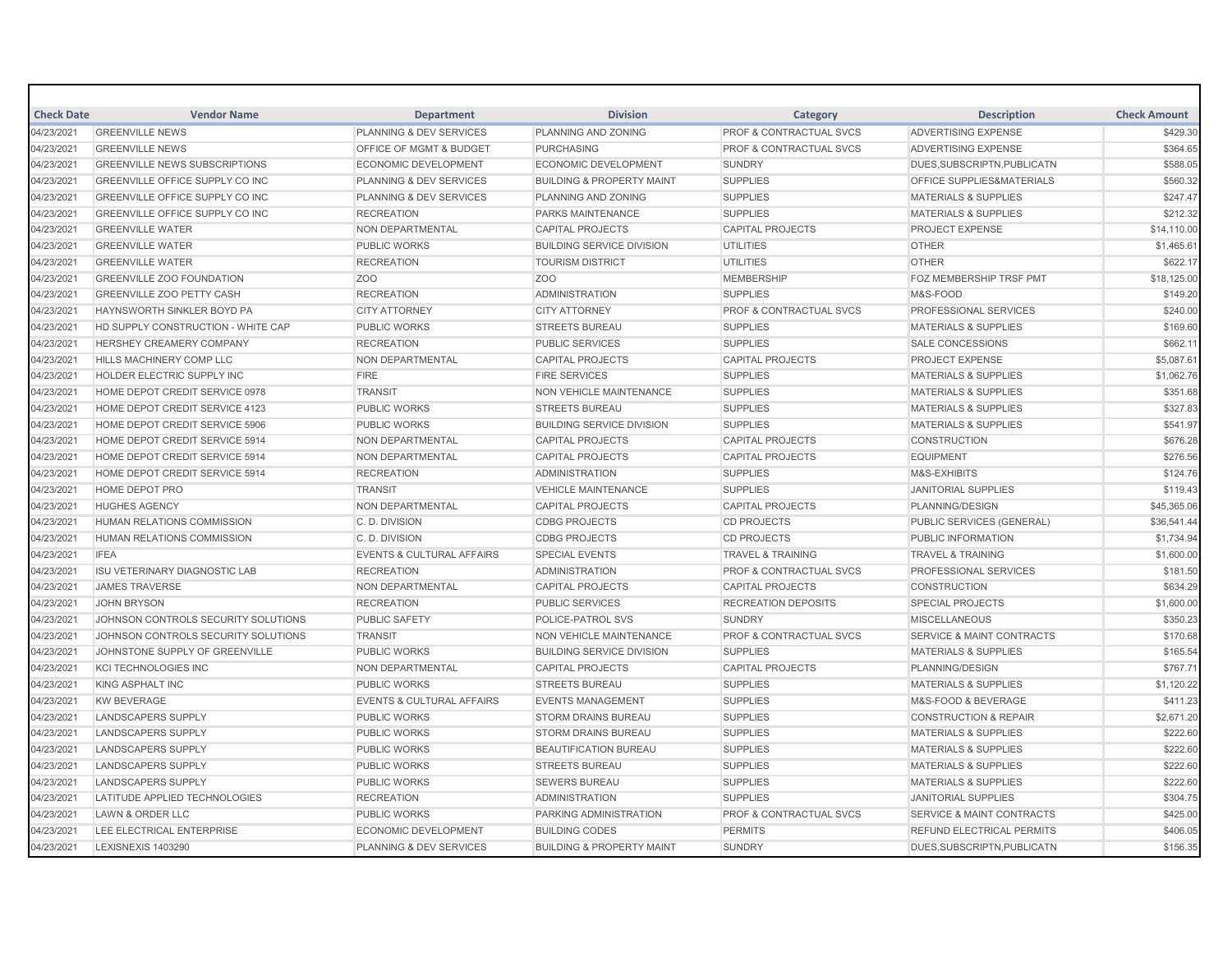| <b>Check Date</b> | <b>Vendor Name</b>                     | <b>Department</b>                    | <b>Division</b>                      | Category                           | <b>Description</b>                   | <b>Check Amount</b> |
|-------------------|----------------------------------------|--------------------------------------|--------------------------------------|------------------------------------|--------------------------------------|---------------------|
| 04/23/2021        | <b>GREENVILLE NEWS</b>                 | PLANNING & DEV SERVICES              | PLANNING AND ZONING                  | PROF & CONTRACTUAL SVCS            | <b>ADVERTISING EXPENSE</b>           | \$429.30            |
| 04/23/2021        | <b>GREENVILLE NEWS</b>                 | OFFICE OF MGMT & BUDGET              | <b>PURCHASING</b>                    | PROF & CONTRACTUAL SVCS            | <b>ADVERTISING EXPENSE</b>           | \$364.65            |
| 04/23/2021        | <b>GREENVILLE NEWS SUBSCRIPTIONS</b>   | <b>ECONOMIC DEVELOPMENT</b>          | <b>ECONOMIC DEVELOPMENT</b>          | <b>SUNDRY</b>                      | DUES.SUBSCRIPTN.PUBLICATN            | \$588.05            |
| 04/23/2021        | GREENVILLE OFFICE SUPPLY CO INC        | <b>PLANNING &amp; DEV SERVICES</b>   | <b>BUILDING &amp; PROPERTY MAINT</b> | <b>SUPPLIES</b>                    | <b>OFFICE SUPPLIES&amp;MATERIALS</b> | \$560.32            |
| 04/23/2021        | <b>GREENVILLE OFFICE SUPPLY CO INC</b> | PLANNING & DEV SERVICES              | PLANNING AND ZONING                  | <b>SUPPLIES</b>                    | <b>MATERIALS &amp; SUPPLIES</b>      | \$247.47            |
| 04/23/2021        | <b>GREENVILLE OFFICE SUPPLY CO INC</b> | <b>RECREATION</b>                    | <b>PARKS MAINTENANCE</b>             | <b>SUPPLIES</b>                    | <b>MATERIALS &amp; SUPPLIES</b>      | \$212.32            |
| 04/23/2021        | <b>GREENVILLE WATER</b>                | NON DEPARTMENTAL                     | <b>CAPITAL PROJECTS</b>              | <b>CAPITAL PROJECTS</b>            | <b>PROJECT EXPENSE</b>               | \$14,110.00         |
| 04/23/2021        | <b>GREENVILLE WATER</b>                | <b>PUBLIC WORKS</b>                  | <b>BUILDING SERVICE DIVISION</b>     | <b>UTILITIES</b>                   | <b>OTHER</b>                         | \$1,465.61          |
| 04/23/2021        | <b>GREENVILLE WATER</b>                | <b>RECREATION</b>                    | <b>TOURISM DISTRICT</b>              | <b>UTILITIES</b>                   | <b>OTHER</b>                         | \$622.17            |
| 04/23/2021        | <b>GREENVILLE ZOO FOUNDATION</b>       | Z <sub>O</sub> O                     | ZO <sub>O</sub>                      | <b>MEMBERSHIP</b>                  | FOZ MEMBERSHIP TRSF PMT              | \$18,125.00         |
| 04/23/2021        | <b>GREENVILLE ZOO PETTY CASH</b>       | <b>RECREATION</b>                    | <b>ADMINISTRATION</b>                | <b>SUPPLIES</b>                    | M&S-FOOD                             | \$149.20            |
| 04/23/2021        | HAYNSWORTH SINKLER BOYD PA             | <b>CITY ATTORNEY</b>                 | <b>CITY ATTORNEY</b>                 | PROF & CONTRACTUAL SVCS            | PROFESSIONAL SERVICES                | \$240.00            |
| 04/23/2021        | HD SUPPLY CONSTRUCTION - WHITE CAP     | <b>PUBLIC WORKS</b>                  | <b>STREETS BUREAU</b>                | <b>SUPPLIES</b>                    | <b>MATERIALS &amp; SUPPLIES</b>      | \$169.60            |
| 04/23/2021        | <b>HERSHEY CREAMERY COMPANY</b>        | <b>RECREATION</b>                    | <b>PUBLIC SERVICES</b>               | <b>SUPPLIES</b>                    | <b>SALE CONCESSIONS</b>              | \$662.11            |
| 04/23/2021        | HILLS MACHINERY COMP LLC               | NON DEPARTMENTAL                     | <b>CAPITAL PROJECTS</b>              | <b>CAPITAL PROJECTS</b>            | <b>PROJECT EXPENSE</b>               | \$5,087.61          |
| 04/23/2021        | HOLDER ELECTRIC SUPPLY INC             | <b>FIRE</b>                          | <b>FIRE SERVICES</b>                 | <b>SUPPLIES</b>                    | <b>MATERIALS &amp; SUPPLIES</b>      | \$1,062.76          |
| 04/23/2021        | HOME DEPOT CREDIT SERVICE 0978         | <b>TRANSIT</b>                       | <b>NON VEHICLE MAINTENANCE</b>       | <b>SUPPLIES</b>                    | <b>MATERIALS &amp; SUPPLIES</b>      | \$351.68            |
| 04/23/2021        | HOME DEPOT CREDIT SERVICE 4123         | <b>PUBLIC WORKS</b>                  | <b>STREETS BUREAU</b>                | <b>SUPPLIES</b>                    | <b>MATERIALS &amp; SUPPLIES</b>      | \$327.83            |
| 04/23/2021        | HOME DEPOT CREDIT SERVICE 5906         | <b>PUBLIC WORKS</b>                  | <b>BUILDING SERVICE DIVISION</b>     | <b>SUPPLIES</b>                    | <b>MATERIALS &amp; SUPPLIES</b>      | \$541.97            |
| 04/23/2021        | HOME DEPOT CREDIT SERVICE 5914         | NON DEPARTMENTAL                     | <b>CAPITAL PROJECTS</b>              | <b>CAPITAL PROJECTS</b>            | <b>CONSTRUCTION</b>                  | \$676.28            |
| 04/23/2021        | HOME DEPOT CREDIT SERVICE 5914         | NON DEPARTMENTAL                     | <b>CAPITAL PROJECTS</b>              | <b>CAPITAL PROJECTS</b>            | <b>EQUIPMENT</b>                     | \$276.56            |
| 04/23/2021        | HOME DEPOT CREDIT SERVICE 5914         | <b>RECREATION</b>                    | <b>ADMINISTRATION</b>                | <b>SUPPLIES</b>                    | M&S-EXHIBITS                         | \$124.76            |
| 04/23/2021        | <b>HOME DEPOT PRO</b>                  | <b>TRANSIT</b>                       | <b>VEHICLE MAINTENANCE</b>           | <b>SUPPLIES</b>                    | <b>JANITORIAL SUPPLIES</b>           | \$119.43            |
| 04/23/2021        | <b>HUGHES AGENCY</b>                   | NON DEPARTMENTAL                     | <b>CAPITAL PROJECTS</b>              | <b>CAPITAL PROJECTS</b>            | <b>PLANNING/DESIGN</b>               | \$45,365.06         |
| 04/23/2021        | HUMAN RELATIONS COMMISSION             | C.D. DIVISION                        | <b>CDBG PROJECTS</b>                 | <b>CD PROJECTS</b>                 | PUBLIC SERVICES (GENERAL)            | \$36,541.44         |
| 04/23/2021        | <b>HUMAN RELATIONS COMMISSION</b>      | C. D. DIVISION                       | <b>CDBG PROJECTS</b>                 | <b>CD PROJECTS</b>                 | <b>PUBLIC INFORMATION</b>            | \$1,734.94          |
| 04/23/2021        | <b>IFEA</b>                            | <b>EVENTS &amp; CULTURAL AFFAIRS</b> | <b>SPECIAL EVENTS</b>                | <b>TRAVEL &amp; TRAINING</b>       | <b>TRAVEL &amp; TRAINING</b>         | \$1,600.00          |
| 04/23/2021        | <b>ISU VETERINARY DIAGNOSTIC LAB</b>   | <b>RECREATION</b>                    | <b>ADMINISTRATION</b>                | <b>PROF &amp; CONTRACTUAL SVCS</b> | PROFESSIONAL SERVICES                | \$181.50            |
| 04/23/2021        | <b>JAMES TRAVERSE</b>                  | NON DEPARTMENTAL                     | <b>CAPITAL PROJECTS</b>              | <b>CAPITAL PROJECTS</b>            | <b>CONSTRUCTION</b>                  | \$634.29            |
| 04/23/2021        | <b>JOHN BRYSON</b>                     | <b>RECREATION</b>                    | <b>PUBLIC SERVICES</b>               | <b>RECREATION DEPOSITS</b>         | <b>SPECIAL PROJECTS</b>              | \$1,600.00          |
| 04/23/2021        | JOHNSON CONTROLS SECURITY SOLUTIONS    | <b>PUBLIC SAFETY</b>                 | POLICE-PATROL SVS                    | <b>SUNDRY</b>                      | <b>MISCELLANEOUS</b>                 | \$350.23            |
| 04/23/2021        | JOHNSON CONTROLS SECURITY SOLUTIONS    | <b>TRANSIT</b>                       | NON VEHICLE MAINTENANCE              | PROF & CONTRACTUAL SVCS            | <b>SERVICE &amp; MAINT CONTRACTS</b> | \$170.68            |
| 04/23/2021        | JOHNSTONE SUPPLY OF GREENVILLE         | <b>PUBLIC WORKS</b>                  | <b>BUILDING SERVICE DIVISION</b>     | <b>SUPPLIES</b>                    | <b>MATERIALS &amp; SUPPLIES</b>      | \$165.54            |
| 04/23/2021        | <b>KCI TECHNOLOGIES INC</b>            | NON DEPARTMENTAL                     | <b>CAPITAL PROJECTS</b>              | <b>CAPITAL PROJECTS</b>            | <b>PLANNING/DESIGN</b>               | \$767.71            |
| 04/23/2021        | <b>KING ASPHALT INC</b>                | <b>PUBLIC WORKS</b>                  | <b>STREETS BUREAU</b>                | <b>SUPPLIES</b>                    | <b>MATERIALS &amp; SUPPLIES</b>      | \$1,120.22          |
| 04/23/2021        | <b>KW BEVERAGE</b>                     | <b>EVENTS &amp; CULTURAL AFFAIRS</b> | <b>EVENTS MANAGEMENT</b>             | <b>SUPPLIES</b>                    | M&S-FOOD & BEVERAGE                  | \$411.23            |
| 04/23/2021        | <b>LANDSCAPERS SUPPLY</b>              | <b>PUBLIC WORKS</b>                  | STORM DRAINS BUREAU                  | <b>SUPPLIES</b>                    | <b>CONSTRUCTION &amp; REPAIR</b>     | \$2,671.20          |
| 04/23/2021        | <b>LANDSCAPERS SUPPLY</b>              | <b>PUBLIC WORKS</b>                  | <b>STORM DRAINS BUREAU</b>           | <b>SUPPLIES</b>                    | <b>MATERIALS &amp; SUPPLIES</b>      | \$222.60            |
| 04/23/2021        | <b>LANDSCAPERS SUPPLY</b>              | <b>PUBLIC WORKS</b>                  | <b>BEAUTIFICATION BUREAU</b>         | <b>SUPPLIES</b>                    | <b>MATERIALS &amp; SUPPLIES</b>      | \$222.60            |
| 04/23/2021        | <b>LANDSCAPERS SUPPLY</b>              | <b>PUBLIC WORKS</b>                  | <b>STREETS BUREAU</b>                | <b>SUPPLIES</b>                    | <b>MATERIALS &amp; SUPPLIES</b>      | \$222.60            |
| 04/23/2021        | LANDSCAPERS SUPPLY                     | <b>PUBLIC WORKS</b>                  | <b>SEWERS BUREAU</b>                 | <b>SUPPLIES</b>                    | <b>MATERIALS &amp; SUPPLIES</b>      | \$222.60            |
| 04/23/2021        | LATITUDE APPLIED TECHNOLOGIES          | <b>RECREATION</b>                    | <b>ADMINISTRATION</b>                | <b>SUPPLIES</b>                    | <b>JANITORIAL SUPPLIES</b>           | \$304.75            |
| 04/23/2021        | LAWN & ORDER LLC                       | <b>PUBLIC WORKS</b>                  | PARKING ADMINISTRATION               | PROF & CONTRACTUAL SVCS            | <b>SERVICE &amp; MAINT CONTRACTS</b> | \$425.00            |
| 04/23/2021        | LEE ELECTRICAL ENTERPRISE              | <b>ECONOMIC DEVELOPMENT</b>          | <b>BUILDING CODES</b>                | <b>PERMITS</b>                     | <b>REFUND ELECTRICAL PERMITS</b>     | \$406.05            |
| 04/23/2021        | LEXISNEXIS 1403290                     | <b>PLANNING &amp; DEV SERVICES</b>   | <b>BUILDING &amp; PROPERTY MAINT</b> | <b>SUNDRY</b>                      | DUES.SUBSCRIPTN.PUBLICATN            | \$156.35            |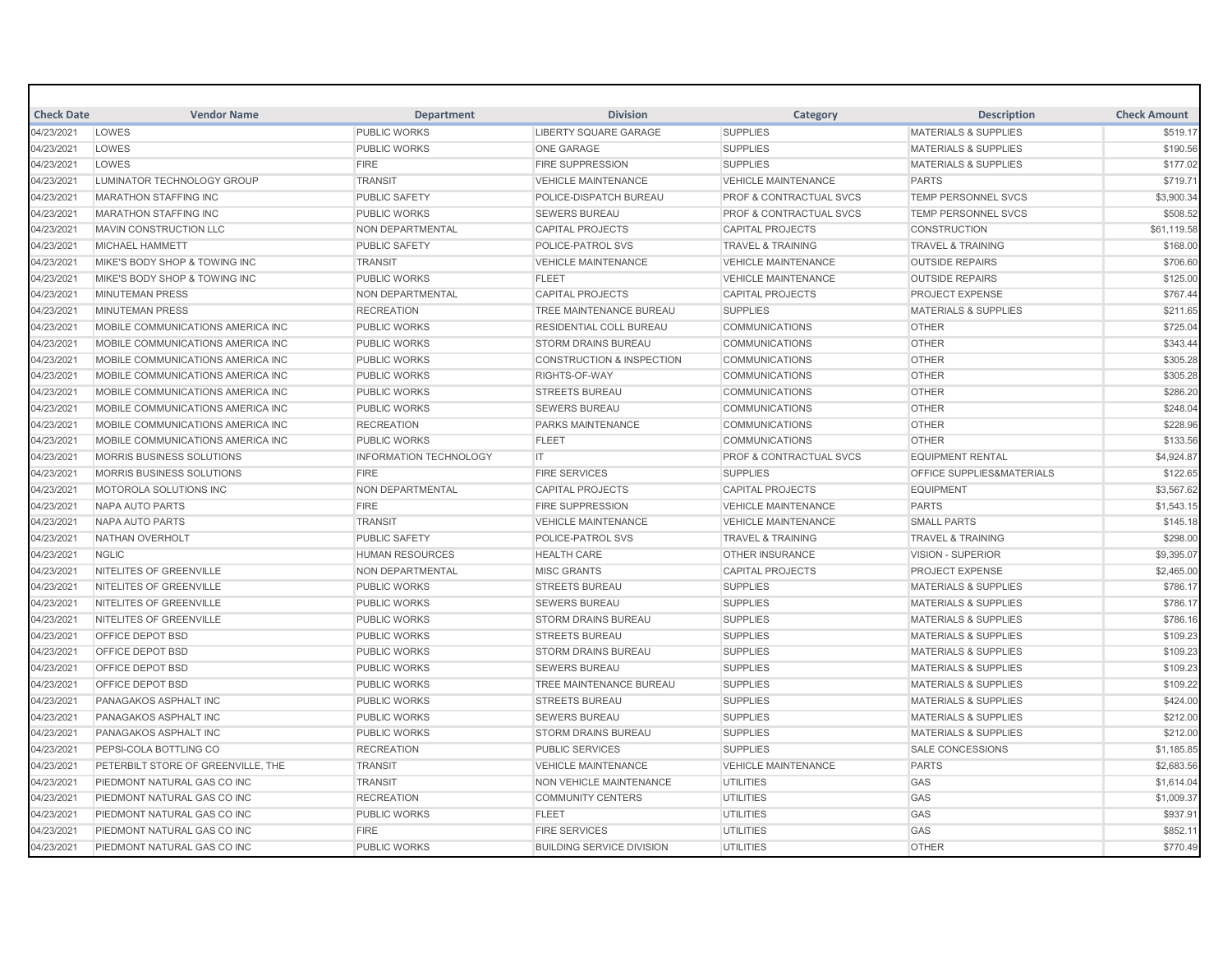| <b>Check Date</b> | <b>Vendor Name</b>                 | <b>Department</b>             | <b>Division</b>                      | Category                           | <b>Description</b>                   | <b>Check Amount</b> |
|-------------------|------------------------------------|-------------------------------|--------------------------------------|------------------------------------|--------------------------------------|---------------------|
| 04/23/2021        | LOWES                              | <b>PUBLIC WORKS</b>           | <b>LIBERTY SQUARE GARAGE</b>         | <b>SUPPLIES</b>                    | <b>MATERIALS &amp; SUPPLIES</b>      | \$519.17            |
| 04/23/2021        | LOWES                              | <b>PUBLIC WORKS</b>           | <b>ONE GARAGE</b>                    | <b>SUPPLIES</b>                    | <b>MATERIALS &amp; SUPPLIES</b>      | \$190.56            |
| 04/23/2021        | LOWES                              | <b>FIRE</b>                   | <b>FIRE SUPPRESSION</b>              | <b>SUPPLIES</b>                    | <b>MATERIALS &amp; SUPPLIES</b>      | \$177.02            |
| 04/23/2021        | LUMINATOR TECHNOLOGY GROUP         | <b>TRANSIT</b>                | <b>VEHICLE MAINTENANCE</b>           | <b>VEHICLE MAINTENANCE</b>         | <b>PARTS</b>                         | \$719.71            |
| 04/23/2021        | <b>MARATHON STAFFING INC</b>       | <b>PUBLIC SAFETY</b>          | POLICE-DISPATCH BUREAU               | <b>PROF &amp; CONTRACTUAL SVCS</b> | <b>TEMP PERSONNEL SVCS</b>           | \$3,900.34          |
| 04/23/2021        | <b>MARATHON STAFFING INC</b>       | <b>PUBLIC WORKS</b>           | <b>SEWERS BUREAU</b>                 | <b>PROF &amp; CONTRACTUAL SVCS</b> | <b>TEMP PERSONNEL SVCS</b>           | \$508.52            |
| 04/23/2021        | MAVIN CONSTRUCTION LLC             | <b>NON DEPARTMENTAL</b>       | <b>CAPITAL PROJECTS</b>              | <b>CAPITAL PROJECTS</b>            | <b>CONSTRUCTION</b>                  | \$61,119.58         |
| 04/23/2021        | <b>MICHAEL HAMMETT</b>             | <b>PUBLIC SAFETY</b>          | <b>POLICE-PATROL SVS</b>             | <b>TRAVEL &amp; TRAINING</b>       | <b>TRAVEL &amp; TRAINING</b>         | \$168.00            |
| 04/23/2021        | MIKE'S BODY SHOP & TOWING INC      | <b>TRANSIT</b>                | <b>VEHICLE MAINTENANCE</b>           | <b>VEHICLE MAINTENANCE</b>         | <b>OUTSIDE REPAIRS</b>               | \$706.60            |
| 04/23/2021        | MIKE'S BODY SHOP & TOWING INC      | <b>PUBLIC WORKS</b>           | <b>FLEET</b>                         | <b>VEHICLE MAINTENANCE</b>         | <b>OUTSIDE REPAIRS</b>               | \$125.00            |
| 04/23/2021        | <b>MINUTEMAN PRESS</b>             | NON DEPARTMENTAL              | <b>CAPITAL PROJECTS</b>              | <b>CAPITAL PROJECTS</b>            | <b>PROJECT EXPENSE</b>               | \$767.44            |
| 04/23/2021        | <b>MINUTEMAN PRESS</b>             | <b>RECREATION</b>             | TREE MAINTENANCE BUREAU              | <b>SUPPLIES</b>                    | <b>MATERIALS &amp; SUPPLIES</b>      | \$211.65            |
| 04/23/2021        | MOBILE COMMUNICATIONS AMERICA INC  | <b>PUBLIC WORKS</b>           | <b>RESIDENTIAL COLL BUREAU</b>       | <b>COMMUNICATIONS</b>              | <b>OTHER</b>                         | \$725.04            |
| 04/23/2021        | MOBILE COMMUNICATIONS AMERICA INC  | <b>PUBLIC WORKS</b>           | <b>STORM DRAINS BUREAU</b>           | <b>COMMUNICATIONS</b>              | <b>OTHER</b>                         | \$343.44            |
| 04/23/2021        | MOBILE COMMUNICATIONS AMERICA INC  | <b>PUBLIC WORKS</b>           | <b>CONSTRUCTION &amp; INSPECTION</b> | <b>COMMUNICATIONS</b>              | <b>OTHER</b>                         | \$305.28            |
| 04/23/2021        | MOBILE COMMUNICATIONS AMERICA INC  | <b>PUBLIC WORKS</b>           | RIGHTS-OF-WAY                        | <b>COMMUNICATIONS</b>              | <b>OTHER</b>                         | \$305.28            |
| 04/23/2021        | MOBILE COMMUNICATIONS AMERICA INC  | <b>PUBLIC WORKS</b>           | <b>STREETS BUREAU</b>                | <b>COMMUNICATIONS</b>              | <b>OTHER</b>                         | \$286.20            |
| 04/23/2021        | MOBILE COMMUNICATIONS AMERICA INC  | <b>PUBLIC WORKS</b>           | <b>SEWERS BUREAU</b>                 | <b>COMMUNICATIONS</b>              | <b>OTHER</b>                         | \$248.04            |
| 04/23/2021        | MOBILE COMMUNICATIONS AMERICA INC  | <b>RECREATION</b>             | <b>PARKS MAINTENANCE</b>             | <b>COMMUNICATIONS</b>              | <b>OTHER</b>                         | \$228.96            |
| 04/23/2021        | MOBILE COMMUNICATIONS AMERICA INC  | <b>PUBLIC WORKS</b>           | <b>FLEET</b>                         | <b>COMMUNICATIONS</b>              | <b>OTHER</b>                         | \$133.56            |
| 04/23/2021        | MORRIS BUSINESS SOLUTIONS          | <b>INFORMATION TECHNOLOGY</b> | IT                                   | PROF & CONTRACTUAL SVCS            | <b>EQUIPMENT RENTAL</b>              | \$4,924.87          |
| 04/23/2021        | <b>MORRIS BUSINESS SOLUTIONS</b>   | <b>FIRE</b>                   | <b>FIRE SERVICES</b>                 | <b>SUPPLIES</b>                    | <b>OFFICE SUPPLIES&amp;MATERIALS</b> | \$122.65            |
| 04/23/2021        | MOTOROLA SOLUTIONS INC             | NON DEPARTMENTAL              | <b>CAPITAL PROJECTS</b>              | <b>CAPITAL PROJECTS</b>            | <b>EQUIPMENT</b>                     | \$3,567.62          |
| 04/23/2021        | NAPA AUTO PARTS                    | <b>FIRE</b>                   | <b>FIRE SUPPRESSION</b>              | <b>VEHICLE MAINTENANCE</b>         | <b>PARTS</b>                         | \$1,543.15          |
| 04/23/2021        | NAPA AUTO PARTS                    | <b>TRANSIT</b>                | <b>VEHICLE MAINTENANCE</b>           | <b>VEHICLE MAINTENANCE</b>         | <b>SMALL PARTS</b>                   | \$145.18            |
| 04/23/2021        | NATHAN OVERHOLT                    | <b>PUBLIC SAFETY</b>          | POLICE-PATROL SVS                    | <b>TRAVEL &amp; TRAINING</b>       | <b>TRAVEL &amp; TRAINING</b>         | \$298.00            |
| 04/23/2021        | <b>NGLIC</b>                       | <b>HUMAN RESOURCES</b>        | <b>HEALTH CARE</b>                   | <b>OTHER INSURANCE</b>             | VISION - SUPERIOR                    | \$9,395.07          |
| 04/23/2021        | NITELITES OF GREENVILLE            | <b>NON DEPARTMENTAL</b>       | <b>MISC GRANTS</b>                   | <b>CAPITAL PROJECTS</b>            | <b>PROJECT EXPENSE</b>               | \$2,465.00          |
| 04/23/2021        | NITELITES OF GREENVILLE            | <b>PUBLIC WORKS</b>           | <b>STREETS BUREAU</b>                | <b>SUPPLIES</b>                    | <b>MATERIALS &amp; SUPPLIES</b>      | \$786.17            |
| 04/23/2021        | NITELITES OF GREENVILLE            | <b>PUBLIC WORKS</b>           | <b>SEWERS BUREAU</b>                 | <b>SUPPLIES</b>                    | <b>MATERIALS &amp; SUPPLIES</b>      | \$786.17            |
| 04/23/2021        | NITELITES OF GREENVILLE            | <b>PUBLIC WORKS</b>           | <b>STORM DRAINS BUREAU</b>           | <b>SUPPLIES</b>                    | <b>MATERIALS &amp; SUPPLIES</b>      | \$786.16            |
| 04/23/2021        | OFFICE DEPOT BSD                   | PUBLIC WORKS                  | <b>STREETS BUREAU</b>                | <b>SUPPLIES</b>                    | <b>MATERIALS &amp; SUPPLIES</b>      | \$109.23            |
| 04/23/2021        | <b>OFFICE DEPOT BSD</b>            | <b>PUBLIC WORKS</b>           | <b>STORM DRAINS BUREAU</b>           | <b>SUPPLIES</b>                    | <b>MATERIALS &amp; SUPPLIES</b>      | \$109.23            |
| 04/23/2021        | OFFICE DEPOT BSD                   | <b>PUBLIC WORKS</b>           | <b>SEWERS BUREAU</b>                 | <b>SUPPLIES</b>                    | <b>MATERIALS &amp; SUPPLIES</b>      | \$109.23            |
| 04/23/2021        | <b>OFFICE DEPOT BSD</b>            | <b>PUBLIC WORKS</b>           | <b>TREE MAINTENANCE BUREAU</b>       | <b>SUPPLIES</b>                    | <b>MATERIALS &amp; SUPPLIES</b>      | \$109.22            |
| 04/23/2021        | PANAGAKOS ASPHALT INC              | <b>PUBLIC WORKS</b>           | <b>STREETS BUREAU</b>                | <b>SUPPLIES</b>                    | <b>MATERIALS &amp; SUPPLIES</b>      | \$424.00            |
| 04/23/2021        | PANAGAKOS ASPHALT INC              | <b>PUBLIC WORKS</b>           | <b>SEWERS BUREAU</b>                 | <b>SUPPLIES</b>                    | <b>MATERIALS &amp; SUPPLIES</b>      | \$212.00            |
| 04/23/2021        | <b>PANAGAKOS ASPHALT INC</b>       | <b>PUBLIC WORKS</b>           | <b>STORM DRAINS BUREAU</b>           | <b>SUPPLIES</b>                    | <b>MATERIALS &amp; SUPPLIES</b>      | \$212.00            |
| 04/23/2021        | PEPSI-COLA BOTTLING CO             | <b>RECREATION</b>             | <b>PUBLIC SERVICES</b>               | <b>SUPPLIES</b>                    | <b>SALE CONCESSIONS</b>              | \$1,185.85          |
| 04/23/2021        | PETERBILT STORE OF GREENVILLE. THE | <b>TRANSIT</b>                | <b>VEHICLE MAINTENANCE</b>           | <b>VEHICLE MAINTENANCE</b>         | <b>PARTS</b>                         | \$2,683.56          |
| 04/23/2021        | PIEDMONT NATURAL GAS CO INC        | <b>TRANSIT</b>                | NON VEHICLE MAINTENANCE              | <b>UTILITIES</b>                   | GAS                                  | \$1,614.04          |
| 04/23/2021        | PIEDMONT NATURAL GAS CO INC        | <b>RECREATION</b>             | <b>COMMUNITY CENTERS</b>             | UTILITIES                          | GAS                                  | \$1,009.37          |
| 04/23/2021        | PIEDMONT NATURAL GAS CO INC        | <b>PUBLIC WORKS</b>           | <b>FLEET</b>                         | <b>UTILITIES</b>                   | GAS                                  | \$937.91            |
| 04/23/2021        | PIEDMONT NATURAL GAS CO INC        | <b>FIRE</b>                   | <b>FIRE SERVICES</b>                 | <b>UTILITIES</b>                   | GAS                                  | \$852.11            |
| 04/23/2021        | PIEDMONT NATURAL GAS CO INC        | <b>PUBLIC WORKS</b>           | <b>BUILDING SERVICE DIVISION</b>     | <b>UTILITIES</b>                   | <b>OTHER</b>                         | \$770.49            |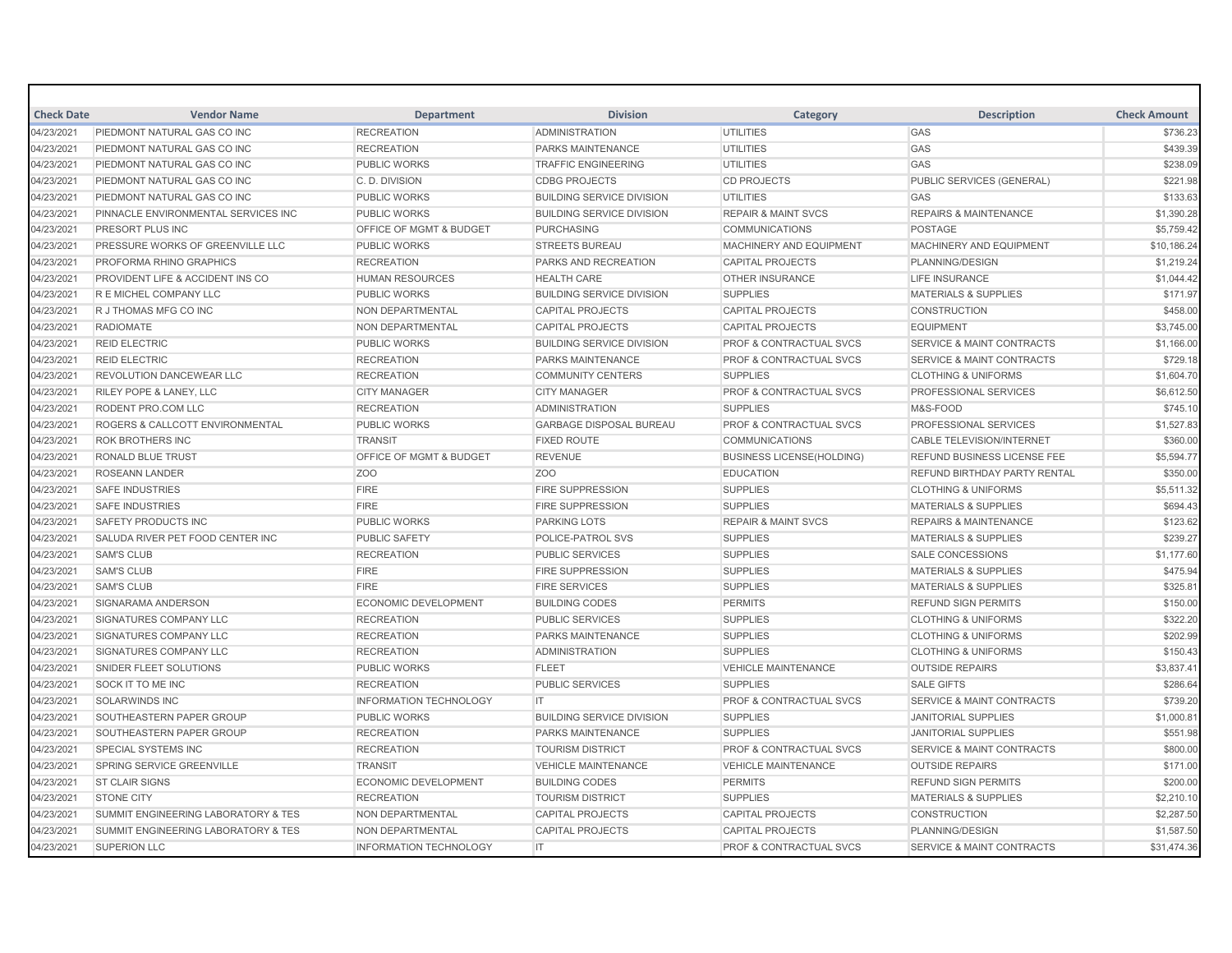| <b>Check Date</b> | <b>Vendor Name</b>                             | <b>Department</b>                  | <b>Division</b>                  | Category                           | <b>Description</b>                   | <b>Check Amount</b> |
|-------------------|------------------------------------------------|------------------------------------|----------------------------------|------------------------------------|--------------------------------------|---------------------|
| 04/23/2021        | PIEDMONT NATURAL GAS CO INC                    | <b>RECREATION</b>                  | <b>ADMINISTRATION</b>            | <b>UTILITIES</b>                   | GAS                                  | \$736.23            |
| 04/23/2021        | PIEDMONT NATURAL GAS CO INC                    | <b>RECREATION</b>                  | PARKS MAINTENANCE                | <b>UTILITIES</b>                   | GAS                                  | \$439.39            |
| 04/23/2021        | PIEDMONT NATURAL GAS CO INC                    | <b>PUBLIC WORKS</b>                | <b>TRAFFIC ENGINEERING</b>       | <b>UTILITIES</b>                   | GAS                                  | \$238.09            |
| 04/23/2021        | PIEDMONT NATURAL GAS CO INC                    | C. D. DIVISION                     | <b>CDBG PROJECTS</b>             | <b>CD PROJECTS</b>                 | PUBLIC SERVICES (GENERAL)            | \$221.98            |
| 04/23/2021        | PIEDMONT NATURAL GAS CO INC                    | <b>PUBLIC WORKS</b>                | <b>BUILDING SERVICE DIVISION</b> | <b>UTILITIES</b>                   | GAS                                  | \$133.63            |
| 04/23/2021        | PINNACLE ENVIRONMENTAL SERVICES INC            | <b>PUBLIC WORKS</b>                | <b>BUILDING SERVICE DIVISION</b> | <b>REPAIR &amp; MAINT SVCS</b>     | <b>REPAIRS &amp; MAINTENANCE</b>     | \$1,390.28          |
| 04/23/2021        | <b>PRESORT PLUS INC</b>                        | <b>OFFICE OF MGMT &amp; BUDGET</b> | <b>PURCHASING</b>                | <b>COMMUNICATIONS</b>              | <b>POSTAGE</b>                       | \$5,759.42          |
| 04/23/2021        | PRESSURE WORKS OF GREENVILLE LLC               | <b>PUBLIC WORKS</b>                | <b>STREETS BUREAU</b>            | MACHINERY AND EQUIPMENT            | MACHINERY AND EQUIPMENT              | \$10,186.24         |
| 04/23/2021        | <b>PROFORMA RHINO GRAPHICS</b>                 | <b>RECREATION</b>                  | PARKS AND RECREATION             | <b>CAPITAL PROJECTS</b>            | PLANNING/DESIGN                      | \$1,219.24          |
| 04/23/2021        | <b>PROVIDENT LIFE &amp; ACCIDENT INS CO</b>    | <b>HUMAN RESOURCES</b>             | <b>HEALTH CARE</b>               | <b>OTHER INSURANCE</b>             | <b>LIFE INSURANCE</b>                | \$1,044.42          |
| 04/23/2021        | R E MICHEL COMPANY LLC                         | <b>PUBLIC WORKS</b>                | <b>BUILDING SERVICE DIVISION</b> | <b>SUPPLIES</b>                    | <b>MATERIALS &amp; SUPPLIES</b>      | \$171.97            |
| 04/23/2021        | R J THOMAS MFG CO INC                          | NON DEPARTMENTAL                   | <b>CAPITAL PROJECTS</b>          | <b>CAPITAL PROJECTS</b>            | <b>CONSTRUCTION</b>                  | \$458.00            |
| 04/23/2021        | <b>RADIOMATE</b>                               | NON DEPARTMENTAL                   | <b>CAPITAL PROJECTS</b>          | <b>CAPITAL PROJECTS</b>            | <b>EQUIPMENT</b>                     | \$3,745.00          |
| 04/23/2021        | <b>REID ELECTRIC</b>                           | <b>PUBLIC WORKS</b>                | <b>BUILDING SERVICE DIVISION</b> | PROF & CONTRACTUAL SVCS            | <b>SERVICE &amp; MAINT CONTRACTS</b> | \$1,166.00          |
| 04/23/2021        | <b>REID ELECTRIC</b>                           | <b>RECREATION</b>                  | <b>PARKS MAINTENANCE</b>         | PROF & CONTRACTUAL SVCS            | <b>SERVICE &amp; MAINT CONTRACTS</b> | \$729.18            |
| 04/23/2021        | <b>REVOLUTION DANCEWEAR LLC</b>                | <b>RECREATION</b>                  | <b>COMMUNITY CENTERS</b>         | <b>SUPPLIES</b>                    | <b>CLOTHING &amp; UNIFORMS</b>       | \$1,604.70          |
| 04/23/2021        | <b>RILEY POPE &amp; LANEY, LLC</b>             | <b>CITY MANAGER</b>                | <b>CITY MANAGER</b>              | <b>PROF &amp; CONTRACTUAL SVCS</b> | <b>PROFESSIONAL SERVICES</b>         | \$6,612.50          |
| 04/23/2021        | RODENT PRO.COM LLC                             | <b>RECREATION</b>                  | <b>ADMINISTRATION</b>            | <b>SUPPLIES</b>                    | M&S-FOOD                             | \$745.10            |
| 04/23/2021        | ROGERS & CALLCOTT ENVIRONMENTAL                | PUBLIC WORKS                       | <b>GARBAGE DISPOSAL BUREAU</b>   | <b>PROF &amp; CONTRACTUAL SVCS</b> | PROFESSIONAL SERVICES                | \$1,527.83          |
| 04/23/2021        | <b>ROK BROTHERS INC</b>                        | <b>TRANSIT</b>                     | <b>FIXED ROUTE</b>               | <b>COMMUNICATIONS</b>              | <b>CABLE TELEVISION/INTERNET</b>     | \$360.00            |
| 04/23/2021        | <b>RONALD BLUE TRUST</b>                       | <b>OFFICE OF MGMT &amp; BUDGET</b> | <b>REVENUE</b>                   | <b>BUSINESS LICENSE(HOLDING)</b>   | <b>REFUND BUSINESS LICENSE FEE</b>   | \$5,594.77          |
| 04/23/2021        | <b>ROSEANN LANDER</b>                          | Z <sub>O</sub> O                   | Z <sub>O</sub> O                 | <b>EDUCATION</b>                   | <b>REFUND BIRTHDAY PARTY RENTAL</b>  | \$350.00            |
| 04/23/2021        | <b>SAFE INDUSTRIES</b>                         | <b>FIRE</b>                        | <b>FIRE SUPPRESSION</b>          | <b>SUPPLIES</b>                    | <b>CLOTHING &amp; UNIFORMS</b>       | \$5,511.32          |
| 04/23/2021        | <b>SAFE INDUSTRIES</b>                         | <b>FIRE</b>                        | <b>FIRE SUPPRESSION</b>          | <b>SUPPLIES</b>                    | <b>MATERIALS &amp; SUPPLIES</b>      | \$694.43            |
| 04/23/2021        | <b>SAFETY PRODUCTS INC</b>                     | <b>PUBLIC WORKS</b>                | <b>PARKING LOTS</b>              | <b>REPAIR &amp; MAINT SVCS</b>     | <b>REPAIRS &amp; MAINTENANCE</b>     | \$123.62            |
| 04/23/2021        | <b>SALUDA RIVER PET FOOD CENTER INC</b>        | <b>PUBLIC SAFETY</b>               | <b>POLICE-PATROL SVS</b>         | <b>SUPPLIES</b>                    | <b>MATERIALS &amp; SUPPLIES</b>      | \$239.27            |
| 04/23/2021        | <b>SAM'S CLUB</b>                              | <b>RECREATION</b>                  | <b>PUBLIC SERVICES</b>           | <b>SUPPLIES</b>                    | <b>SALE CONCESSIONS</b>              | \$1,177.60          |
| 04/23/2021        | <b>SAM'S CLUB</b>                              | <b>FIRE</b>                        | <b>FIRE SUPPRESSION</b>          | <b>SUPPLIES</b>                    | <b>MATERIALS &amp; SUPPLIES</b>      | \$475.94            |
| 04/23/2021        | <b>SAM'S CLUB</b>                              | <b>FIRE</b>                        | <b>FIRE SERVICES</b>             | <b>SUPPLIES</b>                    | <b>MATERIALS &amp; SUPPLIES</b>      | \$325.81            |
| 04/23/2021        | SIGNARAMA ANDERSON                             | <b>ECONOMIC DEVELOPMENT</b>        | <b>BUILDING CODES</b>            | <b>PERMITS</b>                     | <b>REFUND SIGN PERMITS</b>           | \$150.00            |
| 04/23/2021        | <b>SIGNATURES COMPANY LLC</b>                  | <b>RECREATION</b>                  | <b>PUBLIC SERVICES</b>           | <b>SUPPLIES</b>                    | <b>CLOTHING &amp; UNIFORMS</b>       | \$322.20            |
| 04/23/2021        | SIGNATURES COMPANY LLC                         | <b>RECREATION</b>                  | PARKS MAINTENANCE                | <b>SUPPLIES</b>                    | <b>CLOTHING &amp; UNIFORMS</b>       | \$202.99            |
| 04/23/2021        | SIGNATURES COMPANY LLC                         | <b>RECREATION</b>                  | <b>ADMINISTRATION</b>            | <b>SUPPLIES</b>                    | <b>CLOTHING &amp; UNIFORMS</b>       | \$150.43            |
| 04/23/2021        | SNIDER FLEET SOLUTIONS                         | <b>PUBLIC WORKS</b>                | <b>FLEET</b>                     | <b>VEHICLE MAINTENANCE</b>         | <b>OUTSIDE REPAIRS</b>               | \$3,837.41          |
| 04/23/2021        | SOCK IT TO ME INC                              | <b>RECREATION</b>                  | <b>PUBLIC SERVICES</b>           | <b>SUPPLIES</b>                    | <b>SALE GIFTS</b>                    | \$286.64            |
| 04/23/2021        | <b>SOLARWINDS INC</b>                          | <b>INFORMATION TECHNOLOGY</b>      | IT.                              | <b>PROF &amp; CONTRACTUAL SVCS</b> | <b>SERVICE &amp; MAINT CONTRACTS</b> | \$739.20            |
| 04/23/2021        | SOUTHEASTERN PAPER GROUP                       | <b>PUBLIC WORKS</b>                | <b>BUILDING SERVICE DIVISION</b> | <b>SUPPLIES</b>                    | <b>JANITORIAL SUPPLIES</b>           | \$1,000.81          |
| 04/23/2021        | SOUTHEASTERN PAPER GROUP                       | <b>RECREATION</b>                  | <b>PARKS MAINTENANCE</b>         | <b>SUPPLIES</b>                    | <b>JANITORIAL SUPPLIES</b>           | \$551.98            |
| 04/23/2021        | SPECIAL SYSTEMS INC                            | <b>RECREATION</b>                  | <b>TOURISM DISTRICT</b>          | PROF & CONTRACTUAL SVCS            | <b>SERVICE &amp; MAINT CONTRACTS</b> | \$800.00            |
| 04/23/2021        | SPRING SERVICE GREENVILLE                      | <b>TRANSIT</b>                     | <b>VEHICLE MAINTENANCE</b>       | <b>VEHICLE MAINTENANCE</b>         | <b>OUTSIDE REPAIRS</b>               | \$171.00            |
| 04/23/2021        | <b>ST CLAIR SIGNS</b>                          | <b>ECONOMIC DEVELOPMENT</b>        | <b>BUILDING CODES</b>            | <b>PERMITS</b>                     | <b>REFUND SIGN PERMITS</b>           | \$200.00            |
| 04/23/2021        | <b>STONE CITY</b>                              | <b>RECREATION</b>                  | <b>TOURISM DISTRICT</b>          | <b>SUPPLIES</b>                    | MATERIALS & SUPPLIES                 | \$2,210.10          |
| 04/23/2021        | SUMMIT ENGINEERING LABORATORY & TES            | <b>NON DEPARTMENTAL</b>            | <b>CAPITAL PROJECTS</b>          | <b>CAPITAL PROJECTS</b>            | <b>CONSTRUCTION</b>                  | \$2,287.50          |
| 04/23/2021        | <b>SUMMIT ENGINEERING LABORATORY &amp; TES</b> | <b>NON DEPARTMENTAL</b>            | <b>CAPITAL PROJECTS</b>          | <b>CAPITAL PROJECTS</b>            | PLANNING/DESIGN                      | \$1,587.50          |
| 04/23/2021        | <b>SUPERION LLC</b>                            | <b>INFORMATION TECHNOLOGY</b>      | IT.                              | <b>PROF &amp; CONTRACTUAL SVCS</b> | <b>SERVICE &amp; MAINT CONTRACTS</b> | \$31,474.36         |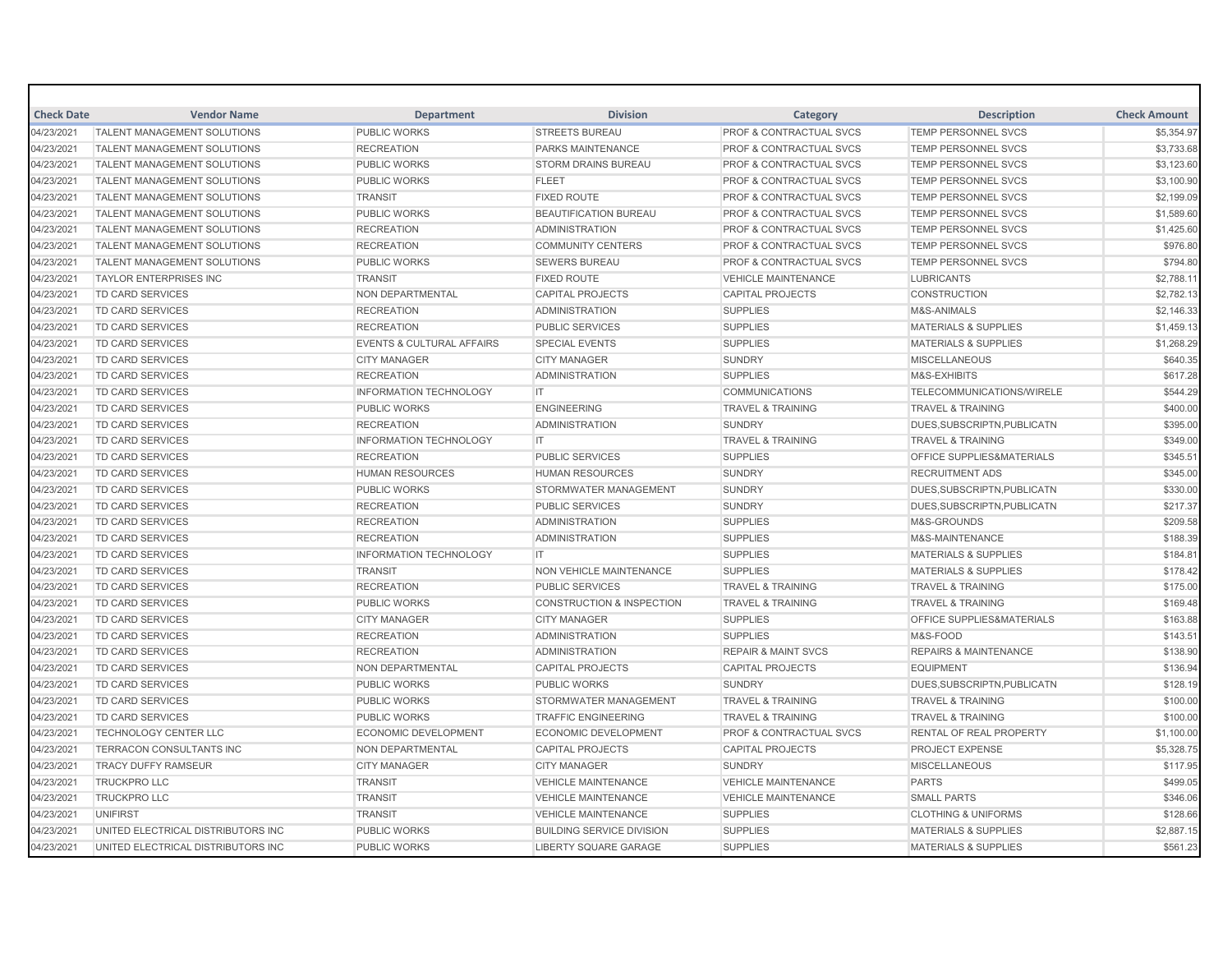| <b>Check Date</b> | <b>Vendor Name</b>                 | <b>Department</b>                    | <b>Division</b>                  | Category                           | <b>Description</b>                   | <b>Check Amount</b> |
|-------------------|------------------------------------|--------------------------------------|----------------------------------|------------------------------------|--------------------------------------|---------------------|
| 04/23/2021        | <b>TALENT MANAGEMENT SOLUTIONS</b> | <b>PUBLIC WORKS</b>                  | <b>STREETS BUREAU</b>            | <b>PROF &amp; CONTRACTUAL SVCS</b> | TEMP PERSONNEL SVCS                  | \$5,354.97          |
| 04/23/2021        | <b>TALENT MANAGEMENT SOLUTIONS</b> | <b>RECREATION</b>                    | <b>PARKS MAINTENANCE</b>         | <b>PROF &amp; CONTRACTUAL SVCS</b> | <b>TEMP PERSONNEL SVCS</b>           | \$3,733.68          |
| 04/23/2021        | <b>TALENT MANAGEMENT SOLUTIONS</b> | <b>PUBLIC WORKS</b>                  | <b>STORM DRAINS BUREAU</b>       | <b>PROF &amp; CONTRACTUAL SVCS</b> | <b>TEMP PERSONNEL SVCS</b>           | \$3,123.60          |
| 04/23/2021        | TALENT MANAGEMENT SOLUTIONS        | PUBLIC WORKS                         | <b>FLEET</b>                     | <b>PROF &amp; CONTRACTUAL SVCS</b> | <b>TEMP PERSONNEL SVCS</b>           | \$3,100.90          |
| 04/23/2021        | <b>TALENT MANAGEMENT SOLUTIONS</b> | <b>TRANSIT</b>                       | <b>FIXED ROUTE</b>               | <b>PROF &amp; CONTRACTUAL SVCS</b> | <b>TEMP PERSONNEL SVCS</b>           | \$2,199.09          |
| 04/23/2021        | TALENT MANAGEMENT SOLUTIONS        | <b>PUBLIC WORKS</b>                  | <b>BEAUTIFICATION BUREAU</b>     | PROF & CONTRACTUAL SVCS            | <b>TEMP PERSONNEL SVCS</b>           | \$1,589.60          |
| 04/23/2021        | <b>TALENT MANAGEMENT SOLUTIONS</b> | <b>RECREATION</b>                    | <b>ADMINISTRATION</b>            | <b>PROF &amp; CONTRACTUAL SVCS</b> | <b>TEMP PERSONNEL SVCS</b>           | \$1,425.60          |
| 04/23/2021        | <b>TALENT MANAGEMENT SOLUTIONS</b> | <b>RECREATION</b>                    | <b>COMMUNITY CENTERS</b>         | <b>PROF &amp; CONTRACTUAL SVCS</b> | <b>TEMP PERSONNEL SVCS</b>           | \$976.80            |
| 04/23/2021        | <b>TALENT MANAGEMENT SOLUTIONS</b> | <b>PUBLIC WORKS</b>                  | <b>SEWERS BUREAU</b>             | <b>PROF &amp; CONTRACTUAL SVCS</b> | <b>TEMP PERSONNEL SVCS</b>           | \$794.80            |
| 04/23/2021        | <b>TAYLOR ENTERPRISES INC</b>      | <b>TRANSIT</b>                       | <b>FIXED ROUTE</b>               | <b>VEHICLE MAINTENANCE</b>         | <b>LUBRICANTS</b>                    | \$2,788.11          |
| 04/23/2021        | TD CARD SERVICES                   | NON DEPARTMENTAL                     | <b>CAPITAL PROJECTS</b>          | <b>CAPITAL PROJECTS</b>            | <b>CONSTRUCTION</b>                  | \$2,782.13          |
| 04/23/2021        | TD CARD SERVICES                   | <b>RECREATION</b>                    | <b>ADMINISTRATION</b>            | <b>SUPPLIES</b>                    | M&S-ANIMALS                          | \$2,146.33          |
| 04/23/2021        | TD CARD SERVICES                   | <b>RECREATION</b>                    | <b>PUBLIC SERVICES</b>           | <b>SUPPLIES</b>                    | <b>MATERIALS &amp; SUPPLIES</b>      | \$1,459.13          |
| 04/23/2021        | <b>TD CARD SERVICES</b>            | <b>EVENTS &amp; CULTURAL AFFAIRS</b> | <b>SPECIAL EVENTS</b>            | <b>SUPPLIES</b>                    | <b>MATERIALS &amp; SUPPLIES</b>      | \$1,268.29          |
| 04/23/2021        | TD CARD SERVICES                   | <b>CITY MANAGER</b>                  | <b>CITY MANAGER</b>              | <b>SUNDRY</b>                      | <b>MISCELLANEOUS</b>                 | \$640.35            |
| 04/23/2021        | <b>TD CARD SERVICES</b>            | <b>RECREATION</b>                    | <b>ADMINISTRATION</b>            | <b>SUPPLIES</b>                    | M&S-EXHIBITS                         | \$617.28            |
| 04/23/2021        | TD CARD SERVICES                   | <b>INFORMATION TECHNOLOGY</b>        | IT.                              | <b>COMMUNICATIONS</b>              | TELECOMMUNICATIONS/WIRELE            | \$544.29            |
| 04/23/2021        | TD CARD SERVICES                   | <b>PUBLIC WORKS</b>                  | <b>ENGINEERING</b>               | <b>TRAVEL &amp; TRAINING</b>       | <b>TRAVEL &amp; TRAINING</b>         | \$400.00            |
| 04/23/2021        | <b>TD CARD SERVICES</b>            | <b>RECREATION</b>                    | <b>ADMINISTRATION</b>            | <b>SUNDRY</b>                      | DUES, SUBSCRIPTN, PUBLICATN          | \$395.00            |
| 04/23/2021        | TD CARD SERVICES                   | <b>INFORMATION TECHNOLOGY</b>        | IT.                              | <b>TRAVEL &amp; TRAINING</b>       | <b>TRAVEL &amp; TRAINING</b>         | \$349.00            |
| 04/23/2021        | <b>TD CARD SERVICES</b>            | <b>RECREATION</b>                    | <b>PUBLIC SERVICES</b>           | <b>SUPPLIES</b>                    | <b>OFFICE SUPPLIES&amp;MATERIALS</b> | \$345.51            |
| 04/23/2021        | <b>TD CARD SERVICES</b>            | <b>HUMAN RESOURCES</b>               | <b>HUMAN RESOURCES</b>           | <b>SUNDRY</b>                      | <b>RECRUITMENT ADS</b>               | \$345.00            |
| 04/23/2021        | <b>TD CARD SERVICES</b>            | <b>PUBLIC WORKS</b>                  | STORMWATER MANAGEMENT            | <b>SUNDRY</b>                      | DUES, SUBSCRIPTN, PUBLICATN          | \$330.00            |
| 04/23/2021        | <b>TD CARD SERVICES</b>            | <b>RECREATION</b>                    | <b>PUBLIC SERVICES</b>           | <b>SUNDRY</b>                      | DUES.SUBSCRIPTN.PUBLICATN            | \$217.37            |
| 04/23/2021        | <b>TD CARD SERVICES</b>            | <b>RECREATION</b>                    | <b>ADMINISTRATION</b>            | <b>SUPPLIES</b>                    | M&S-GROUNDS                          | \$209.58            |
| 04/23/2021        | <b>TD CARD SERVICES</b>            | <b>RECREATION</b>                    | <b>ADMINISTRATION</b>            | <b>SUPPLIES</b>                    | M&S-MAINTENANCE                      | \$188.39            |
| 04/23/2021        | <b>TD CARD SERVICES</b>            | <b>INFORMATION TECHNOLOGY</b>        | IT                               | <b>SUPPLIES</b>                    | <b>MATERIALS &amp; SUPPLIES</b>      | \$184.81            |
| 04/23/2021        | <b>TD CARD SERVICES</b>            | <b>TRANSIT</b>                       | <b>NON VEHICLE MAINTENANCE</b>   | <b>SUPPLIES</b>                    | <b>MATERIALS &amp; SUPPLIES</b>      | \$178.42            |
| 04/23/2021        | <b>TD CARD SERVICES</b>            | <b>RECREATION</b>                    | <b>PUBLIC SERVICES</b>           | <b>TRAVEL &amp; TRAINING</b>       | <b>TRAVEL &amp; TRAINING</b>         | \$175.00            |
| 04/23/2021        | TD CARD SERVICES                   | PUBLIC WORKS                         | CONSTRUCTION & INSPECTION        | <b>TRAVEL &amp; TRAINING</b>       | <b>TRAVEL &amp; TRAINING</b>         | \$169.48            |
| 04/23/2021        | <b>TD CARD SERVICES</b>            | <b>CITY MANAGER</b>                  | <b>CITY MANAGER</b>              | <b>SUPPLIES</b>                    | OFFICE SUPPLIES&MATERIALS            | \$163.88            |
| 04/23/2021        | <b>TD CARD SERVICES</b>            | <b>RECREATION</b>                    | <b>ADMINISTRATION</b>            | <b>SUPPLIES</b>                    | M&S-FOOD                             | \$143.51            |
| 04/23/2021        | <b>TD CARD SERVICES</b>            | <b>RECREATION</b>                    | <b>ADMINISTRATION</b>            | <b>REPAIR &amp; MAINT SVCS</b>     | <b>REPAIRS &amp; MAINTENANCE</b>     | \$138.90            |
| 04/23/2021        | TD CARD SERVICES                   | NON DEPARTMENTAL                     | <b>CAPITAL PROJECTS</b>          | <b>CAPITAL PROJECTS</b>            | <b>EQUIPMENT</b>                     | \$136.94            |
| 04/23/2021        | TD CARD SERVICES                   | <b>PUBLIC WORKS</b>                  | <b>PUBLIC WORKS</b>              | <b>SUNDRY</b>                      | DUES, SUBSCRIPTN, PUBLICATN          | \$128.19            |
| 04/23/2021        | <b>TD CARD SERVICES</b>            | <b>PUBLIC WORKS</b>                  | <b>STORMWATER MANAGEMENT</b>     | <b>TRAVEL &amp; TRAINING</b>       | <b>TRAVEL &amp; TRAINING</b>         | \$100.00            |
| 04/23/2021        | <b>TD CARD SERVICES</b>            | <b>PUBLIC WORKS</b>                  | <b>TRAFFIC ENGINEERING</b>       | <b>TRAVEL &amp; TRAINING</b>       | <b>TRAVEL &amp; TRAINING</b>         | \$100.00            |
| 04/23/2021        | <b>TECHNOLOGY CENTER LLC</b>       | <b>ECONOMIC DEVELOPMENT</b>          | <b>ECONOMIC DEVELOPMENT</b>      | <b>PROF &amp; CONTRACTUAL SVCS</b> | <b>RENTAL OF REAL PROPERTY</b>       | \$1,100.00          |
| 04/23/2021        | TERRACON CONSULTANTS INC           | <b>NON DEPARTMENTAL</b>              | <b>CAPITAL PROJECTS</b>          | <b>CAPITAL PROJECTS</b>            | <b>PROJECT EXPENSE</b>               | \$5,328.75          |
| 04/23/2021        | <b>TRACY DUFFY RAMSEUR</b>         | <b>CITY MANAGER</b>                  | <b>CITY MANAGER</b>              | <b>SUNDRY</b>                      | <b>MISCELLANEOUS</b>                 | \$117.95            |
| 04/23/2021        | <b>TRUCKPRO LLC</b>                | <b>TRANSIT</b>                       | <b>VEHICLE MAINTENANCE</b>       | <b>VEHICLE MAINTENANCE</b>         | <b>PARTS</b>                         | \$499.05            |
| 04/23/2021        | <b>TRUCKPRO LLC</b>                | <b>TRANSIT</b>                       | <b>VEHICLE MAINTENANCE</b>       | <b>VEHICLE MAINTENANCE</b>         | <b>SMALL PARTS</b>                   | \$346.06            |
| 04/23/2021        | <b>UNIFIRST</b>                    | <b>TRANSIT</b>                       | VEHICLE MAINTENANCE              | <b>SUPPLIES</b>                    | <b>CLOTHING &amp; UNIFORMS</b>       | \$128.66            |
| 04/23/2021        | UNITED ELECTRICAL DISTRIBUTORS INC | <b>PUBLIC WORKS</b>                  | <b>BUILDING SERVICE DIVISION</b> | <b>SUPPLIES</b>                    | <b>MATERIALS &amp; SUPPLIES</b>      | \$2,887.15          |
| 04/23/2021        | UNITED ELECTRICAL DISTRIBUTORS INC | <b>PUBLIC WORKS</b>                  | <b>LIBERTY SQUARE GARAGE</b>     | <b>SUPPLIES</b>                    | <b>MATERIALS &amp; SUPPLIES</b>      | \$561.23            |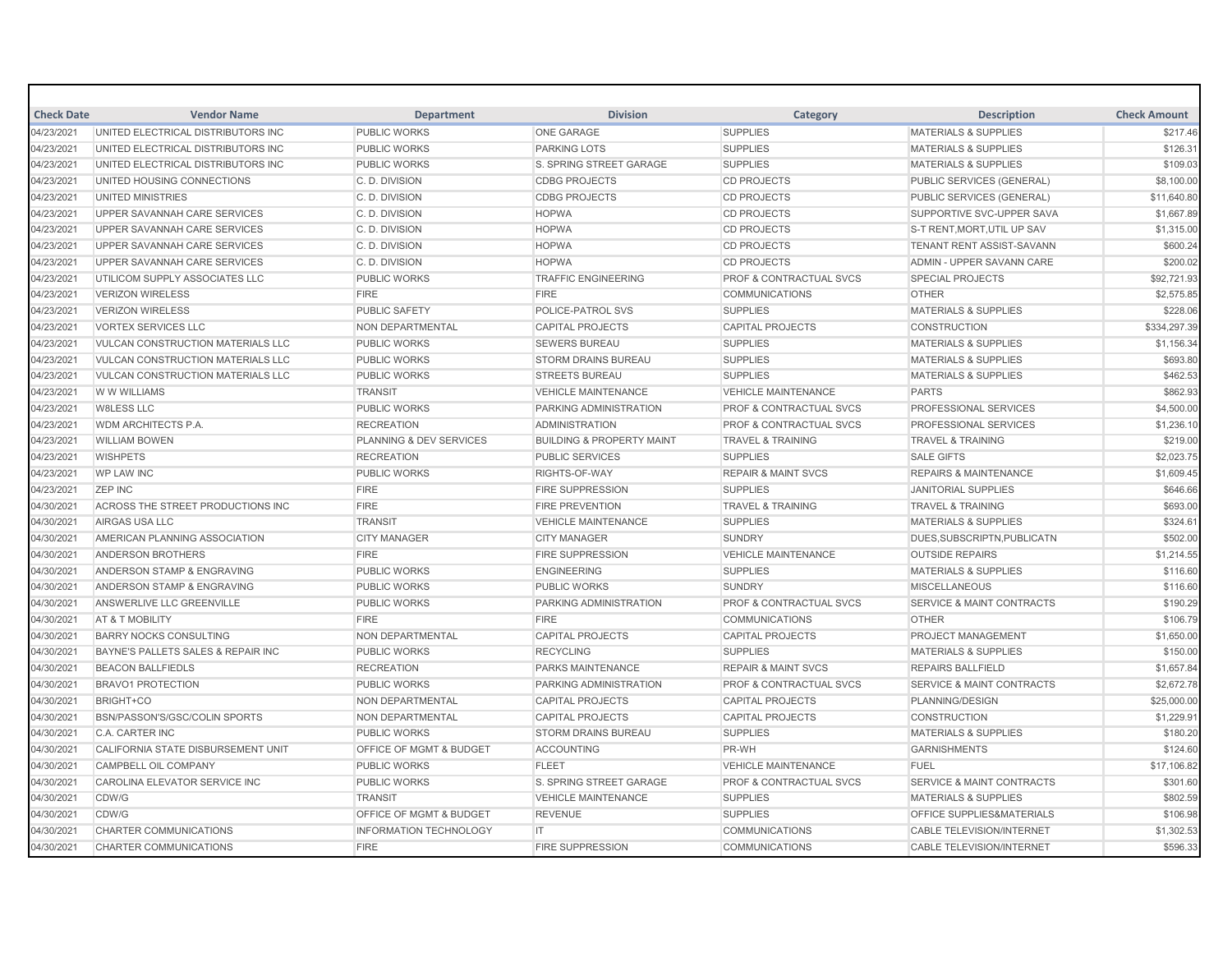| <b>Check Date</b> | <b>Vendor Name</b>                       | <b>Department</b>                  | <b>Division</b>                      | Category                           | <b>Description</b>                   | <b>Check Amount</b> |
|-------------------|------------------------------------------|------------------------------------|--------------------------------------|------------------------------------|--------------------------------------|---------------------|
| 04/23/2021        | UNITED ELECTRICAL DISTRIBUTORS INC       | <b>PUBLIC WORKS</b>                | <b>ONE GARAGE</b>                    | <b>SUPPLIES</b>                    | <b>MATERIALS &amp; SUPPLIES</b>      | \$217.46            |
| 04/23/2021        | UNITED ELECTRICAL DISTRIBUTORS INC       | <b>PUBLIC WORKS</b>                | <b>PARKING LOTS</b>                  | <b>SUPPLIES</b>                    | <b>MATERIALS &amp; SUPPLIES</b>      | \$126.31            |
| 04/23/2021        | UNITED ELECTRICAL DISTRIBUTORS INC       | <b>PUBLIC WORKS</b>                | S. SPRING STREET GARAGE              | <b>SUPPLIES</b>                    | <b>MATERIALS &amp; SUPPLIES</b>      | \$109.03            |
| 04/23/2021        | UNITED HOUSING CONNECTIONS               | C. D. DIVISION                     | <b>CDBG PROJECTS</b>                 | <b>CD PROJECTS</b>                 | <b>PUBLIC SERVICES (GENERAL)</b>     | \$8,100.00          |
| 04/23/2021        | UNITED MINISTRIES                        | C. D. DIVISION                     | <b>CDBG PROJECTS</b>                 | <b>CD PROJECTS</b>                 | PUBLIC SERVICES (GENERAL)            | \$11,640.80         |
| 04/23/2021        | UPPER SAVANNAH CARE SERVICES             | C. D. DIVISION                     | <b>HOPWA</b>                         | <b>CD PROJECTS</b>                 | SUPPORTIVE SVC-UPPER SAVA            | \$1,667.89          |
| 04/23/2021        | UPPER SAVANNAH CARE SERVICES             | C. D. DIVISION                     | <b>HOPWA</b>                         | <b>CD PROJECTS</b>                 | S-T RENT, MORT, UTIL UP SAV          | \$1,315.00          |
| 04/23/2021        | UPPER SAVANNAH CARE SERVICES             | C.D. DIVISION                      | <b>HOPWA</b>                         | <b>CD PROJECTS</b>                 | <b>TENANT RENT ASSIST-SAVANN</b>     | \$600.24            |
| 04/23/2021        | UPPER SAVANNAH CARE SERVICES             | C. D. DIVISION                     | <b>HOPWA</b>                         | <b>CD PROJECTS</b>                 | ADMIN - UPPER SAVANN CARE            | \$200.02            |
| 04/23/2021        | UTILICOM SUPPLY ASSOCIATES LLC           | <b>PUBLIC WORKS</b>                | <b>TRAFFIC ENGINEERING</b>           | <b>PROF &amp; CONTRACTUAL SVCS</b> | <b>SPECIAL PROJECTS</b>              | \$92,721.93         |
| 04/23/2021        | <b>VERIZON WIRELESS</b>                  | <b>FIRE</b>                        | <b>FIRE</b>                          | <b>COMMUNICATIONS</b>              | <b>OTHER</b>                         | \$2,575.85          |
| 04/23/2021        | <b>VERIZON WIRELESS</b>                  | <b>PUBLIC SAFETY</b>               | POLICE-PATROL SVS                    | <b>SUPPLIES</b>                    | <b>MATERIALS &amp; SUPPLIES</b>      | \$228.06            |
| 04/23/2021        | <b>VORTEX SERVICES LLC</b>               | NON DEPARTMENTAL                   | <b>CAPITAL PROJECTS</b>              | <b>CAPITAL PROJECTS</b>            | <b>CONSTRUCTION</b>                  | \$334,297.39        |
| 04/23/2021        | VULCAN CONSTRUCTION MATERIALS LLC        | <b>PUBLIC WORKS</b>                | <b>SEWERS BUREAU</b>                 | <b>SUPPLIES</b>                    | <b>MATERIALS &amp; SUPPLIES</b>      | \$1,156.34          |
| 04/23/2021        | VULCAN CONSTRUCTION MATERIALS LLC        | PUBLIC WORKS                       | STORM DRAINS BUREAU                  | <b>SUPPLIES</b>                    | <b>MATERIALS &amp; SUPPLIES</b>      | \$693.80            |
| 04/23/2021        | <b>VULCAN CONSTRUCTION MATERIALS LLC</b> | <b>PUBLIC WORKS</b>                | <b>STREETS BUREAU</b>                | <b>SUPPLIES</b>                    | <b>MATERIALS &amp; SUPPLIES</b>      | \$462.53            |
| 04/23/2021        | W W WILLIAMS                             | <b>TRANSIT</b>                     | <b>VEHICLE MAINTENANCE</b>           | <b>VEHICLE MAINTENANCE</b>         | <b>PARTS</b>                         | \$862.93            |
| 04/23/2021        | <b>W8LESS LLC</b>                        | <b>PUBLIC WORKS</b>                | PARKING ADMINISTRATION               | PROF & CONTRACTUAL SVCS            | <b>PROFESSIONAL SERVICES</b>         | \$4,500.00          |
| 04/23/2021        | WDM ARCHITECTS P.A.                      | <b>RECREATION</b>                  | <b>ADMINISTRATION</b>                | PROF & CONTRACTUAL SVCS            | <b>PROFESSIONAL SERVICES</b>         | \$1,236.10          |
| 04/23/2021        | <b>WILLIAM BOWEN</b>                     | PLANNING & DEV SERVICES            | <b>BUILDING &amp; PROPERTY MAINT</b> | <b>TRAVEL &amp; TRAINING</b>       | <b>TRAVEL &amp; TRAINING</b>         | \$219.00            |
| 04/23/2021        | <b>WISHPETS</b>                          | <b>RECREATION</b>                  | PUBLIC SERVICES                      | <b>SUPPLIES</b>                    | <b>SALE GIFTS</b>                    | \$2,023.75          |
| 04/23/2021        | <b>WP LAW INC</b>                        | <b>PUBLIC WORKS</b>                | RIGHTS-OF-WAY                        | <b>REPAIR &amp; MAINT SVCS</b>     | <b>REPAIRS &amp; MAINTENANCE</b>     | \$1,609.45          |
| 04/23/2021        | <b>ZEP INC</b>                           | <b>FIRE</b>                        | <b>FIRE SUPPRESSION</b>              | <b>SUPPLIES</b>                    | <b>JANITORIAL SUPPLIES</b>           | \$646.66            |
| 04/30/2021        | ACROSS THE STREET PRODUCTIONS INC        | <b>FIRE</b>                        | <b>FIRE PREVENTION</b>               | <b>TRAVEL &amp; TRAINING</b>       | <b>TRAVEL &amp; TRAINING</b>         | \$693.00            |
| 04/30/2021        | AIRGAS USA LLC                           | <b>TRANSIT</b>                     | <b>VEHICLE MAINTENANCE</b>           | <b>SUPPLIES</b>                    | <b>MATERIALS &amp; SUPPLIES</b>      | \$324.61            |
| 04/30/2021        | AMERICAN PLANNING ASSOCIATION            | <b>CITY MANAGER</b>                | <b>CITY MANAGER</b>                  | <b>SUNDRY</b>                      | DUES.SUBSCRIPTN.PUBLICATN            | \$502.00            |
| 04/30/2021        | ANDERSON BROTHERS                        | <b>FIRE</b>                        | <b>FIRE SUPPRESSION</b>              | <b>VEHICLE MAINTENANCE</b>         | <b>OUTSIDE REPAIRS</b>               | \$1,214.55          |
| 04/30/2021        | ANDERSON STAMP & ENGRAVING               | <b>PUBLIC WORKS</b>                | <b>ENGINEERING</b>                   | <b>SUPPLIES</b>                    | <b>MATERIALS &amp; SUPPLIES</b>      | \$116.60            |
| 04/30/2021        | ANDERSON STAMP & ENGRAVING               | <b>PUBLIC WORKS</b>                | <b>PUBLIC WORKS</b>                  | <b>SUNDRY</b>                      | <b>MISCELLANEOUS</b>                 | \$116.60            |
| 04/30/2021        | ANSWERLIVE LLC GREENVILLE                | <b>PUBLIC WORKS</b>                | PARKING ADMINISTRATION               | <b>PROF &amp; CONTRACTUAL SVCS</b> | <b>SERVICE &amp; MAINT CONTRACTS</b> | \$190.29            |
| 04/30/2021        | AT & T MOBILITY                          | <b>FIRE</b>                        | <b>FIRE</b>                          | <b>COMMUNICATIONS</b>              | <b>OTHER</b>                         | \$106.79            |
| 04/30/2021        | <b>BARRY NOCKS CONSULTING</b>            | NON DEPARTMENTAL                   | <b>CAPITAL PROJECTS</b>              | <b>CAPITAL PROJECTS</b>            | <b>PROJECT MANAGEMENT</b>            | \$1,650.00          |
| 04/30/2021        | BAYNE'S PALLETS SALES & REPAIR INC       | <b>PUBLIC WORKS</b>                | <b>RECYCLING</b>                     | <b>SUPPLIES</b>                    | <b>MATERIALS &amp; SUPPLIES</b>      | \$150.00            |
| 04/30/2021        | <b>BEACON BALLFIEDLS</b>                 | <b>RECREATION</b>                  | <b>PARKS MAINTENANCE</b>             | <b>REPAIR &amp; MAINT SVCS</b>     | <b>REPAIRS BALLFIELD</b>             | \$1,657.84          |
| 04/30/2021        | <b>BRAVO1 PROTECTION</b>                 | <b>PUBLIC WORKS</b>                | PARKING ADMINISTRATION               | <b>PROF &amp; CONTRACTUAL SVCS</b> | <b>SERVICE &amp; MAINT CONTRACTS</b> | \$2,672.78          |
| 04/30/2021        | BRIGHT+CO                                | NON DEPARTMENTAL                   | <b>CAPITAL PROJECTS</b>              | <b>CAPITAL PROJECTS</b>            | PLANNING/DESIGN                      | \$25,000.00         |
| 04/30/2021        | BSN/PASSON'S/GSC/COLIN SPORTS            | NON DEPARTMENTAL                   | <b>CAPITAL PROJECTS</b>              | <b>CAPITAL PROJECTS</b>            | <b>CONSTRUCTION</b>                  | \$1,229.91          |
| 04/30/2021        | <b>C.A. CARTER INC</b>                   | <b>PUBLIC WORKS</b>                | <b>STORM DRAINS BUREAU</b>           | <b>SUPPLIES</b>                    | <b>MATERIALS &amp; SUPPLIES</b>      | \$180.20            |
| 04/30/2021        | CALIFORNIA STATE DISBURSEMENT UNIT       | OFFICE OF MGMT & BUDGET            | <b>ACCOUNTING</b>                    | PR-WH                              | <b>GARNISHMENTS</b>                  | \$124.60            |
| 04/30/2021        | CAMPBELL OIL COMPANY                     | <b>PUBLIC WORKS</b>                | <b>FLEET</b>                         | <b>VEHICLE MAINTENANCE</b>         | <b>FUEL</b>                          | \$17,106.82         |
| 04/30/2021        | CAROLINA ELEVATOR SERVICE INC            | <b>PUBLIC WORKS</b>                | <b>S. SPRING STREET GARAGE</b>       | <b>PROF &amp; CONTRACTUAL SVCS</b> | <b>SERVICE &amp; MAINT CONTRACTS</b> | \$301.60            |
| 04/30/2021        | CDW/G                                    | <b>TRANSIT</b>                     | <b>VEHICLE MAINTENANCE</b>           | <b>SUPPLIES</b>                    | <b>MATERIALS &amp; SUPPLIES</b>      | \$802.59            |
| 04/30/2021        | CDW/G                                    | <b>OFFICE OF MGMT &amp; BUDGET</b> | <b>REVENUE</b>                       | <b>SUPPLIES</b>                    | <b>OFFICE SUPPLIES&amp;MATERIALS</b> | \$106.98            |
| 04/30/2021        | CHARTER COMMUNICATIONS                   | <b>INFORMATION TECHNOLOGY</b>      | IT                                   | <b>COMMUNICATIONS</b>              | <b>CABLE TELEVISION/INTERNET</b>     | \$1,302.53          |
| 04/30/2021        | <b>CHARTER COMMUNICATIONS</b>            | <b>FIRE</b>                        | <b>FIRE SUPPRESSION</b>              | <b>COMMUNICATIONS</b>              | <b>CABLE TELEVISION/INTERNET</b>     | \$596.33            |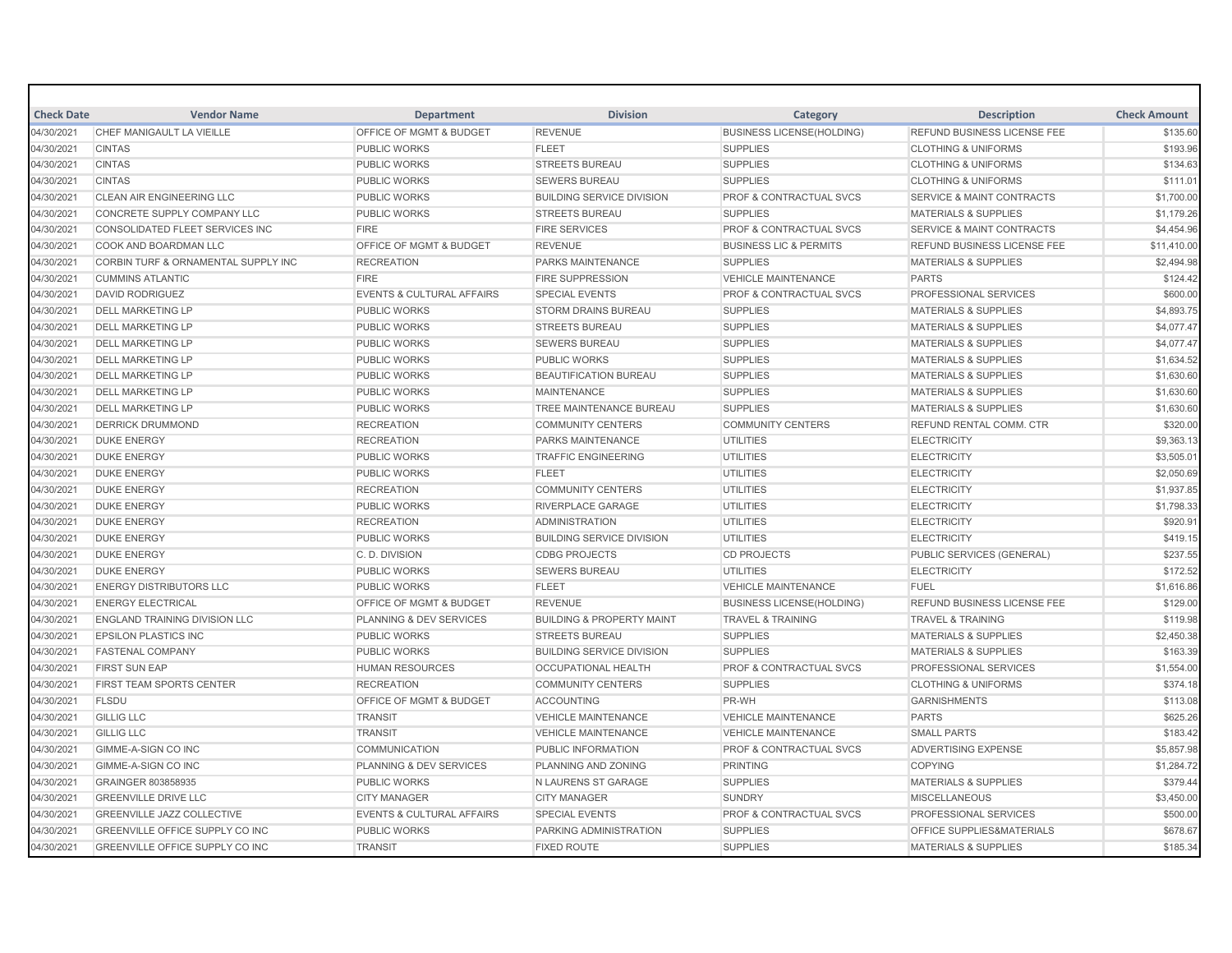| <b>Check Date</b> | <b>Vendor Name</b>                     | <b>Department</b>                    | <b>Division</b>                      | Category                           | <b>Description</b>                   | <b>Check Amount</b> |
|-------------------|----------------------------------------|--------------------------------------|--------------------------------------|------------------------------------|--------------------------------------|---------------------|
| 04/30/2021        | CHEF MANIGAULT LA VIEILLE              | <b>OFFICE OF MGMT &amp; BUDGET</b>   | <b>REVENUE</b>                       | <b>BUSINESS LICENSE(HOLDING)</b>   | <b>REFUND BUSINESS LICENSE FEE</b>   | \$135.60            |
| 04/30/2021        | <b>CINTAS</b>                          | <b>PUBLIC WORKS</b>                  | <b>FLEET</b>                         | <b>SUPPLIES</b>                    | <b>CLOTHING &amp; UNIFORMS</b>       | \$193.96            |
| 04/30/2021        | <b>CINTAS</b>                          | <b>PUBLIC WORKS</b>                  | <b>STREETS BUREAU</b>                | <b>SUPPLIES</b>                    | <b>CLOTHING &amp; UNIFORMS</b>       | \$134.63            |
| 04/30/2021        | <b>CINTAS</b>                          | <b>PUBLIC WORKS</b>                  | <b>SEWERS BUREAU</b>                 | <b>SUPPLIES</b>                    | <b>CLOTHING &amp; UNIFORMS</b>       | \$111.01            |
| 04/30/2021        | <b>CLEAN AIR ENGINEERING LLC</b>       | <b>PUBLIC WORKS</b>                  | <b>BUILDING SERVICE DIVISION</b>     | <b>PROF &amp; CONTRACTUAL SVCS</b> | <b>SERVICE &amp; MAINT CONTRACTS</b> | \$1,700.00          |
| 04/30/2021        | CONCRETE SUPPLY COMPANY LLC            | <b>PUBLIC WORKS</b>                  | <b>STREETS BUREAU</b>                | <b>SUPPLIES</b>                    | <b>MATERIALS &amp; SUPPLIES</b>      | \$1,179.26          |
| 04/30/2021        | CONSOLIDATED FLEET SERVICES INC        | <b>FIRE</b>                          | <b>FIRE SERVICES</b>                 | PROF & CONTRACTUAL SVCS            | <b>SERVICE &amp; MAINT CONTRACTS</b> | \$4,454.96          |
| 04/30/2021        | COOK AND BOARDMAN LLC                  | OFFICE OF MGMT & BUDGET              | <b>REVENUE</b>                       | <b>BUSINESS LIC &amp; PERMITS</b>  | REFUND BUSINESS LICENSE FEE          | \$11,410.00         |
| 04/30/2021        | CORBIN TURF & ORNAMENTAL SUPPLY INC    | <b>RECREATION</b>                    | PARKS MAINTENANCE                    | <b>SUPPLIES</b>                    | <b>MATERIALS &amp; SUPPLIES</b>      | \$2,494.98          |
| 04/30/2021        | <b>CUMMINS ATLANTIC</b>                | <b>FIRE</b>                          | <b>FIRE SUPPRESSION</b>              | <b>VEHICLE MAINTENANCE</b>         | <b>PARTS</b>                         | \$124.42            |
| 04/30/2021        | <b>DAVID RODRIGUEZ</b>                 | <b>EVENTS &amp; CULTURAL AFFAIRS</b> | <b>SPECIAL EVENTS</b>                | <b>PROF &amp; CONTRACTUAL SVCS</b> | PROFESSIONAL SERVICES                | \$600.00            |
| 04/30/2021        | <b>DELL MARKETING LP</b>               | <b>PUBLIC WORKS</b>                  | <b>STORM DRAINS BUREAU</b>           | <b>SUPPLIES</b>                    | <b>MATERIALS &amp; SUPPLIES</b>      | \$4,893.75          |
| 04/30/2021        | <b>DELL MARKETING LP</b>               | <b>PUBLIC WORKS</b>                  | <b>STREETS BUREAU</b>                | <b>SUPPLIES</b>                    | MATERIALS & SUPPLIES                 | \$4,077.47          |
| 04/30/2021        | <b>DELL MARKETING LP</b>               | <b>PUBLIC WORKS</b>                  | <b>SEWERS BUREAU</b>                 | <b>SUPPLIES</b>                    | <b>MATERIALS &amp; SUPPLIES</b>      | \$4,077.47          |
| 04/30/2021        | <b>DELL MARKETING LP</b>               | <b>PUBLIC WORKS</b>                  | PUBLIC WORKS                         | <b>SUPPLIES</b>                    | <b>MATERIALS &amp; SUPPLIES</b>      | \$1,634.52          |
| 04/30/2021        | <b>DELL MARKETING LP</b>               | <b>PUBLIC WORKS</b>                  | <b>BEAUTIFICATION BUREAU</b>         | <b>SUPPLIES</b>                    | <b>MATERIALS &amp; SUPPLIES</b>      | \$1,630.60          |
| 04/30/2021        | <b>DELL MARKETING LP</b>               | <b>PUBLIC WORKS</b>                  | <b>MAINTENANCE</b>                   | <b>SUPPLIES</b>                    | <b>MATERIALS &amp; SUPPLIES</b>      | \$1,630.60          |
| 04/30/2021        | <b>DELL MARKETING LP</b>               | <b>PUBLIC WORKS</b>                  | TREE MAINTENANCE BUREAU              | <b>SUPPLIES</b>                    | <b>MATERIALS &amp; SUPPLIES</b>      | \$1,630.60          |
| 04/30/2021        | <b>DERRICK DRUMMOND</b>                | <b>RECREATION</b>                    | <b>COMMUNITY CENTERS</b>             | <b>COMMUNITY CENTERS</b>           | <b>REFUND RENTAL COMM. CTR</b>       | \$320.00            |
| 04/30/2021        | <b>DUKE ENERGY</b>                     | <b>RECREATION</b>                    | <b>PARKS MAINTENANCE</b>             | <b>UTILITIES</b>                   | <b>ELECTRICITY</b>                   | \$9,363.13          |
| 04/30/2021        | <b>DUKE ENERGY</b>                     | <b>PUBLIC WORKS</b>                  | <b>TRAFFIC ENGINEERING</b>           | <b>UTILITIES</b>                   | <b>ELECTRICITY</b>                   | \$3,505.01          |
| 04/30/2021        | <b>DUKE ENERGY</b>                     | <b>PUBLIC WORKS</b>                  | <b>FLEET</b>                         | <b>UTILITIES</b>                   | <b>ELECTRICITY</b>                   | \$2,050.69          |
| 04/30/2021        | <b>DUKE ENERGY</b>                     | <b>RECREATION</b>                    | <b>COMMUNITY CENTERS</b>             | <b>UTILITIES</b>                   | <b>ELECTRICITY</b>                   | \$1,937.85          |
| 04/30/2021        | <b>DUKE ENERGY</b>                     | <b>PUBLIC WORKS</b>                  | <b>RIVERPLACE GARAGE</b>             | <b>UTILITIES</b>                   | <b>ELECTRICITY</b>                   | \$1,798.33          |
| 04/30/2021        | <b>DUKE ENERGY</b>                     | <b>RECREATION</b>                    | <b>ADMINISTRATION</b>                | <b>UTILITIES</b>                   | <b>ELECTRICITY</b>                   | \$920.91            |
| 04/30/2021        | <b>DUKE ENERGY</b>                     | <b>PUBLIC WORKS</b>                  | <b>BUILDING SERVICE DIVISION</b>     | <b>UTILITIES</b>                   | <b>ELECTRICITY</b>                   | \$419.15            |
| 04/30/2021        | <b>DUKE ENERGY</b>                     | C. D. DIVISION                       | <b>CDBG PROJECTS</b>                 | <b>CD PROJECTS</b>                 | PUBLIC SERVICES (GENERAL)            | \$237.55            |
| 04/30/2021        | <b>DUKE ENERGY</b>                     | <b>PUBLIC WORKS</b>                  | <b>SEWERS BUREAU</b>                 | <b>UTILITIES</b>                   | <b>ELECTRICITY</b>                   | \$172.52            |
| 04/30/2021        | <b>ENERGY DISTRIBUTORS LLC</b>         | <b>PUBLIC WORKS</b>                  | <b>FLEET</b>                         | <b>VEHICLE MAINTENANCE</b>         | FUEL                                 | \$1,616.86          |
| 04/30/2021        | <b>ENERGY ELECTRICAL</b>               | OFFICE OF MGMT & BUDGET              | <b>REVENUE</b>                       | <b>BUSINESS LICENSE(HOLDING)</b>   | REFUND BUSINESS LICENSE FEE          | \$129.00            |
| 04/30/2021        | <b>ENGLAND TRAINING DIVISION LLC</b>   | PLANNING & DEV SERVICES              | <b>BUILDING &amp; PROPERTY MAINT</b> | <b>TRAVEL &amp; TRAINING</b>       | <b>TRAVEL &amp; TRAINING</b>         | \$119.98            |
| 04/30/2021        | <b>EPSILON PLASTICS INC</b>            | <b>PUBLIC WORKS</b>                  | <b>STREETS BUREAU</b>                | <b>SUPPLIES</b>                    | <b>MATERIALS &amp; SUPPLIES</b>      | \$2,450.38          |
| 04/30/2021        | <b>FASTENAL COMPANY</b>                | <b>PUBLIC WORKS</b>                  | <b>BUILDING SERVICE DIVISION</b>     | <b>SUPPLIES</b>                    | <b>MATERIALS &amp; SUPPLIES</b>      | \$163.39            |
| 04/30/2021        | <b>FIRST SUN EAP</b>                   | <b>HUMAN RESOURCES</b>               | <b>OCCUPATIONAL HEALTH</b>           | <b>PROF &amp; CONTRACTUAL SVCS</b> | PROFESSIONAL SERVICES                | \$1,554.00          |
| 04/30/2021        | FIRST TEAM SPORTS CENTER               | <b>RECREATION</b>                    | <b>COMMUNITY CENTERS</b>             | <b>SUPPLIES</b>                    | <b>CLOTHING &amp; UNIFORMS</b>       | \$374.18            |
| 04/30/2021        | <b>FLSDU</b>                           | OFFICE OF MGMT & BUDGET              | <b>ACCOUNTING</b>                    | PR-WH                              | <b>GARNISHMENTS</b>                  | \$113.08            |
| 04/30/2021        | <b>GILLIG LLC</b>                      | <b>TRANSIT</b>                       | <b>VEHICLE MAINTENANCE</b>           | <b>VEHICLE MAINTENANCE</b>         | <b>PARTS</b>                         | \$625.26            |
| 04/30/2021        | <b>GILLIG LLC</b>                      | <b>TRANSIT</b>                       | <b>VEHICLE MAINTENANCE</b>           | <b>VEHICLE MAINTENANCE</b>         | <b>SMALL PARTS</b>                   | \$183.42            |
| 04/30/2021        | <b>GIMME-A-SIGN CO INC</b>             | <b>COMMUNICATION</b>                 | PUBLIC INFORMATION                   | <b>PROF &amp; CONTRACTUAL SVCS</b> | <b>ADVERTISING EXPENSE</b>           | \$5,857.98          |
| 04/30/2021        | <b>GIMME-A-SIGN CO INC</b>             | PLANNING & DEV SERVICES              | PLANNING AND ZONING                  | <b>PRINTING</b>                    | <b>COPYING</b>                       | \$1,284.72          |
| 04/30/2021        | GRAINGER 803858935                     | <b>PUBLIC WORKS</b>                  | N LAURENS ST GARAGE                  | <b>SUPPLIES</b>                    | <b>MATERIALS &amp; SUPPLIES</b>      | \$379.44            |
| 04/30/2021        | <b>GREENVILLE DRIVE LLC</b>            | <b>CITY MANAGER</b>                  | <b>CITY MANAGER</b>                  | <b>SUNDRY</b>                      | <b>MISCELLANEOUS</b>                 | \$3,450.00          |
| 04/30/2021        | <b>GREENVILLE JAZZ COLLECTIVE</b>      | <b>EVENTS &amp; CULTURAL AFFAIRS</b> | <b>SPECIAL EVENTS</b>                | PROF & CONTRACTUAL SVCS            | <b>PROFESSIONAL SERVICES</b>         | \$500.00            |
| 04/30/2021        | GREENVILLE OFFICE SUPPLY CO INC        | <b>PUBLIC WORKS</b>                  | PARKING ADMINISTRATION               | <b>SUPPLIES</b>                    | OFFICE SUPPLIES&MATERIALS            | \$678.67            |
| 04/30/2021        | <b>GREENVILLE OFFICE SUPPLY CO INC</b> | <b>TRANSIT</b>                       | <b>FIXED ROUTE</b>                   | <b>SUPPLIES</b>                    | <b>MATERIALS &amp; SUPPLIES</b>      | \$185.34            |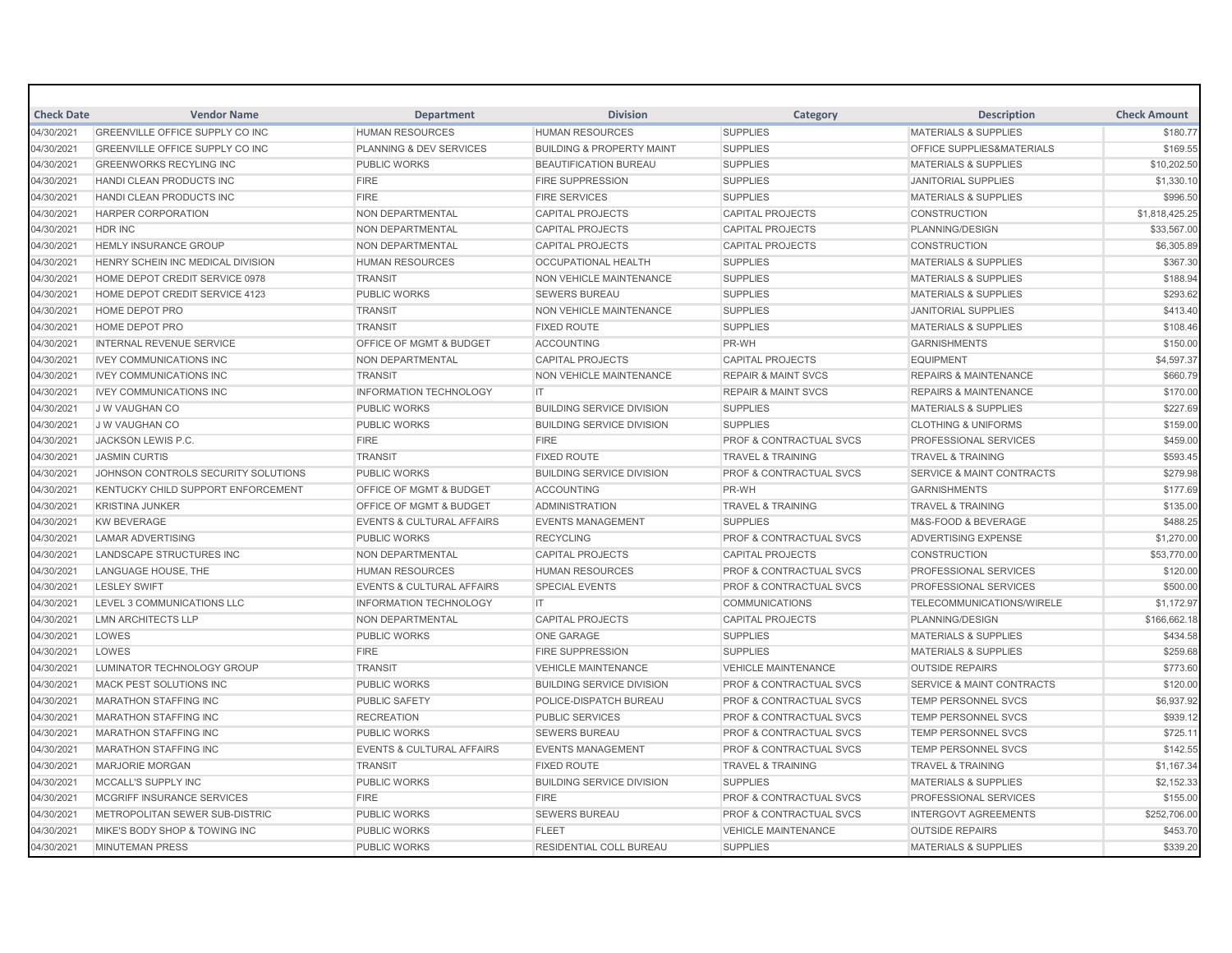| <b>Check Date</b> | <b>Vendor Name</b>                     | <b>Department</b>                    | <b>Division</b>                      | Category                           | <b>Description</b>                   | <b>Check Amount</b> |
|-------------------|----------------------------------------|--------------------------------------|--------------------------------------|------------------------------------|--------------------------------------|---------------------|
| 04/30/2021        | <b>GREENVILLE OFFICE SUPPLY CO INC</b> | <b>HUMAN RESOURCES</b>               | <b>HUMAN RESOURCES</b>               | <b>SUPPLIES</b>                    | <b>MATERIALS &amp; SUPPLIES</b>      | \$180.77            |
| 04/30/2021        | GREENVILLE OFFICE SUPPLY CO INC        | PLANNING & DEV SERVICES              | <b>BUILDING &amp; PROPERTY MAINT</b> | <b>SUPPLIES</b>                    | <b>OFFICE SUPPLIES&amp;MATERIALS</b> | \$169.55            |
| 04/30/2021        | <b>GREENWORKS RECYLING INC</b>         | <b>PUBLIC WORKS</b>                  | <b>BEAUTIFICATION BUREAU</b>         | <b>SUPPLIES</b>                    | <b>MATERIALS &amp; SUPPLIES</b>      | \$10,202.50         |
| 04/30/2021        | HANDI CLEAN PRODUCTS INC               | <b>FIRE</b>                          | <b>FIRE SUPPRESSION</b>              | <b>SUPPLIES</b>                    | <b>JANITORIAL SUPPLIES</b>           | \$1,330.10          |
| 04/30/2021        | <b>HANDI CLEAN PRODUCTS INC</b>        | <b>FIRE</b>                          | <b>FIRE SERVICES</b>                 | <b>SUPPLIES</b>                    | <b>MATERIALS &amp; SUPPLIES</b>      | \$996.50            |
| 04/30/2021        | HARPER CORPORATION                     | NON DEPARTMENTAL                     | <b>CAPITAL PROJECTS</b>              | <b>CAPITAL PROJECTS</b>            | CONSTRUCTION                         | \$1,818,425.25      |
| 04/30/2021        | <b>HDR INC</b>                         | NON DEPARTMENTAL                     | <b>CAPITAL PROJECTS</b>              | <b>CAPITAL PROJECTS</b>            | PLANNING/DESIGN                      | \$33,567.00         |
| 04/30/2021        | <b>HEMLY INSURANCE GROUP</b>           | <b>NON DEPARTMENTAL</b>              | <b>CAPITAL PROJECTS</b>              | <b>CAPITAL PROJECTS</b>            | <b>CONSTRUCTION</b>                  | \$6,305.89          |
| 04/30/2021        | HENRY SCHEIN INC MEDICAL DIVISION      | <b>HUMAN RESOURCES</b>               | <b>OCCUPATIONAL HEALTH</b>           | <b>SUPPLIES</b>                    | <b>MATERIALS &amp; SUPPLIES</b>      | \$367.30            |
| 04/30/2021        | HOME DEPOT CREDIT SERVICE 0978         | <b>TRANSIT</b>                       | NON VEHICLE MAINTENANCE              | <b>SUPPLIES</b>                    | <b>MATERIALS &amp; SUPPLIES</b>      | \$188.94            |
| 04/30/2021        | HOME DEPOT CREDIT SERVICE 4123         | PUBLIC WORKS                         | <b>SEWERS BUREAU</b>                 | <b>SUPPLIES</b>                    | <b>MATERIALS &amp; SUPPLIES</b>      | \$293.62            |
| 04/30/2021        | HOME DEPOT PRO                         | <b>TRANSIT</b>                       | <b>NON VEHICLE MAINTENANCE</b>       | <b>SUPPLIES</b>                    | JANITORIAL SUPPLIES                  | \$413.40            |
| 04/30/2021        | <b>HOME DEPOT PRO</b>                  | <b>TRANSIT</b>                       | <b>FIXED ROUTE</b>                   | <b>SUPPLIES</b>                    | <b>MATERIALS &amp; SUPPLIES</b>      | \$108.46            |
| 04/30/2021        | <b>INTERNAL REVENUE SERVICE</b>        | OFFICE OF MGMT & BUDGET              | <b>ACCOUNTING</b>                    | PR-WH                              | <b>GARNISHMENTS</b>                  | \$150.00            |
| 04/30/2021        | <b>IVEY COMMUNICATIONS INC</b>         | <b>NON DEPARTMENTAL</b>              | <b>CAPITAL PROJECTS</b>              | <b>CAPITAL PROJECTS</b>            | <b>EQUIPMENT</b>                     | \$4,597.37          |
| 04/30/2021        | <b>IVEY COMMUNICATIONS INC</b>         | <b>TRANSIT</b>                       | NON VEHICLE MAINTENANCE              | <b>REPAIR &amp; MAINT SVCS</b>     | <b>REPAIRS &amp; MAINTENANCE</b>     | \$660.79            |
| 04/30/2021        | <b>IVEY COMMUNICATIONS INC</b>         | <b>INFORMATION TECHNOLOGY</b>        | IT                                   | <b>REPAIR &amp; MAINT SVCS</b>     | <b>REPAIRS &amp; MAINTENANCE</b>     | \$170.00            |
| 04/30/2021        | <b>JW VAUGHAN CO</b>                   | <b>PUBLIC WORKS</b>                  | <b>BUILDING SERVICE DIVISION</b>     | <b>SUPPLIES</b>                    | <b>MATERIALS &amp; SUPPLIES</b>      | \$227.69            |
| 04/30/2021        | <b>J W VAUGHAN CO</b>                  | <b>PUBLIC WORKS</b>                  | <b>BUILDING SERVICE DIVISION</b>     | <b>SUPPLIES</b>                    | <b>CLOTHING &amp; UNIFORMS</b>       | \$159.00            |
| 04/30/2021        | JACKSON LEWIS P.C.                     | <b>FIRE</b>                          | <b>FIRE</b>                          | <b>PROF &amp; CONTRACTUAL SVCS</b> | <b>PROFESSIONAL SERVICES</b>         | \$459.00            |
| 04/30/2021        | <b>JASMIN CURTIS</b>                   | <b>TRANSIT</b>                       | <b>FIXED ROUTE</b>                   | <b>TRAVEL &amp; TRAINING</b>       | <b>TRAVEL &amp; TRAINING</b>         | \$593.45            |
| 04/30/2021        | JOHNSON CONTROLS SECURITY SOLUTIONS    | <b>PUBLIC WORKS</b>                  | <b>BUILDING SERVICE DIVISION</b>     | <b>PROF &amp; CONTRACTUAL SVCS</b> | <b>SERVICE &amp; MAINT CONTRACTS</b> | \$279.98            |
| 04/30/2021        | KENTUCKY CHILD SUPPORT ENFORCEMENT     | OFFICE OF MGMT & BUDGET              | <b>ACCOUNTING</b>                    | PR-WH                              | <b>GARNISHMENTS</b>                  | \$177.69            |
| 04/30/2021        | <b>KRISTINA JUNKER</b>                 | OFFICE OF MGMT & BUDGET              | <b>ADMINISTRATION</b>                | <b>TRAVEL &amp; TRAINING</b>       | <b>TRAVEL &amp; TRAINING</b>         | \$135.00            |
| 04/30/2021        | <b>KW BEVERAGE</b>                     | <b>EVENTS &amp; CULTURAL AFFAIRS</b> | <b>EVENTS MANAGEMENT</b>             | <b>SUPPLIES</b>                    | M&S-FOOD & BEVERAGE                  | \$488.25            |
| 04/30/2021        | <b>LAMAR ADVERTISING</b>               | <b>PUBLIC WORKS</b>                  | <b>RECYCLING</b>                     | PROF & CONTRACTUAL SVCS            | ADVERTISING EXPENSE                  | \$1,270.00          |
| 04/30/2021        | LANDSCAPE STRUCTURES INC               | NON DEPARTMENTAL                     | <b>CAPITAL PROJECTS</b>              | <b>CAPITAL PROJECTS</b>            | <b>CONSTRUCTION</b>                  | \$53,770.00         |
| 04/30/2021        | LANGUAGE HOUSE, THE                    | <b>HUMAN RESOURCES</b>               | <b>HUMAN RESOURCES</b>               | <b>PROF &amp; CONTRACTUAL SVCS</b> | <b>PROFESSIONAL SERVICES</b>         | \$120.00            |
| 04/30/2021        | <b>LESLEY SWIFT</b>                    | <b>EVENTS &amp; CULTURAL AFFAIRS</b> | <b>SPECIAL EVENTS</b>                | PROF & CONTRACTUAL SVCS            | <b>PROFESSIONAL SERVICES</b>         | \$500.00            |
| 04/30/2021        | LEVEL 3 COMMUNICATIONS LLC             | <b>INFORMATION TECHNOLOGY</b>        | IT                                   | <b>COMMUNICATIONS</b>              | TELECOMMUNICATIONS/WIRELE            | \$1,172.97          |
| 04/30/2021        | <b>LMN ARCHITECTS LLP</b>              | NON DEPARTMENTAL                     | <b>CAPITAL PROJECTS</b>              | <b>CAPITAL PROJECTS</b>            | PLANNING/DESIGN                      | \$166,662.18        |
| 04/30/2021        | LOWES                                  | <b>PUBLIC WORKS</b>                  | <b>ONE GARAGE</b>                    | <b>SUPPLIES</b>                    | <b>MATERIALS &amp; SUPPLIES</b>      | \$434.58            |
| 04/30/2021        | LOWES                                  | <b>FIRE</b>                          | <b>FIRE SUPPRESSION</b>              | <b>SUPPLIES</b>                    | <b>MATERIALS &amp; SUPPLIES</b>      | \$259.68            |
| 04/30/2021        | LUMINATOR TECHNOLOGY GROUP             | <b>TRANSIT</b>                       | <b>VEHICLE MAINTENANCE</b>           | <b>VEHICLE MAINTENANCE</b>         | <b>OUTSIDE REPAIRS</b>               | \$773.60            |
| 04/30/2021        | MACK PEST SOLUTIONS INC                | <b>PUBLIC WORKS</b>                  | <b>BUILDING SERVICE DIVISION</b>     | PROF & CONTRACTUAL SVCS            | <b>SERVICE &amp; MAINT CONTRACTS</b> | \$120.00            |
| 04/30/2021        | <b>MARATHON STAFFING INC</b>           | <b>PUBLIC SAFETY</b>                 | POLICE-DISPATCH BUREAU               | <b>PROF &amp; CONTRACTUAL SVCS</b> | <b>TEMP PERSONNEL SVCS</b>           | \$6,937.92          |
| 04/30/2021        | <b>MARATHON STAFFING INC</b>           | <b>RECREATION</b>                    | <b>PUBLIC SERVICES</b>               | PROF & CONTRACTUAL SVCS            | <b>TEMP PERSONNEL SVCS</b>           | \$939.12            |
| 04/30/2021        | <b>MARATHON STAFFING INC</b>           | <b>PUBLIC WORKS</b>                  | <b>SEWERS BUREAU</b>                 | <b>PROF &amp; CONTRACTUAL SVCS</b> | <b>TEMP PERSONNEL SVCS</b>           | \$725.11            |
| 04/30/2021        | <b>MARATHON STAFFING INC</b>           | <b>EVENTS &amp; CULTURAL AFFAIRS</b> | <b>EVENTS MANAGEMENT</b>             | <b>PROF &amp; CONTRACTUAL SVCS</b> | <b>TEMP PERSONNEL SVCS</b>           | \$142.55            |
| 04/30/2021        | MARJORIE MORGAN                        | <b>TRANSIT</b>                       | <b>FIXED ROUTE</b>                   | <b>TRAVEL &amp; TRAINING</b>       | <b>TRAVEL &amp; TRAINING</b>         | \$1,167.34          |
| 04/30/2021        | MCCALL'S SUPPLY INC                    | <b>PUBLIC WORKS</b>                  | <b>BUILDING SERVICE DIVISION</b>     | <b>SUPPLIES</b>                    | <b>MATERIALS &amp; SUPPLIES</b>      | \$2,152.33          |
| 04/30/2021        | MCGRIFF INSURANCE SERVICES             | <b>FIRE</b>                          | <b>FIRE</b>                          | <b>PROF &amp; CONTRACTUAL SVCS</b> | PROFESSIONAL SERVICES                | \$155.00            |
| 04/30/2021        | METROPOLITAN SEWER SUB-DISTRIC         | <b>PUBLIC WORKS</b>                  | <b>SEWERS BUREAU</b>                 | <b>PROF &amp; CONTRACTUAL SVCS</b> | <b>INTERGOVT AGREEMENTS</b>          | \$252,706.00        |
| 04/30/2021        | MIKE'S BODY SHOP & TOWING INC          | <b>PUBLIC WORKS</b>                  | <b>FLEET</b>                         | <b>VEHICLE MAINTENANCE</b>         | <b>OUTSIDE REPAIRS</b>               | \$453.70            |
| 04/30/2021        | <b>MINUTEMAN PRESS</b>                 | PUBLIC WORKS                         | RESIDENTIAL COLL BUREAU              | <b>SUPPLIES</b>                    | <b>MATERIALS &amp; SUPPLIES</b>      | \$339.20            |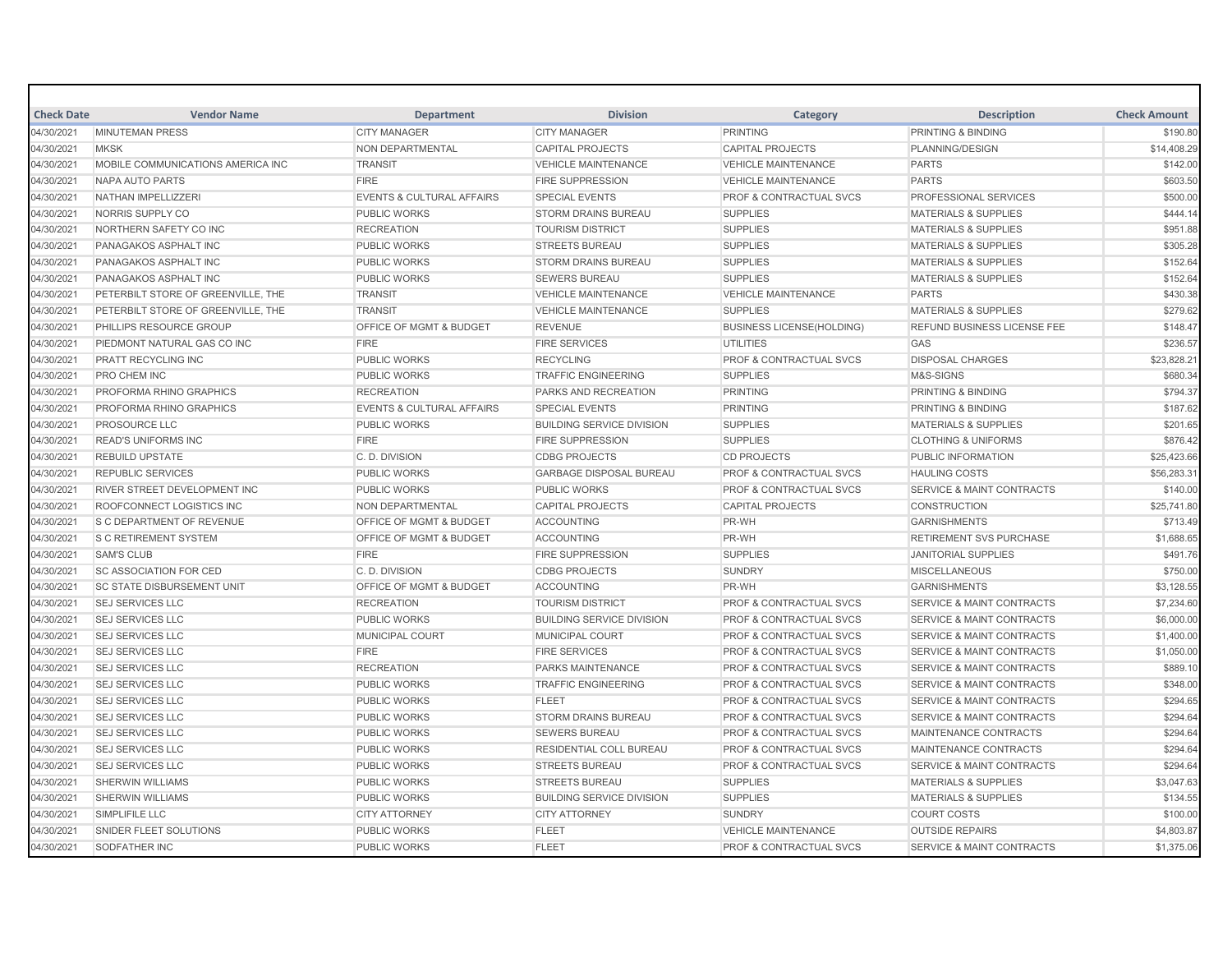| <b>Check Date</b> | <b>Vendor Name</b>                 | <b>Department</b>                    | <b>Division</b>                  | Category                           | <b>Description</b>                   | <b>Check Amount</b> |
|-------------------|------------------------------------|--------------------------------------|----------------------------------|------------------------------------|--------------------------------------|---------------------|
| 04/30/2021        | <b>MINUTEMAN PRESS</b>             | <b>CITY MANAGER</b>                  | <b>CITY MANAGER</b>              | <b>PRINTING</b>                    | <b>PRINTING &amp; BINDING</b>        | \$190.80            |
| 04/30/2021        | <b>MKSK</b>                        | NON DEPARTMENTAL                     | <b>CAPITAL PROJECTS</b>          | <b>CAPITAL PROJECTS</b>            | PLANNING/DESIGN                      | \$14,408.29         |
| 04/30/2021        | MOBILE COMMUNICATIONS AMERICA INC  | <b>TRANSIT</b>                       | <b>VEHICLE MAINTENANCE</b>       | <b>VEHICLE MAINTENANCE</b>         | <b>PARTS</b>                         | \$142.00            |
| 04/30/2021        | NAPA AUTO PARTS                    | <b>FIRE</b>                          | <b>FIRE SUPPRESSION</b>          | <b>VEHICLE MAINTENANCE</b>         | <b>PARTS</b>                         | \$603.50            |
| 04/30/2021        | NATHAN IMPELLIZZERI                | <b>EVENTS &amp; CULTURAL AFFAIRS</b> | <b>SPECIAL EVENTS</b>            | <b>PROF &amp; CONTRACTUAL SVCS</b> | PROFESSIONAL SERVICES                | \$500.00            |
| 04/30/2021        | NORRIS SUPPLY CO                   | <b>PUBLIC WORKS</b>                  | <b>STORM DRAINS BUREAU</b>       | <b>SUPPLIES</b>                    | <b>MATERIALS &amp; SUPPLIES</b>      | \$444.14            |
| 04/30/2021        | NORTHERN SAFETY CO INC             | <b>RECREATION</b>                    | <b>TOURISM DISTRICT</b>          | <b>SUPPLIES</b>                    | <b>MATERIALS &amp; SUPPLIES</b>      | \$951.88            |
| 04/30/2021        | PANAGAKOS ASPHALT INC              | <b>PUBLIC WORKS</b>                  | <b>STREETS BUREAU</b>            | <b>SUPPLIES</b>                    | <b>MATERIALS &amp; SUPPLIES</b>      | \$305.28            |
| 04/30/2021        | PANAGAKOS ASPHALT INC              | <b>PUBLIC WORKS</b>                  | <b>STORM DRAINS BUREAU</b>       | <b>SUPPLIES</b>                    | <b>MATERIALS &amp; SUPPLIES</b>      | \$152.64            |
| 04/30/2021        | PANAGAKOS ASPHALT INC              | <b>PUBLIC WORKS</b>                  | <b>SEWERS BUREAU</b>             | <b>SUPPLIES</b>                    | <b>MATERIALS &amp; SUPPLIES</b>      | \$152.64            |
| 04/30/2021        | PETERBILT STORE OF GREENVILLE. THE | <b>TRANSIT</b>                       | <b>VEHICLE MAINTENANCE</b>       | <b>VEHICLE MAINTENANCE</b>         | <b>PARTS</b>                         | \$430.38            |
| 04/30/2021        | PETERBILT STORE OF GREENVILLE. THE | <b>TRANSIT</b>                       | <b>VEHICLE MAINTENANCE</b>       | <b>SUPPLIES</b>                    | <b>MATERIALS &amp; SUPPLIES</b>      | \$279.62            |
| 04/30/2021        | PHILLIPS RESOURCE GROUP            | <b>OFFICE OF MGMT &amp; BUDGET</b>   | <b>REVENUE</b>                   | <b>BUSINESS LICENSE(HOLDING)</b>   | <b>REFUND BUSINESS LICENSE FEE</b>   | \$148.47            |
| 04/30/2021        | PIEDMONT NATURAL GAS CO INC        | <b>FIRE</b>                          | <b>FIRE SERVICES</b>             | <b>UTILITIES</b>                   | GAS                                  | \$236.57            |
| 04/30/2021        | PRATT RECYCLING INC                | <b>PUBLIC WORKS</b>                  | <b>RECYCLING</b>                 | PROF & CONTRACTUAL SVCS            | <b>DISPOSAL CHARGES</b>              | \$23,828.21         |
| 04/30/2021        | PRO CHEM INC                       | <b>PUBLIC WORKS</b>                  | <b>TRAFFIC ENGINEERING</b>       | <b>SUPPLIES</b>                    | M&S-SIGNS                            | \$680.34            |
| 04/30/2021        | PROFORMA RHINO GRAPHICS            | <b>RECREATION</b>                    | PARKS AND RECREATION             | <b>PRINTING</b>                    | <b>PRINTING &amp; BINDING</b>        | \$794.37            |
| 04/30/2021        | PROFORMA RHINO GRAPHICS            | <b>EVENTS &amp; CULTURAL AFFAIRS</b> | <b>SPECIAL EVENTS</b>            | <b>PRINTING</b>                    | <b>PRINTING &amp; BINDING</b>        | \$187.62            |
| 04/30/2021        | PROSOURCE LLC                      | <b>PUBLIC WORKS</b>                  | <b>BUILDING SERVICE DIVISION</b> | <b>SUPPLIES</b>                    | <b>MATERIALS &amp; SUPPLIES</b>      | \$201.65            |
| 04/30/2021        | <b>READ'S UNIFORMS INC</b>         | <b>FIRE</b>                          | <b>FIRE SUPPRESSION</b>          | <b>SUPPLIES</b>                    | <b>CLOTHING &amp; UNIFORMS</b>       | \$876.42            |
| 04/30/2021        | <b>REBUILD UPSTATE</b>             | C.D. DIVISION                        | <b>CDBG PROJECTS</b>             | <b>CD PROJECTS</b>                 | <b>PUBLIC INFORMATION</b>            | \$25,423.66         |
| 04/30/2021        | <b>REPUBLIC SERVICES</b>           | <b>PUBLIC WORKS</b>                  | <b>GARBAGE DISPOSAL BUREAU</b>   | <b>PROF &amp; CONTRACTUAL SVCS</b> | <b>HAULING COSTS</b>                 | \$56,283.31         |
| 04/30/2021        | RIVER STREET DEVELOPMENT INC       | <b>PUBLIC WORKS</b>                  | PUBLIC WORKS                     | PROF & CONTRACTUAL SVCS            | <b>SERVICE &amp; MAINT CONTRACTS</b> | \$140.00            |
| 04/30/2021        | ROOFCONNECT LOGISTICS INC          | <b>NON DEPARTMENTAL</b>              | <b>CAPITAL PROJECTS</b>          | <b>CAPITAL PROJECTS</b>            | <b>CONSTRUCTION</b>                  | \$25,741.80         |
| 04/30/2021        | <b>S C DEPARTMENT OF REVENUE</b>   | OFFICE OF MGMT & BUDGET              | <b>ACCOUNTING</b>                | PR-WH                              | <b>GARNISHMENTS</b>                  | \$713.49            |
| 04/30/2021        | <b>S C RETIREMENT SYSTEM</b>       | <b>OFFICE OF MGMT &amp; BUDGET</b>   | <b>ACCOUNTING</b>                | PR-WH                              | <b>RETIREMENT SVS PURCHASE</b>       | \$1,688.65          |
| 04/30/2021        | <b>SAM'S CLUB</b>                  | <b>FIRE</b>                          | <b>FIRE SUPPRESSION</b>          | <b>SUPPLIES</b>                    | <b>JANITORIAL SUPPLIES</b>           | \$491.76            |
| 04/30/2021        | <b>SC ASSOCIATION FOR CED</b>      | C. D. DIVISION                       | <b>CDBG PROJECTS</b>             | <b>SUNDRY</b>                      | <b>MISCELLANEOUS</b>                 | \$750.00            |
| 04/30/2021        | <b>SC STATE DISBURSEMENT UNIT</b>  | OFFICE OF MGMT & BUDGET              | <b>ACCOUNTING</b>                | PR-WH                              | <b>GARNISHMENTS</b>                  | \$3,128.55          |
| 04/30/2021        | <b>SEJ SERVICES LLC</b>            | <b>RECREATION</b>                    | <b>TOURISM DISTRICT</b>          | <b>PROF &amp; CONTRACTUAL SVCS</b> | <b>SERVICE &amp; MAINT CONTRACTS</b> | \$7,234.60          |
| 04/30/2021        | <b>SEJ SERVICES LLC</b>            | <b>PUBLIC WORKS</b>                  | <b>BUILDING SERVICE DIVISION</b> | PROF & CONTRACTUAL SVCS            | <b>SERVICE &amp; MAINT CONTRACTS</b> | \$6,000.00          |
| 04/30/2021        | <b>SEJ SERVICES LLC</b>            | <b>MUNICIPAL COURT</b>               | <b>MUNICIPAL COURT</b>           | <b>PROF &amp; CONTRACTUAL SVCS</b> | <b>SERVICE &amp; MAINT CONTRACTS</b> | \$1,400.00          |
| 04/30/2021        | <b>SEJ SERVICES LLC</b>            | <b>FIRE</b>                          | <b>FIRE SERVICES</b>             | <b>PROF &amp; CONTRACTUAL SVCS</b> | <b>SERVICE &amp; MAINT CONTRACTS</b> | \$1,050.00          |
| 04/30/2021        | <b>SEJ SERVICES LLC</b>            | <b>RECREATION</b>                    | PARKS MAINTENANCE                | PROF & CONTRACTUAL SVCS            | <b>SERVICE &amp; MAINT CONTRACTS</b> | \$889.10            |
| 04/30/2021        | <b>SEJ SERVICES LLC</b>            | <b>PUBLIC WORKS</b>                  | <b>TRAFFIC ENGINEERING</b>       | <b>PROF &amp; CONTRACTUAL SVCS</b> | <b>SERVICE &amp; MAINT CONTRACTS</b> | \$348.00            |
| 04/30/2021        | <b>SEJ SERVICES LLC</b>            | PUBLIC WORKS                         | <b>FLEET</b>                     | <b>PROF &amp; CONTRACTUAL SVCS</b> | <b>SERVICE &amp; MAINT CONTRACTS</b> | \$294.65            |
| 04/30/2021        | <b>SEJ SERVICES LLC</b>            | <b>PUBLIC WORKS</b>                  | <b>STORM DRAINS BUREAU</b>       | PROF & CONTRACTUAL SVCS            | <b>SERVICE &amp; MAINT CONTRACTS</b> | \$294.64            |
| 04/30/2021        | <b>SEJ SERVICES LLC</b>            | <b>PUBLIC WORKS</b>                  | <b>SEWERS BUREAU</b>             | <b>PROF &amp; CONTRACTUAL SVCS</b> | MAINTENANCE CONTRACTS                | \$294.64            |
| 04/30/2021        | <b>SEJ SERVICES LLC</b>            | <b>PUBLIC WORKS</b>                  | RESIDENTIAL COLL BUREAU          | PROF & CONTRACTUAL SVCS            | MAINTENANCE CONTRACTS                | \$294.64            |
| 04/30/2021        | <b>SEJ SERVICES LLC</b>            | <b>PUBLIC WORKS</b>                  | <b>STREETS BUREAU</b>            | PROF & CONTRACTUAL SVCS            | <b>SERVICE &amp; MAINT CONTRACTS</b> | \$294.64            |
| 04/30/2021        | <b>SHERWIN WILLIAMS</b>            | <b>PUBLIC WORKS</b>                  | <b>STREETS BUREAU</b>            | <b>SUPPLIES</b>                    | <b>MATERIALS &amp; SUPPLIES</b>      | \$3,047.63          |
| 04/30/2021        | <b>SHERWIN WILLIAMS</b>            | <b>PUBLIC WORKS</b>                  | <b>BUILDING SERVICE DIVISION</b> | <b>SUPPLIES</b>                    | <b>MATERIALS &amp; SUPPLIES</b>      | \$134.55            |
| 04/30/2021        | SIMPLIFILE LLC                     | <b>CITY ATTORNEY</b>                 | <b>CITY ATTORNEY</b>             | <b>SUNDRY</b>                      | <b>COURT COSTS</b>                   | \$100.00            |
| 04/30/2021        | SNIDER FLEET SOLUTIONS             | <b>PUBLIC WORKS</b>                  | <b>FLEET</b>                     | <b>VEHICLE MAINTENANCE</b>         | <b>OUTSIDE REPAIRS</b>               | \$4,803.87          |
| 04/30/2021        | <b>SODFATHER INC</b>               | <b>PUBLIC WORKS</b>                  | <b>FLEET</b>                     | <b>PROF &amp; CONTRACTUAL SVCS</b> | <b>SERVICE &amp; MAINT CONTRACTS</b> | \$1,375.06          |